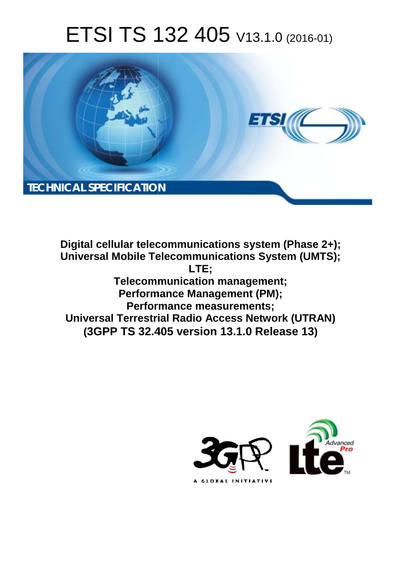# ETSI TS 132 405 V13.1.0 (2016-01)



**Digital cellular telecommunications system (Phase 2+); Universal Mobile Te Telecommunications System (U (UMTS); Telecomm mmunication management; Performa mance Management (PM); Perform rmance measurements; Universal Terrestrial Radio Access Network (UTRAN) (3GPP TS 32.4 .405 version 13.1.0 Release 13 13)LTE;** 

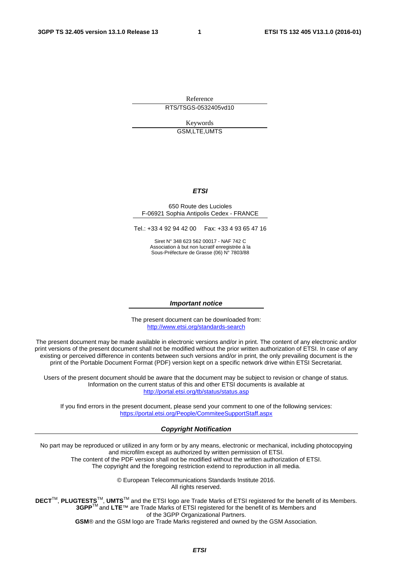Reference RTS/TSGS-0532405vd10

> Keywords GSM,LTE,UMTS

#### *ETSI*

#### 650 Route des Lucioles F-06921 Sophia Antipolis Cedex - FRANCE

Tel.: +33 4 92 94 42 00 Fax: +33 4 93 65 47 16

Siret N° 348 623 562 00017 - NAF 742 C Association à but non lucratif enregistrée à la Sous-Préfecture de Grasse (06) N° 7803/88

#### *Important notice*

The present document can be downloaded from: <http://www.etsi.org/standards-search>

The present document may be made available in electronic versions and/or in print. The content of any electronic and/or print versions of the present document shall not be modified without the prior written authorization of ETSI. In case of any existing or perceived difference in contents between such versions and/or in print, the only prevailing document is the print of the Portable Document Format (PDF) version kept on a specific network drive within ETSI Secretariat.

Users of the present document should be aware that the document may be subject to revision or change of status. Information on the current status of this and other ETSI documents is available at <http://portal.etsi.org/tb/status/status.asp>

If you find errors in the present document, please send your comment to one of the following services: <https://portal.etsi.org/People/CommiteeSupportStaff.aspx>

#### *Copyright Notification*

No part may be reproduced or utilized in any form or by any means, electronic or mechanical, including photocopying and microfilm except as authorized by written permission of ETSI.

The content of the PDF version shall not be modified without the written authorization of ETSI. The copyright and the foregoing restriction extend to reproduction in all media.

> © European Telecommunications Standards Institute 2016. All rights reserved.

**DECT**TM, **PLUGTESTS**TM, **UMTS**TM and the ETSI logo are Trade Marks of ETSI registered for the benefit of its Members. **3GPP**TM and **LTE**™ are Trade Marks of ETSI registered for the benefit of its Members and of the 3GPP Organizational Partners.

**GSM**® and the GSM logo are Trade Marks registered and owned by the GSM Association.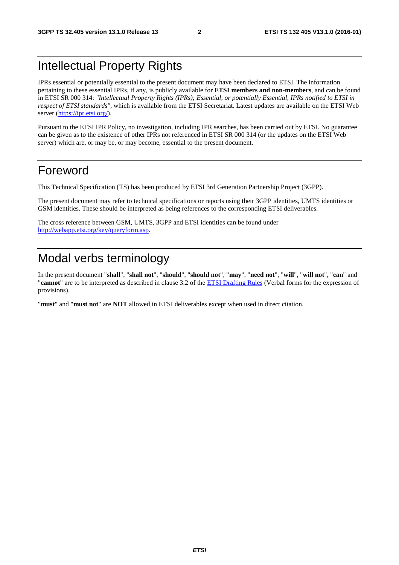# Intellectual Property Rights

IPRs essential or potentially essential to the present document may have been declared to ETSI. The information pertaining to these essential IPRs, if any, is publicly available for **ETSI members and non-members**, and can be found in ETSI SR 000 314: *"Intellectual Property Rights (IPRs); Essential, or potentially Essential, IPRs notified to ETSI in respect of ETSI standards"*, which is available from the ETSI Secretariat. Latest updates are available on the ETSI Web server [\(https://ipr.etsi.org/](https://ipr.etsi.org/)).

Pursuant to the ETSI IPR Policy, no investigation, including IPR searches, has been carried out by ETSI. No guarantee can be given as to the existence of other IPRs not referenced in ETSI SR 000 314 (or the updates on the ETSI Web server) which are, or may be, or may become, essential to the present document.

# Foreword

This Technical Specification (TS) has been produced by ETSI 3rd Generation Partnership Project (3GPP).

The present document may refer to technical specifications or reports using their 3GPP identities, UMTS identities or GSM identities. These should be interpreted as being references to the corresponding ETSI deliverables.

The cross reference between GSM, UMTS, 3GPP and ETSI identities can be found under <http://webapp.etsi.org/key/queryform.asp>.

# Modal verbs terminology

In the present document "**shall**", "**shall not**", "**should**", "**should not**", "**may**", "**need not**", "**will**", "**will not**", "**can**" and "**cannot**" are to be interpreted as described in clause 3.2 of the [ETSI Drafting Rules](http://portal.etsi.org/Help/editHelp!/Howtostart/ETSIDraftingRules.aspx) (Verbal forms for the expression of provisions).

"**must**" and "**must not**" are **NOT** allowed in ETSI deliverables except when used in direct citation.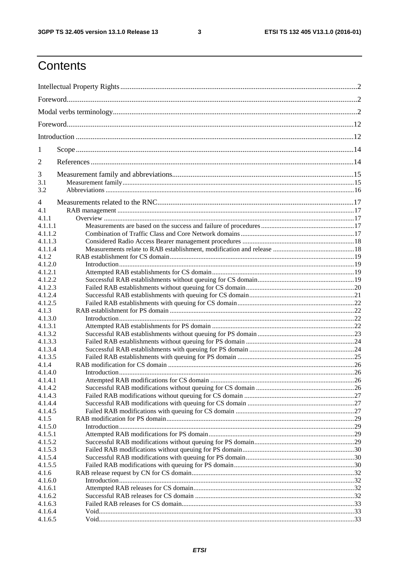$\mathbf{3}$ 

# Contents

| 1       |  |  |  |
|---------|--|--|--|
| 2       |  |  |  |
| 3       |  |  |  |
| 3.1     |  |  |  |
| 3.2     |  |  |  |
| 4       |  |  |  |
| 4.1     |  |  |  |
| 4.1.1   |  |  |  |
| 4.1.1.1 |  |  |  |
| 4.1.1.2 |  |  |  |
| 4.1.1.3 |  |  |  |
| 4.1.1.4 |  |  |  |
| 4.1.2   |  |  |  |
|         |  |  |  |
| 4.1.2.0 |  |  |  |
| 4.1.2.1 |  |  |  |
| 4.1.2.2 |  |  |  |
| 4.1.2.3 |  |  |  |
| 4.1.2.4 |  |  |  |
| 4.1.2.5 |  |  |  |
| 4.1.3   |  |  |  |
| 4.1.3.0 |  |  |  |
| 4.1.3.1 |  |  |  |
| 4.1.3.2 |  |  |  |
| 4.1.3.3 |  |  |  |
| 4.1.3.4 |  |  |  |
| 4.1.3.5 |  |  |  |
| 4.1.4   |  |  |  |
| 4.1.4.0 |  |  |  |
| 4.1.4.1 |  |  |  |
| 4.1.4.2 |  |  |  |
| 4.1.4.3 |  |  |  |
| 4.1.4.4 |  |  |  |
| 4.1.4.5 |  |  |  |
| 4.1.5   |  |  |  |
| 4.1.5.0 |  |  |  |
| 4.1.5.1 |  |  |  |
| 4.1.5.2 |  |  |  |
| 4.1.5.3 |  |  |  |
| 4.1.5.4 |  |  |  |
| 4.1.5.5 |  |  |  |
| 4.1.6   |  |  |  |
| 4.1.6.0 |  |  |  |
| 4.1.6.1 |  |  |  |
| 4.1.6.2 |  |  |  |
| 4.1.6.3 |  |  |  |
| 4.1.6.4 |  |  |  |
| 4.1.6.5 |  |  |  |
|         |  |  |  |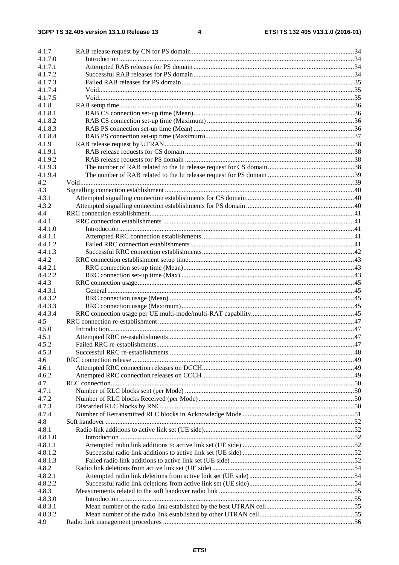$\overline{\mathbf{4}}$ 

| 4.1.7          |  |
|----------------|--|
| 4.1.7.0        |  |
| 4.1.7.1        |  |
| 4.1.7.2        |  |
| 4.1.7.3        |  |
| 4.1.7.4        |  |
| 4.1.7.5        |  |
| 4.1.8          |  |
| 4.1.8.1        |  |
| 4.1.8.2        |  |
| 4.1.8.3        |  |
| 4.1.8.4        |  |
| 4.1.9          |  |
| 4.1.9.1        |  |
| 4.1.9.2        |  |
| 4.1.9.3        |  |
| 4.1.9.4<br>4.2 |  |
| 4.3            |  |
| 4.3.1          |  |
| 4.3.2          |  |
| 4.4            |  |
| 4.4.1          |  |
| 4.4.1.0        |  |
| 4.4.1.1        |  |
| 4.4.1.2        |  |
| 4.4.1.3        |  |
| 4.4.2          |  |
| 4.4.2.1        |  |
| 4.4.2.2        |  |
| 4.4.3          |  |
| 4.4.3.1        |  |
| 4.4.3.2        |  |
| 4.4.3.3        |  |
| 4.4.3.4        |  |
| 4.5            |  |
| 4.5.0          |  |
| 4.5.1          |  |
| 4.5.2          |  |
| 4.5.3          |  |
| 4.6            |  |
| 4.6.1          |  |
| 4.6.2          |  |
| 4.7            |  |
| 4.7.1          |  |
| 4.7.2          |  |
| 4.7.3<br>4.7.4 |  |
| 4.8            |  |
| 4.8.1          |  |
| 4.8.1.0        |  |
| 4.8.1.1        |  |
| 4.8.1.2        |  |
| 4.8.1.3        |  |
| 4.8.2          |  |
| 4.8.2.1        |  |
| 4.8.2.2        |  |
| 4.8.3          |  |
| 4.8.3.0        |  |
| 4.8.3.1        |  |
| 4.8.3.2        |  |
| 4.9            |  |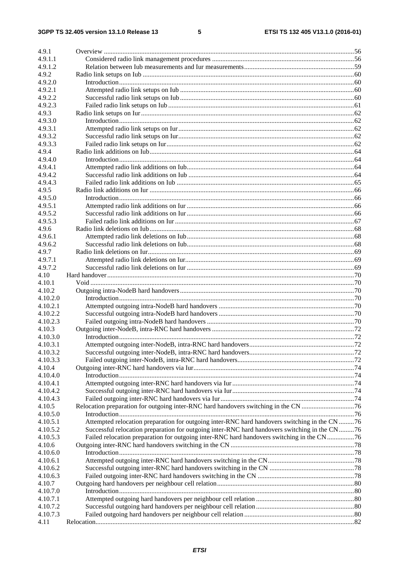#### $5\phantom{a}$

| 4.9.1              |                                                                                               |  |
|--------------------|-----------------------------------------------------------------------------------------------|--|
| 4.9.1.1            |                                                                                               |  |
| 4.9.1.2            |                                                                                               |  |
| 4.9.2              |                                                                                               |  |
| 4.9.2.0            |                                                                                               |  |
| 4.9.2.1            |                                                                                               |  |
| 4.9.2.2            |                                                                                               |  |
| 4.9.2.3            |                                                                                               |  |
| 4.9.3              |                                                                                               |  |
| 4.9.3.0            |                                                                                               |  |
| 4.9.3.1            |                                                                                               |  |
| 4.9.3.2            |                                                                                               |  |
| 4.9.3.3            |                                                                                               |  |
| 4.9.4              |                                                                                               |  |
| 4.9.4.0            |                                                                                               |  |
| 4.9.4.1            |                                                                                               |  |
| 4.9.4.2            |                                                                                               |  |
| 4.9.4.3            |                                                                                               |  |
| 4.9.5              |                                                                                               |  |
| 4.9.5.0            |                                                                                               |  |
| 4.9.5.1            |                                                                                               |  |
| 4.9.5.2            |                                                                                               |  |
| 4.9.5.3            |                                                                                               |  |
| 4.9.6              |                                                                                               |  |
| 4.9.6.1            |                                                                                               |  |
| 4.9.6.2            |                                                                                               |  |
| 4.9.7              |                                                                                               |  |
| 4.9.7.1            |                                                                                               |  |
| 4.9.7.2            |                                                                                               |  |
| 4.10               |                                                                                               |  |
| 4.10.1             |                                                                                               |  |
| 4.10.2             |                                                                                               |  |
| 4.10.2.0           |                                                                                               |  |
| 4.10.2.1           |                                                                                               |  |
| 4.10.2.2           |                                                                                               |  |
| 4.10.2.3           |                                                                                               |  |
|                    |                                                                                               |  |
| 4.10.3<br>4.10.3.0 |                                                                                               |  |
|                    |                                                                                               |  |
| 4.10.3.1           |                                                                                               |  |
| 4.10.3.2           |                                                                                               |  |
| 4.10.3.3           |                                                                                               |  |
| 4.10.4             |                                                                                               |  |
| 4.10.4.0           |                                                                                               |  |
| 4.10.4.1           |                                                                                               |  |
| 4.10.4.2           |                                                                                               |  |
| 4.10.4.3           |                                                                                               |  |
| 4.10.5             |                                                                                               |  |
| 4.10.5.0           |                                                                                               |  |
| 4.10.5.1           | Attempted relocation preparation for outgoing inter-RNC hard handovers switching in the CN 76 |  |
| 4.10.5.2           | Successful relocation preparation for outgoing inter-RNC hard handovers switching in the CN76 |  |
| 4.10.5.3           | Failed relocation preparation for outgoing inter-RNC hard handovers switching in the CN76     |  |
| 4.10.6             |                                                                                               |  |
| 4.10.6.0           |                                                                                               |  |
| 4.10.6.1           |                                                                                               |  |
| 4.10.6.2           |                                                                                               |  |
| 4.10.6.3           |                                                                                               |  |
| 4.10.7             |                                                                                               |  |
| 4.10.7.0           |                                                                                               |  |
| 4.10.7.1           |                                                                                               |  |
| 4.10.7.2           |                                                                                               |  |
| 4.10.7.3           |                                                                                               |  |
| 4.11               |                                                                                               |  |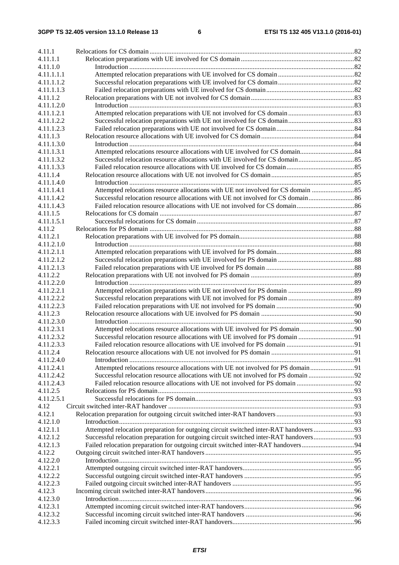| 4.11.1                 |                                                                                   |  |
|------------------------|-----------------------------------------------------------------------------------|--|
| 4.11.1.1               |                                                                                   |  |
| 4.11.1.0               |                                                                                   |  |
| 4.11.1.1.1             |                                                                                   |  |
| 4.11.1.1.2             |                                                                                   |  |
| 4.11.1.1.3             |                                                                                   |  |
| 4.11.1.2               |                                                                                   |  |
| 4.11.1.2.0             |                                                                                   |  |
| 4.11.1.2.1             |                                                                                   |  |
| 4.11.1.2.2             |                                                                                   |  |
| 4.11.1.2.3             |                                                                                   |  |
| 4.11.1.3               |                                                                                   |  |
| 4.11.1.3.0             |                                                                                   |  |
| 4.11.1.3.1             |                                                                                   |  |
| 4.11.1.3.2             |                                                                                   |  |
| 4.11.1.3.3             |                                                                                   |  |
| 4.11.1.4               |                                                                                   |  |
| 4.11.1.4.0             |                                                                                   |  |
| 4.11.1.4.1             | Attempted relocations resource allocations with UE not involved for CS domain     |  |
| 4.11.1.4.2             |                                                                                   |  |
| 4.11.1.4.3             |                                                                                   |  |
| 4.11.1.5               |                                                                                   |  |
| 4.11.1.5.1             |                                                                                   |  |
| 4.11.2                 |                                                                                   |  |
| 4.11.2.1               |                                                                                   |  |
| 4.11.2.1.0             |                                                                                   |  |
| 4.11.2.1.1             |                                                                                   |  |
| 4.11.2.1.2             |                                                                                   |  |
| 4.11.2.1.3             |                                                                                   |  |
| 4.11.2.2               |                                                                                   |  |
| 4.11.2.2.0             |                                                                                   |  |
| 4.11.2.2.1             |                                                                                   |  |
| 4.11.2.2.2             |                                                                                   |  |
| 4.11.2.2.3             |                                                                                   |  |
| 4.11.2.3               |                                                                                   |  |
| 4.11.2.3.0             |                                                                                   |  |
| 4.11.2.3.1             |                                                                                   |  |
| 4.11.2.3.2             |                                                                                   |  |
| 4.11.2.3.3             |                                                                                   |  |
| 4.11.2.4               |                                                                                   |  |
| 4.11.2.4.0             |                                                                                   |  |
| 4.11.2.4.1             |                                                                                   |  |
| 4.11.2.4.2             |                                                                                   |  |
| 4.11.2.4.3             |                                                                                   |  |
| 4.11.2.5<br>4.11.2.5.1 |                                                                                   |  |
| 4.12                   |                                                                                   |  |
| 4.12.1                 |                                                                                   |  |
| 4.12.1.0               |                                                                                   |  |
| 4.12.1.1               |                                                                                   |  |
| 4.12.1.2               |                                                                                   |  |
| 4.12.1.3               | Failed relocation preparation for outgoing circuit switched inter-RAT handovers94 |  |
| 4.12.2                 |                                                                                   |  |
| 4.12.2.0               |                                                                                   |  |
| 4.12.2.1               |                                                                                   |  |
| 4.12.2.2               |                                                                                   |  |
| 4.12.2.3               |                                                                                   |  |
| 4.12.3                 |                                                                                   |  |
| 4.12.3.0               |                                                                                   |  |
| 4.12.3.1               |                                                                                   |  |
| 4.12.3.2               |                                                                                   |  |
| 4.12.3.3               |                                                                                   |  |
|                        |                                                                                   |  |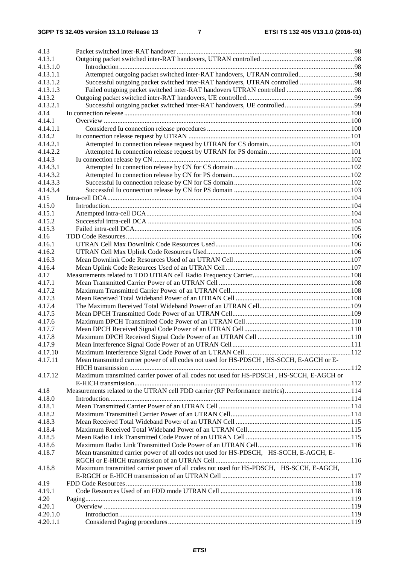| 4.13     |                                                                                          |  |
|----------|------------------------------------------------------------------------------------------|--|
| 4.13.1   |                                                                                          |  |
| 4.13.1.0 |                                                                                          |  |
| 4.13.1.1 |                                                                                          |  |
| 4.13.1.2 |                                                                                          |  |
| 4.13.1.3 |                                                                                          |  |
| 4.13.2   |                                                                                          |  |
| 4.13.2.1 |                                                                                          |  |
| 4.14     |                                                                                          |  |
| 4.14.1   |                                                                                          |  |
| 4.14.1.1 |                                                                                          |  |
| 4.14.2   |                                                                                          |  |
| 4.14.2.1 |                                                                                          |  |
| 4.14.2.2 |                                                                                          |  |
| 4.14.3   |                                                                                          |  |
| 4.14.3.1 |                                                                                          |  |
| 4.14.3.2 |                                                                                          |  |
| 4.14.3.3 |                                                                                          |  |
| 4.14.3.4 |                                                                                          |  |
| 4.15     |                                                                                          |  |
| 4.15.0   |                                                                                          |  |
| 4.15.1   |                                                                                          |  |
| 4.15.2   |                                                                                          |  |
| 4.15.3   |                                                                                          |  |
| 4.16     |                                                                                          |  |
| 4.16.1   |                                                                                          |  |
| 4.16.2   |                                                                                          |  |
| 4.16.3   |                                                                                          |  |
| 4.16.4   |                                                                                          |  |
| 4.17     |                                                                                          |  |
| 4.17.1   |                                                                                          |  |
| 4.17.2   |                                                                                          |  |
| 4.17.3   |                                                                                          |  |
| 4.17.4   |                                                                                          |  |
| 4.17.5   |                                                                                          |  |
| 4.17.6   |                                                                                          |  |
| 4.17.7   |                                                                                          |  |
| 4.17.8   |                                                                                          |  |
| 4.17.9   |                                                                                          |  |
| 4.17.10  |                                                                                          |  |
| 4.17.11  | Mean transmitted carrier power of all codes not used for HS-PDSCH, HS-SCCH, E-AGCH or E- |  |
|          |                                                                                          |  |
| 4.17.12  | Maximum transmitted carrier power of all codes not used for HS-PDSCH, HS-SCCH, E-AGCH or |  |
|          |                                                                                          |  |
| 4.18     | Measurements related to the UTRAN cell FDD carrier (RF Performance metrics)114           |  |
| 4.18.0   |                                                                                          |  |
| 4.18.1   |                                                                                          |  |
| 4.18.2   |                                                                                          |  |
| 4.18.3   |                                                                                          |  |
| 4.18.4   |                                                                                          |  |
| 4.18.5   |                                                                                          |  |
| 4.18.6   |                                                                                          |  |
| 4.18.7   | Mean transmitted carrier power of all codes not used for HS-PDSCH, HS-SCCH, E-AGCH, E-   |  |
|          |                                                                                          |  |
| 4.18.8   | Maximum transmitted carrier power of all codes not used for HS-PDSCH, HS-SCCH, E-AGCH,   |  |
|          |                                                                                          |  |
| 4.19     |                                                                                          |  |
| 4.19.1   |                                                                                          |  |
| 4.20     |                                                                                          |  |
| 4.20.1   |                                                                                          |  |
| 4.20.1.0 |                                                                                          |  |
| 4.20.1.1 |                                                                                          |  |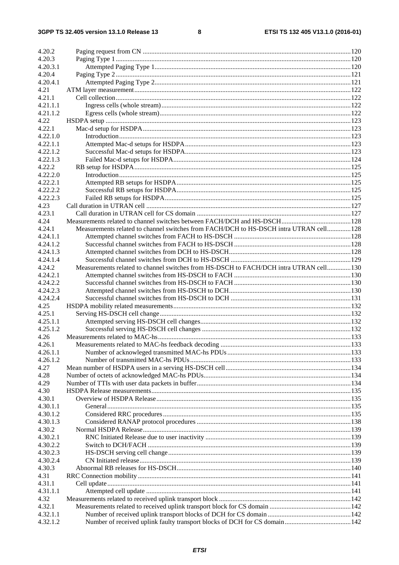#### $\bf{8}$

| 4.20.2   |                                                                                       |  |
|----------|---------------------------------------------------------------------------------------|--|
| 4.20.3   |                                                                                       |  |
| 4.20.3.1 |                                                                                       |  |
| 4.20.4   |                                                                                       |  |
| 4.20.4.1 |                                                                                       |  |
| 4.21     |                                                                                       |  |
| 4.21.1   |                                                                                       |  |
| 4.21.1.1 |                                                                                       |  |
| 4.21.1.2 |                                                                                       |  |
| 4.22     |                                                                                       |  |
| 4.22.1   |                                                                                       |  |
| 4.22.1.0 |                                                                                       |  |
| 4.22.1.1 |                                                                                       |  |
| 4.22.1.2 |                                                                                       |  |
| 4.22.1.3 |                                                                                       |  |
| 4.22.2   |                                                                                       |  |
| 4.22.2.0 |                                                                                       |  |
| 4.22.2.1 |                                                                                       |  |
| 4.22.2.2 |                                                                                       |  |
| 4.22.2.3 |                                                                                       |  |
| 4.23     |                                                                                       |  |
| 4.23.1   |                                                                                       |  |
| 4.24     |                                                                                       |  |
| 4.24.1   | Measurements related to channel switches from FACH/DCH to HS-DSCH intra UTRAN cell128 |  |
| 4.24.1.1 |                                                                                       |  |
| 4.24.1.2 |                                                                                       |  |
| 4.24.1.3 |                                                                                       |  |
| 4.24.1.4 |                                                                                       |  |
| 4.24.2   | Measurements related to channel switches from HS-DSCH to FACH/DCH intra UTRAN cell130 |  |
| 4.24.2.1 |                                                                                       |  |
| 4.24.2.2 |                                                                                       |  |
| 4.24.2.3 |                                                                                       |  |
| 4.24.2.4 |                                                                                       |  |
| 4.25     |                                                                                       |  |
| 4.25.1   |                                                                                       |  |
| 4.25.1.1 |                                                                                       |  |
| 4.25.1.2 |                                                                                       |  |
| 4.26     |                                                                                       |  |
| 4.26.1   |                                                                                       |  |
| 4.26.1.1 |                                                                                       |  |
| 4.26.1.2 |                                                                                       |  |
| 4.27     |                                                                                       |  |
| 4.28     |                                                                                       |  |
| 4.29     |                                                                                       |  |
| 4.30     |                                                                                       |  |
| 4.30.1   |                                                                                       |  |
| 4.30.1.1 |                                                                                       |  |
| 4.30.1.2 |                                                                                       |  |
| 4.30.1.3 |                                                                                       |  |
| 4.30.2   |                                                                                       |  |
| 4.30.2.1 |                                                                                       |  |
| 4.30.2.2 |                                                                                       |  |
| 4.30.2.3 |                                                                                       |  |
| 4.30.2.4 |                                                                                       |  |
| 4.30.3   |                                                                                       |  |
| 4.31     |                                                                                       |  |
| 4.31.1   |                                                                                       |  |
| 4.31.1.1 |                                                                                       |  |
| 4.32     |                                                                                       |  |
| 4.32.1   |                                                                                       |  |
| 4.32.1.1 |                                                                                       |  |
| 4.32.1.2 |                                                                                       |  |
|          |                                                                                       |  |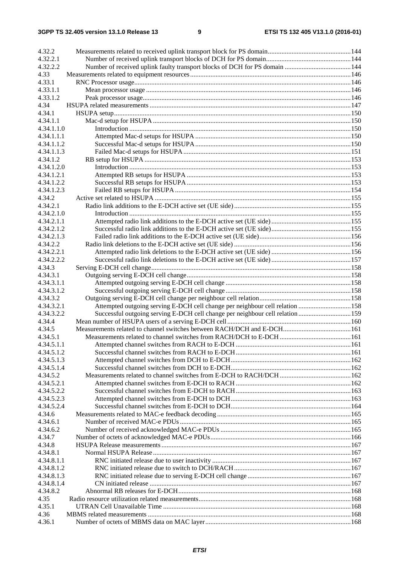| 4.32.2                   |                                                                               |  |
|--------------------------|-------------------------------------------------------------------------------|--|
| 4.32.2.1                 |                                                                               |  |
| 4.32.2.2                 |                                                                               |  |
| 4.33                     |                                                                               |  |
| 4.33.1                   |                                                                               |  |
| 4.33.1.1                 |                                                                               |  |
| 4.33.1.2                 |                                                                               |  |
| 4.34                     |                                                                               |  |
| 4.34.1                   |                                                                               |  |
| 4.34.1.1                 |                                                                               |  |
| 4.34.1.1.0               |                                                                               |  |
| 4.34.1.1.1               |                                                                               |  |
| 4.34.1.1.2               |                                                                               |  |
| 4.34.1.1.3               |                                                                               |  |
| 4.34.1.2                 |                                                                               |  |
| 4.34.1.2.0               |                                                                               |  |
| 4.34.1.2.1               |                                                                               |  |
| 4.34.1.2.2               |                                                                               |  |
| 4.34.1.2.3               |                                                                               |  |
| 4.34.2                   |                                                                               |  |
| 4.34.2.1                 |                                                                               |  |
| 4.34.2.1.0               |                                                                               |  |
| 4.34.2.1.1               |                                                                               |  |
| 4.34.2.1.2               |                                                                               |  |
| 4.34.2.1.3               |                                                                               |  |
| 4.34.2.2                 |                                                                               |  |
| 4.34.2.2.1               |                                                                               |  |
| 4.34.2.2.2               |                                                                               |  |
| 4.34.3                   |                                                                               |  |
| 4.34.3.1                 |                                                                               |  |
| 4.34.3.1.1               |                                                                               |  |
| 4.34.3.1.2               |                                                                               |  |
| 4.34.3.2                 |                                                                               |  |
| 4.34.3.2.1               | Attempted outgoing serving E-DCH cell change per neighbour cell relation 158  |  |
| 4.34.3.2.2<br>4.34.4     | Successful outgoing serving E-DCH cell change per neighbour cell relation 159 |  |
| 4.34.5                   |                                                                               |  |
| 4.34.5.1                 |                                                                               |  |
|                          |                                                                               |  |
| 4.34.5.1.1<br>4.34.5.1.2 |                                                                               |  |
| 4.34.5.1.3               |                                                                               |  |
| 4.34.5.1.4               |                                                                               |  |
| 4.34.5.2                 |                                                                               |  |
| 4.34.5.2.1               |                                                                               |  |
| 4.34.5.2.2               |                                                                               |  |
| 4.34.5.2.3               |                                                                               |  |
| 4.34.5.2.4               |                                                                               |  |
| 4.34.6                   |                                                                               |  |
| 4.34.6.1                 |                                                                               |  |
| 4.34.6.2                 |                                                                               |  |
| 4.34.7                   |                                                                               |  |
| 4.34.8                   |                                                                               |  |
| 4.34.8.1                 |                                                                               |  |
| 4.34.8.1.1               |                                                                               |  |
| 4.34.8.1.2               |                                                                               |  |
| 4.34.8.1.3               |                                                                               |  |
| 4.34.8.1.4               |                                                                               |  |
| 4.34.8.2                 |                                                                               |  |
| 4.35                     |                                                                               |  |
| 4.35.1                   |                                                                               |  |
| 4.36                     |                                                                               |  |
| 4.36.1                   |                                                                               |  |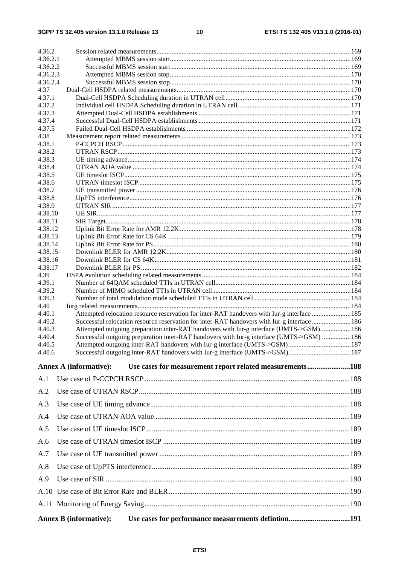$10$ 

| 4.36.2             |                                                                                                                                                                                       |  |
|--------------------|---------------------------------------------------------------------------------------------------------------------------------------------------------------------------------------|--|
| 4.36.2.1           |                                                                                                                                                                                       |  |
| 4.36.2.2           |                                                                                                                                                                                       |  |
| 4.36.2.3           |                                                                                                                                                                                       |  |
| 4.36.2.4           |                                                                                                                                                                                       |  |
| 4.37<br>4.37.1     |                                                                                                                                                                                       |  |
| 4.37.2             |                                                                                                                                                                                       |  |
| 4.37.3             |                                                                                                                                                                                       |  |
| 4.37.4             |                                                                                                                                                                                       |  |
| 4.37.5             |                                                                                                                                                                                       |  |
| 4.38               |                                                                                                                                                                                       |  |
| 4.38.1             |                                                                                                                                                                                       |  |
| 4.38.2<br>4.38.3   |                                                                                                                                                                                       |  |
| 4.38.4             |                                                                                                                                                                                       |  |
| 4.38.5             |                                                                                                                                                                                       |  |
| 4.38.6             |                                                                                                                                                                                       |  |
| 4.38.7             |                                                                                                                                                                                       |  |
| 4.38.8             |                                                                                                                                                                                       |  |
| 4.38.9             |                                                                                                                                                                                       |  |
| 4.38.10<br>4.38.11 |                                                                                                                                                                                       |  |
| 4.38.12            |                                                                                                                                                                                       |  |
| 4.38.13            |                                                                                                                                                                                       |  |
| 4.38.14            |                                                                                                                                                                                       |  |
| 4.38.15            |                                                                                                                                                                                       |  |
| 4.38.16            |                                                                                                                                                                                       |  |
| 4.38.17<br>4.39    |                                                                                                                                                                                       |  |
| 4.39.1             |                                                                                                                                                                                       |  |
| 4.39.2             |                                                                                                                                                                                       |  |
| 4.39.3             |                                                                                                                                                                                       |  |
| 4.40               |                                                                                                                                                                                       |  |
| 4.40.1             | Attempted relocation resource reservation for inter-RAT handovers with Iur-g interface 185                                                                                            |  |
| 4.40.2<br>4.40.3   | Successful relocation resource reservation for inter-RAT handovers with Iur-g interface186<br>Attempted outgoing preparation inter-RAT handovers with Iur-g interface (UMTS->GSM) 186 |  |
| 4.40.4             | Successful outgoing preparation inter-RAT handovers with Iur-g interface (UMTS->GSM)  186                                                                                             |  |
| 4.40.5             | Attempted outgoing inter-RAT handovers with Iur-g interface (UMTS->GSM)187                                                                                                            |  |
| 4.40.6             | Successful outgoing inter-RAT handovers with Iur-g interface (UMTS->GSM) 187                                                                                                          |  |
|                    | Use cases for measurement report related measurements188<br><b>Annex A (informative):</b>                                                                                             |  |
| A.1                |                                                                                                                                                                                       |  |
| A.2                |                                                                                                                                                                                       |  |
| A.3                |                                                                                                                                                                                       |  |
| A.4                |                                                                                                                                                                                       |  |
| A.5                |                                                                                                                                                                                       |  |
| A.6                |                                                                                                                                                                                       |  |
| A.7                |                                                                                                                                                                                       |  |
| A.8                |                                                                                                                                                                                       |  |
| A.9                |                                                                                                                                                                                       |  |
|                    |                                                                                                                                                                                       |  |
|                    |                                                                                                                                                                                       |  |
|                    | Use cases for performance measurements defintion191<br><b>Annex B</b> (informative):                                                                                                  |  |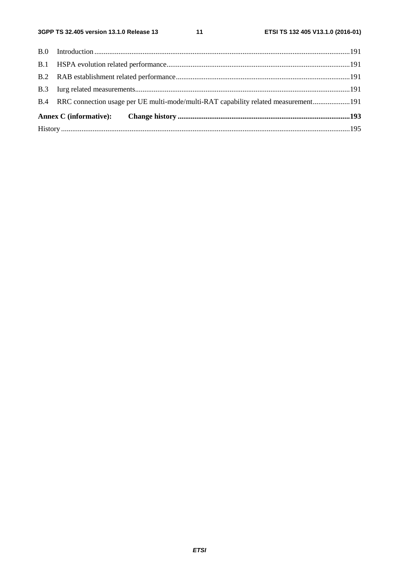$11$ 

| B.4 RRC connection usage per UE multi-mode/multi-RAT capability related measurement191 |  |
|----------------------------------------------------------------------------------------|--|
|                                                                                        |  |
|                                                                                        |  |
|                                                                                        |  |
|                                                                                        |  |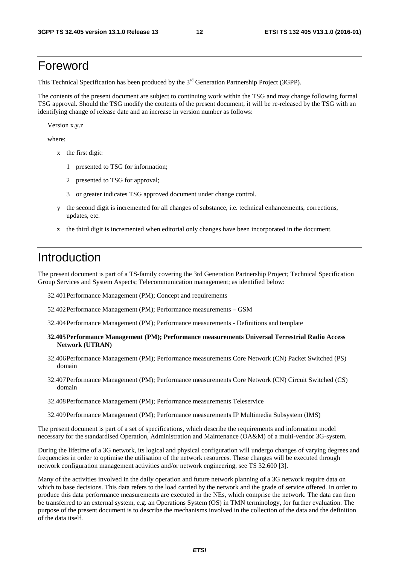# Foreword

This Technical Specification has been produced by the  $3<sup>rd</sup>$  Generation Partnership Project (3GPP).

The contents of the present document are subject to continuing work within the TSG and may change following formal TSG approval. Should the TSG modify the contents of the present document, it will be re-released by the TSG with an identifying change of release date and an increase in version number as follows:

Version x.y.z

where:

- x the first digit:
	- 1 presented to TSG for information;
	- 2 presented to TSG for approval;
	- 3 or greater indicates TSG approved document under change control.
- y the second digit is incremented for all changes of substance, i.e. technical enhancements, corrections, updates, etc.
- z the third digit is incremented when editorial only changes have been incorporated in the document.

# Introduction

The present document is part of a TS-family covering the 3rd Generation Partnership Project; Technical Specification Group Services and System Aspects; Telecommunication management; as identified below:

- 32.401 Performance Management (PM); Concept and requirements
- 52.402 Performance Management (PM); Performance measurements GSM
- 32.404 Performance Management (PM); Performance measurements Definitions and template
- **32.405 Performance Management (PM); Performance measurements Universal Terrestrial Radio Access Network (UTRAN)**
- 32.406 Performance Management (PM); Performance measurements Core Network (CN) Packet Switched (PS) domain
- 32.407 Performance Management (PM); Performance measurements Core Network (CN) Circuit Switched (CS) domain
- 32.408 Performance Management (PM); Performance measurements Teleservice
- 32.409 Performance Management (PM); Performance measurements IP Multimedia Subsystem (IMS)

The present document is part of a set of specifications, which describe the requirements and information model necessary for the standardised Operation, Administration and Maintenance (OA&M) of a multi-vendor 3G-system.

During the lifetime of a 3G network, its logical and physical configuration will undergo changes of varying degrees and frequencies in order to optimise the utilisation of the network resources. These changes will be executed through network configuration management activities and/or network engineering, see TS 32.600 [3].

Many of the activities involved in the daily operation and future network planning of a 3G network require data on which to base decisions. This data refers to the load carried by the network and the grade of service offered. In order to produce this data performance measurements are executed in the NEs, which comprise the network. The data can then be transferred to an external system, e.g. an Operations System (OS) in TMN terminology, for further evaluation. The purpose of the present document is to describe the mechanisms involved in the collection of the data and the definition of the data itself.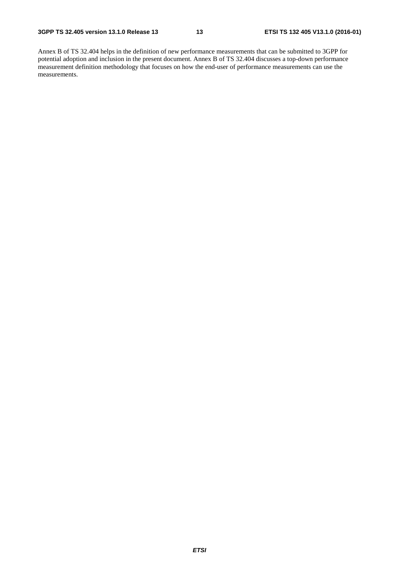Annex B of TS 32.404 helps in the definition of new performance measurements that can be submitted to 3GPP for potential adoption and inclusion in the present document. Annex B of TS 32.404 discusses a top-down performance measurement definition methodology that focuses on how the end-user of performance measurements can use the measurements.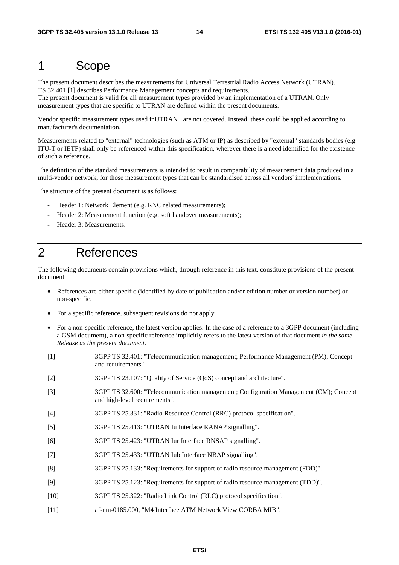# 1 Scope

The present document describes the measurements for Universal Terrestrial Radio Access Network (UTRAN). TS 32.401 [1] describes Performance Management concepts and requirements.

The present document is valid for all measurement types provided by an implementation of a UTRAN. Only measurement types that are specific to UTRAN are defined within the present documents.

Vendor specific measurement types used inUTRAN are not covered. Instead, these could be applied according to manufacturer's documentation.

Measurements related to "external" technologies (such as ATM or IP) as described by "external" standards bodies (e.g. ITU-T or IETF) shall only be referenced within this specification, wherever there is a need identified for the existence of such a reference.

The definition of the standard measurements is intended to result in comparability of measurement data produced in a multi-vendor network, for those measurement types that can be standardised across all vendors' implementations.

The structure of the present document is as follows:

- Header 1: Network Element (e.g. RNC related measurements);
- Header 2: Measurement function (e.g. soft handover measurements);
- Header 3: Measurements.

# 2 References

The following documents contain provisions which, through reference in this text, constitute provisions of the present document.

- References are either specific (identified by date of publication and/or edition number or version number) or non-specific.
- For a specific reference, subsequent revisions do not apply.
- For a non-specific reference, the latest version applies. In the case of a reference to a 3GPP document (including a GSM document), a non-specific reference implicitly refers to the latest version of that document *in the same Release as the present document*.
- [1] 3GPP TS 32.401: "Telecommunication management; Performance Management (PM); Concept and requirements".
- [2] 3GPP TS 23.107: "Quality of Service (QoS) concept and architecture".
- [3] 3GPP TS 32.600: "Telecommunication management; Configuration Management (CM); Concept and high-level requirements".
- [4] 3GPP TS 25.331: "Radio Resource Control (RRC) protocol specification".
- [5] 3GPP TS 25.413: "UTRAN Iu Interface RANAP signalling".
- [6] 3GPP TS 25.423: "UTRAN Iur Interface RNSAP signalling".
- [7] 3GPP TS 25.433: "UTRAN Iub Interface NBAP signalling".
- [8] 3GPP TS 25.133: "Requirements for support of radio resource management (FDD)".
- [9] 3GPP TS 25.123: "Requirements for support of radio resource management (TDD)".
- [10] 3GPP TS 25.322: "Radio Link Control (RLC) protocol specification".
- [11] af-nm-0185.000, "M4 Interface ATM Network View CORBA MIB".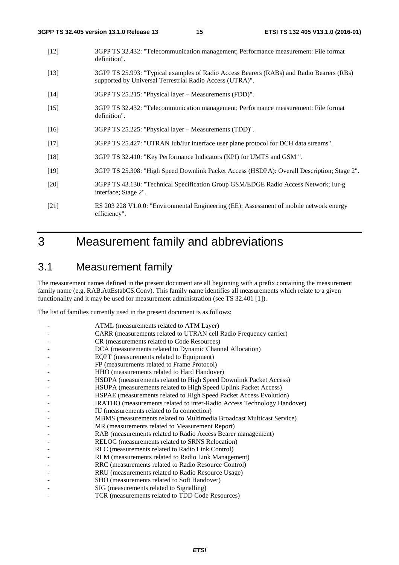- [12] 3GPP TS 32.432: "Telecommunication management; Performance measurement: File format definition".
- [13] 3GPP TS 25.993: "Typical examples of Radio Access Bearers (RABs) and Radio Bearers (RBs) supported by Universal Terrestrial Radio Access (UTRA)".
- [14] 3GPP TS 25.215: "Physical layer Measurements (FDD)".
- [15] 3GPP TS 32.432: "Telecommunication management; Performance measurement: File format definition".
- [16] 3GPP TS 25.225: "Physical layer Measurements (TDD)".
- [17] 3GPP TS 25.427: "UTRAN Iub/Iur interface user plane protocol for DCH data streams".
- [18] 3GPP TS 32.410: "Key Performance Indicators (KPI) for UMTS and GSM ".
- [19] 3GPP TS 25.308: "High Speed Downlink Packet Access (HSDPA): Overall Description; Stage 2".
- [20] 3GPP TS 43.130: "Technical Specification Group GSM/EDGE Radio Access Network; Iur-g interface; Stage 2".
- [21] ES 203 228 V1.0.0: "Environmental Engineering (EE); Assessment of mobile network energy efficiency".

# 3 Measurement family and abbreviations

# 3.1 Measurement family

The measurement names defined in the present document are all beginning with a prefix containing the measurement family name (e.g. RAB.AttEstabCS.Conv). This family name identifies all measurements which relate to a given functionality and it may be used for measurement administration (see TS 32.401 [1]).

The list of families currently used in the present document is as follows:

| ATML (measurements related to ATM Layer)                                |
|-------------------------------------------------------------------------|
| CARR (measurements related to UTRAN cell Radio Frequency carrier)       |
| CR (measurements related to Code Resources)                             |
| DCA (measurements related to Dynamic Channel Allocation)                |
| EQPT (measurements related to Equipment)                                |
| FP (measurements related to Frame Protocol)                             |
| HHO (measurements related to Hard Handover)                             |
| HSDPA (measurements related to High Speed Downlink Packet Access)       |
| HSUPA (measurements related to High Speed Uplink Packet Access)         |
| HSPAE (measurements related to High Speed Packet Access Evolution)      |
| IRATHO (measurements related to inter-Radio Access Technology Handover) |
| IU (measurements related to Iu connection)                              |
| MBMS (measurements related to Multimedia Broadcast Multicast Service)   |
| MR (measurements related to Measurement Report)                         |
| RAB (measurements related to Radio Access Bearer management)            |
| RELOC (measurements related to SRNS Relocation)                         |
| RLC (measurements related to Radio Link Control)                        |
| RLM (measurements related to Radio Link Management)                     |
| RRC (measurements related to Radio Resource Control)                    |
| RRU (measurements related to Radio Resource Usage)                      |
| SHO (measurements related to Soft Handover)                             |
| SIG (measurements related to Signalling)                                |
| TCR (measurements related to TDD Code Resources)                        |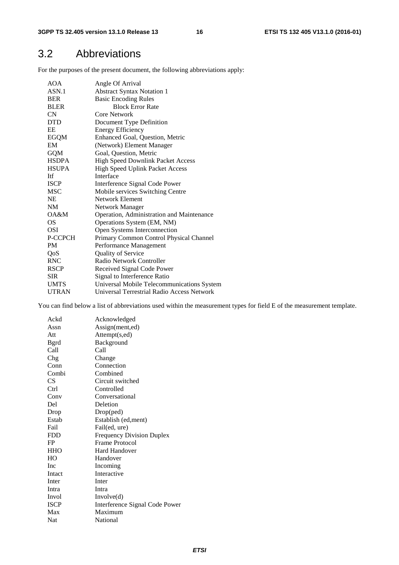# 3.2 Abbreviations

For the purposes of the present document, the following abbreviations apply:

| AOA          | Angle Of Arrival                           |
|--------------|--------------------------------------------|
| ASN.1        | <b>Abstract Syntax Notation 1</b>          |
| <b>BER</b>   | <b>Basic Encoding Rules</b>                |
| <b>BLER</b>  | <b>Block Error Rate</b>                    |
| <b>CN</b>    | Core Network                               |
| <b>DTD</b>   | Document Type Definition                   |
| EE           | <b>Energy Efficiency</b>                   |
| <b>EGQM</b>  | Enhanced Goal, Question, Metric            |
| EM           | (Network) Element Manager                  |
| GQM          | Goal, Question, Metric                     |
| <b>HSDPA</b> | High Speed Downlink Packet Access          |
| <b>HSUPA</b> | <b>High Speed Uplink Packet Access</b>     |
| Itf          | Interface                                  |
| <b>ISCP</b>  | Interference Signal Code Power             |
| <b>MSC</b>   | Mobile services Switching Centre           |
| NE.          | Network Element                            |
| NM           | Network Manager                            |
| OA&M         | Operation, Administration and Maintenance  |
| OS.          | Operations System (EM, NM)                 |
| OSI          | Open Systems Interconnection               |
| P-CCPCH      | Primary Common Control Physical Channel    |
| <b>PM</b>    | Performance Management                     |
| QoS          | Quality of Service                         |
| <b>RNC</b>   | Radio Network Controller                   |
| <b>RSCP</b>  | Received Signal Code Power                 |
| <b>SIR</b>   | Signal to Interference Ratio               |
| <b>UMTS</b>  | Universal Mobile Telecommunications System |
| <b>UTRAN</b> | Universal Terrestrial Radio Access Network |

You can find below a list of abbreviations used within the measurement types for field E of the measurement template.

| Ackd         | Acknowledged                     |
|--------------|----------------------------------|
| Assn         | Assign(ment,ed)                  |
| Att          | Attempt(s,ed)                    |
| <b>B</b> grd | Background                       |
| Call         | Call                             |
| Chg          | Change                           |
| Conn         | Connection                       |
| Combi        | Combined                         |
| CS           | Circuit switched                 |
| Ctrl         | Controlled                       |
| Conv         | Conversational                   |
| Del          | Deletion                         |
| Drop         | Drop(ped)                        |
| Estab        | Establish (ed, ment)             |
| Fail         | Fail(ed, ure)                    |
| <b>FDD</b>   | <b>Frequency Division Duplex</b> |
| FP           | Frame Protocol                   |
| <b>HHO</b>   | <b>Hard Handover</b>             |
| HO           | Handover                         |
| Inc.         | Incoming                         |
| Intact       | Interactive                      |
| Inter        | Inter                            |
| Intra        | Intra                            |
| Invol        | Involve(d)                       |
| <b>ISCP</b>  | Interference Signal Code Power   |
| Max          | Maximum                          |
| <b>Nat</b>   | National                         |
|              |                                  |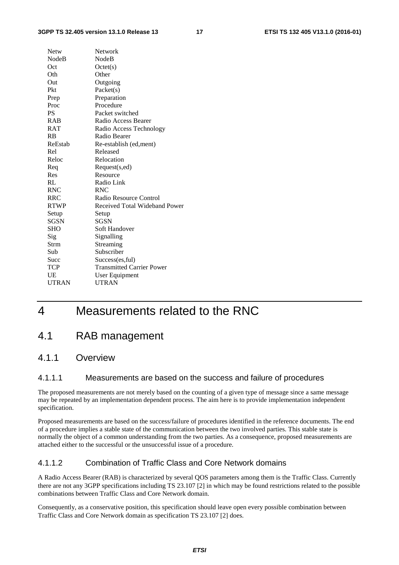#### **3GPP TS 32.405 version 13.1.0 Release 13 17 ETSI TS 132 405 V13.1.0 (2016-01)**

| Netw         | Network                          |
|--------------|----------------------------------|
| <b>NodeB</b> | <b>NodeB</b>                     |
| Oct          | Octet(s)                         |
| Oth          | Other                            |
| Out          | Outgoing                         |
| Pkt          | Packet(s)                        |
| Prep         | Preparation                      |
| Proc         | Procedure                        |
| <b>PS</b>    | Packet switched                  |
| <b>RAB</b>   | Radio Access Bearer              |
| <b>RAT</b>   | Radio Access Technology          |
| RB           | Radio Bearer                     |
| ReEstab      | Re-establish (ed, ment)          |
| Rel          | Released                         |
| Reloc        | Relocation                       |
| Req          | Request(s,ed)                    |
| Res          | Resource                         |
| RL           | Radio Link                       |
| <b>RNC</b>   | <b>RNC</b>                       |
| <b>RRC</b>   | Radio Resource Control           |
| <b>RTWP</b>  | Received Total Wideband Power    |
| Setup        | Setup                            |
| <b>SGSN</b>  | <b>SGSN</b>                      |
| <b>SHO</b>   | Soft Handover                    |
| Sig          | Signalling                       |
| Strm         | Streaming                        |
| Sub          | Subscriber                       |
| Succ         | Success(es, ful)                 |
| <b>TCP</b>   | <b>Transmitted Carrier Power</b> |
| UE           | User Equipment                   |
| <b>UTRAN</b> | <b>UTRAN</b>                     |
|              |                                  |

# 4 Measurements related to the RNC

# 4.1 RAB management

# 4.1.1 Overview

### 4.1.1.1 Measurements are based on the success and failure of procedures

The proposed measurements are not merely based on the counting of a given type of message since a same message may be repeated by an implementation dependent process. The aim here is to provide implementation independent specification.

Proposed measurements are based on the success/failure of procedures identified in the reference documents. The end of a procedure implies a stable state of the communication between the two involved parties. This stable state is normally the object of a common understanding from the two parties. As a consequence, proposed measurements are attached either to the successful or the unsuccessful issue of a procedure.

# 4.1.1.2 Combination of Traffic Class and Core Network domains

A Radio Access Bearer (RAB) is characterized by several QOS parameters among them is the Traffic Class. Currently there are not any 3GPP specifications including TS 23.107 [2] in which may be found restrictions related to the possible combinations between Traffic Class and Core Network domain.

Consequently, as a conservative position, this specification should leave open every possible combination between Traffic Class and Core Network domain as specification TS 23.107 [2] does.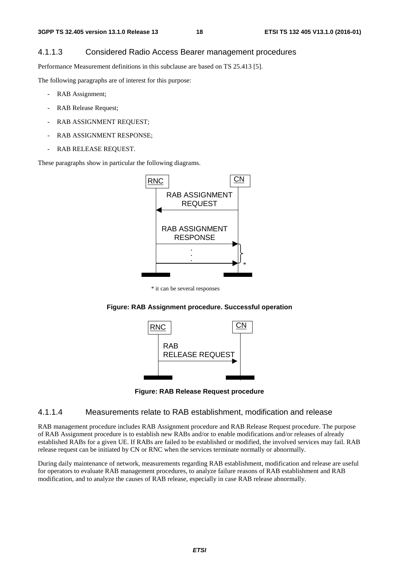# 4.1.1.3 Considered Radio Access Bearer management procedures

Performance Measurement definitions in this subclause are based on TS 25.413 [5].

The following paragraphs are of interest for this purpose:

- RAB Assignment;
- RAB Release Request;
- RAB ASSIGNMENT REQUEST:
- RAB ASSIGNMENT RESPONSE;
- RAB RELEASE REQUEST.

These paragraphs show in particular the following diagrams.



\* it can be several responses





**Figure: RAB Release Request procedure** 

#### 4.1.1.4 Measurements relate to RAB establishment, modification and release

RAB management procedure includes RAB Assignment procedure and RAB Release Request procedure. The purpose of RAB Assignment procedure is to establish new RABs and/or to enable modifications and/or releases of already established RABs for a given UE. If RABs are failed to be established or modified, the involved services may fail. RAB release request can be initiated by CN or RNC when the services terminate normally or abnormally.

During daily maintenance of network, measurements regarding RAB establishment, modification and release are useful for operators to evaluate RAB management procedures, to analyze failure reasons of RAB establishment and RAB modification, and to analyze the causes of RAB release, especially in case RAB release abnormally.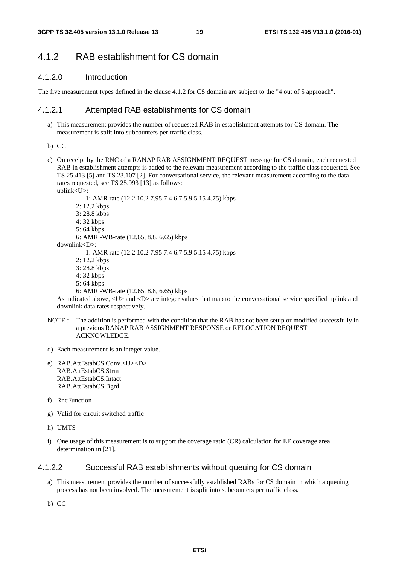# 4.1.2 RAB establishment for CS domain

### 4.1.2.0 Introduction

The five measurement types defined in the clause 4.1.2 for CS domain are subject to the "4 out of 5 approach".

# 4.1.2.1 Attempted RAB establishments for CS domain

- a) This measurement provides the number of requested RAB in establishment attempts for CS domain. The measurement is split into subcounters per traffic class.
- b) CC
- c) On receipt by the RNC of a RANAP RAB ASSIGNMENT REQUEST message for CS domain, each requested RAB in establishment attempts is added to the relevant measurement according to the traffic class requested. See TS 25.413 [5] and TS 23.107 [2]. For conversational service, the relevant measurement according to the data rates requested, see TS 25.993 [13] as follows:

uplink<U>:

1: AMR rate (12.2 10.2 7.95 7.4 6.7 5.9 5.15 4.75) kbps

- 2: 12.2 kbps
- 3: 28.8 kbps
- 4: 32 kbps
- 5: 64 kbps

6: AMR -WB-rate (12.65, 8.8, 6.65) kbps

downlink<D>:

1: AMR rate (12.2 10.2 7.95 7.4 6.7 5.9 5.15 4.75) kbps

- 2: 12.2 kbps
- 3: 28.8 kbps
- 4: 32 kbps
- 5: 64 kbps

```
 6: AMR -WB-rate (12.65, 8.8, 6.65) kbps
```
As indicated above, <U> and <D> are integer values that map to the conversational service specified uplink and downlink data rates respectively.

- NOTE : The addition is performed with the condition that the RAB has not been setup or modified successfully in a previous RANAP RAB ASSIGNMENT RESPONSE or RELOCATION REQUEST ACKNOWLEDGE.
- d) Each measurement is an integer value.
- e) RAB.AttEstabCS.Conv.<U><D> RAB.AttEstabCS.Strm RAB.AttEstabCS.Intact RAB.AttEstabCS.Bgrd
- f) RncFunction
- g) Valid for circuit switched traffic
- h) UMTS
- i) One usage of this measurement is to support the coverage ratio (CR) calculation for EE coverage area determination in [21].

### 4.1.2.2 Successful RAB establishments without queuing for CS domain

a) This measurement provides the number of successfully established RABs for CS domain in which a queuing process has not been involved. The measurement is split into subcounters per traffic class.

b) CC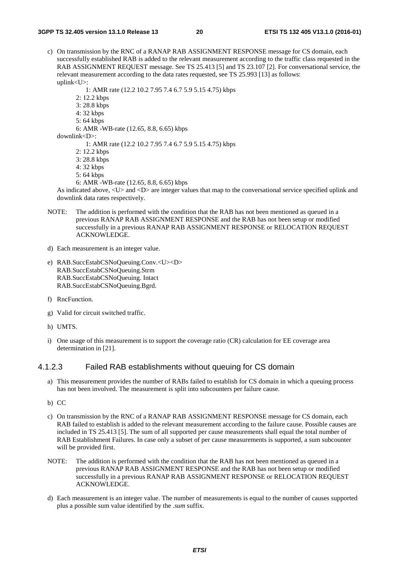c) On transmission by the RNC of a RANAP RAB ASSIGNMENT RESPONSE message for CS domain, each successfully established RAB is added to the relevant measurement according to the traffic class requested in the RAB ASSIGNMENT REQUEST message. See TS 25.413 [5] and TS 23.107 [2]. For conversational service, the relevant measurement according to the data rates requested, see TS 25.993 [13] as follows: uplink<U>:

1: AMR rate (12.2 10.2 7.95 7.4 6.7 5.9 5.15 4.75) kbps

- 2: 12.2 kbps
- 3: 28.8 kbps
- 4: 32 kbps
- 5: 64 kbps

```
 6: AMR -WB-rate (12.65, 8.8, 6.65) kbps
```
downlink<D>:

1: AMR rate (12.2 10.2 7.95 7.4 6.7 5.9 5.15 4.75) kbps

- 2: 12.2 kbps
- 3: 28.8 kbps
- 4: 32 kbps
- 5: 64 kbps
- 6: AMR -WB-rate (12.65, 8.8, 6.65) kbps

As indicated above, <U> and <D> are integer values that map to the conversational service specified uplink and downlink data rates respectively.

- NOTE: The addition is performed with the condition that the RAB has not been mentioned as queued in a previous RANAP RAB ASSIGNMENT RESPONSE and the RAB has not been setup or modified successfully in a previous RANAP RAB ASSIGNMENT RESPONSE or RELOCATION REQUEST ACKNOWLEDGE.
- d) Each measurement is an integer value.
- e) RAB.SuccEstabCSNoQueuing.Conv.<U><D> RAB.SuccEstabCSNoQueuing.Strm RAB.SuccEstabCSNoQueuing. Intact RAB.SuccEstabCSNoQueuing.Bgrd.
- f) RncFunction.
- g) Valid for circuit switched traffic.
- h) UMTS.
- i) One usage of this measurement is to support the coverage ratio (CR) calculation for EE coverage area determination in [21].

### 4.1.2.3 Failed RAB establishments without queuing for CS domain

a) This measurement provides the number of RABs failed to establish for CS domain in which a queuing process has not been involved. The measurement is split into subcounters per failure cause.

b) CC

- c) On transmission by the RNC of a RANAP RAB ASSIGNMENT RESPONSE message for CS domain, each RAB failed to establish is added to the relevant measurement according to the failure cause. Possible causes are included in TS 25.413 [5]. The sum of all supported per cause measurements shall equal the total number of RAB Establishment Failures. In case only a subset of per cause measurements is supported, a sum subcounter will be provided first.
- NOTE: The addition is performed with the condition that the RAB has not been mentioned as queued in a previous RANAP RAB ASSIGNMENT RESPONSE and the RAB has not been setup or modified successfully in a previous RANAP RAB ASSIGNMENT RESPONSE or RELOCATION REQUEST ACKNOWLEDGE.
- d) Each measurement is an integer value. The number of measurements is equal to the number of causes supported plus a possible sum value identified by the *.sum* suffix.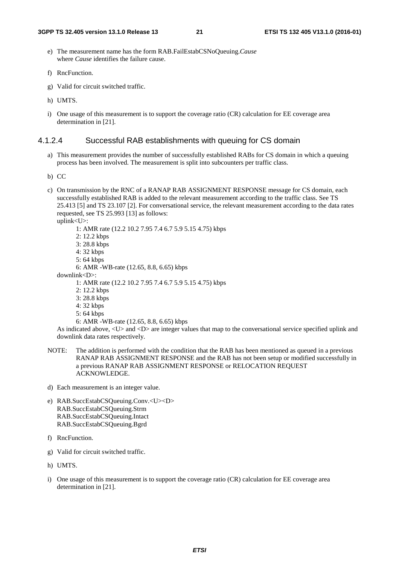- e) The measurement name has the form RAB.FailEstabCSNoQueuing.*Cause* where *Cause* identifies the failure cause.
- f) RncFunction.
- g) Valid for circuit switched traffic.
- h) UMTS.
- i) One usage of this measurement is to support the coverage ratio (CR) calculation for EE coverage area determination in [21].

### 4.1.2.4 Successful RAB establishments with queuing for CS domain

- a) This measurement provides the number of successfully established RABs for CS domain in which a queuing process has been involved. The measurement is split into subcounters per traffic class.
- b) CC
- c) On transmission by the RNC of a RANAP RAB ASSIGNMENT RESPONSE message for CS domain, each successfully established RAB is added to the relevant measurement according to the traffic class. See TS 25.413 [5] and TS 23.107 [2]. For conversational service, the relevant measurement according to the data rates requested, see TS 25.993 [13] as follows:

uplink<U>:

 1: AMR rate (12.2 10.2 7.95 7.4 6.7 5.9 5.15 4.75) kbps 2: 12.2 kbps 3: 28.8 kbps 4: 32 kbps 5: 64 kbps 6: AMR -WB-rate (12.65, 8.8, 6.65) kbps downlink<D>: 1: AMR rate (12.2 10.2 7.95 7.4 6.7 5.9 5.15 4.75) kbps 2: 12.2 kbps 3: 28.8 kbps 4: 32 kbps 5: 64 kbps 6: AMR -WB-rate (12.65, 8.8, 6.65) kbps

As indicated above, <U> and <D> are integer values that map to the conversational service specified uplink and downlink data rates respectively.

- NOTE: The addition is performed with the condition that the RAB has been mentioned as queued in a previous RANAP RAB ASSIGNMENT RESPONSE and the RAB has not been setup or modified successfully in a previous RANAP RAB ASSIGNMENT RESPONSE or RELOCATION REQUEST ACKNOWLEDGE.
- d) Each measurement is an integer value.
- e) RAB.SuccEstabCSQueuing.Conv.<U><D> RAB.SuccEstabCSQueuing.Strm RAB.SuccEstabCSQueuing.Intact RAB.SuccEstabCSQueuing.Bgrd
- f) RncFunction.
- g) Valid for circuit switched traffic.
- h) UMTS.
- i) One usage of this measurement is to support the coverage ratio (CR) calculation for EE coverage area determination in [21].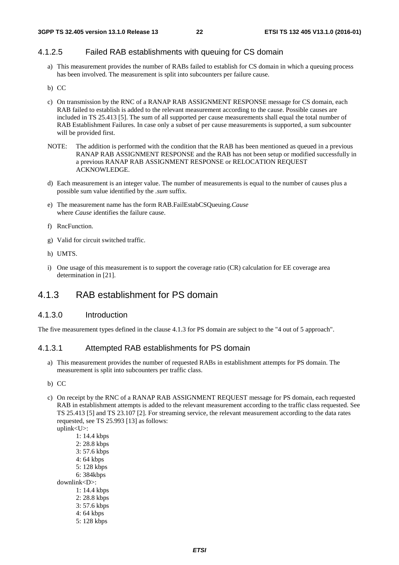# 4.1.2.5 Failed RAB establishments with queuing for CS domain

a) This measurement provides the number of RABs failed to establish for CS domain in which a queuing process has been involved. The measurement is split into subcounters per failure cause.

#### b) CC

- c) On transmission by the RNC of a RANAP RAB ASSIGNMENT RESPONSE message for CS domain, each RAB failed to establish is added to the relevant measurement according to the cause. Possible causes are included in TS 25.413 [5]. The sum of all supported per cause measurements shall equal the total number of RAB Establishment Failures. In case only a subset of per cause measurements is supported, a sum subcounter will be provided first.
- NOTE: The addition is performed with the condition that the RAB has been mentioned as queued in a previous RANAP RAB ASSIGNMENT RESPONSE and the RAB has not been setup or modified successfully in a previous RANAP RAB ASSIGNMENT RESPONSE or RELOCATION REQUEST ACKNOWLEDGE.
- d) Each measurement is an integer value. The number of measurements is equal to the number of causes plus a possible sum value identified by the *.sum* suffix.
- e) The measurement name has the form RAB.FailEstabCSQueuing.*Cause* where *Cause* identifies the failure cause.
- f) RncFunction.
- g) Valid for circuit switched traffic.
- h) UMTS.
- i) One usage of this measurement is to support the coverage ratio (CR) calculation for EE coverage area determination in [21].

# 4.1.3 RAB establishment for PS domain

#### 4.1.3.0 Introduction

The five measurement types defined in the clause 4.1.3 for PS domain are subject to the "4 out of 5 approach".

#### 4.1.3.1 Attempted RAB establishments for PS domain

- a) This measurement provides the number of requested RABs in establishment attempts for PS domain. The measurement is split into subcounters per traffic class.
- b) CC
- c) On receipt by the RNC of a RANAP RAB ASSIGNMENT REQUEST message for PS domain, each requested RAB in establishment attempts is added to the relevant measurement according to the traffic class requested. See TS 25.413 [5] and TS 23.107 [2]. For streaming service, the relevant measurement according to the data rates requested, see TS 25.993 [13] as follows: uplink<U>:

 1: 14.4 kbps 2: 28.8 kbps 3: 57.6 kbps 4: 64 kbps 5: 128 kbps 6: 384kbps downlink<D>: 1: 14.4 kbps 2: 28.8 kbps 3: 57.6 kbps 4: 64 kbps 5: 128 kbps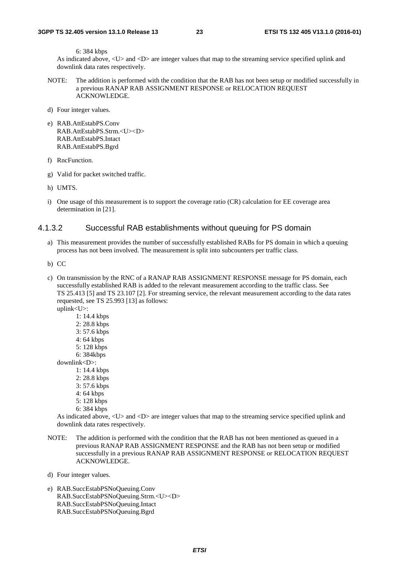6: 384 kbps

As indicated above, <U> and <D> are integer values that map to the streaming service specified uplink and downlink data rates respectively.

- NOTE: The addition is performed with the condition that the RAB has not been setup or modified successfully in a previous RANAP RAB ASSIGNMENT RESPONSE or RELOCATION REQUEST ACKNOWLEDGE.
- d) Four integer values.
- e) RAB.AttEstabPS.Conv RAB.AttEstabPS.Strm.<U><D> RAB.AttEstabPS.Intact RAB.AttEstabPS.Bgrd
- f) RncFunction.
- g) Valid for packet switched traffic.
- h) UMTS.
- i) One usage of this measurement is to support the coverage ratio (CR) calculation for EE coverage area determination in [21].

#### 4.1.3.2 Successful RAB establishments without queuing for PS domain

- a) This measurement provides the number of successfully established RABs for PS domain in which a queuing process has not been involved. The measurement is split into subcounters per traffic class.
- b) CC
- c) On transmission by the RNC of a RANAP RAB ASSIGNMENT RESPONSE message for PS domain, each successfully established RAB is added to the relevant measurement according to the traffic class. See TS 25.413 [5] and TS 23.107 [2]. For streaming service, the relevant measurement according to the data rates requested, see TS 25.993 [13] as follows:

uplink<U>:

- 1: 14.4 kbps 2: 28.8 kbps 3: 57.6 kbps 4: 64 kbps 5: 128 kbps 6: 384kbps downlink<D>: 1: 14.4 kbps 2: 28.8 kbps
	- 3: 57.6 kbps
	- 4: 64 kbps
	- 5: 128 kbps
	- 6: 384 kbps

As indicated above, <U> and <D> are integer values that map to the streaming service specified uplink and downlink data rates respectively.

NOTE: The addition is performed with the condition that the RAB has not been mentioned as queued in a previous RANAP RAB ASSIGNMENT RESPONSE and the RAB has not been setup or modified successfully in a previous RANAP RAB ASSIGNMENT RESPONSE or RELOCATION REQUEST ACKNOWLEDGE.

d) Four integer values.

e) RAB.SuccEstabPSNoQueuing.Conv RAB.SuccEstabPSNoQueuing.Strm.<U><D> RAB.SuccEstabPSNoQueuing.Intact RAB.SuccEstabPSNoQueuing.Bgrd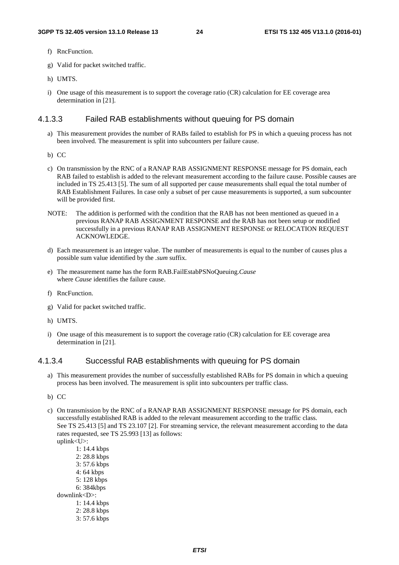- f) RncFunction.
- g) Valid for packet switched traffic.
- h) UMTS.
- i) One usage of this measurement is to support the coverage ratio (CR) calculation for EE coverage area determination in [21].

### 4.1.3.3 Failed RAB establishments without queuing for PS domain

- a) This measurement provides the number of RABs failed to establish for PS in which a queuing process has not been involved. The measurement is split into subcounters per failure cause.
- b) CC
- c) On transmission by the RNC of a RANAP RAB ASSIGNMENT RESPONSE message for PS domain, each RAB failed to establish is added to the relevant measurement according to the failure cause. Possible causes are included in TS 25.413 [5]. The sum of all supported per cause measurements shall equal the total number of RAB Establishment Failures. In case only a subset of per cause measurements is supported, a sum subcounter will be provided first.
- NOTE: The addition is performed with the condition that the RAB has not been mentioned as queued in a previous RANAP RAB ASSIGNMENT RESPONSE and the RAB has not been setup or modified successfully in a previous RANAP RAB ASSIGNMENT RESPONSE or RELOCATION REQUEST ACKNOWLEDGE.
- d) Each measurement is an integer value. The number of measurements is equal to the number of causes plus a possible sum value identified by the *.sum* suffix.
- e) The measurement name has the form RAB.FailEstabPSNoQueuing.*Cause* where *Cause* identifies the failure cause.
- f) RncFunction.
- g) Valid for packet switched traffic.
- h) UMTS.
- i) One usage of this measurement is to support the coverage ratio (CR) calculation for EE coverage area determination in [21].

### 4.1.3.4 Successful RAB establishments with queuing for PS domain

- a) This measurement provides the number of successfully established RABs for PS domain in which a queuing process has been involved. The measurement is split into subcounters per traffic class.
- b) CC
- c) On transmission by the RNC of a RANAP RAB ASSIGNMENT RESPONSE message for PS domain, each successfully established RAB is added to the relevant measurement according to the traffic class. See TS 25.413 [5] and TS 23.107 [2]. For streaming service, the relevant measurement according to the data rates requested, see TS 25.993 [13] as follows: uplink<U>:
	- 1: 14.4 kbps 2: 28.8 kbps 3: 57.6 kbps 4: 64 kbps 5: 128 kbps 6: 384kbps downlink<D>: 1: 14.4 kbps 2: 28.8 kbps 3: 57.6 kbps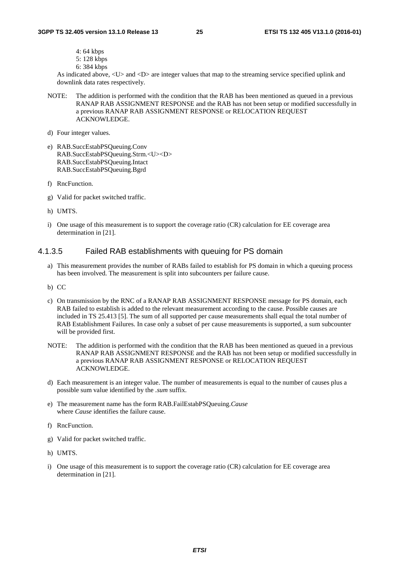- 4: 64 kbps
- 5: 128 kbps
- 6: 384 kbps

As indicated above, <U> and <D> are integer values that map to the streaming service specified uplink and downlink data rates respectively.

- NOTE: The addition is performed with the condition that the RAB has been mentioned as queued in a previous RANAP RAB ASSIGNMENT RESPONSE and the RAB has not been setup or modified successfully in a previous RANAP RAB ASSIGNMENT RESPONSE or RELOCATION REQUEST ACKNOWLEDGE.
- d) Four integer values.
- e) RAB.SuccEstabPSQueuing.Conv RAB.SuccEstabPSQueuing.Strm.<U><D> RAB.SuccEstabPSQueuing.Intact RAB.SuccEstabPSQueuing.Bgrd
- f) RncFunction.
- g) Valid for packet switched traffic.
- h) UMTS.
- i) One usage of this measurement is to support the coverage ratio (CR) calculation for EE coverage area determination in [21].

#### 4.1.3.5 Failed RAB establishments with queuing for PS domain

- a) This measurement provides the number of RABs failed to establish for PS domain in which a queuing process has been involved. The measurement is split into subcounters per failure cause.
- b) CC
- c) On transmission by the RNC of a RANAP RAB ASSIGNMENT RESPONSE message for PS domain, each RAB failed to establish is added to the relevant measurement according to the cause. Possible causes are included in TS 25.413 [5]. The sum of all supported per cause measurements shall equal the total number of RAB Establishment Failures. In case only a subset of per cause measurements is supported, a sum subcounter will be provided first.
- NOTE: The addition is performed with the condition that the RAB has been mentioned as queued in a previous RANAP RAB ASSIGNMENT RESPONSE and the RAB has not been setup or modified successfully in a previous RANAP RAB ASSIGNMENT RESPONSE or RELOCATION REQUEST ACKNOWLEDGE.
- d) Each measurement is an integer value. The number of measurements is equal to the number of causes plus a possible sum value identified by the *.sum* suffix.
- e) The measurement name has the form RAB.FailEstabPSQueuing.*Cause* where *Cause* identifies the failure cause.
- f) RncFunction.
- g) Valid for packet switched traffic.
- h) UMTS.
- i) One usage of this measurement is to support the coverage ratio (CR) calculation for EE coverage area determination in [21].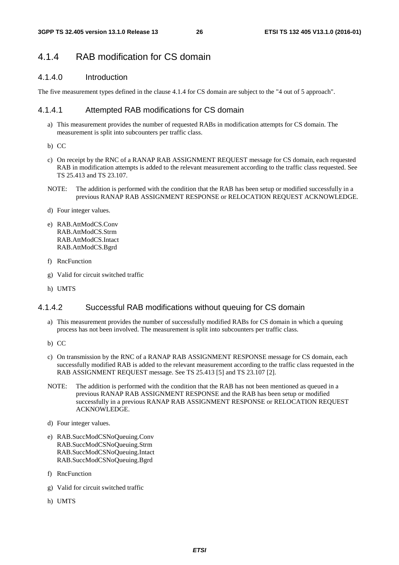# 4.1.4 RAB modification for CS domain

### 4.1.4.0 Introduction

The five measurement types defined in the clause 4.1.4 for CS domain are subject to the "4 out of 5 approach".

#### 4.1.4.1 Attempted RAB modifications for CS domain

- a) This measurement provides the number of requested RABs in modification attempts for CS domain. The measurement is split into subcounters per traffic class.
- b) CC
- c) On receipt by the RNC of a RANAP RAB ASSIGNMENT REQUEST message for CS domain, each requested RAB in modification attempts is added to the relevant measurement according to the traffic class requested. See TS 25.413 and TS 23.107.
- NOTE: The addition is performed with the condition that the RAB has been setup or modified successfully in a previous RANAP RAB ASSIGNMENT RESPONSE or RELOCATION REQUEST ACKNOWLEDGE.
- d) Four integer values.
- e) RAB.AttModCS.Conv RAB.AttModCS.Strm RAB.AttModCS.Intact RAB.AttModCS.Bgrd
- f) RncFunction
- g) Valid for circuit switched traffic
- h) UMTS

### 4.1.4.2 Successful RAB modifications without queuing for CS domain

- a) This measurement provides the number of successfully modified RABs for CS domain in which a queuing process has not been involved. The measurement is split into subcounters per traffic class.
- b) CC
- c) On transmission by the RNC of a RANAP RAB ASSIGNMENT RESPONSE message for CS domain, each successfully modified RAB is added to the relevant measurement according to the traffic class requested in the RAB ASSIGNMENT REQUEST message. See TS 25.413 [5] and TS 23.107 [2].
- NOTE: The addition is performed with the condition that the RAB has not been mentioned as queued in a previous RANAP RAB ASSIGNMENT RESPONSE and the RAB has been setup or modified successfully in a previous RANAP RAB ASSIGNMENT RESPONSE or RELOCATION REQUEST ACKNOWLEDGE.
- d) Four integer values.
- e) RAB.SuccModCSNoQueuing.Conv RAB.SuccModCSNoQueuing.Strm RAB.SuccModCSNoQueuing.Intact RAB.SuccModCSNoQueuing.Bgrd
- f) RncFunction
- g) Valid for circuit switched traffic
- h) UMTS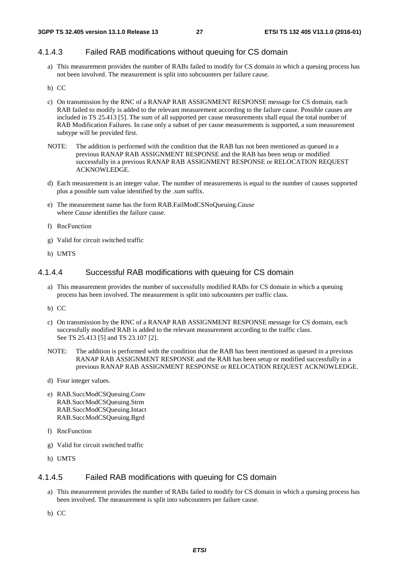# 4.1.4.3 Failed RAB modifications without queuing for CS domain

a) This measurement provides the number of RABs failed to modify for CS domain in which a queuing process has not been involved. The measurement is split into subcounters per failure cause.

#### b) CC

- c) On transmission by the RNC of a RANAP RAB ASSIGNMENT RESPONSE message for CS domain, each RAB failed to modify is added to the relevant measurement according to the failure cause. Possible causes are included in TS 25.413 [5]. The sum of all supported per cause measurements shall equal the total number of RAB Modification Failures. In case only a subset of per cause measurements is supported, a sum measurement subtype will be provided first.
- NOTE: The addition is performed with the condition that the RAB has not been mentioned as queued in a previous RANAP RAB ASSIGNMENT RESPONSE and the RAB has been setup or modified successfully in a previous RANAP RAB ASSIGNMENT RESPONSE or RELOCATION REQUEST ACKNOWLEDGE.
- d) Each measurement is an integer value. The number of measurements is equal to the number of causes supported plus a possible sum value identified by the *.sum* suffix.
- e) The measurement name has the form RAB.FailModCSNoQueuing.*Cause* where *Cause* identifies the failure cause.
- f) RncFunction
- g) Valid for circuit switched traffic
- h) UMTS

#### 4.1.4.4 Successful RAB modifications with queuing for CS domain

- a) This measurement provides the number of successfully modified RABs for CS domain in which a queuing process has been involved. The measurement is split into subcounters per traffic class.
- b) CC
- c) On transmission by the RNC of a RANAP RAB ASSIGNMENT RESPONSE message for CS domain, each successfully modified RAB is added to the relevant measurement according to the traffic class. See TS 25.413 [5] and TS 23.107 [2].
- NOTE: The addition is performed with the condition that the RAB has been mentioned as queued in a previous RANAP RAB ASSIGNMENT RESPONSE and the RAB has been setup or modified successfully in a previous RANAP RAB ASSIGNMENT RESPONSE or RELOCATION REQUEST ACKNOWLEDGE.
- d) Four integer values.
- e) RAB.SuccModCSQueuing.Conv RAB.SuccModCSQueuing.Strm RAB.SuccModCSQueuing.Intact RAB.SuccModCSQueuing.Bgrd
- f) RncFunction
- g) Valid for circuit switched traffic
- h) UMTS

### 4.1.4.5 Failed RAB modifications with queuing for CS domain

- a) This measurement provides the number of RABs failed to modify for CS domain in which a queuing process has been involved. The measurement is split into subcounters per failure cause.
- b) CC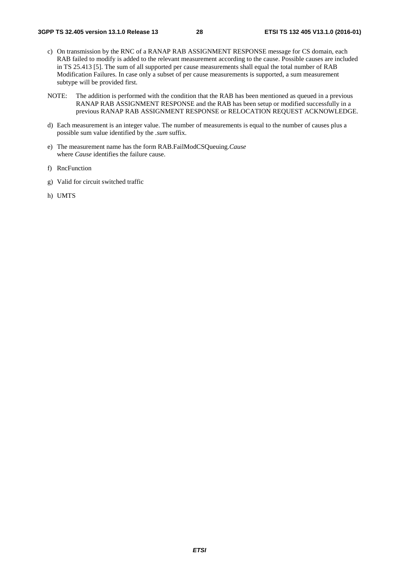- c) On transmission by the RNC of a RANAP RAB ASSIGNMENT RESPONSE message for CS domain, each RAB failed to modify is added to the relevant measurement according to the cause. Possible causes are included in TS 25.413 [5]. The sum of all supported per cause measurements shall equal the total number of RAB Modification Failures. In case only a subset of per cause measurements is supported, a sum measurement subtype will be provided first.
- NOTE: The addition is performed with the condition that the RAB has been mentioned as queued in a previous RANAP RAB ASSIGNMENT RESPONSE and the RAB has been setup or modified successfully in a previous RANAP RAB ASSIGNMENT RESPONSE or RELOCATION REQUEST ACKNOWLEDGE.
- d) Each measurement is an integer value. The number of measurements is equal to the number of causes plus a possible sum value identified by the *.sum* suffix.
- e) The measurement name has the form RAB.FailModCSQueuing.*Cause* where *Cause* identifies the failure cause.
- f) RncFunction
- g) Valid for circuit switched traffic
- h) UMTS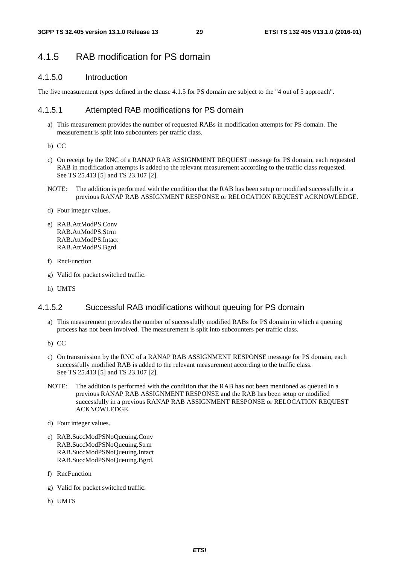# 4.1.5 RAB modification for PS domain

### 4.1.5.0 Introduction

The five measurement types defined in the clause 4.1.5 for PS domain are subject to the "4 out of 5 approach".

### 4.1.5.1 Attempted RAB modifications for PS domain

- a) This measurement provides the number of requested RABs in modification attempts for PS domain. The measurement is split into subcounters per traffic class.
- b) CC
- c) On receipt by the RNC of a RANAP RAB ASSIGNMENT REQUEST message for PS domain, each requested RAB in modification attempts is added to the relevant measurement according to the traffic class requested. See TS 25.413 [5] and TS 23.107 [2].
- NOTE: The addition is performed with the condition that the RAB has been setup or modified successfully in a previous RANAP RAB ASSIGNMENT RESPONSE or RELOCATION REQUEST ACKNOWLEDGE.
- d) Four integer values.
- e) RAB.AttModPS.Conv RAB.AttModPS.Strm RAB.AttModPS.Intact RAB.AttModPS.Bgrd.
- f) RncFunction
- g) Valid for packet switched traffic.
- h) UMTS

### 4.1.5.2 Successful RAB modifications without queuing for PS domain

- a) This measurement provides the number of successfully modified RABs for PS domain in which a queuing process has not been involved. The measurement is split into subcounters per traffic class.
- b) CC
- c) On transmission by the RNC of a RANAP RAB ASSIGNMENT RESPONSE message for PS domain, each successfully modified RAB is added to the relevant measurement according to the traffic class. See TS 25.413 [5] and TS 23.107 [2].
- NOTE: The addition is performed with the condition that the RAB has not been mentioned as queued in a previous RANAP RAB ASSIGNMENT RESPONSE and the RAB has been setup or modified successfully in a previous RANAP RAB ASSIGNMENT RESPONSE or RELOCATION REQUEST ACKNOWLEDGE.
- d) Four integer values.
- e) RAB.SuccModPSNoQueuing.Conv RAB.SuccModPSNoQueuing.Strm RAB.SuccModPSNoQueuing.Intact RAB.SuccModPSNoQueuing.Bgrd.
- f) RncFunction
- g) Valid for packet switched traffic.
- h) UMTS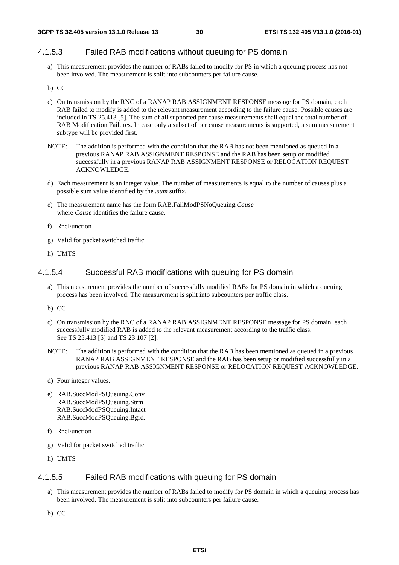# 4.1.5.3 Failed RAB modifications without queuing for PS domain

a) This measurement provides the number of RABs failed to modify for PS in which a queuing process has not been involved. The measurement is split into subcounters per failure cause.

#### b) CC

- c) On transmission by the RNC of a RANAP RAB ASSIGNMENT RESPONSE message for PS domain, each RAB failed to modify is added to the relevant measurement according to the failure cause. Possible causes are included in TS 25.413 [5]. The sum of all supported per cause measurements shall equal the total number of RAB Modification Failures. In case only a subset of per cause measurements is supported, a sum measurement subtype will be provided first.
- NOTE: The addition is performed with the condition that the RAB has not been mentioned as queued in a previous RANAP RAB ASSIGNMENT RESPONSE and the RAB has been setup or modified successfully in a previous RANAP RAB ASSIGNMENT RESPONSE or RELOCATION REQUEST ACKNOWLEDGE.
- d) Each measurement is an integer value. The number of measurements is equal to the number of causes plus a possible sum value identified by the *.sum* suffix.
- e) The measurement name has the form RAB.FailModPSNoQueuing.*Cause* where *Cause* identifies the failure cause.
- f) RncFunction
- g) Valid for packet switched traffic.
- h) UMTS

#### 4.1.5.4 Successful RAB modifications with queuing for PS domain

- a) This measurement provides the number of successfully modified RABs for PS domain in which a queuing process has been involved. The measurement is split into subcounters per traffic class.
- b) CC
- c) On transmission by the RNC of a RANAP RAB ASSIGNMENT RESPONSE message for PS domain, each successfully modified RAB is added to the relevant measurement according to the traffic class. See TS 25.413 [5] and TS 23.107 [2].
- NOTE: The addition is performed with the condition that the RAB has been mentioned as queued in a previous RANAP RAB ASSIGNMENT RESPONSE and the RAB has been setup or modified successfully in a previous RANAP RAB ASSIGNMENT RESPONSE or RELOCATION REQUEST ACKNOWLEDGE.
- d) Four integer values.
- e) RAB.SuccModPSQueuing.Conv RAB.SuccModPSQueuing.Strm RAB.SuccModPSQueuing.Intact RAB.SuccModPSQueuing.Bgrd.
- f) RncFunction
- g) Valid for packet switched traffic.
- h) UMTS

### 4.1.5.5 Failed RAB modifications with queuing for PS domain

- a) This measurement provides the number of RABs failed to modify for PS domain in which a queuing process has been involved. The measurement is split into subcounters per failure cause.
- b) CC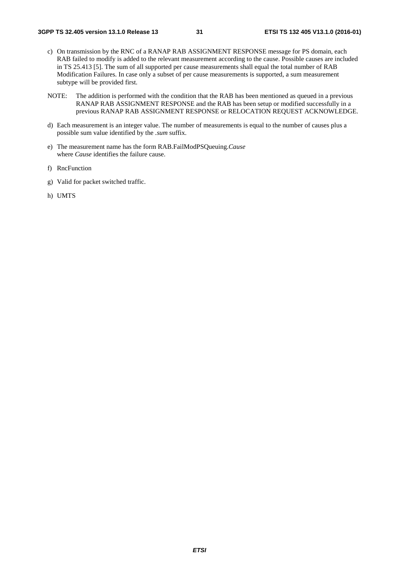- c) On transmission by the RNC of a RANAP RAB ASSIGNMENT RESPONSE message for PS domain, each RAB failed to modify is added to the relevant measurement according to the cause. Possible causes are included in TS 25.413 [5]. The sum of all supported per cause measurements shall equal the total number of RAB Modification Failures. In case only a subset of per cause measurements is supported, a sum measurement subtype will be provided first.
- NOTE: The addition is performed with the condition that the RAB has been mentioned as queued in a previous RANAP RAB ASSIGNMENT RESPONSE and the RAB has been setup or modified successfully in a previous RANAP RAB ASSIGNMENT RESPONSE or RELOCATION REQUEST ACKNOWLEDGE.
- d) Each measurement is an integer value. The number of measurements is equal to the number of causes plus a possible sum value identified by the *.sum* suffix.
- e) The measurement name has the form RAB.FailModPSQueuing.*Cause* where *Cause* identifies the failure cause.
- f) RncFunction
- g) Valid for packet switched traffic.
- h) UMTS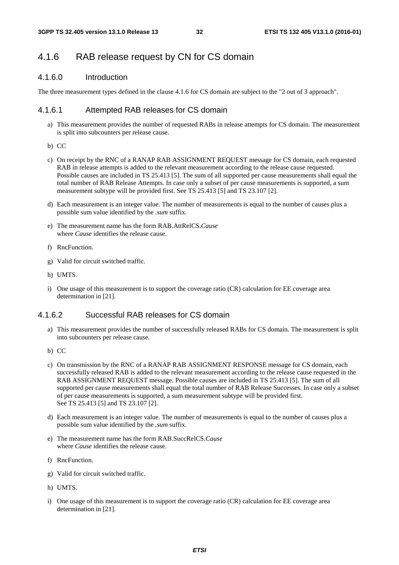# 4.1.6 RAB release request by CN for CS domain

#### 4.1.6.0 Introduction

The three measurement types defined in the clause 4.1.6 for CS domain are subject to the "2 out of 3 approach".

#### 4.1.6.1 Attempted RAB releases for CS domain

- a) This measurement provides the number of requested RABs in release attempts for CS domain. The measurement is split into subcounters per release cause.
- b) CC
- c) On receipt by the RNC of a RANAP RAB ASSIGNMENT REQUEST message for CS domain, each requested RAB in release attempts is added to the relevant measurement according to the release cause requested. Possible causes are included in TS 25.413 [5]. The sum of all supported per cause measurements shall equal the total number of RAB Release Attempts. In case only a subset of per cause measurements is supported, a sum measurement subtype will be provided first. See TS 25.413 [5] and TS 23.107 [2].
- d) Each measurement is an integer value. The number of measurements is equal to the number of causes plus a possible sum value identified by the *.sum* suffix.
- e) The measurement name has the form RAB.AttRelCS.*Cause* where *Cause* identifies the release cause.
- f) RncFunction.
- g) Valid for circuit switched traffic.
- h) UMTS.
- i) One usage of this measurement is to support the coverage ratio (CR) calculation for EE coverage area determination in [21].

# 4.1.6.2 Successful RAB releases for CS domain

- a) This measurement provides the number of successfully released RABs for CS domain. The measurement is split into subcounters per release cause.
- b) CC
- c) On transmission by the RNC of a RANAP RAB ASSIGNMENT RESPONSE message for CS domain, each successfully released RAB is added to the relevant measurement according to the release cause requested in the RAB ASSIGNMENT REQUEST message. Possible causes are included in TS 25.413 [5]. The sum of all supported per cause measurements shall equal the total number of RAB Release Successes. In case only a subset of per cause measurements is supported, a sum measurement subtype will be provided first. See TS 25.413 [5] and TS 23.107 [2].
- d) Each measurement is an integer value. The number of measurements is equal to the number of causes plus a possible sum value identified by the *.sum* suffix.
- e) The measurement name has the form RAB.SuccRelCS.*Cause* where *Cause* identifies the release cause.
- f) RncFunction.
- g) Valid for circuit switched traffic.
- h) UMTS.
- i) One usage of this measurement is to support the coverage ratio (CR) calculation for EE coverage area determination in [21].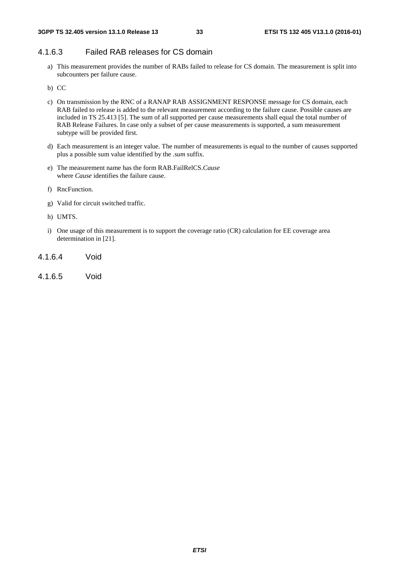# 4.1.6.3 Failed RAB releases for CS domain

a) This measurement provides the number of RABs failed to release for CS domain. The measurement is split into subcounters per failure cause.

b) CC

- c) On transmission by the RNC of a RANAP RAB ASSIGNMENT RESPONSE message for CS domain, each RAB failed to release is added to the relevant measurement according to the failure cause. Possible causes are included in TS 25.413 [5]. The sum of all supported per cause measurements shall equal the total number of RAB Release Failures. In case only a subset of per cause measurements is supported, a sum measurement subtype will be provided first.
- d) Each measurement is an integer value. The number of measurements is equal to the number of causes supported plus a possible sum value identified by the *.sum* suffix.
- e) The measurement name has the form RAB.FailRelCS.*Cause* where *Cause* identifies the failure cause.
- f) RncFunction.
- g) Valid for circuit switched traffic.
- h) UMTS.
- i) One usage of this measurement is to support the coverage ratio (CR) calculation for EE coverage area determination in [21].
- 4.1.6.4 Void
- 4.1.6.5 Void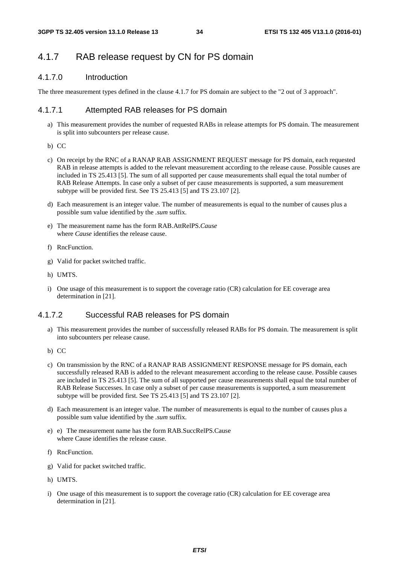# 4.1.7 RAB release request by CN for PS domain

# 4.1.7.0 Introduction

The three measurement types defined in the clause 4.1.7 for PS domain are subject to the "2 out of 3 approach".

# 4.1.7.1 Attempted RAB releases for PS domain

- a) This measurement provides the number of requested RABs in release attempts for PS domain. The measurement is split into subcounters per release cause.
- b) CC
- c) On receipt by the RNC of a RANAP RAB ASSIGNMENT REQUEST message for PS domain, each requested RAB in release attempts is added to the relevant measurement according to the release cause. Possible causes are included in TS 25.413 [5]. The sum of all supported per cause measurements shall equal the total number of RAB Release Attempts. In case only a subset of per cause measurements is supported, a sum measurement subtype will be provided first. See TS 25.413 [5] and TS 23.107 [2].
- d) Each measurement is an integer value. The number of measurements is equal to the number of causes plus a possible sum value identified by the *.sum* suffix.
- e) The measurement name has the form RAB.AttRelPS.*Cause* where *Cause* identifies the release cause.
- f) RncFunction.
- g) Valid for packet switched traffic.
- h) UMTS.
- i) One usage of this measurement is to support the coverage ratio (CR) calculation for EE coverage area determination in [21].

### 4.1.7.2 Successful RAB releases for PS domain

- a) This measurement provides the number of successfully released RABs for PS domain. The measurement is split into subcounters per release cause.
- b) CC
- c) On transmission by the RNC of a RANAP RAB ASSIGNMENT RESPONSE message for PS domain, each successfully released RAB is added to the relevant measurement according to the release cause. Possible causes are included in TS 25.413 [5]. The sum of all supported per cause measurements shall equal the total number of RAB Release Successes. In case only a subset of per cause measurements is supported, a sum measurement subtype will be provided first. See TS 25.413 [5] and TS 23.107 [2].
- d) Each measurement is an integer value. The number of measurements is equal to the number of causes plus a possible sum value identified by the *.sum* suffix.
- e) e) The measurement name has the form RAB.SuccRelPS.Cause where Cause identifies the release cause.
- f) RncFunction.
- g) Valid for packet switched traffic.
- h) UMTS.
- i) One usage of this measurement is to support the coverage ratio (CR) calculation for EE coverage area determination in [21].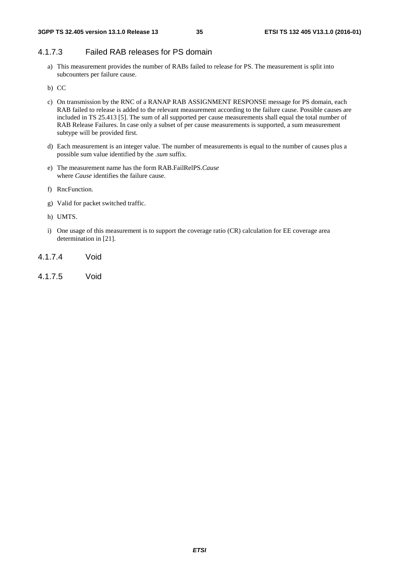# 4.1.7.3 Failed RAB releases for PS domain

a) This measurement provides the number of RABs failed to release for PS. The measurement is split into subcounters per failure cause.

b) CC

- c) On transmission by the RNC of a RANAP RAB ASSIGNMENT RESPONSE message for PS domain, each RAB failed to release is added to the relevant measurement according to the failure cause. Possible causes are included in TS 25.413 [5]. The sum of all supported per cause measurements shall equal the total number of RAB Release Failures. In case only a subset of per cause measurements is supported, a sum measurement subtype will be provided first.
- d) Each measurement is an integer value. The number of measurements is equal to the number of causes plus a possible sum value identified by the *.sum* suffix.
- e) The measurement name has the form RAB.FailRelPS.*Cause* where *Cause* identifies the failure cause.
- f) RncFunction.
- g) Valid for packet switched traffic.
- h) UMTS.
- i) One usage of this measurement is to support the coverage ratio (CR) calculation for EE coverage area determination in [21].
- 4.1.7.4 Void
- 4.1.7.5 Void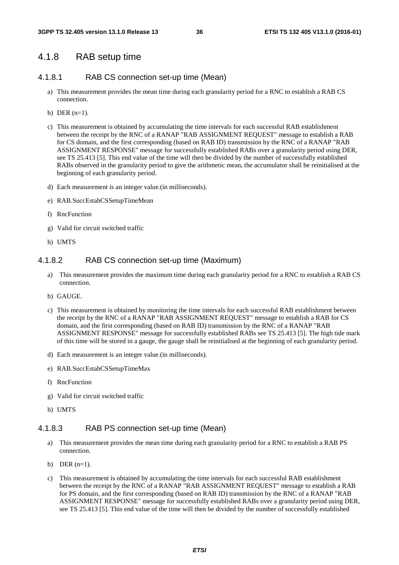### 4.1.8 RAB setup time

#### 4.1.8.1 RAB CS connection set-up time (Mean)

- a) This measurement provides the mean time during each granularity period for a RNC to establish a RAB CS connection.
- b) DER  $(n=1)$ .
- c) This measurement is obtained by accumulating the time intervals for each successful RAB establishment between the receipt by the RNC of a RANAP "RAB ASSIGNMENT REQUEST" message to establish a RAB for CS domain, and the first corresponding (based on RAB ID) transmission by the RNC of a RANAP "RAB ASSIGNMENT RESPONSE" message for successfully established RABs over a granularity period using DER, see TS 25.413 [5]. This end value of the time will then be divided by the number of successfully established RABs observed in the granularity period to give the arithmetic mean, the accumulator shall be reinitialised at the beginning of each granularity period.
- d) Each measurement is an integer value.(in milliseconds).
- e) RAB.SuccEstabCSSetupTimeMean
- f) RncFunction
- g) Valid for circuit switched traffic
- h) UMTS

#### 4.1.8.2 RAB CS connection set-up time (Maximum)

- a) This measurement provides the maximum time during each granularity period for a RNC to establish a RAB CS connection.
- b) GAUGE.
- c) This measurement is obtained by monitoring the time intervals for each successful RAB establishment between the receipt by the RNC of a RANAP "RAB ASSIGNMENT REQUEST" message to establish a RAB for CS domain, and the first corresponding (based on RAB ID) transmission by the RNC of a RANAP "RAB ASSIGNMENT RESPONSE" message for successfully established RABs see TS 25.413 [5]. The high tide mark of this time will be stored in a gauge, the gauge shall be reinitialised at the beginning of each granularity period.
- d) Each measurement is an integer value.(in milliseconds).
- e) RAB.SuccEstabCSSetupTimeMax
- f) RncFunction
- g) Valid for circuit switched traffic
- h) UMTS

#### 4.1.8.3 RAB PS connection set-up time (Mean)

- a) This measurement provides the mean time during each granularity period for a RNC to establish a RAB PS connection.
- b) DER  $(n=1)$ .
- c) This measurement is obtained by accumulating the time intervals for each successful RAB establishment between the receipt by the RNC of a RANAP "RAB ASSIGNMENT REQUEST" message to establish a RAB for PS domain, and the first corresponding (based on RAB ID) transmission by the RNC of a RANAP "RAB ASSIGNMENT RESPONSE" message for successfully established RABs over a granularity period using DER, see TS 25.413 [5]. This end value of the time will then be divided by the number of successfully established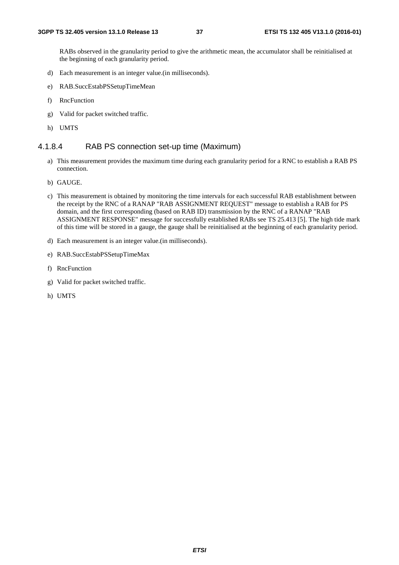RABs observed in the granularity period to give the arithmetic mean, the accumulator shall be reinitialised at the beginning of each granularity period.

- d) Each measurement is an integer value.(in milliseconds).
- e) RAB.SuccEstabPSSetupTimeMean
- f) RncFunction
- g) Valid for packet switched traffic.
- h) UMTS

#### 4.1.8.4 RAB PS connection set-up time (Maximum)

- a) This measurement provides the maximum time during each granularity period for a RNC to establish a RAB PS connection.
- b) GAUGE.
- c) This measurement is obtained by monitoring the time intervals for each successful RAB establishment between the receipt by the RNC of a RANAP "RAB ASSIGNMENT REQUEST" message to establish a RAB for PS domain, and the first corresponding (based on RAB ID) transmission by the RNC of a RANAP "RAB ASSIGNMENT RESPONSE" message for successfully established RABs see TS 25.413 [5]. The high tide mark of this time will be stored in a gauge, the gauge shall be reinitialised at the beginning of each granularity period.
- d) Each measurement is an integer value.(in milliseconds).
- e) RAB.SuccEstabPSSetupTimeMax
- f) RncFunction
- g) Valid for packet switched traffic.
- h) UMTS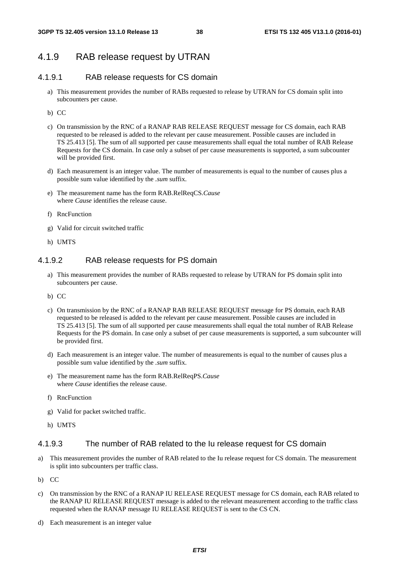## 4.1.9 RAB release request by UTRAN

## 4.1.9.1 RAB release requests for CS domain

- a) This measurement provides the number of RABs requested to release by UTRAN for CS domain split into subcounters per cause.
- b) CC
- c) On transmission by the RNC of a RANAP RAB RELEASE REQUEST message for CS domain, each RAB requested to be released is added to the relevant per cause measurement. Possible causes are included in TS 25.413 [5]. The sum of all supported per cause measurements shall equal the total number of RAB Release Requests for the CS domain. In case only a subset of per cause measurements is supported, a sum subcounter will be provided first.
- d) Each measurement is an integer value. The number of measurements is equal to the number of causes plus a possible sum value identified by the *.sum* suffix.
- e) The measurement name has the form RAB.RelReqCS.*Cause* where *Cause* identifies the release cause.
- f) RncFunction
- g) Valid for circuit switched traffic
- h) UMTS

#### 4.1.9.2 RAB release requests for PS domain

- a) This measurement provides the number of RABs requested to release by UTRAN for PS domain split into subcounters per cause.
- b) CC
- c) On transmission by the RNC of a RANAP RAB RELEASE REQUEST message for PS domain, each RAB requested to be released is added to the relevant per cause measurement. Possible causes are included in TS 25.413 [5]. The sum of all supported per cause measurements shall equal the total number of RAB Release Requests for the PS domain. In case only a subset of per cause measurements is supported, a sum subcounter will be provided first.
- d) Each measurement is an integer value. The number of measurements is equal to the number of causes plus a possible sum value identified by the *.sum* suffix.
- e) The measurement name has the form RAB.RelReqPS.*Cause* where *Cause* identifies the release cause.
- f) RncFunction
- g) Valid for packet switched traffic.
- h) UMTS

#### 4.1.9.3 The number of RAB related to the Iu release request for CS domain

- a) This measurement provides the number of RAB related to the Iu release request for CS domain. The measurement is split into subcounters per traffic class.
- b) CC
- c) On transmission by the RNC of a RANAP IU RELEASE REQUEST message for CS domain, each RAB related to the RANAP IU RELEASE REQUEST message is added to the relevant measurement according to the traffic class requested when the RANAP message IU RELEASE REQUEST is sent to the CS CN.
- d) Each measurement is an integer value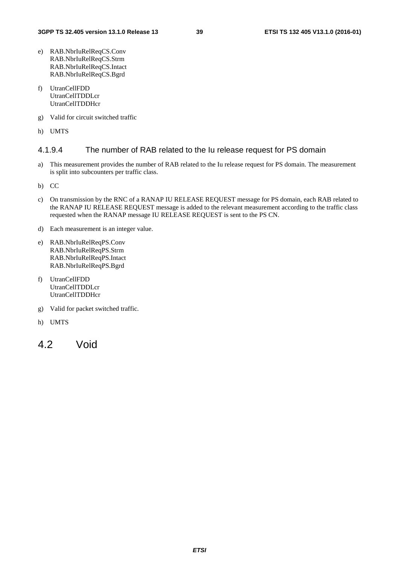- e) RAB.NbrIuRelReqCS.Conv RAB.NbrIuRelReqCS.Strm RAB.NbrIuRelReqCS.Intact RAB.NbrIuRelReqCS.Bgrd
- f) UtranCellFDD UtranCellTDDLcr UtranCellTDDHcr
- g) Valid for circuit switched traffic
- h) UMTS

#### 4.1.9.4 The number of RAB related to the Iu release request for PS domain

a) This measurement provides the number of RAB related to the Iu release request for PS domain. The measurement is split into subcounters per traffic class.

b) CC

- c) On transmission by the RNC of a RANAP IU RELEASE REQUEST message for PS domain, each RAB related to the RANAP IU RELEASE REQUEST message is added to the relevant measurement according to the traffic class requested when the RANAP message IU RELEASE REQUEST is sent to the PS CN.
- d) Each measurement is an integer value.
- e) RAB.NbrIuRelReqPS.Conv RAB.NbrIuRelReqPS.Strm RAB.NbrIuRelReqPS.Intact RAB.NbrIuRelReqPS.Bgrd
- f) UtranCellFDD UtranCellTDDLcr UtranCellTDDHcr
- g) Valid for packet switched traffic.
- h) UMTS
- 4.2 Void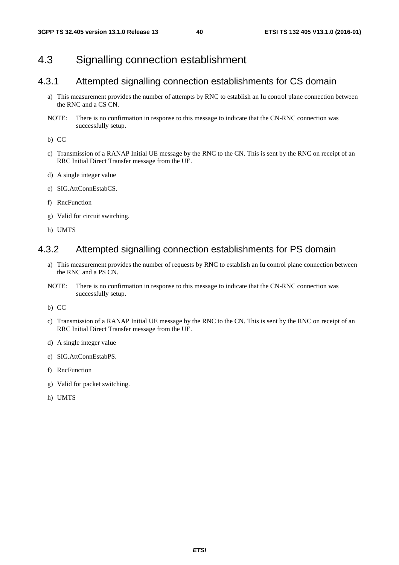## 4.3 Signalling connection establishment

### 4.3.1 Attempted signalling connection establishments for CS domain

- a) This measurement provides the number of attempts by RNC to establish an Iu control plane connection between the RNC and a CS CN.
- NOTE: There is no confirmation in response to this message to indicate that the CN-RNC connection was successfully setup.

b) CC

- c) Transmission of a RANAP Initial UE message by the RNC to the CN. This is sent by the RNC on receipt of an RRC Initial Direct Transfer message from the UE.
- d) A single integer value
- e) SIG.AttConnEstabCS.
- f) RncFunction
- g) Valid for circuit switching.
- h) UMTS

### 4.3.2 Attempted signalling connection establishments for PS domain

- a) This measurement provides the number of requests by RNC to establish an Iu control plane connection between the RNC and a PS CN.
- NOTE: There is no confirmation in response to this message to indicate that the CN-RNC connection was successfully setup.

b) CC

- c) Transmission of a RANAP Initial UE message by the RNC to the CN. This is sent by the RNC on receipt of an RRC Initial Direct Transfer message from the UE.
- d) A single integer value
- e) SIG.AttConnEstabPS.
- f) RncFunction
- g) Valid for packet switching.
- h) UMTS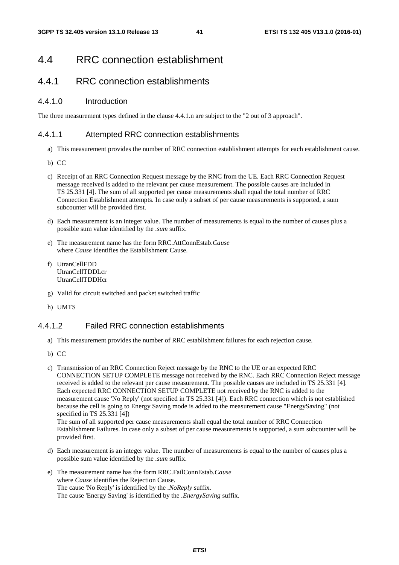## 4.4 RRC connection establishment

## 4.4.1 RRC connection establishments

#### 4.4.1.0 Introduction

The three measurement types defined in the clause 4.4.1.n are subject to the "2 out of 3 approach".

#### 4.4.1.1 Attempted RRC connection establishments

- a) This measurement provides the number of RRC connection establishment attempts for each establishment cause.
- b) CC
- c) Receipt of an RRC Connection Request message by the RNC from the UE. Each RRC Connection Request message received is added to the relevant per cause measurement. The possible causes are included in TS 25.331 [4]. The sum of all supported per cause measurements shall equal the total number of RRC Connection Establishment attempts. In case only a subset of per cause measurements is supported, a sum subcounter will be provided first.
- d) Each measurement is an integer value. The number of measurements is equal to the number of causes plus a possible sum value identified by the *.sum* suffix.
- e) The measurement name has the form RRC.AttConnEstab.*Cause* where *Cause* identifies the Establishment Cause.
- f) UtranCellFDD UtranCellTDDLcr UtranCellTDDHcr
- g) Valid for circuit switched and packet switched traffic
- h) UMTS

#### 4.4.1.2 Failed RRC connection establishments

- a) This measurement provides the number of RRC establishment failures for each rejection cause.
- b) CC
- c) Transmission of an RRC Connection Reject message by the RNC to the UE or an expected RRC CONNECTION SETUP COMPLETE message not received by the RNC. Each RRC Connection Reject message received is added to the relevant per cause measurement. The possible causes are included in TS 25.331 [4]. Each expected RRC CONNECTION SETUP COMPLETE not received by the RNC is added to the measurement cause 'No Reply' (not specified in TS 25.331 [4]). Each RRC connection which is not established because the cell is going to Energy Saving mode is added to the measurement cause "EnergySaving" (not specified in TS 25.331 [4])

The sum of all supported per cause measurements shall equal the total number of RRC Connection Establishment Failures. In case only a subset of per cause measurements is supported, a sum subcounter will be provided first.

- d) Each measurement is an integer value. The number of measurements is equal to the number of causes plus a possible sum value identified by the *.sum* suffix.
- e) The measurement name has the form RRC.FailConnEstab.*Cause* where *Cause* identifies the Rejection Cause. The cause 'No Reply' is identified by the *.NoReply* suffix. The cause 'Energy Saving' is identified by the *.EnergySaving* suffix.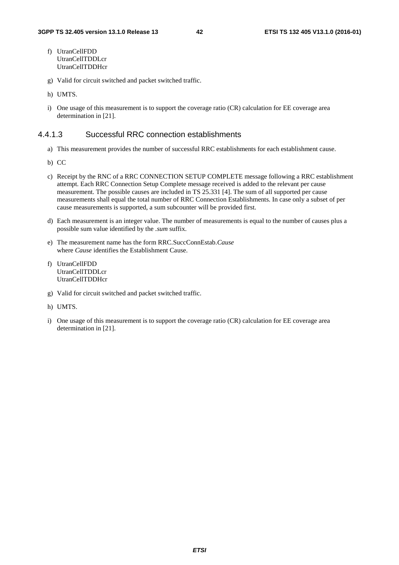- f) UtranCellFDD UtranCellTDDLcr UtranCellTDDHcr
- g) Valid for circuit switched and packet switched traffic.
- h) UMTS.
- i) One usage of this measurement is to support the coverage ratio (CR) calculation for EE coverage area determination in [21].

#### 4.4.1.3 Successful RRC connection establishments

- a) This measurement provides the number of successful RRC establishments for each establishment cause.
- b) CC
- c) Receipt by the RNC of a RRC CONNECTION SETUP COMPLETE message following a RRC establishment attempt. Each RRC Connection Setup Complete message received is added to the relevant per cause measurement. The possible causes are included in TS 25.331 [4]. The sum of all supported per cause measurements shall equal the total number of RRC Connection Establishments. In case only a subset of per cause measurements is supported, a sum subcounter will be provided first.
- d) Each measurement is an integer value. The number of measurements is equal to the number of causes plus a possible sum value identified by the *.sum* suffix.
- e) The measurement name has the form RRC.SuccConnEstab.*Cause* where *Cause* identifies the Establishment Cause.
- f) UtranCellFDD UtranCellTDDLcr UtranCellTDDHcr
- g) Valid for circuit switched and packet switched traffic.
- h) UMTS.
- i) One usage of this measurement is to support the coverage ratio (CR) calculation for EE coverage area determination in [21].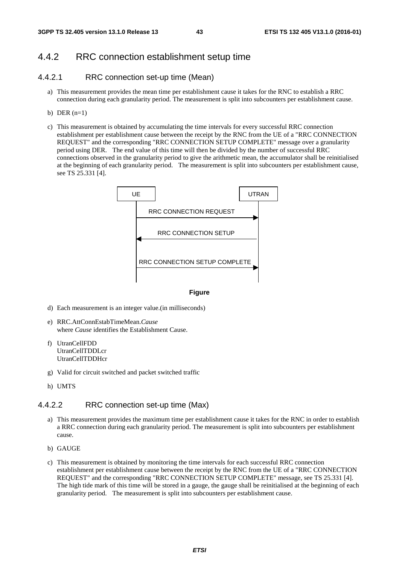### 4.4.2 RRC connection establishment setup time

#### 4.4.2.1 RRC connection set-up time (Mean)

- a) This measurement provides the mean time per establishment cause it takes for the RNC to establish a RRC connection during each granularity period. The measurement is split into subcounters per establishment cause.
- b) DER  $(n=1)$
- c) This measurement is obtained by accumulating the time intervals for every successful RRC connection establishment per establishment cause between the receipt by the RNC from the UE of a "RRC CONNECTION REQUEST" and the corresponding "RRC CONNECTION SETUP COMPLETE" message over a granularity period using DER. The end value of this time will then be divided by the number of successful RRC connections observed in the granularity period to give the arithmetic mean, the accumulator shall be reinitialised at the beginning of each granularity period. The measurement is split into subcounters per establishment cause, see TS 25.331 [4].



#### **Figure**

- d) Each measurement is an integer value.(in milliseconds)
- e) RRC.AttConnEstabTimeMean.*Cause* where *Cause* identifies the Establishment Cause.
- f) UtranCellFDD UtranCellTDDLcr UtranCellTDDHcr
- g) Valid for circuit switched and packet switched traffic
- h) UMTS

#### 4.4.2.2 RRC connection set-up time (Max)

- a) This measurement provides the maximum time per establishment cause it takes for the RNC in order to establish a RRC connection during each granularity period. The measurement is split into subcounters per establishment cause.
- b) GAUGE
- c) This measurement is obtained by monitoring the time intervals for each successful RRC connection establishment per establishment cause between the receipt by the RNC from the UE of a "RRC CONNECTION REQUEST" and the corresponding "RRC CONNECTION SETUP COMPLETE" message, see TS 25.331 [4]. The high tide mark of this time will be stored in a gauge, the gauge shall be reinitialised at the beginning of each granularity period. The measurement is split into subcounters per establishment cause.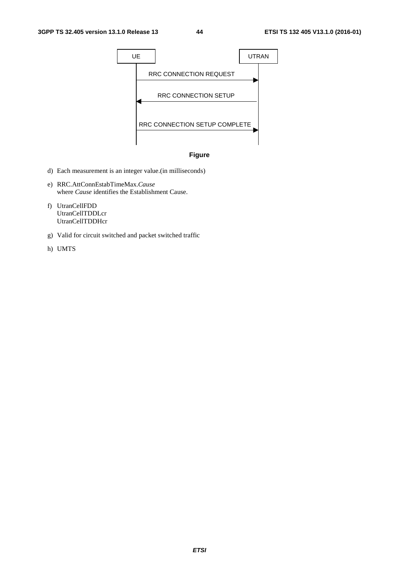



- d) Each measurement is an integer value.(in milliseconds)
- e) RRC.AttConnEstabTimeMax.*Cause* where *Cause* identifies the Establishment Cause.
- f) UtranCellFDD UtranCellTDDLcr UtranCellTDDHcr
- g) Valid for circuit switched and packet switched traffic
- h) UMTS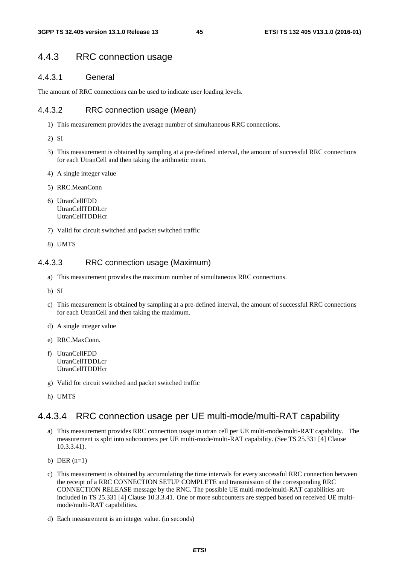### 4.4.3 RRC connection usage

#### 4.4.3.1 General

The amount of RRC connections can be used to indicate user loading levels.

#### 4.4.3.2 RRC connection usage (Mean)

- 1) This measurement provides the average number of simultaneous RRC connections.
- 2) SI
- 3) This measurement is obtained by sampling at a pre-defined interval, the amount of successful RRC connections for each UtranCell and then taking the arithmetic mean.
- 4) A single integer value
- 5) RRC.MeanConn
- 6) UtranCellFDD UtranCellTDDLcr UtranCellTDDHcr
- 7) Valid for circuit switched and packet switched traffic
- 8) UMTS

#### 4.4.3.3 RRC connection usage (Maximum)

- a) This measurement provides the maximum number of simultaneous RRC connections.
- b) SI
- c) This measurement is obtained by sampling at a pre-defined interval, the amount of successful RRC connections for each UtranCell and then taking the maximum.
- d) A single integer value
- e) RRC.MaxConn.
- f) UtranCellFDD UtranCellTDDLcr UtranCellTDDHcr
- g) Valid for circuit switched and packet switched traffic
- h) UMTS

## 4.4.3.4 RRC connection usage per UE multi-mode/multi-RAT capability

- a) This measurement provides RRC connection usage in utran cell per UE multi-mode/multi-RAT capability. The measurement is split into subcounters per UE multi-mode/multi-RAT capability. (See TS 25.331 [4] Clause 10.3.3.41).
- b) DER  $(n=1)$
- c) This measurement is obtained by accumulating the time intervals for every successful RRC connection between the receipt of a RRC CONNECTION SETUP COMPLETE and transmission of the corresponding RRC CONNECTION RELEASE message by the RNC. The possible UE multi-mode/multi-RAT capabilities are included in TS 25.331 [4] Clause 10.3.3.41. One or more subcounters are stepped based on received UE multimode/multi-RAT capabilities.
- d) Each measurement is an integer value. (in seconds)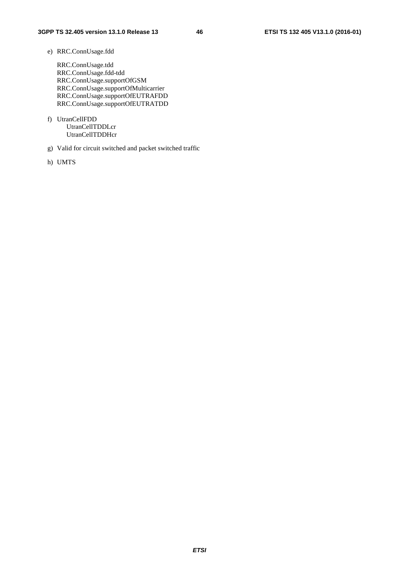#### e) RRC.ConnUsage.fdd

RRC.ConnUsage.tdd RRC.ConnUsage.fdd-tdd RRC.ConnUsage.supportOfGSM RRC.ConnUsage.supportOfMulticarrier RRC.ConnUsage.supportOfEUTRAFDD RRC.ConnUsage.supportOfEUTRATDD

- f) UtranCellFDD UtranCellTDDLcr UtranCellTDDHcr
- g) Valid for circuit switched and packet switched traffic
- h) UMTS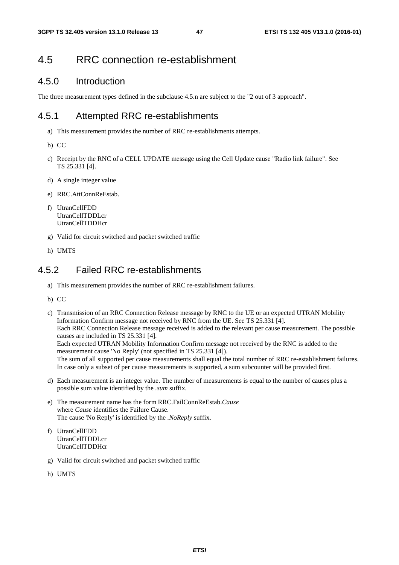# 4.5 RRC connection re-establishment

## 4.5.0 Introduction

The three measurement types defined in the subclause 4.5.n are subject to the "2 out of 3 approach".

## 4.5.1 Attempted RRC re-establishments

- a) This measurement provides the number of RRC re-establishments attempts.
- b) CC
- c) Receipt by the RNC of a CELL UPDATE message using the Cell Update cause "Radio link failure". See TS 25.331 [4].
- d) A single integer value
- e) RRC.AttConnReEstab.
- f) UtranCellFDD UtranCellTDDLcr UtranCellTDDHcr
- g) Valid for circuit switched and packet switched traffic
- h) UMTS

## 4.5.2 Failed RRC re-establishments

- a) This measurement provides the number of RRC re-establishment failures.
- b) CC

c) Transmission of an RRC Connection Release message by RNC to the UE or an expected UTRAN Mobility Information Confirm message not received by RNC from the UE. See TS 25.331 [4]. Each RRC Connection Release message received is added to the relevant per cause measurement. The possible causes are included in TS 25.331 [4]. Each expected UTRAN Mobility Information Confirm message not received by the RNC is added to the measurement cause 'No Reply' (not specified in TS 25.331 [4]). The sum of all supported per cause measurements shall equal the total number of RRC re-establishment failures. In case only a subset of per cause measurements is supported, a sum subcounter will be provided first.

- d) Each measurement is an integer value. The number of measurements is equal to the number of causes plus a possible sum value identified by the *.sum* suffix.
- e) The measurement name has the form RRC.FailConnReEstab.*Cause* where *Cause* identifies the Failure Cause. The cause 'No Reply' is identified by the *.NoReply* suffix.
- f) UtranCellFDD UtranCellTDDLcr UtranCellTDDHcr
- g) Valid for circuit switched and packet switched traffic
- h) UMTS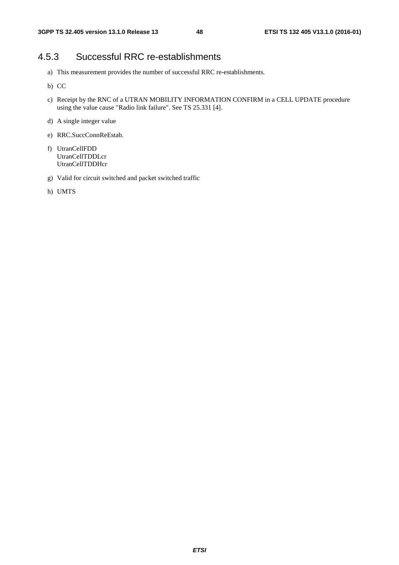# 4.5.3 Successful RRC re-establishments

- a) This measurement provides the number of successful RRC re-establishments.
- b) CC
- c) Receipt by the RNC of a UTRAN MOBILITY INFORMATION CONFIRM in a CELL UPDATE procedure using the value cause "Radio link failure". See TS 25.331 [4].
- d) A single integer value
- e) RRC.SuccConnReEstab.
- f) UtranCellFDD UtranCellTDDLcr UtranCellTDDHcr
- g) Valid for circuit switched and packet switched traffic
- h) UMTS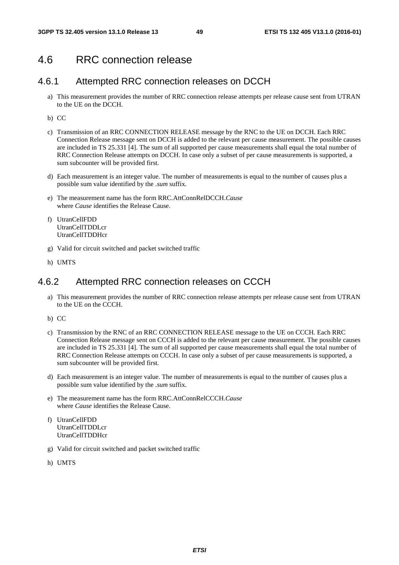## 4.6 RRC connection release

### 4.6.1 Attempted RRC connection releases on DCCH

- a) This measurement provides the number of RRC connection release attempts per release cause sent from UTRAN to the UE on the DCCH.
- b) CC
- c) Transmission of an RRC CONNECTION RELEASE message by the RNC to the UE on DCCH. Each RRC Connection Release message sent on DCCH is added to the relevant per cause measurement. The possible causes are included in TS 25.331 [4]. The sum of all supported per cause measurements shall equal the total number of RRC Connection Release attempts on DCCH. In case only a subset of per cause measurements is supported, a sum subcounter will be provided first.
- d) Each measurement is an integer value. The number of measurements is equal to the number of causes plus a possible sum value identified by the *.sum* suffix.
- e) The measurement name has the form RRC.AttConnRelDCCH.*Cause* where *Cause* identifies the Release Cause.
- f) UtranCellFDD UtranCellTDDLcr UtranCellTDDHcr
- g) Valid for circuit switched and packet switched traffic
- h) UMTS

## 4.6.2 Attempted RRC connection releases on CCCH

- a) This measurement provides the number of RRC connection release attempts per release cause sent from UTRAN to the UE on the CCCH.
- b) CC
- c) Transmission by the RNC of an RRC CONNECTION RELEASE message to the UE on CCCH. Each RRC Connection Release message sent on CCCH is added to the relevant per cause measurement. The possible causes are included in TS 25.331 [4]. The sum of all supported per cause measurements shall equal the total number of RRC Connection Release attempts on CCCH. In case only a subset of per cause measurements is supported, a sum subcounter will be provided first.
- d) Each measurement is an integer value. The number of measurements is equal to the number of causes plus a possible sum value identified by the *.sum* suffix.
- e) The measurement name has the form RRC.AttConnRelCCCH.*Cause* where *Cause* identifies the Release Cause.
- f) UtranCellFDD UtranCellTDDLcr UtranCellTDDHcr
- g) Valid for circuit switched and packet switched traffic
- h) UMTS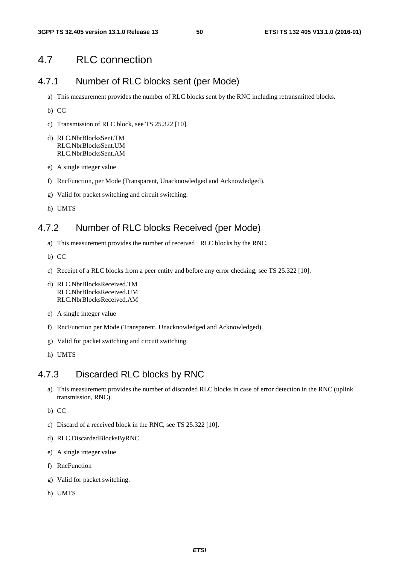## 4.7 RLC connection

## 4.7.1 Number of RLC blocks sent (per Mode)

- a) This measurement provides the number of RLC blocks sent by the RNC including retransmitted blocks.
- b) CC
- c) Transmission of RLC block, see TS 25.322 [10].
- d) RLC.NbrBlocksSent.TM RLC.NbrBlocksSent.UM RLC.NbrBlocksSent.AM
- e) A single integer value
- f) RncFunction, per Mode (Transparent, Unacknowledged and Acknowledged).
- g) Valid for packet switching and circuit switching.
- h) UMTS

### 4.7.2 Number of RLC blocks Received (per Mode)

- a) This measurement provides the number of received RLC blocks by the RNC.
- b) CC
- c) Receipt of a RLC blocks from a peer entity and before any error checking, see TS 25.322 [10].
- d) RLC.NbrBlocksReceived.TM RLC.NbrBlocksReceived.UM RLC.NbrBlocksReceived.AM
- e) A single integer value
- f) RncFunction per Mode (Transparent, Unacknowledged and Acknowledged).
- g) Valid for packet switching and circuit switching.
- h) UMTS

### 4.7.3 Discarded RLC blocks by RNC

- a) This measurement provides the number of discarded RLC blocks in case of error detection in the RNC (uplink transmission, RNC).
- b) CC
- c) Discard of a received block in the RNC, see TS 25.322 [10].
- d) RLC.DiscardedBlocksByRNC.
- e) A single integer value
- f) RncFunction
- g) Valid for packet switching.
- h) UMTS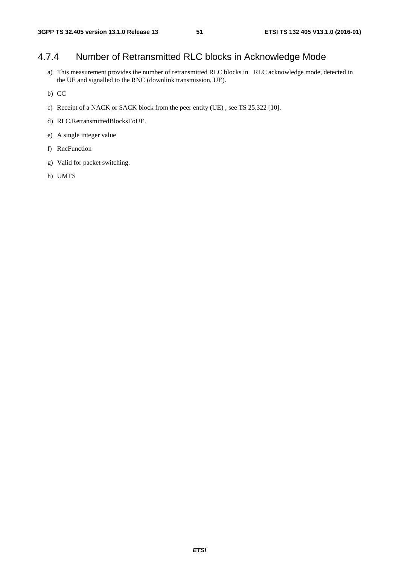# 4.7.4 Number of Retransmitted RLC blocks in Acknowledge Mode

- a) This measurement provides the number of retransmitted RLC blocks in RLC acknowledge mode, detected in the UE and signalled to the RNC (downlink transmission, UE).
- b) CC
- c) Receipt of a NACK or SACK block from the peer entity (UE) , see TS 25.322 [10].
- d) RLC.RetransmittedBlocksToUE.
- e) A single integer value
- f) RncFunction
- g) Valid for packet switching.
- h) UMTS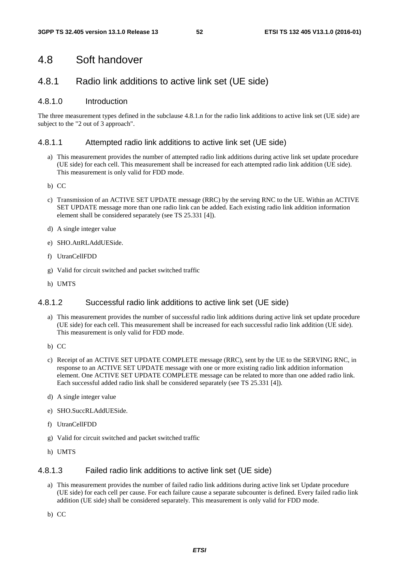## 4.8 Soft handover

## 4.8.1 Radio link additions to active link set (UE side)

#### 4.8.1.0 Introduction

The three measurement types defined in the subclause 4.8.1.n for the radio link additions to active link set (UE side) are subject to the "2 out of 3 approach".

#### 4.8.1.1 Attempted radio link additions to active link set (UE side)

- a) This measurement provides the number of attempted radio link additions during active link set update procedure (UE side) for each cell. This measurement shall be increased for each attempted radio link addition (UE side). This measurement is only valid for FDD mode.
- b) CC
- c) Transmission of an ACTIVE SET UPDATE message (RRC) by the serving RNC to the UE. Within an ACTIVE SET UPDATE message more than one radio link can be added. Each existing radio link addition information element shall be considered separately (see TS 25.331 [4]).
- d) A single integer value
- e) SHO.AttRLAddUESide.
- f) UtranCellFDD
- g) Valid for circuit switched and packet switched traffic
- h) UMTS

#### 4.8.1.2 Successful radio link additions to active link set (UE side)

- a) This measurement provides the number of successful radio link additions during active link set update procedure (UE side) for each cell. This measurement shall be increased for each successful radio link addition (UE side). This measurement is only valid for FDD mode.
- b) CC
- c) Receipt of an ACTIVE SET UPDATE COMPLETE message (RRC), sent by the UE to the SERVING RNC, in response to an ACTIVE SET UPDATE message with one or more existing radio link addition information element. One ACTIVE SET UPDATE COMPLETE message can be related to more than one added radio link. Each successful added radio link shall be considered separately (see TS 25.331 [4]).
- d) A single integer value
- e) SHO.SuccRLAddUESide.
- f) UtranCellFDD
- g) Valid for circuit switched and packet switched traffic
- h) UMTS

#### 4.8.1.3 Failed radio link additions to active link set (UE side)

- a) This measurement provides the number of failed radio link additions during active link set Update procedure (UE side) for each cell per cause. For each failure cause a separate subcounter is defined. Every failed radio link addition (UE side) shall be considered separately. This measurement is only valid for FDD mode.
- b) CC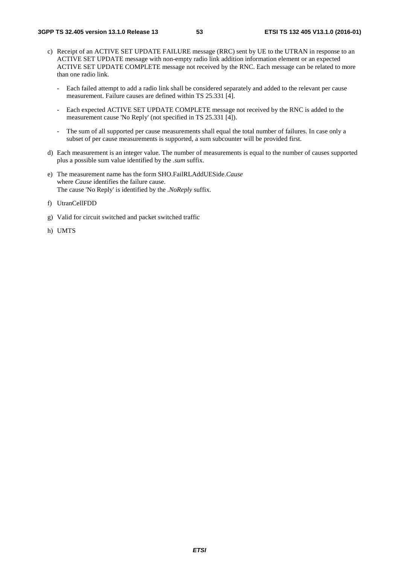- c) Receipt of an ACTIVE SET UPDATE FAILURE message (RRC) sent by UE to the UTRAN in response to an ACTIVE SET UPDATE message with non-empty radio link addition information element or an expected ACTIVE SET UPDATE COMPLETE message not received by the RNC. Each message can be related to more than one radio link.
	- Each failed attempt to add a radio link shall be considered separately and added to the relevant per cause measurement. Failure causes are defined within TS 25.331 [4].
	- Each expected ACTIVE SET UPDATE COMPLETE message not received by the RNC is added to the measurement cause 'No Reply' (not specified in TS 25.331 [4]).
	- The sum of all supported per cause measurements shall equal the total number of failures. In case only a subset of per cause measurements is supported, a sum subcounter will be provided first.
- d) Each measurement is an integer value. The number of measurements is equal to the number of causes supported plus a possible sum value identified by the *.sum* suffix.
- e) The measurement name has the form SHO.FailRLAddUESide.*Cause* where *Cause* identifies the failure cause. The cause 'No Reply' is identified by the *.NoReply* suffix.
- f) UtranCellFDD
- g) Valid for circuit switched and packet switched traffic
- h) UMTS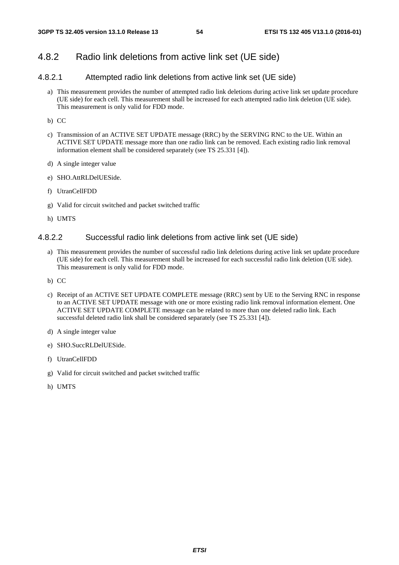## 4.8.2 Radio link deletions from active link set (UE side)

## 4.8.2.1 Attempted radio link deletions from active link set (UE side)

- a) This measurement provides the number of attempted radio link deletions during active link set update procedure (UE side) for each cell. This measurement shall be increased for each attempted radio link deletion (UE side). This measurement is only valid for FDD mode.
- b) CC
- c) Transmission of an ACTIVE SET UPDATE message (RRC) by the SERVING RNC to the UE. Within an ACTIVE SET UPDATE message more than one radio link can be removed. Each existing radio link removal information element shall be considered separately (see TS 25.331 [4]).
- d) A single integer value
- e) SHO.AttRLDelUESide.
- f) UtranCellFDD
- g) Valid for circuit switched and packet switched traffic
- h) UMTS

#### 4.8.2.2 Successful radio link deletions from active link set (UE side)

- a) This measurement provides the number of successful radio link deletions during active link set update procedure (UE side) for each cell. This measurement shall be increased for each successful radio link deletion (UE side). This measurement is only valid for FDD mode.
- b) CC
- c) Receipt of an ACTIVE SET UPDATE COMPLETE message (RRC) sent by UE to the Serving RNC in response to an ACTIVE SET UPDATE message with one or more existing radio link removal information element. One ACTIVE SET UPDATE COMPLETE message can be related to more than one deleted radio link. Each successful deleted radio link shall be considered separately (see TS 25.331 [4]).
- d) A single integer value
- e) SHO.SuccRLDelUESide.
- f) UtranCellFDD
- g) Valid for circuit switched and packet switched traffic
- h) UMTS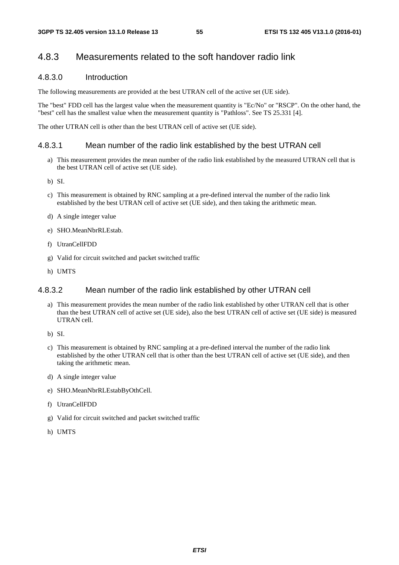## 4.8.3 Measurements related to the soft handover radio link

#### 4.8.3.0 Introduction

The following measurements are provided at the best UTRAN cell of the active set (UE side).

The "best" FDD cell has the largest value when the measurement quantity is "Ec/No" or "RSCP". On the other hand, the "best" cell has the smallest value when the measurement quantity is "Pathloss". See TS 25.331 [4].

The other UTRAN cell is other than the best UTRAN cell of active set (UE side).

#### 4.8.3.1 Mean number of the radio link established by the best UTRAN cell

- a) This measurement provides the mean number of the radio link established by the measured UTRAN cell that is the best UTRAN cell of active set (UE side).
- b) SI.
- c) This measurement is obtained by RNC sampling at a pre-defined interval the number of the radio link established by the best UTRAN cell of active set (UE side), and then taking the arithmetic mean.
- d) A single integer value
- e) SHO.MeanNbrRLEstab.
- f) UtranCellFDD
- g) Valid for circuit switched and packet switched traffic
- h) UMTS

#### 4.8.3.2 Mean number of the radio link established by other UTRAN cell

- a) This measurement provides the mean number of the radio link established by other UTRAN cell that is other than the best UTRAN cell of active set (UE side), also the best UTRAN cell of active set (UE side) is measured UTRAN cell.
- b) SI.
- c) This measurement is obtained by RNC sampling at a pre-defined interval the number of the radio link established by the other UTRAN cell that is other than the best UTRAN cell of active set (UE side), and then taking the arithmetic mean.
- d) A single integer value
- e) SHO.MeanNbrRLEstabByOthCell.
- f) UtranCellFDD
- g) Valid for circuit switched and packet switched traffic
- h) UMTS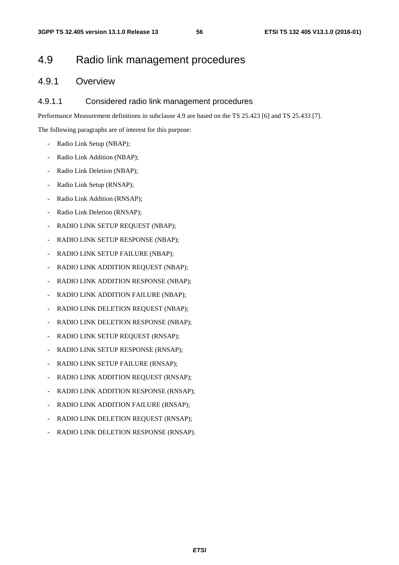# 4.9 Radio link management procedures

## 4.9.1 Overview

#### 4.9.1.1 Considered radio link management procedures

Performance Measurement definitions in subclause 4.9 are based on the TS 25.423 [6] and TS 25.433 [7].

The following paragraphs are of interest for this purpose:

- Radio Link Setup (NBAP);
- Radio Link Addition (NBAP);
- Radio Link Deletion (NBAP);
- Radio Link Setup (RNSAP);
- Radio Link Addition (RNSAP);
- Radio Link Deletion (RNSAP);
- RADIO LINK SETUP REQUEST (NBAP);
- RADIO LINK SETUP RESPONSE (NBAP);
- RADIO LINK SETUP FAILURE (NBAP);
- RADIO LINK ADDITION REQUEST (NBAP);
- RADIO LINK ADDITION RESPONSE (NBAP);
- RADIO LINK ADDITION FAILURE (NBAP);
- RADIO LINK DELETION REQUEST (NBAP);
- RADIO LINK DELETION RESPONSE (NBAP);
- RADIO LINK SETUP REQUEST (RNSAP);
- RADIO LINK SETUP RESPONSE (RNSAP);
- RADIO LINK SETUP FAILURE (RNSAP);
- RADIO LINK ADDITION REQUEST (RNSAP);
- RADIO LINK ADDITION RESPONSE (RNSAP);
- RADIO LINK ADDITION FAILURE (RNSAP);
- RADIO LINK DELETION REQUEST (RNSAP);
- RADIO LINK DELETION RESPONSE (RNSAP).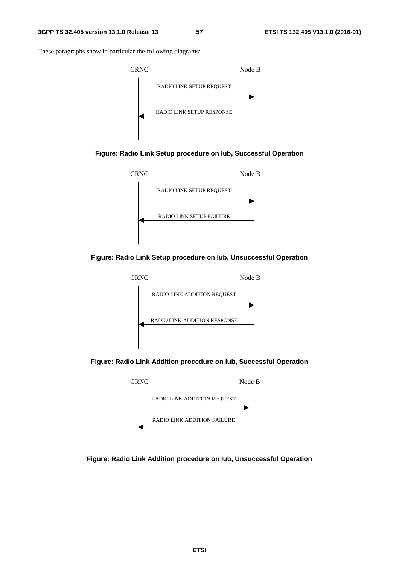These paragraphs show in particular the following diagrams:











**Figure: Radio Link Addition procedure on Iub, Successful Operation** 



**Figure: Radio Link Addition procedure on Iub, Unsuccessful Operation**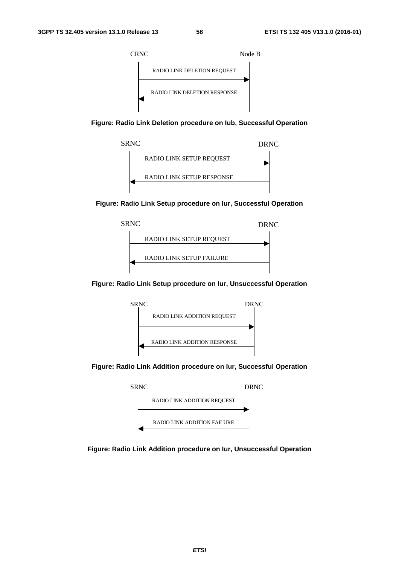

**Figure: Radio Link Deletion procedure on Iub, Successful Operation** 



**Figure: Radio Link Setup procedure on Iur, Successful Operation** 



**Figure: Radio Link Setup procedure on Iur, Unsuccessful Operation** 



**Figure: Radio Link Addition procedure on Iur, Successful Operation** 



**Figure: Radio Link Addition procedure on Iur, Unsuccessful Operation**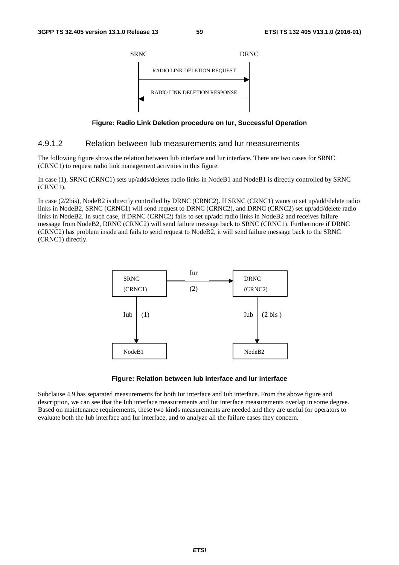

**Figure: Radio Link Deletion procedure on Iur, Successful Operation** 

#### 4.9.1.2 Relation between Iub measurements and Iur measurements

The following figure shows the relation between Iub interface and Iur interface. There are two cases for SRNC (CRNC1) to request radio link management activities in this figure.

In case (1), SRNC (CRNC1) sets up/adds/deletes radio links in NodeB1 and NodeB1 is directly controlled by SRNC (CRNC1).

In case (2/2bis), NodeB2 is directly controlled by DRNC (CRNC2). If SRNC (CRNC1) wants to set up/add/delete radio links in NodeB2, SRNC (CRNC1) will send request to DRNC (CRNC2), and DRNC (CRNC2) set up/add/delete radio links in NodeB2. In such case, if DRNC (CRNC2) fails to set up/add radio links in NodeB2 and receives failure message from NodeB2, DRNC (CRNC2) will send failure message back to SRNC (CRNC1). Furthermore if DRNC (CRNC2) has problem inside and fails to send request to NodeB2, it will send failure message back to the SRNC (CRNC1) directly.



#### **Figure: Relation between Iub interface and Iur interface**

Subclause 4.9 has separated measurements for both Iur interface and Iub interface. From the above figure and description, we can see that the Iub interface measurements and Iur interface measurements overlap in some degree. Based on maintenance requirements, these two kinds measurements are needed and they are useful for operators to evaluate both the Iub interface and Iur interface, and to analyze all the failure cases they concern.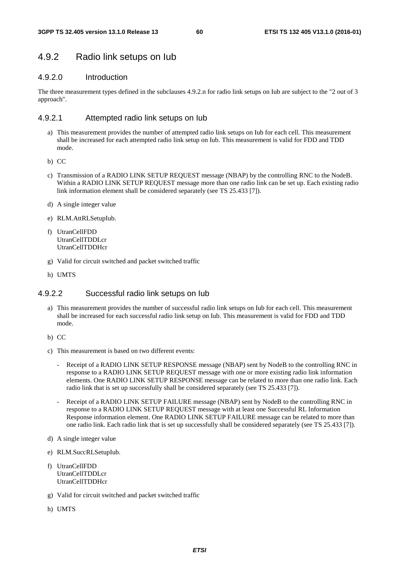## 4.9.2 Radio link setups on Iub

#### 4.9.2.0 Introduction

The three measurement types defined in the subclauses 4.9.2.n for radio link setups on Iub are subject to the "2 out of 3 approach".

#### 4.9.2.1 Attempted radio link setups on Iub

- a) This measurement provides the number of attempted radio link setups on Iub for each cell. This measurement shall be increased for each attempted radio link setup on Iub. This measurement is valid for FDD and TDD mode.
- b) CC
- c) Transmission of a RADIO LINK SETUP REQUEST message (NBAP) by the controlling RNC to the NodeB. Within a RADIO LINK SETUP REQUEST message more than one radio link can be set up. Each existing radio link information element shall be considered separately (see TS 25.433 [7]).
- d) A single integer value
- e) RLM.AttRLSetupIub.
- f) UtranCellFDD UtranCellTDDLcr UtranCellTDDHcr
- g) Valid for circuit switched and packet switched traffic
- h) UMTS

### 4.9.2.2 Successful radio link setups on Iub

- a) This measurement provides the number of successful radio link setups on Iub for each cell. This measurement shall be increased for each successful radio link setup on Iub. This measurement is valid for FDD and TDD mode.
- b) CC
- c) This measurement is based on two different events:
	- Receipt of a RADIO LINK SETUP RESPONSE message (NBAP) sent by NodeB to the controlling RNC in response to a RADIO LINK SETUP REQUEST message with one or more existing radio link information elements. One RADIO LINK SETUP RESPONSE message can be related to more than one radio link. Each radio link that is set up successfully shall be considered separately (see TS 25.433 [7]).
	- Receipt of a RADIO LINK SETUP FAILURE message (NBAP) sent by NodeB to the controlling RNC in response to a RADIO LINK SETUP REQUEST message with at least one Successful RL Information Response information element. One RADIO LINK SETUP FAILURE message can be related to more than one radio link. Each radio link that is set up successfully shall be considered separately (see TS 25.433 [7]).
- d) A single integer value
- e) RLM.SuccRLSetupIub.
- f) UtranCellFDD UtranCellTDDLcr UtranCellTDDHcr
- g) Valid for circuit switched and packet switched traffic
- h) UMTS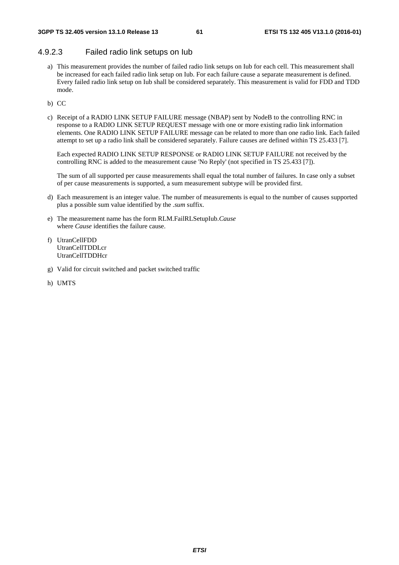#### 4.9.2.3 Failed radio link setups on Iub

- a) This measurement provides the number of failed radio link setups on Iub for each cell. This measurement shall be increased for each failed radio link setup on Iub. For each failure cause a separate measurement is defined. Every failed radio link setup on Iub shall be considered separately. This measurement is valid for FDD and TDD mode.
- b) CC
- c) Receipt of a RADIO LINK SETUP FAILURE message (NBAP) sent by NodeB to the controlling RNC in response to a RADIO LINK SETUP REQUEST message with one or more existing radio link information elements. One RADIO LINK SETUP FAILURE message can be related to more than one radio link. Each failed attempt to set up a radio link shall be considered separately. Failure causes are defined within TS 25.433 [7].

Each expected RADIO LINK SETUP RESPONSE or RADIO LINK SETUP FAILURE not received by the controlling RNC is added to the measurement cause 'No Reply' (not specified in TS 25.433 [7]).

The sum of all supported per cause measurements shall equal the total number of failures. In case only a subset of per cause measurements is supported, a sum measurement subtype will be provided first.

- d) Each measurement is an integer value. The number of measurements is equal to the number of causes supported plus a possible sum value identified by the *.sum* suffix.
- e) The measurement name has the form RLM.FailRLSetupIub.*Cause* where *Cause* identifies the failure cause.
- f) UtranCellFDD UtranCellTDDLcr UtranCellTDDHcr
- g) Valid for circuit switched and packet switched traffic
- h) UMTS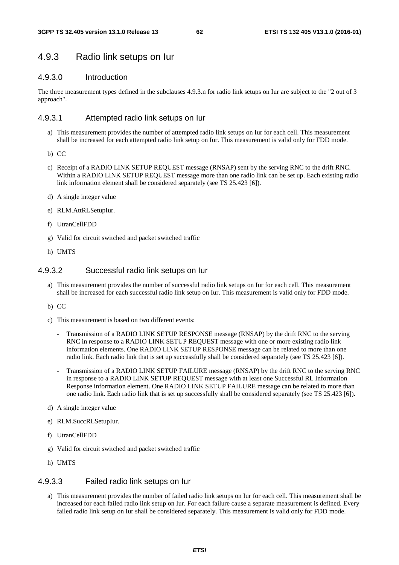### 4.9.3 Radio link setups on Iur

#### 4.9.3.0 Introduction

The three measurement types defined in the subclauses 4.9.3.n for radio link setups on Iur are subject to the "2 out of 3 approach".

#### 4.9.3.1 Attempted radio link setups on Iur

- a) This measurement provides the number of attempted radio link setups on Iur for each cell. This measurement shall be increased for each attempted radio link setup on Iur. This measurement is valid only for FDD mode.
- b) CC
- c) Receipt of a RADIO LINK SETUP REQUEST message (RNSAP) sent by the serving RNC to the drift RNC. Within a RADIO LINK SETUP REQUEST message more than one radio link can be set up. Each existing radio link information element shall be considered separately (see TS 25.423 [6]).
- d) A single integer value
- e) RLM.AttRLSetupIur.
- f) UtranCellFDD
- g) Valid for circuit switched and packet switched traffic
- h) UMTS

#### 4.9.3.2 Successful radio link setups on Iur

- a) This measurement provides the number of successful radio link setups on Iur for each cell. This measurement shall be increased for each successful radio link setup on Iur. This measurement is valid only for FDD mode.
- b) CC
- c) This measurement is based on two different events:
	- Transmission of a RADIO LINK SETUP RESPONSE message (RNSAP) by the drift RNC to the serving RNC in response to a RADIO LINK SETUP REQUEST message with one or more existing radio link information elements. One RADIO LINK SETUP RESPONSE message can be related to more than one radio link. Each radio link that is set up successfully shall be considered separately (see TS 25.423 [6]).
	- Transmission of a RADIO LINK SETUP FAILURE message (RNSAP) by the drift RNC to the serving RNC in response to a RADIO LINK SETUP REQUEST message with at least one Successful RL Information Response information element. One RADIO LINK SETUP FAILURE message can be related to more than one radio link. Each radio link that is set up successfully shall be considered separately (see TS 25.423 [6]).
- d) A single integer value
- e) RLM.SuccRLSetupIur.
- f) UtranCellFDD
- g) Valid for circuit switched and packet switched traffic
- h) UMTS

#### 4.9.3.3 Failed radio link setups on Iur

a) This measurement provides the number of failed radio link setups on Iur for each cell. This measurement shall be increased for each failed radio link setup on Iur. For each failure cause a separate measurement is defined. Every failed radio link setup on Iur shall be considered separately. This measurement is valid only for FDD mode.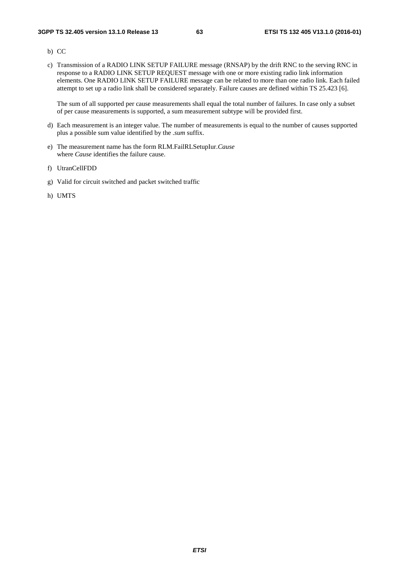- b) CC
- c) Transmission of a RADIO LINK SETUP FAILURE message (RNSAP) by the drift RNC to the serving RNC in response to a RADIO LINK SETUP REQUEST message with one or more existing radio link information elements. One RADIO LINK SETUP FAILURE message can be related to more than one radio link. Each failed attempt to set up a radio link shall be considered separately. Failure causes are defined within TS 25.423 [6].

The sum of all supported per cause measurements shall equal the total number of failures. In case only a subset of per cause measurements is supported, a sum measurement subtype will be provided first.

- d) Each measurement is an integer value. The number of measurements is equal to the number of causes supported plus a possible sum value identified by the *.sum* suffix.
- e) The measurement name has the form RLM.FailRLSetupIur.*Cause* where *Cause* identifies the failure cause.
- f) UtranCellFDD
- g) Valid for circuit switched and packet switched traffic
- h) UMTS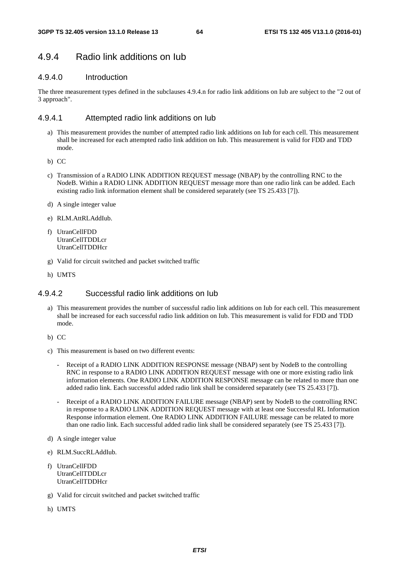## 4.9.4 Radio link additions on Iub

#### 4.9.4.0 Introduction

The three measurement types defined in the subclauses 4.9.4.n for radio link additions on Iub are subject to the "2 out of 3 approach".

#### 4.9.4.1 Attempted radio link additions on Iub

- a) This measurement provides the number of attempted radio link additions on Iub for each cell. This measurement shall be increased for each attempted radio link addition on Iub. This measurement is valid for FDD and TDD mode.
- b) CC
- c) Transmission of a RADIO LINK ADDITION REQUEST message (NBAP) by the controlling RNC to the NodeB. Within a RADIO LINK ADDITION REQUEST message more than one radio link can be added. Each existing radio link information element shall be considered separately (see TS 25.433 [7]).
- d) A single integer value
- e) RLM.AttRLAddIub.
- f) UtranCellFDD UtranCellTDDLcr UtranCellTDDHcr
- g) Valid for circuit switched and packet switched traffic
- h) UMTS

#### 4.9.4.2 Successful radio link additions on Iub

- a) This measurement provides the number of successful radio link additions on Iub for each cell. This measurement shall be increased for each successful radio link addition on Iub. This measurement is valid for FDD and TDD mode.
- b) CC
- c) This measurement is based on two different events:
	- Receipt of a RADIO LINK ADDITION RESPONSE message (NBAP) sent by NodeB to the controlling RNC in response to a RADIO LINK ADDITION REQUEST message with one or more existing radio link information elements. One RADIO LINK ADDITION RESPONSE message can be related to more than one added radio link. Each successful added radio link shall be considered separately (see TS 25.433 [7]).
	- Receipt of a RADIO LINK ADDITION FAILURE message (NBAP) sent by NodeB to the controlling RNC in response to a RADIO LINK ADDITION REQUEST message with at least one Successful RL Information Response information element. One RADIO LINK ADDITION FAILURE message can be related to more than one radio link. Each successful added radio link shall be considered separately (see TS 25.433 [7]).
- d) A single integer value
- e) RLM.SuccRLAddIub.
- f) UtranCellFDD UtranCellTDDLcr UtranCellTDDHcr
- g) Valid for circuit switched and packet switched traffic
- h) UMTS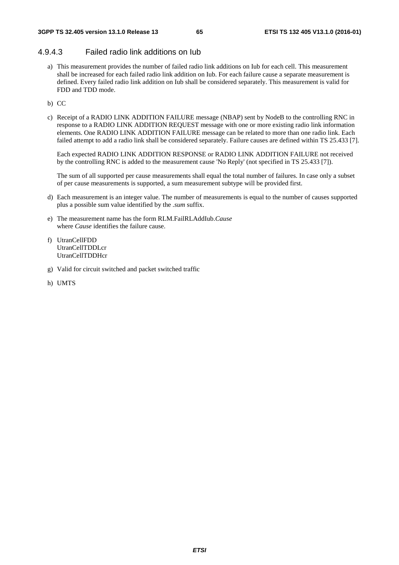#### 4.9.4.3 Failed radio link additions on Iub

- a) This measurement provides the number of failed radio link additions on Iub for each cell. This measurement shall be increased for each failed radio link addition on Iub. For each failure cause a separate measurement is defined. Every failed radio link addition on Iub shall be considered separately. This measurement is valid for FDD and TDD mode.
- b) CC
- c) Receipt of a RADIO LINK ADDITION FAILURE message (NBAP) sent by NodeB to the controlling RNC in response to a RADIO LINK ADDITION REQUEST message with one or more existing radio link information elements. One RADIO LINK ADDITION FAILURE message can be related to more than one radio link. Each failed attempt to add a radio link shall be considered separately. Failure causes are defined within TS 25.433 [7].

Each expected RADIO LINK ADDITION RESPONSE or RADIO LINK ADDITION FAILURE not received by the controlling RNC is added to the measurement cause 'No Reply' (not specified in TS 25.433 [7]).

The sum of all supported per cause measurements shall equal the total number of failures. In case only a subset of per cause measurements is supported, a sum measurement subtype will be provided first.

- d) Each measurement is an integer value. The number of measurements is equal to the number of causes supported plus a possible sum value identified by the *.sum* suffix.
- e) The measurement name has the form RLM.FailRLAddIub.*Cause* where *Cause* identifies the failure cause.
- f) UtranCellFDD UtranCellTDDLcr UtranCellTDDHcr
- g) Valid for circuit switched and packet switched traffic
- h) UMTS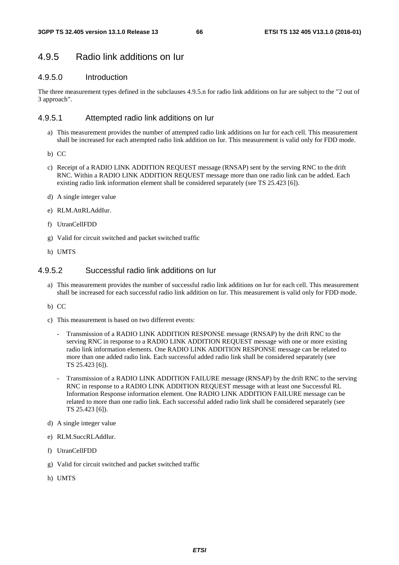## 4.9.5 Radio link additions on Iur

### 4.9.5.0 Introduction

The three measurement types defined in the subclauses 4.9.5.n for radio link additions on Iur are subject to the "2 out of 3 approach".

#### 4.9.5.1 Attempted radio link additions on Iur

- a) This measurement provides the number of attempted radio link additions on Iur for each cell. This measurement shall be increased for each attempted radio link addition on Iur. This measurement is valid only for FDD mode.
- b) CC
- c) Receipt of a RADIO LINK ADDITION REQUEST message (RNSAP) sent by the serving RNC to the drift RNC. Within a RADIO LINK ADDITION REQUEST message more than one radio link can be added. Each existing radio link information element shall be considered separately (see TS 25.423 [6]).
- d) A single integer value
- e) RLM.AttRLAddIur.
- f) UtranCellFDD
- g) Valid for circuit switched and packet switched traffic
- h) UMTS

#### 4.9.5.2 Successful radio link additions on Iur

- a) This measurement provides the number of successful radio link additions on Iur for each cell. This measurement shall be increased for each successful radio link addition on Iur. This measurement is valid only for FDD mode.
- b) CC
- c) This measurement is based on two different events:
	- Transmission of a RADIO LINK ADDITION RESPONSE message (RNSAP) by the drift RNC to the serving RNC in response to a RADIO LINK ADDITION REQUEST message with one or more existing radio link information elements. One RADIO LINK ADDITION RESPONSE message can be related to more than one added radio link. Each successful added radio link shall be considered separately (see TS 25.423 [6]).
	- Transmission of a RADIO LINK ADDITION FAILURE message (RNSAP) by the drift RNC to the serving RNC in response to a RADIO LINK ADDITION REQUEST message with at least one Successful RL Information Response information element. One RADIO LINK ADDITION FAILURE message can be related to more than one radio link. Each successful added radio link shall be considered separately (see TS 25.423 [6]).
- d) A single integer value
- e) RLM.SuccRLAddIur.
- f) UtranCellFDD
- g) Valid for circuit switched and packet switched traffic
- h) UMTS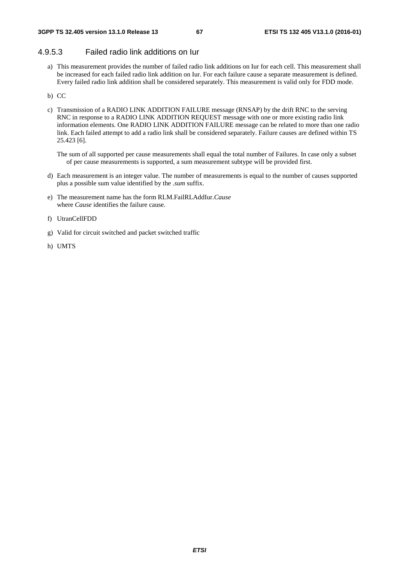#### 4.9.5.3 Failed radio link additions on Iur

- a) This measurement provides the number of failed radio link additions on Iur for each cell. This measurement shall be increased for each failed radio link addition on Iur. For each failure cause a separate measurement is defined. Every failed radio link addition shall be considered separately. This measurement is valid only for FDD mode.
- b) CC
- c) Transmission of a RADIO LINK ADDITION FAILURE message (RNSAP) by the drift RNC to the serving RNC in response to a RADIO LINK ADDITION REQUEST message with one or more existing radio link information elements. One RADIO LINK ADDITION FAILURE message can be related to more than one radio link. Each failed attempt to add a radio link shall be considered separately. Failure causes are defined within TS 25.423 [6].

The sum of all supported per cause measurements shall equal the total number of Failures. In case only a subset of per cause measurements is supported, a sum measurement subtype will be provided first.

- d) Each measurement is an integer value. The number of measurements is equal to the number of causes supported plus a possible sum value identified by the *.sum* suffix.
- e) The measurement name has the form RLM.FailRLAddIur.*Cause* where *Cause* identifies the failure cause.
- f) UtranCellFDD
- g) Valid for circuit switched and packet switched traffic
- h) UMTS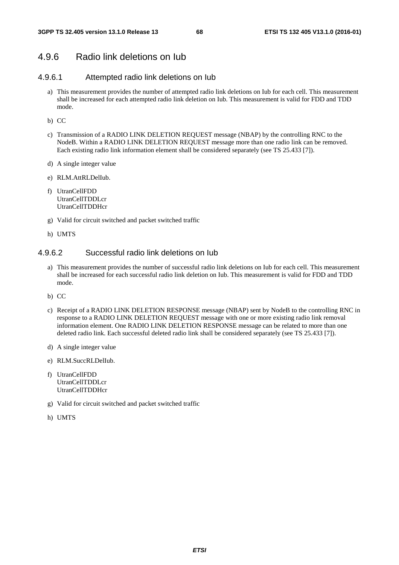## 4.9.6 Radio link deletions on Iub

#### 4.9.6.1 Attempted radio link deletions on Iub

- a) This measurement provides the number of attempted radio link deletions on Iub for each cell. This measurement shall be increased for each attempted radio link deletion on Iub. This measurement is valid for FDD and TDD mode.
- b) CC
- c) Transmission of a RADIO LINK DELETION REQUEST message (NBAP) by the controlling RNC to the NodeB. Within a RADIO LINK DELETION REQUEST message more than one radio link can be removed. Each existing radio link information element shall be considered separately (see TS 25.433 [7]).
- d) A single integer value
- e) RLM.AttRLDelIub.
- f) UtranCellFDD UtranCellTDDLcr UtranCellTDDHcr
- g) Valid for circuit switched and packet switched traffic
- h) UMTS

#### 4.9.6.2 Successful radio link deletions on Iub

- a) This measurement provides the number of successful radio link deletions on Iub for each cell. This measurement shall be increased for each successful radio link deletion on Iub. This measurement is valid for FDD and TDD mode.
- b) CC
- c) Receipt of a RADIO LINK DELETION RESPONSE message (NBAP) sent by NodeB to the controlling RNC in response to a RADIO LINK DELETION REQUEST message with one or more existing radio link removal information element. One RADIO LINK DELETION RESPONSE message can be related to more than one deleted radio link. Each successful deleted radio link shall be considered separately (see TS 25.433 [7]).
- d) A single integer value
- e) RLM.SuccRLDelIub.
- f) UtranCellFDD UtranCellTDDLcr **UtranCellTDDHcr**
- g) Valid for circuit switched and packet switched traffic
- h) UMTS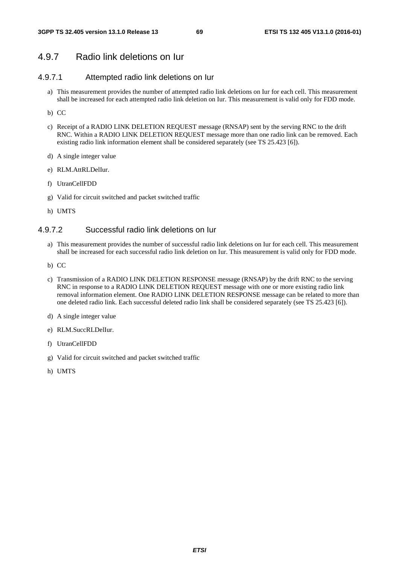## 4.9.7 Radio link deletions on Iur

#### 4.9.7.1 Attempted radio link deletions on Iur

- a) This measurement provides the number of attempted radio link deletions on Iur for each cell. This measurement shall be increased for each attempted radio link deletion on Iur. This measurement is valid only for FDD mode.
- b) CC
- c) Receipt of a RADIO LINK DELETION REQUEST message (RNSAP) sent by the serving RNC to the drift RNC. Within a RADIO LINK DELETION REQUEST message more than one radio link can be removed. Each existing radio link information element shall be considered separately (see TS 25.423 [6]).
- d) A single integer value
- e) RLM.AttRLDelIur.
- f) UtranCellFDD
- g) Valid for circuit switched and packet switched traffic
- h) UMTS

#### 4.9.7.2 Successful radio link deletions on Iur

- a) This measurement provides the number of successful radio link deletions on Iur for each cell. This measurement shall be increased for each successful radio link deletion on Iur. This measurement is valid only for FDD mode.
- b) CC
- c) Transmission of a RADIO LINK DELETION RESPONSE message (RNSAP) by the drift RNC to the serving RNC in response to a RADIO LINK DELETION REQUEST message with one or more existing radio link removal information element. One RADIO LINK DELETION RESPONSE message can be related to more than one deleted radio link. Each successful deleted radio link shall be considered separately (see TS 25.423 [6]).
- d) A single integer value
- e) RLM.SuccRLDelIur.
- f) UtranCellFDD
- g) Valid for circuit switched and packet switched traffic
- h) UMTS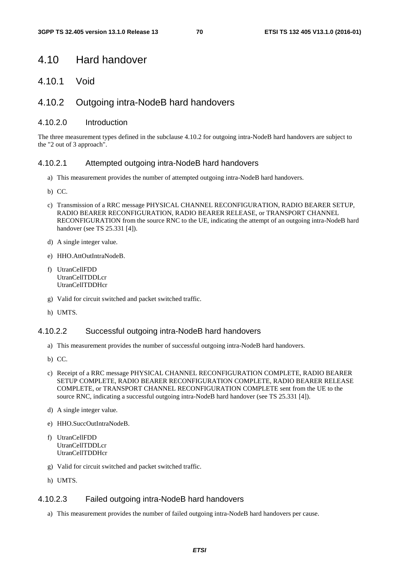## 4.10 Hard handover

4.10.1 Void

### 4.10.2 Outgoing intra-NodeB hard handovers

#### 4.10.2.0 Introduction

The three measurement types defined in the subclause 4.10.2 for outgoing intra-NodeB hard handovers are subject to the "2 out of 3 approach".

#### 4.10.2.1 Attempted outgoing intra-NodeB hard handovers

- a) This measurement provides the number of attempted outgoing intra-NodeB hard handovers.
- b) CC.
- c) Transmission of a RRC message PHYSICAL CHANNEL RECONFIGURATION, RADIO BEARER SETUP, RADIO BEARER RECONFIGURATION, RADIO BEARER RELEASE, or TRANSPORT CHANNEL RECONFIGURATION from the source RNC to the UE, indicating the attempt of an outgoing intra-NodeB hard handover (see TS 25.331 [4]).
- d) A single integer value.
- e) HHO.AttOutIntraNodeB.
- f) UtranCellFDD UtranCellTDDLcr UtranCellTDDHcr
- g) Valid for circuit switched and packet switched traffic.
- h) UMTS.

#### 4.10.2.2 Successful outgoing intra-NodeB hard handovers

- a) This measurement provides the number of successful outgoing intra-NodeB hard handovers.
- b) CC.
- c) Receipt of a RRC message PHYSICAL CHANNEL RECONFIGURATION COMPLETE, RADIO BEARER SETUP COMPLETE, RADIO BEARER RECONFIGURATION COMPLETE, RADIO BEARER RELEASE COMPLETE, or TRANSPORT CHANNEL RECONFIGURATION COMPLETE sent from the UE to the source RNC, indicating a successful outgoing intra-NodeB hard handover (see TS 25.331 [4]).
- d) A single integer value.
- e) HHO.SuccOutIntraNodeB.
- f) UtranCellFDD UtranCellTDDLcr UtranCellTDDHcr
- g) Valid for circuit switched and packet switched traffic.
- h) UMTS.

#### 4.10.2.3 Failed outgoing intra-NodeB hard handovers

a) This measurement provides the number of failed outgoing intra-NodeB hard handovers per cause.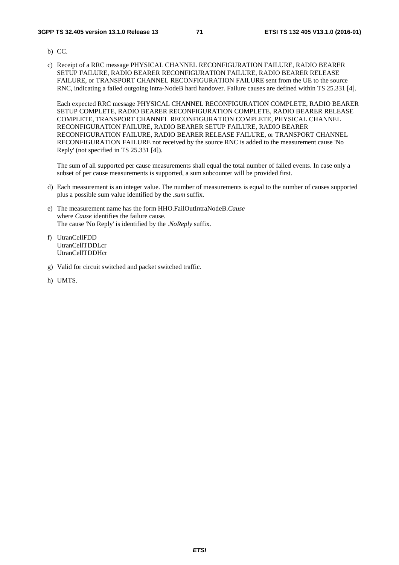- b) CC.
- c) Receipt of a RRC message PHYSICAL CHANNEL RECONFIGURATION FAILURE, RADIO BEARER SETUP FAILURE, RADIO BEARER RECONFIGURATION FAILURE, RADIO BEARER RELEASE FAILURE, or TRANSPORT CHANNEL RECONFIGURATION FAILURE sent from the UE to the source RNC, indicating a failed outgoing intra-NodeB hard handover. Failure causes are defined within TS 25.331 [4].

Each expected RRC message PHYSICAL CHANNEL RECONFIGURATION COMPLETE, RADIO BEARER SETUP COMPLETE, RADIO BEARER RECONFIGURATION COMPLETE, RADIO BEARER RELEASE COMPLETE, TRANSPORT CHANNEL RECONFIGURATION COMPLETE, PHYSICAL CHANNEL RECONFIGURATION FAILURE, RADIO BEARER SETUP FAILURE, RADIO BEARER RECONFIGURATION FAILURE, RADIO BEARER RELEASE FAILURE, or TRANSPORT CHANNEL RECONFIGURATION FAILURE not received by the source RNC is added to the measurement cause 'No Reply' (not specified in TS 25.331 [4]).

The sum of all supported per cause measurements shall equal the total number of failed events. In case only a subset of per cause measurements is supported, a sum subcounter will be provided first.

- d) Each measurement is an integer value. The number of measurements is equal to the number of causes supported plus a possible sum value identified by the *.sum* suffix.
- e) The measurement name has the form HHO.FailOutIntraNodeB.*Cause* where *Cause* identifies the failure cause. The cause 'No Reply' is identified by the .*NoReply* suffix.
- f) UtranCellFDD UtranCellTDDLcr UtranCellTDDHcr
- g) Valid for circuit switched and packet switched traffic.
- h) UMTS.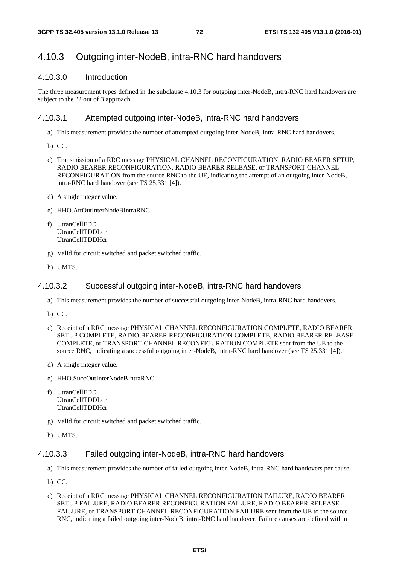# 4.10.3 Outgoing inter-NodeB, intra-RNC hard handovers

### 4.10.3.0 Introduction

The three measurement types defined in the subclause 4.10.3 for outgoing inter-NodeB, intra-RNC hard handovers are subject to the "2 out of 3 approach".

## 4.10.3.1 Attempted outgoing inter-NodeB, intra-RNC hard handovers

- a) This measurement provides the number of attempted outgoing inter-NodeB, intra-RNC hard handovers.
- b) CC.
- c) Transmission of a RRC message PHYSICAL CHANNEL RECONFIGURATION, RADIO BEARER SETUP, RADIO BEARER RECONFIGURATION, RADIO BEARER RELEASE, or TRANSPORT CHANNEL RECONFIGURATION from the source RNC to the UE, indicating the attempt of an outgoing inter-NodeB, intra-RNC hard handover (see TS 25.331 [4]).
- d) A single integer value.
- e) HHO.AttOutInterNodeBIntraRNC.
- f) UtranCellFDD UtranCellTDDLcr UtranCellTDDHcr
- g) Valid for circuit switched and packet switched traffic.
- h) UMTS.

## 4.10.3.2 Successful outgoing inter-NodeB, intra-RNC hard handovers

- a) This measurement provides the number of successful outgoing inter-NodeB, intra-RNC hard handovers.
- b) CC.
- c) Receipt of a RRC message PHYSICAL CHANNEL RECONFIGURATION COMPLETE, RADIO BEARER SETUP COMPLETE, RADIO BEARER RECONFIGURATION COMPLETE, RADIO BEARER RELEASE COMPLETE, or TRANSPORT CHANNEL RECONFIGURATION COMPLETE sent from the UE to the source RNC, indicating a successful outgoing inter-NodeB, intra-RNC hard handover (see TS 25.331 [4]).
- d) A single integer value.
- e) HHO.SuccOutInterNodeBIntraRNC.
- f) UtranCellFDD UtranCellTDDLcr UtranCellTDDHcr
- g) Valid for circuit switched and packet switched traffic.
- h) UMTS.

### 4.10.3.3 Failed outgoing inter-NodeB, intra-RNC hard handovers

- a) This measurement provides the number of failed outgoing inter-NodeB, intra-RNC hard handovers per cause.
- b) CC.
- c) Receipt of a RRC message PHYSICAL CHANNEL RECONFIGURATION FAILURE, RADIO BEARER SETUP FAILURE, RADIO BEARER RECONFIGURATION FAILURE, RADIO BEARER RELEASE FAILURE, or TRANSPORT CHANNEL RECONFIGURATION FAILURE sent from the UE to the source RNC, indicating a failed outgoing inter-NodeB, intra-RNC hard handover. Failure causes are defined within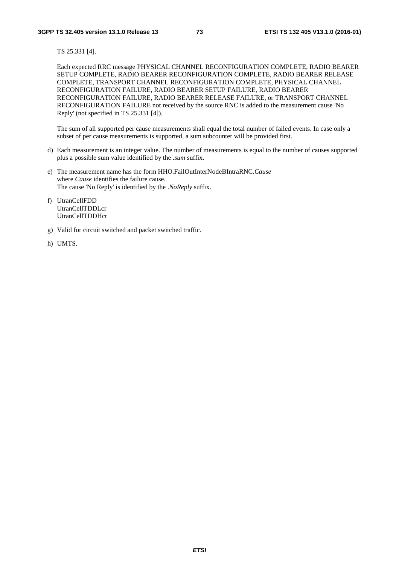TS 25.331 [4].

Each expected RRC message PHYSICAL CHANNEL RECONFIGURATION COMPLETE, RADIO BEARER SETUP COMPLETE, RADIO BEARER RECONFIGURATION COMPLETE, RADIO BEARER RELEASE COMPLETE, TRANSPORT CHANNEL RECONFIGURATION COMPLETE, PHYSICAL CHANNEL RECONFIGURATION FAILURE, RADIO BEARER SETUP FAILURE, RADIO BEARER RECONFIGURATION FAILURE, RADIO BEARER RELEASE FAILURE, or TRANSPORT CHANNEL RECONFIGURATION FAILURE not received by the source RNC is added to the measurement cause 'No Reply' (not specified in TS 25.331 [4]).

- d) Each measurement is an integer value. The number of measurements is equal to the number of causes supported plus a possible sum value identified by the *.sum* suffix.
- e) The measurement name has the form HHO.FailOutInterNodeBIntraRNC.*Cause* where *Cause* identifies the failure cause. The cause 'No Reply' is identified by the .*NoReply* suffix.
- f) UtranCellFDD UtranCellTDDLcr UtranCellTDDHcr
- g) Valid for circuit switched and packet switched traffic.
- h) UMTS.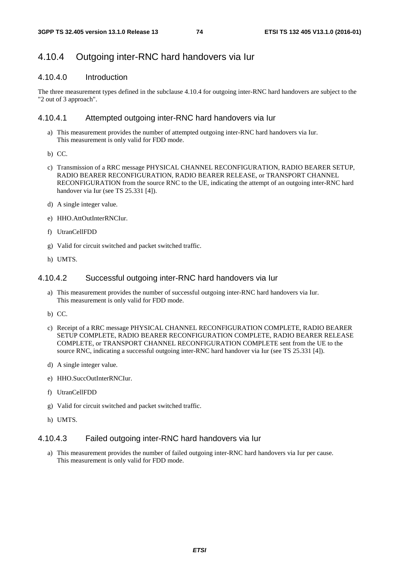## 4.10.4 Outgoing inter-RNC hard handovers via Iur

## 4.10.4.0 Introduction

The three measurement types defined in the subclause 4.10.4 for outgoing inter-RNC hard handovers are subject to the "2 out of 3 approach".

### 4.10.4.1 Attempted outgoing inter-RNC hard handovers via Iur

- a) This measurement provides the number of attempted outgoing inter-RNC hard handovers via Iur. This measurement is only valid for FDD mode.
- b) CC.
- c) Transmission of a RRC message PHYSICAL CHANNEL RECONFIGURATION, RADIO BEARER SETUP, RADIO BEARER RECONFIGURATION, RADIO BEARER RELEASE, or TRANSPORT CHANNEL RECONFIGURATION from the source RNC to the UE, indicating the attempt of an outgoing inter-RNC hard handover via Iur (see TS 25.331 [4]).
- d) A single integer value.
- e) HHO.AttOutInterRNCIur.
- f) UtranCellFDD
- g) Valid for circuit switched and packet switched traffic.
- h) UMTS.

### 4.10.4.2 Successful outgoing inter-RNC hard handovers via Iur

- a) This measurement provides the number of successful outgoing inter-RNC hard handovers via Iur. This measurement is only valid for FDD mode.
- b) CC.
- c) Receipt of a RRC message PHYSICAL CHANNEL RECONFIGURATION COMPLETE, RADIO BEARER SETUP COMPLETE, RADIO BEARER RECONFIGURATION COMPLETE, RADIO BEARER RELEASE COMPLETE, or TRANSPORT CHANNEL RECONFIGURATION COMPLETE sent from the UE to the source RNC, indicating a successful outgoing inter-RNC hard handover via Iur (see TS 25.331 [4]).
- d) A single integer value.
- e) HHO.SuccOutInterRNCIur.
- f) UtranCellFDD
- g) Valid for circuit switched and packet switched traffic.
- h) UMTS.

### 4.10.4.3 Failed outgoing inter-RNC hard handovers via Iur

a) This measurement provides the number of failed outgoing inter-RNC hard handovers via Iur per cause. This measurement is only valid for FDD mode.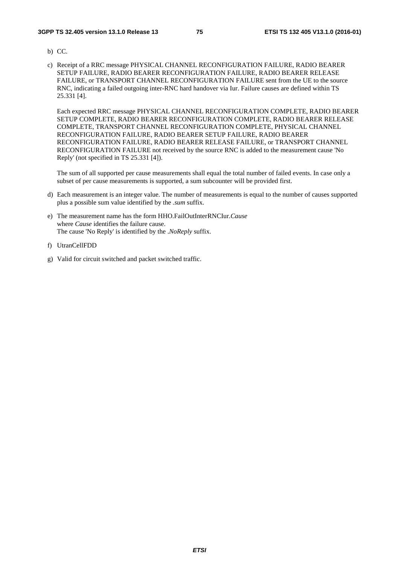- b) CC.
- c) Receipt of a RRC message PHYSICAL CHANNEL RECONFIGURATION FAILURE, RADIO BEARER SETUP FAILURE, RADIO BEARER RECONFIGURATION FAILURE, RADIO BEARER RELEASE FAILURE, or TRANSPORT CHANNEL RECONFIGURATION FAILURE sent from the UE to the source RNC, indicating a failed outgoing inter-RNC hard handover via Iur. Failure causes are defined within TS 25.331 [4].

Each expected RRC message PHYSICAL CHANNEL RECONFIGURATION COMPLETE, RADIO BEARER SETUP COMPLETE, RADIO BEARER RECONFIGURATION COMPLETE, RADIO BEARER RELEASE COMPLETE, TRANSPORT CHANNEL RECONFIGURATION COMPLETE, PHYSICAL CHANNEL RECONFIGURATION FAILURE, RADIO BEARER SETUP FAILURE, RADIO BEARER RECONFIGURATION FAILURE, RADIO BEARER RELEASE FAILURE, or TRANSPORT CHANNEL RECONFIGURATION FAILURE not received by the source RNC is added to the measurement cause 'No Reply' (not specified in TS 25.331 [4]).

- d) Each measurement is an integer value. The number of measurements is equal to the number of causes supported plus a possible sum value identified by the *.sum* suffix.
- e) The measurement name has the form HHO.FailOutInterRNCIur.*Cause* where *Cause* identifies the failure cause. The cause 'No Reply' is identified by the .*NoReply* suffix.
- f) UtranCellFDD
- g) Valid for circuit switched and packet switched traffic.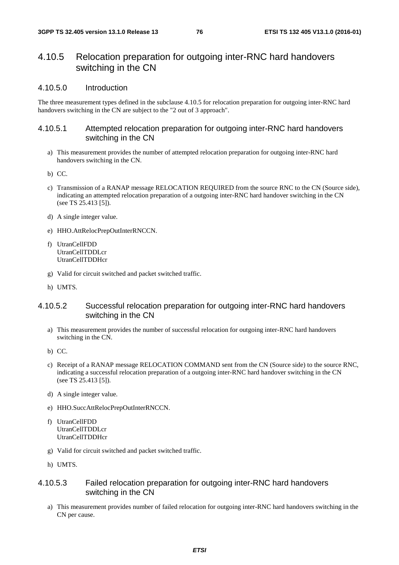## 4.10.5 Relocation preparation for outgoing inter-RNC hard handovers switching in the CN

### 4.10.5.0 Introduction

The three measurement types defined in the subclause 4.10.5 for relocation preparation for outgoing inter-RNC hard handovers switching in the CN are subject to the "2 out of 3 approach".

## 4.10.5.1 Attempted relocation preparation for outgoing inter-RNC hard handovers switching in the CN

a) This measurement provides the number of attempted relocation preparation for outgoing inter-RNC hard handovers switching in the CN.

b) CC.

- c) Transmission of a RANAP message RELOCATION REQUIRED from the source RNC to the CN (Source side), indicating an attempted relocation preparation of a outgoing inter-RNC hard handover switching in the CN (see TS 25.413 [5]).
- d) A single integer value.
- e) HHO.AttRelocPrepOutInterRNCCN.
- f) UtranCellFDD UtranCellTDDLcr UtranCellTDDHcr
- g) Valid for circuit switched and packet switched traffic.
- h) UMTS.

## 4.10.5.2 Successful relocation preparation for outgoing inter-RNC hard handovers switching in the CN

- a) This measurement provides the number of successful relocation for outgoing inter-RNC hard handovers switching in the CN.
- b) CC.
- c) Receipt of a RANAP message RELOCATION COMMAND sent from the CN (Source side) to the source RNC, indicating a successful relocation preparation of a outgoing inter-RNC hard handover switching in the CN (see TS 25.413 [5]).
- d) A single integer value.
- e) HHO.SuccAttRelocPrepOutInterRNCCN.
- f) UtranCellFDD UtranCellTDDLcr UtranCellTDDHcr
- g) Valid for circuit switched and packet switched traffic.
- h) UMTS.

## 4.10.5.3 Failed relocation preparation for outgoing inter-RNC hard handovers switching in the CN

a) This measurement provides number of failed relocation for outgoing inter-RNC hard handovers switching in the CN per cause.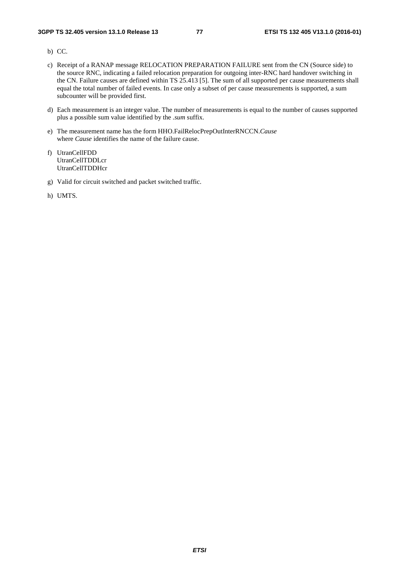- b) CC.
- c) Receipt of a RANAP message RELOCATION PREPARATION FAILURE sent from the CN (Source side) to the source RNC, indicating a failed relocation preparation for outgoing inter-RNC hard handover switching in the CN. Failure causes are defined within TS 25.413 [5]. The sum of all supported per cause measurements shall equal the total number of failed events. In case only a subset of per cause measurements is supported, a sum subcounter will be provided first.
- d) Each measurement is an integer value. The number of measurements is equal to the number of causes supported plus a possible sum value identified by the *.sum* suffix.
- e) The measurement name has the form HHO.FailRelocPrepOutInterRNCCN.*Cause* where *Cause* identifies the name of the failure cause.
- f) UtranCellFDD UtranCellTDDLcr UtranCellTDDHcr
- g) Valid for circuit switched and packet switched traffic.
- h) UMTS.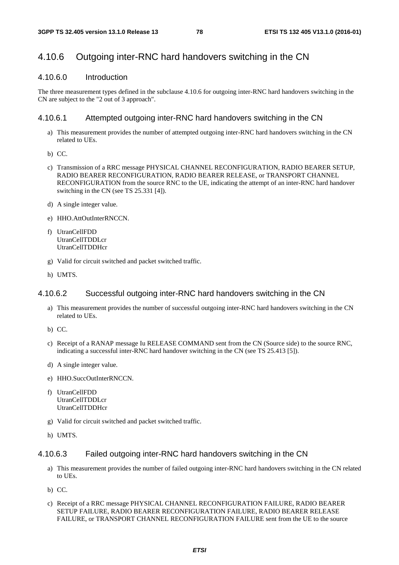# 4.10.6 Outgoing inter-RNC hard handovers switching in the CN

### 4.10.6.0 Introduction

The three measurement types defined in the subclause 4.10.6 for outgoing inter-RNC hard handovers switching in the CN are subject to the "2 out of 3 approach".

## 4.10.6.1 Attempted outgoing inter-RNC hard handovers switching in the CN

- a) This measurement provides the number of attempted outgoing inter-RNC hard handovers switching in the CN related to UEs.
- b) CC.
- c) Transmission of a RRC message PHYSICAL CHANNEL RECONFIGURATION, RADIO BEARER SETUP, RADIO BEARER RECONFIGURATION, RADIO BEARER RELEASE, or TRANSPORT CHANNEL RECONFIGURATION from the source RNC to the UE, indicating the attempt of an inter-RNC hard handover switching in the CN (see TS 25.331 [4]).
- d) A single integer value.
- e) HHO.AttOutInterRNCCN.
- f) UtranCellFDD UtranCellTDDLcr UtranCellTDDHcr
- g) Valid for circuit switched and packet switched traffic.
- h) UMTS.

## 4.10.6.2 Successful outgoing inter-RNC hard handovers switching in the CN

- a) This measurement provides the number of successful outgoing inter-RNC hard handovers switching in the CN related to UEs.
- b) CC.
- c) Receipt of a RANAP message Iu RELEASE COMMAND sent from the CN (Source side) to the source RNC, indicating a successful inter-RNC hard handover switching in the CN (see TS 25.413 [5]).
- d) A single integer value.
- e) HHO.SuccOutInterRNCCN.
- f) UtranCellFDD UtranCellTDDLcr UtranCellTDDHcr
- g) Valid for circuit switched and packet switched traffic.
- h) UMTS.

## 4.10.6.3 Failed outgoing inter-RNC hard handovers switching in the CN

- a) This measurement provides the number of failed outgoing inter-RNC hard handovers switching in the CN related to UEs.
- b) CC.
- c) Receipt of a RRC message PHYSICAL CHANNEL RECONFIGURATION FAILURE, RADIO BEARER SETUP FAILURE, RADIO BEARER RECONFIGURATION FAILURE, RADIO BEARER RELEASE FAILURE, or TRANSPORT CHANNEL RECONFIGURATION FAILURE sent from the UE to the source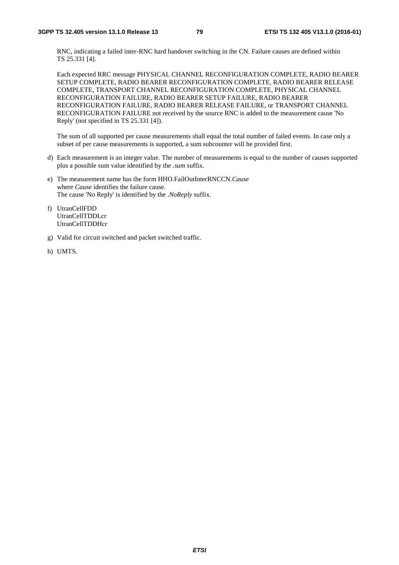RNC, indicating a failed inter-RNC hard handover switching in the CN. Failure causes are defined within TS 25.331 [4].

Each expected RRC message PHYSICAL CHANNEL RECONFIGURATION COMPLETE, RADIO BEARER SETUP COMPLETE, RADIO BEARER RECONFIGURATION COMPLETE, RADIO BEARER RELEASE COMPLETE, TRANSPORT CHANNEL RECONFIGURATION COMPLETE, PHYSICAL CHANNEL RECONFIGURATION FAILURE, RADIO BEARER SETUP FAILURE, RADIO BEARER RECONFIGURATION FAILURE, RADIO BEARER RELEASE FAILURE, or TRANSPORT CHANNEL RECONFIGURATION FAILURE not received by the source RNC is added to the measurement cause 'No Reply' (not specified in TS 25.331 [4]).

- d) Each measurement is an integer value. The number of measurements is equal to the number of causes supported plus a possible sum value identified by the *.sum* suffix.
- e) The measurement name has the form HHO.FailOutInterRNCCN.*Cause* where *Cause* identifies the failure cause. The cause 'No Reply' is identified by the .*NoReply* suffix.
- f) UtranCellFDD UtranCellTDDLcr UtranCellTDDHcr
- g) Valid for circuit switched and packet switched traffic.
- h) UMTS.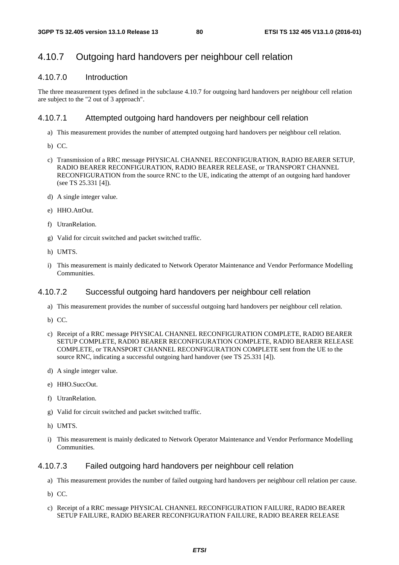## 4.10.7 Outgoing hard handovers per neighbour cell relation

## 4.10.7.0 Introduction

The three measurement types defined in the subclause 4.10.7 for outgoing hard handovers per neighbour cell relation are subject to the "2 out of 3 approach".

### 4.10.7.1 Attempted outgoing hard handovers per neighbour cell relation

- a) This measurement provides the number of attempted outgoing hard handovers per neighbour cell relation.
- b) CC.
- c) Transmission of a RRC message PHYSICAL CHANNEL RECONFIGURATION, RADIO BEARER SETUP, RADIO BEARER RECONFIGURATION, RADIO BEARER RELEASE, or TRANSPORT CHANNEL RECONFIGURATION from the source RNC to the UE, indicating the attempt of an outgoing hard handover (see TS 25.331 [4]).
- d) A single integer value.
- e) HHO.AttOut.
- f) UtranRelation.
- g) Valid for circuit switched and packet switched traffic.
- h) UMTS.
- i) This measurement is mainly dedicated to Network Operator Maintenance and Vendor Performance Modelling Communities.

## 4.10.7.2 Successful outgoing hard handovers per neighbour cell relation

- a) This measurement provides the number of successful outgoing hard handovers per neighbour cell relation.
- b) CC.
- c) Receipt of a RRC message PHYSICAL CHANNEL RECONFIGURATION COMPLETE, RADIO BEARER SETUP COMPLETE, RADIO BEARER RECONFIGURATION COMPLETE, RADIO BEARER RELEASE COMPLETE, or TRANSPORT CHANNEL RECONFIGURATION COMPLETE sent from the UE to the source RNC, indicating a successful outgoing hard handover (see TS 25.331 [4]).
- d) A single integer value.
- e) HHO.SuccOut.
- f) UtranRelation.
- g) Valid for circuit switched and packet switched traffic.
- h) UMTS.
- i) This measurement is mainly dedicated to Network Operator Maintenance and Vendor Performance Modelling **Communities**

## 4.10.7.3 Failed outgoing hard handovers per neighbour cell relation

- a) This measurement provides the number of failed outgoing hard handovers per neighbour cell relation per cause.
- b) CC.
- c) Receipt of a RRC message PHYSICAL CHANNEL RECONFIGURATION FAILURE, RADIO BEARER SETUP FAILURE, RADIO BEARER RECONFIGURATION FAILURE, RADIO BEARER RELEASE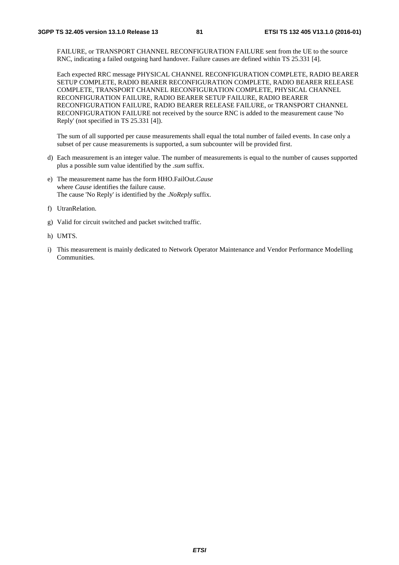FAILURE, or TRANSPORT CHANNEL RECONFIGURATION FAILURE sent from the UE to the source RNC, indicating a failed outgoing hard handover. Failure causes are defined within TS 25.331 [4].

Each expected RRC message PHYSICAL CHANNEL RECONFIGURATION COMPLETE, RADIO BEARER SETUP COMPLETE, RADIO BEARER RECONFIGURATION COMPLETE, RADIO BEARER RELEASE COMPLETE, TRANSPORT CHANNEL RECONFIGURATION COMPLETE, PHYSICAL CHANNEL RECONFIGURATION FAILURE, RADIO BEARER SETUP FAILURE, RADIO BEARER RECONFIGURATION FAILURE, RADIO BEARER RELEASE FAILURE, or TRANSPORT CHANNEL RECONFIGURATION FAILURE not received by the source RNC is added to the measurement cause 'No Reply' (not specified in TS 25.331 [4]).

- d) Each measurement is an integer value. The number of measurements is equal to the number of causes supported plus a possible sum value identified by the *.sum* suffix.
- e) The measurement name has the form HHO.FailOut.*Cause* where *Cause* identifies the failure cause. The cause 'No Reply' is identified by the .*NoReply* suffix.
- f) UtranRelation.
- g) Valid for circuit switched and packet switched traffic.
- h) UMTS.
- i) This measurement is mainly dedicated to Network Operator Maintenance and Vendor Performance Modelling Communities.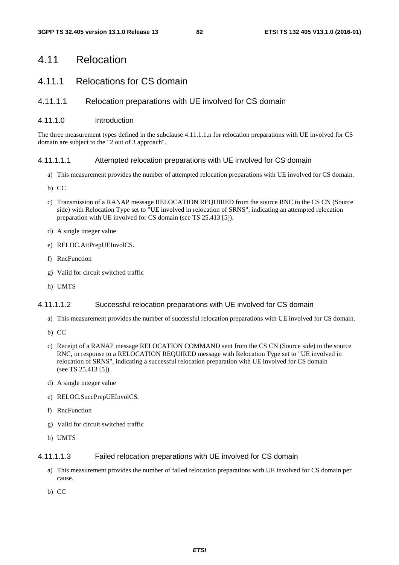# 4.11 Relocation

# 4.11.1 Relocations for CS domain

## 4.11.1.1 Relocation preparations with UE involved for CS domain

### 4.11.1.0 Introduction

The three measurement types defined in the subclause 4.11.1.1.n for relocation preparations with UE involved for CS domain are subject to the "2 out of 3 approach".

### 4.11.1.1.1 Attempted relocation preparations with UE involved for CS domain

- a) This measurement provides the number of attempted relocation preparations with UE involved for CS domain.
- b) CC
- c) Transmission of a RANAP message RELOCATION REQUIRED from the source RNC to the CS CN (Source side) with Relocation Type set to "UE involved in relocation of SRNS", indicating an attempted relocation preparation with UE involved for CS domain (see TS 25.413 [5]).
- d) A single integer value
- e) RELOC.AttPrepUEInvolCS.
- f) RncFunction
- g) Valid for circuit switched traffic
- h) UMTS

### 4.11.1.1.2 Successful relocation preparations with UE involved for CS domain

- a) This measurement provides the number of successful relocation preparations with UE involved for CS domain.
- b) CC
- c) Receipt of a RANAP message RELOCATION COMMAND sent from the CS CN (Source side) to the source RNC, in response to a RELOCATION REQUIRED message with Relocation Type set to "UE involved in relocation of SRNS", indicating a successful relocation preparation with UE involved for CS domain (see TS 25.413 [5]).
- d) A single integer value
- e) RELOC.SuccPrepUEInvolCS.
- f) RncFunction
- g) Valid for circuit switched traffic
- h) UMTS

### 4.11.1.1.3 Failed relocation preparations with UE involved for CS domain

- a) This measurement provides the number of failed relocation preparations with UE involved for CS domain per cause.
- b) CC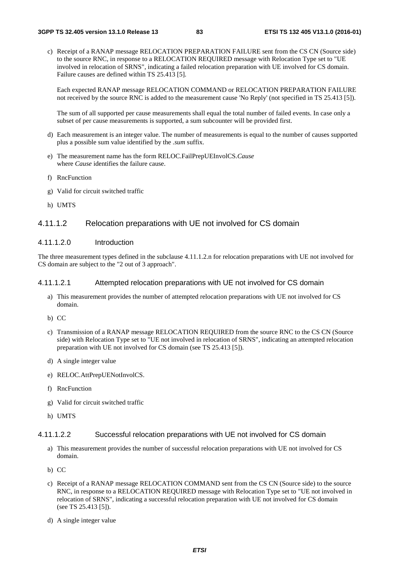c) Receipt of a RANAP message RELOCATION PREPARATION FAILURE sent from the CS CN (Source side) to the source RNC, in response to a RELOCATION REQUIRED message with Relocation Type set to "UE involved in relocation of SRNS", indicating a failed relocation preparation with UE involved for CS domain. Failure causes are defined within TS 25.413 [5].

Each expected RANAP message RELOCATION COMMAND or RELOCATION PREPARATION FAILURE not received by the source RNC is added to the measurement cause 'No Reply' (not specified in TS 25.413 [5]).

The sum of all supported per cause measurements shall equal the total number of failed events. In case only a subset of per cause measurements is supported, a sum subcounter will be provided first.

- d) Each measurement is an integer value. The number of measurements is equal to the number of causes supported plus a possible sum value identified by the *.sum* suffix.
- e) The measurement name has the form RELOC.FailPrepUEInvolCS.*Cause* where *Cause* identifies the failure cause.
- f) RncFunction
- g) Valid for circuit switched traffic
- h) UMTS

## 4.11.1.2 Relocation preparations with UE not involved for CS domain

#### 4.11.1.2.0 Introduction

The three measurement types defined in the subclause 4.11.1.2.n for relocation preparations with UE not involved for CS domain are subject to the "2 out of 3 approach".

### 4.11.1.2.1 Attempted relocation preparations with UE not involved for CS domain

- a) This measurement provides the number of attempted relocation preparations with UE not involved for CS domain.
- b) CC
- c) Transmission of a RANAP message RELOCATION REQUIRED from the source RNC to the CS CN (Source side) with Relocation Type set to "UE not involved in relocation of SRNS", indicating an attempted relocation preparation with UE not involved for CS domain (see TS 25.413 [5]).
- d) A single integer value
- e) RELOC.AttPrepUENotInvolCS.
- f) RncFunction
- g) Valid for circuit switched traffic
- h) UMTS

#### 4.11.1.2.2 Successful relocation preparations with UE not involved for CS domain

- a) This measurement provides the number of successful relocation preparations with UE not involved for CS domain.
- b) CC
- c) Receipt of a RANAP message RELOCATION COMMAND sent from the CS CN (Source side) to the source RNC, in response to a RELOCATION REQUIRED message with Relocation Type set to "UE not involved in relocation of SRNS", indicating a successful relocation preparation with UE not involved for CS domain (see TS 25.413 [5]).
- d) A single integer value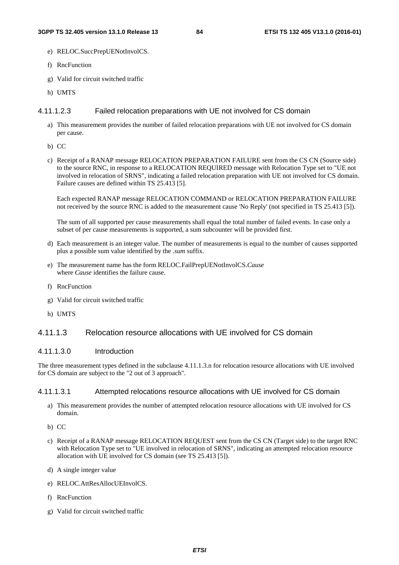- e) RELOC.SuccPrepUENotInvolCS.
- f) RncFunction
- g) Valid for circuit switched traffic
- h) UMTS

#### 4.11.1.2.3 Failed relocation preparations with UE not involved for CS domain

- a) This measurement provides the number of failed relocation preparations with UE not involved for CS domain per cause.
- b) CC
- c) Receipt of a RANAP message RELOCATION PREPARATION FAILURE sent from the CS CN (Source side) to the source RNC, in response to a RELOCATION REQUIRED message with Relocation Type set to "UE not involved in relocation of SRNS", indicating a failed relocation preparation with UE not involved for CS domain. Failure causes are defined within TS 25.413 [5].

Each expected RANAP message RELOCATION COMMAND or RELOCATION PREPARATION FAILURE not received by the source RNC is added to the measurement cause 'No Reply' (not specified in TS 25.413 [5]).

The sum of all supported per cause measurements shall equal the total number of failed events. In case only a subset of per cause measurements is supported, a sum subcounter will be provided first.

- d) Each measurement is an integer value. The number of measurements is equal to the number of causes supported plus a possible sum value identified by the *.sum* suffix.
- e) The measurement name has the form RELOC.FailPrepUENotInvolCS.*Cause* where *Cause* identifies the failure cause.
- f) RncFunction
- g) Valid for circuit switched traffic
- h) UMTS

## 4.11.1.3 Relocation resource allocations with UE involved for CS domain

### 4.11.1.3.0 Introduction

The three measurement types defined in the subclause 4.11.1.3.n for relocation resource allocations with UE involved for CS domain are subject to the "2 out of 3 approach".

#### 4.11.1.3.1 Attempted relocations resource allocations with UE involved for CS domain

- a) This measurement provides the number of attempted relocation resource allocations with UE involved for CS domain.
- b) CC
- c) Receipt of a RANAP message RELOCATION REQUEST sent from the CS CN (Target side) to the target RNC with Relocation Type set to "UE involved in relocation of SRNS", indicating an attempted relocation resource allocation with UE involved for CS domain (see TS 25.413 [5]).
- d) A single integer value
- e) RELOC.AttResAllocUEInvolCS.
- f) RncFunction
- g) Valid for circuit switched traffic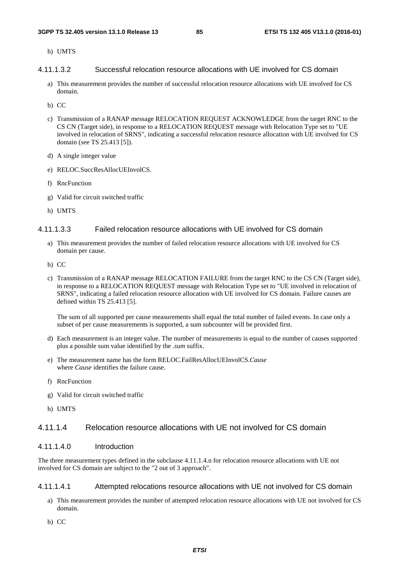h) UMTS

- 4.11.1.3.2 Successful relocation resource allocations with UE involved for CS domain
	- a) This measurement provides the number of successful relocation resource allocations with UE involved for CS domain.
	- b) CC
	- c) Transmission of a RANAP message RELOCATION REQUEST ACKNOWLEDGE from the target RNC to the CS CN (Target side), in response to a RELOCATION REQUEST message with Relocation Type set to "UE involved in relocation of SRNS", indicating a successful relocation resource allocation with UE involved for CS domain (see TS 25.413 [5]).
	- d) A single integer value
	- e) RELOC.SuccResAllocUEInvolCS.
	- f) RncFunction
	- g) Valid for circuit switched traffic
	- h) UMTS

#### 4.11.1.3.3 Failed relocation resource allocations with UE involved for CS domain

- a) This measurement provides the number of failed relocation resource allocations with UE involved for CS domain per cause.
- b) CC
- c) Transmission of a RANAP message RELOCATION FAILURE from the target RNC to the CS CN (Target side), in response to a RELOCATION REQUEST message with Relocation Type set to "UE involved in relocation of SRNS", indicating a failed relocation resource allocation with UE involved for CS domain. Failure causes are defined within TS 25.413 [5].

The sum of all supported per cause measurements shall equal the total number of failed events. In case only a subset of per cause measurements is supported, a sum subcounter will be provided first.

- d) Each measurement is an integer value. The number of measurements is equal to the number of causes supported plus a possible sum value identified by the *.sum* suffix.
- e) The measurement name has the form RELOC.FailResAllocUEInvolCS.*Cause* where *Cause* identifies the failure cause.
- f) RncFunction
- g) Valid for circuit switched traffic
- h) UMTS

### 4.11.1.4 Relocation resource allocations with UE not involved for CS domain

### 4.11.1.4.0 Introduction

The three measurement types defined in the subclause 4.11.1.4.n for relocation resource allocations with UE not involved for CS domain are subject to the "2 out of 3 approach".

#### 4.11.1.4.1 Attempted relocations resource allocations with UE not involved for CS domain

- a) This measurement provides the number of attempted relocation resource allocations with UE not involved for CS domain.
- b) CC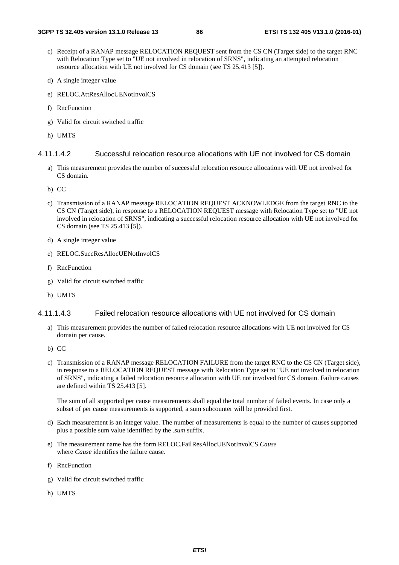- c) Receipt of a RANAP message RELOCATION REQUEST sent from the CS CN (Target side) to the target RNC with Relocation Type set to "UE not involved in relocation of SRNS", indicating an attempted relocation resource allocation with UE not involved for CS domain (see TS 25.413 [5]).
- d) A single integer value
- e) RELOC.AttResAllocUENotInvolCS
- f) RncFunction
- g) Valid for circuit switched traffic
- h) UMTS

### 4.11.1.4.2 Successful relocation resource allocations with UE not involved for CS domain

- a) This measurement provides the number of successful relocation resource allocations with UE not involved for CS domain.
- b) CC
- c) Transmission of a RANAP message RELOCATION REQUEST ACKNOWLEDGE from the target RNC to the CS CN (Target side), in response to a RELOCATION REQUEST message with Relocation Type set to "UE not involved in relocation of SRNS", indicating a successful relocation resource allocation with UE not involved for CS domain (see TS 25.413 [5]).
- d) A single integer value
- e) RELOC.SuccResAllocUENotInvolCS
- f) RncFunction
- g) Valid for circuit switched traffic
- h) UMTS

### 4.11.1.4.3 Failed relocation resource allocations with UE not involved for CS domain

- a) This measurement provides the number of failed relocation resource allocations with UE not involved for CS domain per cause.
- b) CC
- c) Transmission of a RANAP message RELOCATION FAILURE from the target RNC to the CS CN (Target side), in response to a RELOCATION REQUEST message with Relocation Type set to "UE not involved in relocation of SRNS", indicating a failed relocation resource allocation with UE not involved for CS domain. Failure causes are defined within TS 25.413 [5].

- d) Each measurement is an integer value. The number of measurements is equal to the number of causes supported plus a possible sum value identified by the *.sum* suffix.
- e) The measurement name has the form RELOC.FailResAllocUENotInvolCS.*Cause* where *Cause* identifies the failure cause.
- f) RncFunction
- g) Valid for circuit switched traffic
- h) UMTS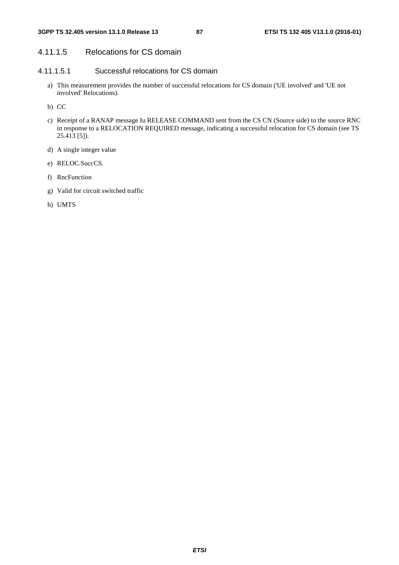## 4.11.1.5 Relocations for CS domain

## 4.11.1.5.1 Successful relocations for CS domain

- a) This measurement provides the number of successful relocations for CS domain ('UE involved' and 'UE not involved' Relocations).
- b) CC
- c) Receipt of a RANAP message Iu RELEASE COMMAND sent from the CS CN (Source side) to the source RNC in response to a RELOCATION REQUIRED message, indicating a successful relocation for CS domain (see TS 25.413 [5]).
- d) A single integer value
- e) RELOC.SuccCS.
- f) RncFunction
- g) Valid for circuit switched traffic
- h) UMTS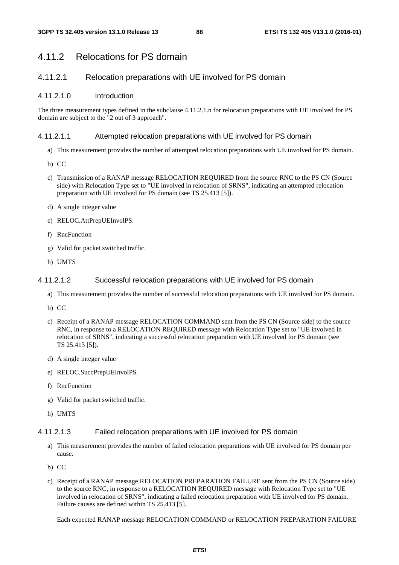# 4.11.2 Relocations for PS domain

## 4.11.2.1 Relocation preparations with UE involved for PS domain

### 4.11.2.1.0 Introduction

The three measurement types defined in the subclause 4.11.2.1.n for relocation preparations with UE involved for PS domain are subject to the "2 out of 3 approach".

### 4.11.2.1.1 Attempted relocation preparations with UE involved for PS domain

- a) This measurement provides the number of attempted relocation preparations with UE involved for PS domain.
- b) CC
- c) Transmission of a RANAP message RELOCATION REQUIRED from the source RNC to the PS CN (Source side) with Relocation Type set to "UE involved in relocation of SRNS", indicating an attempted relocation preparation with UE involved for PS domain (see TS 25.413 [5]).
- d) A single integer value
- e) RELOC.AttPrepUEInvolPS.
- f) RncFunction
- g) Valid for packet switched traffic.
- h) UMTS

### 4.11.2.1.2 Successful relocation preparations with UE involved for PS domain

- a) This measurement provides the number of successful relocation preparations with UE involved for PS domain.
- b) CC
- c) Receipt of a RANAP message RELOCATION COMMAND sent from the PS CN (Source side) to the source RNC, in response to a RELOCATION REQUIRED message with Relocation Type set to "UE involved in relocation of SRNS", indicating a successful relocation preparation with UE involved for PS domain (see TS 25.413 [5]).
- d) A single integer value
- e) RELOC.SuccPrepUEInvolPS.
- f) RncFunction
- g) Valid for packet switched traffic.
- h) UMTS

#### 4.11.2.1.3 Failed relocation preparations with UE involved for PS domain

- a) This measurement provides the number of failed relocation preparations with UE involved for PS domain per cause.
- b) CC
- c) Receipt of a RANAP message RELOCATION PREPARATION FAILURE sent from the PS CN (Source side) to the source RNC, in response to a RELOCATION REQUIRED message with Relocation Type set to "UE involved in relocation of SRNS", indicating a failed relocation preparation with UE involved for PS domain. Failure causes are defined within TS 25.413 [5].

Each expected RANAP message RELOCATION COMMAND or RELOCATION PREPARATION FAILURE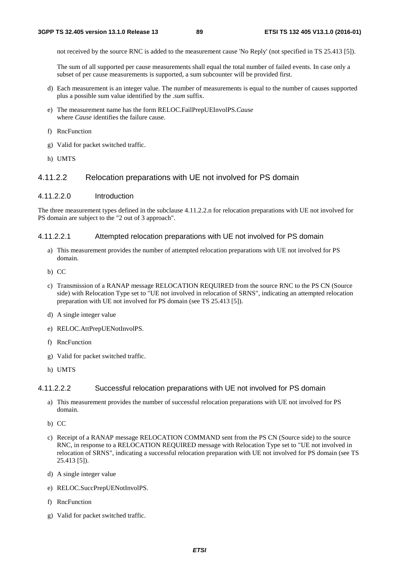not received by the source RNC is added to the measurement cause 'No Reply' (not specified in TS 25.413 [5]).

The sum of all supported per cause measurements shall equal the total number of failed events. In case only a subset of per cause measurements is supported, a sum subcounter will be provided first.

- d) Each measurement is an integer value. The number of measurements is equal to the number of causes supported plus a possible sum value identified by the *.sum* suffix.
- e) The measurement name has the form RELOC.FailPrepUEInvolPS.*Cause* where *Cause* identifies the failure cause.
- f) RncFunction
- g) Valid for packet switched traffic.
- h) UMTS

### 4.11.2.2 Relocation preparations with UE not involved for PS domain

#### 4.11.2.2.0 Introduction

The three measurement types defined in the subclause 4.11.2.2.n for relocation preparations with UE not involved for PS domain are subject to the "2 out of 3 approach".

#### 4.11.2.2.1 Attempted relocation preparations with UE not involved for PS domain

- a) This measurement provides the number of attempted relocation preparations with UE not involved for PS domain.
- b) CC
- c) Transmission of a RANAP message RELOCATION REQUIRED from the source RNC to the PS CN (Source side) with Relocation Type set to "UE not involved in relocation of SRNS", indicating an attempted relocation preparation with UE not involved for PS domain (see TS 25.413 [5]).
- d) A single integer value
- e) RELOC.AttPrepUENotInvolPS.
- f) RncFunction
- g) Valid for packet switched traffic.
- h) UMTS

#### 4.11.2.2.2 Successful relocation preparations with UE not involved for PS domain

- a) This measurement provides the number of successful relocation preparations with UE not involved for PS domain.
- b) CC
- c) Receipt of a RANAP message RELOCATION COMMAND sent from the PS CN (Source side) to the source RNC, in response to a RELOCATION REQUIRED message with Relocation Type set to "UE not involved in relocation of SRNS", indicating a successful relocation preparation with UE not involved for PS domain (see TS 25.413 [5]).
- d) A single integer value
- e) RELOC.SuccPrepUENotInvolPS.
- f) RncFunction
- g) Valid for packet switched traffic.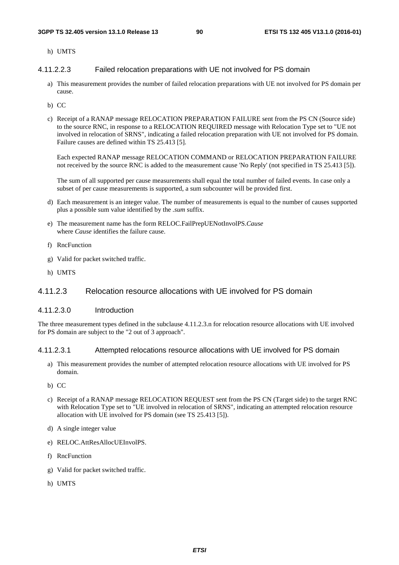h) UMTS

4.11.2.2.3 Failed relocation preparations with UE not involved for PS domain

- a) This measurement provides the number of failed relocation preparations with UE not involved for PS domain per cause.
- b) CC
- c) Receipt of a RANAP message RELOCATION PREPARATION FAILURE sent from the PS CN (Source side) to the source RNC, in response to a RELOCATION REQUIRED message with Relocation Type set to "UE not involved in relocation of SRNS", indicating a failed relocation preparation with UE not involved for PS domain. Failure causes are defined within TS 25.413 [5].

Each expected RANAP message RELOCATION COMMAND or RELOCATION PREPARATION FAILURE not received by the source RNC is added to the measurement cause 'No Reply' (not specified in TS 25.413 [5]).

The sum of all supported per cause measurements shall equal the total number of failed events. In case only a subset of per cause measurements is supported, a sum subcounter will be provided first.

- d) Each measurement is an integer value. The number of measurements is equal to the number of causes supported plus a possible sum value identified by the *.sum* suffix.
- e) The measurement name has the form RELOC.FailPrepUENotInvolPS.*Cause* where *Cause* identifies the failure cause.
- f) RncFunction
- g) Valid for packet switched traffic.
- h) UMTS

## 4.11.2.3 Relocation resource allocations with UE involved for PS domain

#### 4.11.2.3.0 Introduction

The three measurement types defined in the subclause 4.11.2.3.n for relocation resource allocations with UE involved for PS domain are subject to the "2 out of 3 approach".

### 4.11.2.3.1 Attempted relocations resource allocations with UE involved for PS domain

- a) This measurement provides the number of attempted relocation resource allocations with UE involved for PS domain.
- b) CC
- c) Receipt of a RANAP message RELOCATION REQUEST sent from the PS CN (Target side) to the target RNC with Relocation Type set to "UE involved in relocation of SRNS", indicating an attempted relocation resource allocation with UE involved for PS domain (see TS 25.413 [5]).
- d) A single integer value
- e) RELOC.AttResAllocUEInvolPS.
- f) RncFunction
- g) Valid for packet switched traffic.
- h) UMTS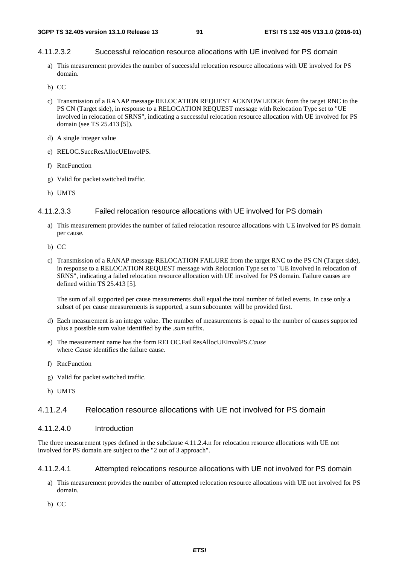### 4.11.2.3.2 Successful relocation resource allocations with UE involved for PS domain

- a) This measurement provides the number of successful relocation resource allocations with UE involved for PS domain.
- b) CC
- c) Transmission of a RANAP message RELOCATION REQUEST ACKNOWLEDGE from the target RNC to the PS CN (Target side), in response to a RELOCATION REQUEST message with Relocation Type set to "UE involved in relocation of SRNS", indicating a successful relocation resource allocation with UE involved for PS domain (see TS 25.413 [5]).
- d) A single integer value
- e) RELOC.SuccResAllocUEInvolPS.
- f) RncFunction
- g) Valid for packet switched traffic.
- h) UMTS

#### 4.11.2.3.3 Failed relocation resource allocations with UE involved for PS domain

- a) This measurement provides the number of failed relocation resource allocations with UE involved for PS domain per cause.
- b) CC
- c) Transmission of a RANAP message RELOCATION FAILURE from the target RNC to the PS CN (Target side), in response to a RELOCATION REQUEST message with Relocation Type set to "UE involved in relocation of SRNS", indicating a failed relocation resource allocation with UE involved for PS domain. Failure causes are defined within TS 25.413 [5].

The sum of all supported per cause measurements shall equal the total number of failed events. In case only a subset of per cause measurements is supported, a sum subcounter will be provided first.

- d) Each measurement is an integer value. The number of measurements is equal to the number of causes supported plus a possible sum value identified by the *.sum* suffix.
- e) The measurement name has the form RELOC.FailResAllocUEInvolPS.*Cause* where *Cause* identifies the failure cause.
- f) RncFunction
- g) Valid for packet switched traffic.
- h) UMTS

## 4.11.2.4 Relocation resource allocations with UE not involved for PS domain

### 4.11.2.4.0 Introduction

The three measurement types defined in the subclause 4.11.2.4.n for relocation resource allocations with UE not involved for PS domain are subject to the "2 out of 3 approach".

#### 4.11.2.4.1 Attempted relocations resource allocations with UE not involved for PS domain

- a) This measurement provides the number of attempted relocation resource allocations with UE not involved for PS domain.
- b) CC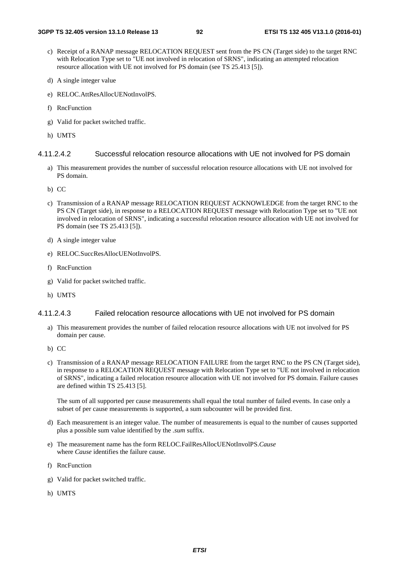- c) Receipt of a RANAP message RELOCATION REQUEST sent from the PS CN (Target side) to the target RNC with Relocation Type set to "UE not involved in relocation of SRNS", indicating an attempted relocation resource allocation with UE not involved for PS domain (see TS 25.413 [5]).
- d) A single integer value
- e) RELOC.AttResAllocUENotInvolPS.
- f) RncFunction
- g) Valid for packet switched traffic.
- h) UMTS

### 4.11.2.4.2 Successful relocation resource allocations with UE not involved for PS domain

- a) This measurement provides the number of successful relocation resource allocations with UE not involved for PS domain.
- b) CC
- c) Transmission of a RANAP message RELOCATION REQUEST ACKNOWLEDGE from the target RNC to the PS CN (Target side), in response to a RELOCATION REQUEST message with Relocation Type set to "UE not involved in relocation of SRNS", indicating a successful relocation resource allocation with UE not involved for PS domain (see TS 25.413 [5]).
- d) A single integer value
- e) RELOC.SuccResAllocUENotInvolPS.
- f) RncFunction
- g) Valid for packet switched traffic.
- h) UMTS

### 4.11.2.4.3 Failed relocation resource allocations with UE not involved for PS domain

- a) This measurement provides the number of failed relocation resource allocations with UE not involved for PS domain per cause.
- b) CC
- c) Transmission of a RANAP message RELOCATION FAILURE from the target RNC to the PS CN (Target side), in response to a RELOCATION REQUEST message with Relocation Type set to "UE not involved in relocation of SRNS", indicating a failed relocation resource allocation with UE not involved for PS domain. Failure causes are defined within TS 25.413 [5].

- d) Each measurement is an integer value. The number of measurements is equal to the number of causes supported plus a possible sum value identified by the *.sum* suffix.
- e) The measurement name has the form RELOC.FailResAllocUENotInvolPS.*Cause* where *Cause* identifies the failure cause.
- f) RncFunction
- g) Valid for packet switched traffic.
- h) UMTS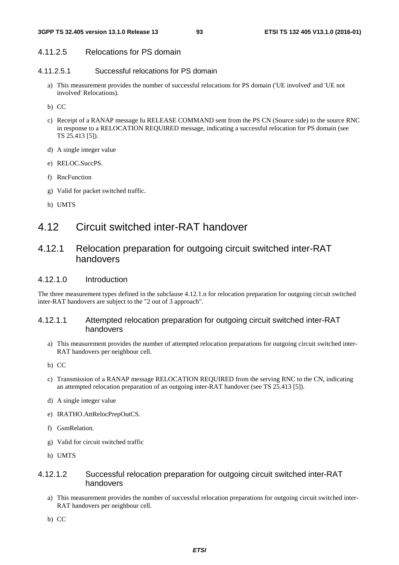## 4.11.2.5 Relocations for PS domain

### 4.11.2.5.1 Successful relocations for PS domain

- a) This measurement provides the number of successful relocations for PS domain ('UE involved' and 'UE not involved' Relocations).
- b) CC
- c) Receipt of a RANAP message Iu RELEASE COMMAND sent from the PS CN (Source side) to the source RNC in response to a RELOCATION REQUIRED message, indicating a successful relocation for PS domain (see TS 25.413 [5]).
- d) A single integer value
- e) RELOC.SuccPS.
- f) RncFunction
- g) Valid for packet switched traffic.
- h) UMTS

# 4.12 Circuit switched inter-RAT handover

## 4.12.1 Relocation preparation for outgoing circuit switched inter-RAT handovers

### 4.12.1.0 Introduction

The three measurement types defined in the subclause 4.12.1.n for relocation preparation for outgoing circuit switched inter-RAT handovers are subject to the "2 out of 3 approach".

## 4.12.1.1 Attempted relocation preparation for outgoing circuit switched inter-RAT handovers

- a) This measurement provides the number of attempted relocation preparations for outgoing circuit switched inter-RAT handovers per neighbour cell.
- b) CC
- c) Transmission of a RANAP message RELOCATION REQUIRED from the serving RNC to the CN, indicating an attempted relocation preparation of an outgoing inter-RAT handover (see TS 25.413 [5]).
- d) A single integer value
- e) IRATHO.AttRelocPrepOutCS.
- f) GsmRelation.
- g) Valid for circuit switched traffic
- h) UMTS

## 4.12.1.2 Successful relocation preparation for outgoing circuit switched inter-RAT handovers

- a) This measurement provides the number of successful relocation preparations for outgoing circuit switched inter-RAT handovers per neighbour cell.
- b) CC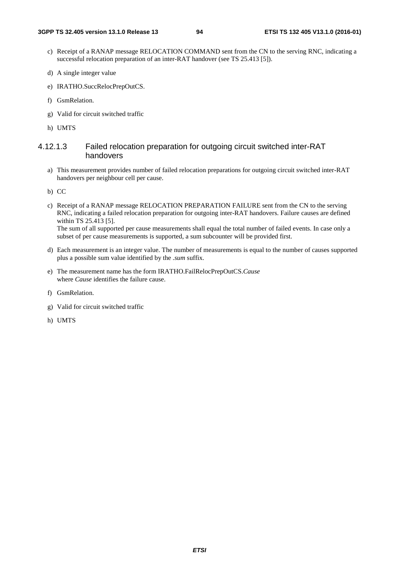- c) Receipt of a RANAP message RELOCATION COMMAND sent from the CN to the serving RNC, indicating a successful relocation preparation of an inter-RAT handover (see TS 25.413 [5]).
- d) A single integer value
- e) IRATHO.SuccRelocPrepOutCS.
- f) GsmRelation.
- g) Valid for circuit switched traffic
- h) UMTS

### 4.12.1.3 Failed relocation preparation for outgoing circuit switched inter-RAT handovers

- a) This measurement provides number of failed relocation preparations for outgoing circuit switched inter-RAT handovers per neighbour cell per cause.
- b) CC
- c) Receipt of a RANAP message RELOCATION PREPARATION FAILURE sent from the CN to the serving RNC, indicating a failed relocation preparation for outgoing inter-RAT handovers. Failure causes are defined within TS 25.413 [5]. The sum of all supported per cause measurements shall equal the total number of failed events. In case only a

subset of per cause measurements is supported, a sum subcounter will be provided first.

- d) Each measurement is an integer value. The number of measurements is equal to the number of causes supported plus a possible sum value identified by the *.sum* suffix.
- e) The measurement name has the form IRATHO.FailRelocPrepOutCS.*Cause* where *Cause* identifies the failure cause.
- f) GsmRelation.
- g) Valid for circuit switched traffic
- h) UMTS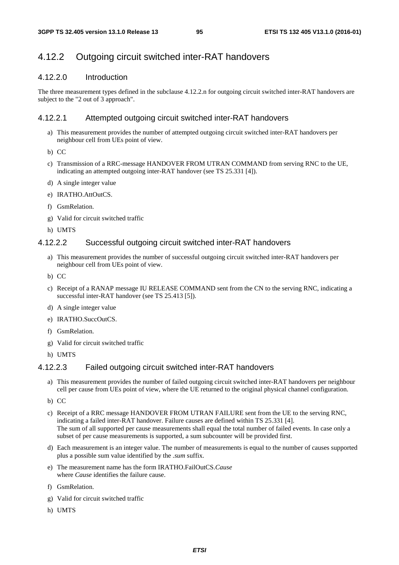## 4.12.2 Outgoing circuit switched inter-RAT handovers

## 4.12.2.0 Introduction

The three measurement types defined in the subclause 4.12.2.n for outgoing circuit switched inter-RAT handovers are subject to the "2 out of 3 approach".

## 4.12.2.1 Attempted outgoing circuit switched inter-RAT handovers

- a) This measurement provides the number of attempted outgoing circuit switched inter-RAT handovers per neighbour cell from UEs point of view.
- b) CC
- c) Transmission of a RRC-message HANDOVER FROM UTRAN COMMAND from serving RNC to the UE, indicating an attempted outgoing inter-RAT handover (see TS 25.331 [4]).
- d) A single integer value
- e) IRATHO.AttOutCS.
- f) GsmRelation.
- g) Valid for circuit switched traffic
- h) UMTS

## 4.12.2.2 Successful outgoing circuit switched inter-RAT handovers

- a) This measurement provides the number of successful outgoing circuit switched inter-RAT handovers per neighbour cell from UEs point of view.
- b) CC
- c) Receipt of a RANAP message IU RELEASE COMMAND sent from the CN to the serving RNC, indicating a successful inter-RAT handover (see TS 25.413 [5]).
- d) A single integer value
- e) IRATHO.SuccOutCS.
- f) GsmRelation.
- g) Valid for circuit switched traffic
- h) UMTS

### 4.12.2.3 Failed outgoing circuit switched inter-RAT handovers

- a) This measurement provides the number of failed outgoing circuit switched inter-RAT handovers per neighbour cell per cause from UEs point of view, where the UE returned to the original physical channel configuration.
- b) CC
- c) Receipt of a RRC message HANDOVER FROM UTRAN FAILURE sent from the UE to the serving RNC, indicating a failed inter-RAT handover. Failure causes are defined within TS 25.331 [4]. The sum of all supported per cause measurements shall equal the total number of failed events. In case only a subset of per cause measurements is supported, a sum subcounter will be provided first.
- d) Each measurement is an integer value. The number of measurements is equal to the number of causes supported plus a possible sum value identified by the *.sum* suffix.
- e) The measurement name has the form IRATHO.FailOutCS.*Cause* where *Cause* identifies the failure cause.
- f) GsmRelation.
- g) Valid for circuit switched traffic
- h) UMTS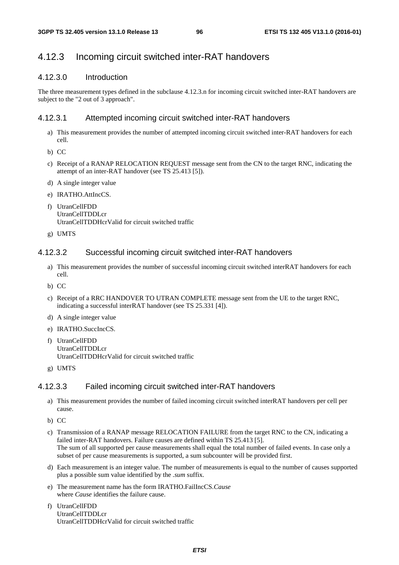## 4.12.3 Incoming circuit switched inter-RAT handovers

## 4.12.3.0 Introduction

The three measurement types defined in the subclause 4.12.3.n for incoming circuit switched inter-RAT handovers are subject to the "2 out of 3 approach".

### 4.12.3.1 Attempted incoming circuit switched inter-RAT handovers

- a) This measurement provides the number of attempted incoming circuit switched inter-RAT handovers for each cell.
- b) CC
- c) Receipt of a RANAP RELOCATION REQUEST message sent from the CN to the target RNC, indicating the attempt of an inter-RAT handover (see TS 25.413 [5]).
- d) A single integer value
- e) IRATHO.AttIncCS.
- f) UtranCellFDD UtranCellTDDLcr UtranCellTDDHcrValid for circuit switched traffic
- g) UMTS

### 4.12.3.2 Successful incoming circuit switched inter-RAT handovers

- a) This measurement provides the number of successful incoming circuit switched interRAT handovers for each cell.
- b) CC
- c) Receipt of a RRC HANDOVER TO UTRAN COMPLETE message sent from the UE to the target RNC, indicating a successful interRAT handover (see TS 25.331 [4]).
- d) A single integer value
- e) IRATHO.SuccIncCS.
- f) UtranCellFDD UtranCellTDDLcr UtranCellTDDHcrValid for circuit switched traffic
- g) UMTS

### 4.12.3.3 Failed incoming circuit switched inter-RAT handovers

- a) This measurement provides the number of failed incoming circuit switched interRAT handovers per cell per cause.
- b) CC
- c) Transmission of a RANAP message RELOCATION FAILURE from the target RNC to the CN, indicating a failed inter-RAT handovers. Failure causes are defined within TS 25.413 [5]. The sum of all supported per cause measurements shall equal the total number of failed events. In case only a subset of per cause measurements is supported, a sum subcounter will be provided first.
- d) Each measurement is an integer value. The number of measurements is equal to the number of causes supported plus a possible sum value identified by the *.sum* suffix.
- e) The measurement name has the form IRATHO.FailIncCS.*Cause* where *Cause* identifies the failure cause.
- f) UtranCellFDD UtranCellTDDLcr UtranCellTDDHcrValid for circuit switched traffic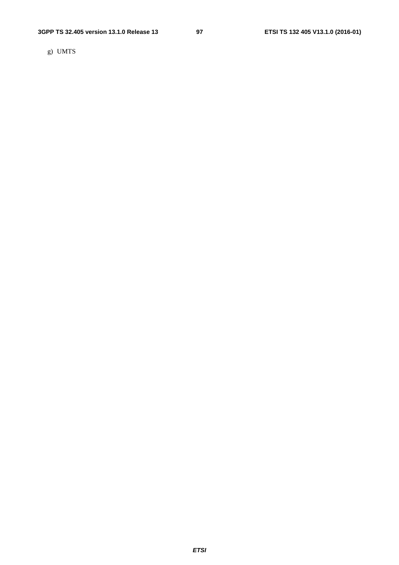g) UMTS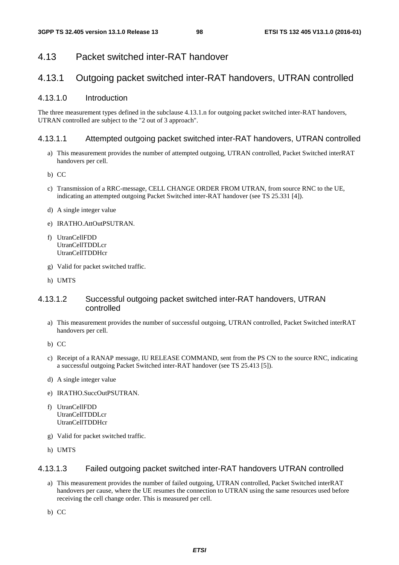## 4.13 Packet switched inter-RAT handover

# 4.13.1 Outgoing packet switched inter-RAT handovers, UTRAN controlled

### 4.13.1.0 Introduction

The three measurement types defined in the subclause 4.13.1.n for outgoing packet switched inter-RAT handovers, UTRAN controlled are subject to the "2 out of 3 approach".

#### 4.13.1.1 Attempted outgoing packet switched inter-RAT handovers, UTRAN controlled

- a) This measurement provides the number of attempted outgoing, UTRAN controlled, Packet Switched interRAT handovers per cell.
- b) CC
- c) Transmission of a RRC-message, CELL CHANGE ORDER FROM UTRAN, from source RNC to the UE, indicating an attempted outgoing Packet Switched inter-RAT handover (see TS 25.331 [4]).
- d) A single integer value
- e) IRATHO.AttOutPSUTRAN.
- f) UtranCellFDD UtranCellTDDLcr UtranCellTDDHcr
- g) Valid for packet switched traffic.
- h) UMTS

### 4.13.1.2 Successful outgoing packet switched inter-RAT handovers, UTRAN controlled

- a) This measurement provides the number of successful outgoing, UTRAN controlled, Packet Switched interRAT handovers per cell.
- b) CC
- c) Receipt of a RANAP message, IU RELEASE COMMAND, sent from the PS CN to the source RNC, indicating a successful outgoing Packet Switched inter-RAT handover (see TS 25.413 [5]).
- d) A single integer value
- e) IRATHO.SuccOutPSUTRAN.
- f) UtranCellFDD UtranCellTDDLcr UtranCellTDDHcr
- g) Valid for packet switched traffic.
- h) UMTS

#### 4.13.1.3 Failed outgoing packet switched inter-RAT handovers UTRAN controlled

- a) This measurement provides the number of failed outgoing, UTRAN controlled, Packet Switched interRAT handovers per cause, where the UE resumes the connection to UTRAN using the same resources used before receiving the cell change order. This is measured per cell.
- b) CC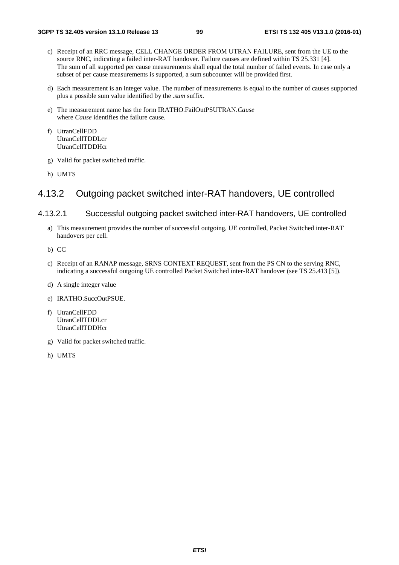- c) Receipt of an RRC message, CELL CHANGE ORDER FROM UTRAN FAILURE, sent from the UE to the source RNC, indicating a failed inter-RAT handover. Failure causes are defined within TS 25.331 [4]. The sum of all supported per cause measurements shall equal the total number of failed events. In case only a subset of per cause measurements is supported, a sum subcounter will be provided first.
- d) Each measurement is an integer value. The number of measurements is equal to the number of causes supported plus a possible sum value identified by the *.sum* suffix.
- e) The measurement name has the form IRATHO.FailOutPSUTRAN.*Cause* where *Cause* identifies the failure cause.
- f) UtranCellFDD UtranCellTDDLcr UtranCellTDDHcr
- g) Valid for packet switched traffic.
- h) UMTS

## 4.13.2 Outgoing packet switched inter-RAT handovers, UE controlled

### 4.13.2.1 Successful outgoing packet switched inter-RAT handovers, UE controlled

- a) This measurement provides the number of successful outgoing, UE controlled, Packet Switched inter-RAT handovers per cell.
- b) CC
- c) Receipt of an RANAP message, SRNS CONTEXT REQUEST, sent from the PS CN to the serving RNC, indicating a successful outgoing UE controlled Packet Switched inter-RAT handover (see TS 25.413 [5]).
- d) A single integer value
- e) IRATHO.SuccOutPSUE.
- f) UtranCellFDD UtranCellTDDLcr UtranCellTDDHcr
- g) Valid for packet switched traffic.
- h) UMTS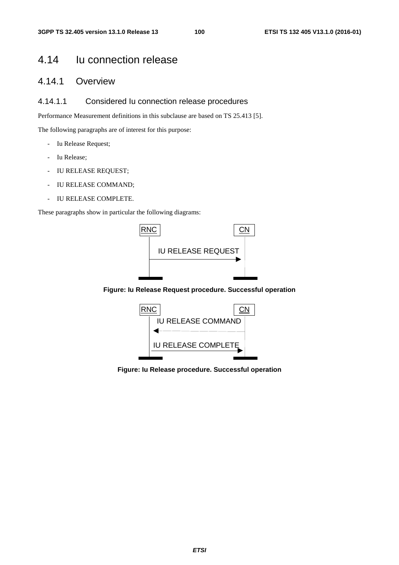# 4.14 Iu connection release

# 4.14.1 Overview

## 4.14.1.1 Considered Iu connection release procedures

Performance Measurement definitions in this subclause are based on TS 25.413 [5].

The following paragraphs are of interest for this purpose:

- Iu Release Request;
- Iu Release;
- IU RELEASE REQUEST;
- IU RELEASE COMMAND;
- IU RELEASE COMPLETE.

These paragraphs show in particular the following diagrams:



**Figure: Iu Release Request procedure. Successful operation** 



**Figure: Iu Release procedure. Successful operation**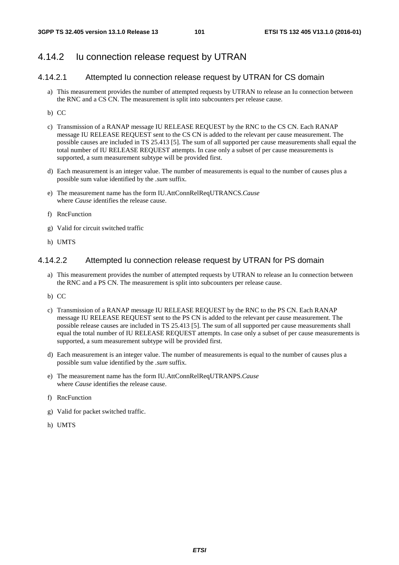## 4.14.2 Iu connection release request by UTRAN

## 4.14.2.1 Attempted Iu connection release request by UTRAN for CS domain

- a) This measurement provides the number of attempted requests by UTRAN to release an Iu connection between the RNC and a CS CN. The measurement is split into subcounters per release cause.
- b) CC
- c) Transmission of a RANAP message IU RELEASE REQUEST by the RNC to the CS CN. Each RANAP message IU RELEASE REQUEST sent to the CS CN is added to the relevant per cause measurement. The possible causes are included in TS 25.413 [5]. The sum of all supported per cause measurements shall equal the total number of IU RELEASE REQUEST attempts. In case only a subset of per cause measurements is supported, a sum measurement subtype will be provided first.
- d) Each measurement is an integer value. The number of measurements is equal to the number of causes plus a possible sum value identified by the *.sum* suffix.
- e) The measurement name has the form IU.AttConnRelReqUTRANCS.*Cause* where *Cause* identifies the release cause.
- f) RncFunction
- g) Valid for circuit switched traffic
- h) UMTS

### 4.14.2.2 Attempted Iu connection release request by UTRAN for PS domain

- a) This measurement provides the number of attempted requests by UTRAN to release an Iu connection between the RNC and a PS CN. The measurement is split into subcounters per release cause.
- b) CC
- c) Transmission of a RANAP message IU RELEASE REQUEST by the RNC to the PS CN. Each RANAP message IU RELEASE REQUEST sent to the PS CN is added to the relevant per cause measurement. The possible release causes are included in TS 25.413 [5]. The sum of all supported per cause measurements shall equal the total number of IU RELEASE REQUEST attempts. In case only a subset of per cause measurements is supported, a sum measurement subtype will be provided first.
- d) Each measurement is an integer value. The number of measurements is equal to the number of causes plus a possible sum value identified by the *.sum* suffix.
- e) The measurement name has the form IU.AttConnRelReqUTRANPS.*Cause* where *Cause* identifies the release cause.
- f) RncFunction
- g) Valid for packet switched traffic.
- h) UMTS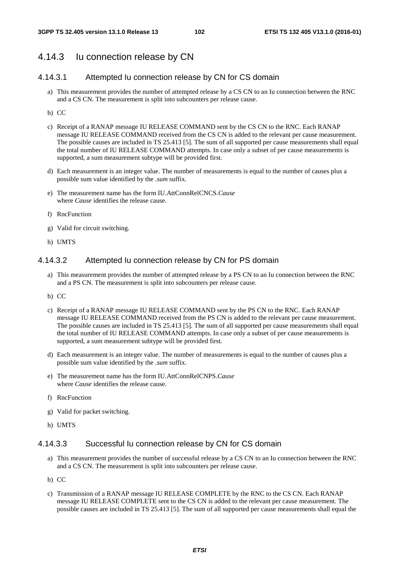## 4.14.3 Iu connection release by CN

## 4.14.3.1 Attempted Iu connection release by CN for CS domain

- a) This measurement provides the number of attempted release by a CS CN to an Iu connection between the RNC and a CS CN. The measurement is split into subcounters per release cause.
- b) CC
- c) Receipt of a RANAP message IU RELEASE COMMAND sent by the CS CN to the RNC. Each RANAP message IU RELEASE COMMAND received from the CS CN is added to the relevant per cause measurement. The possible causes are included in TS 25.413 [5]. The sum of all supported per cause measurements shall equal the total number of IU RELEASE COMMAND attempts. In case only a subset of per cause measurements is supported, a sum measurement subtype will be provided first.
- d) Each measurement is an integer value. The number of measurements is equal to the number of causes plus a possible sum value identified by the *.sum* suffix.
- e) The measurement name has the form IU.AttConnRelCNCS.*Cause* where *Cause* identifies the release cause.
- f) RncFunction
- g) Valid for circuit switching.
- h) UMTS

## 4.14.3.2 Attempted Iu connection release by CN for PS domain

- a) This measurement provides the number of attempted release by a PS CN to an Iu connection between the RNC and a PS CN. The measurement is split into subcounters per release cause.
- b) CC
- c) Receipt of a RANAP message IU RELEASE COMMAND sent by the PS CN to the RNC. Each RANAP message IU RELEASE COMMAND received from the PS CN is added to the relevant per cause measurement. The possible causes are included in TS 25.413 [5]. The sum of all supported per cause measurements shall equal the total number of IU RELEASE COMMAND attempts. In case only a subset of per cause measurements is supported, a sum measurement subtype will be provided first.
- d) Each measurement is an integer value. The number of measurements is equal to the number of causes plus a possible sum value identified by the *.sum* suffix.
- e) The measurement name has the form IU.AttConnRelCNPS.*Cause* where *Cause* identifies the release cause.
- f) RncFunction
- g) Valid for packet switching.
- h) UMTS

### 4.14.3.3 Successful Iu connection release by CN for CS domain

- a) This measurement provides the number of successful release by a CS CN to an Iu connection between the RNC and a CS CN. The measurement is split into subcounters per release cause.
- b) CC
- c) Transmission of a RANAP message IU RELEASE COMPLETE by the RNC to the CS CN. Each RANAP message IU RELEASE COMPLETE sent to the CS CN is added to the relevant per cause measurement. The possible causes are included in TS 25.413 [5]. The sum of all supported per cause measurements shall equal the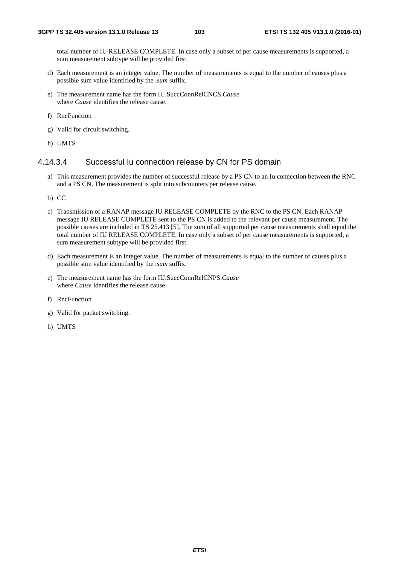total number of IU RELEASE COMPLETE. In case only a subset of per cause measurements is supported, a sum measurement subtype will be provided first.

- d) Each measurement is an integer value. The number of measurements is equal to the number of causes plus a possible sum value identified by the *.sum* suffix.
- e) The measurement name has the form IU.SuccConnRelCNCS.*Cause* where *Cause* identifies the release cause.
- f) RncFunction
- g) Valid for circuit switching.
- h) UMTS

### 4.14.3.4 Successful Iu connection release by CN for PS domain

- a) This measurement provides the number of successful release by a PS CN to an Iu connection between the RNC and a PS CN. The measurement is split into subcounters per release cause.
- b) CC
- c) Transmission of a RANAP message IU RELEASE COMPLETE by the RNC to the PS CN. Each RANAP message IU RELEASE COMPLETE sent to the PS CN is added to the relevant per cause measurement. The possible causes are included in TS 25.413 [5]. The sum of all supported per cause measurements shall equal the total number of IU RELEASE COMPLETE. In case only a subset of per cause measurements is supported, a sum measurement subtype will be provided first.
- d) Each measurement is an integer value. The number of measurements is equal to the number of causes plus a possible sum value identified by the *.sum* suffix.
- e) The measurement name has the form IU.SuccConnRelCNPS.*Cause* where *Cause* identifies the release cause.
- f) RncFunction
- g) Valid for packet switching.
- h) UMTS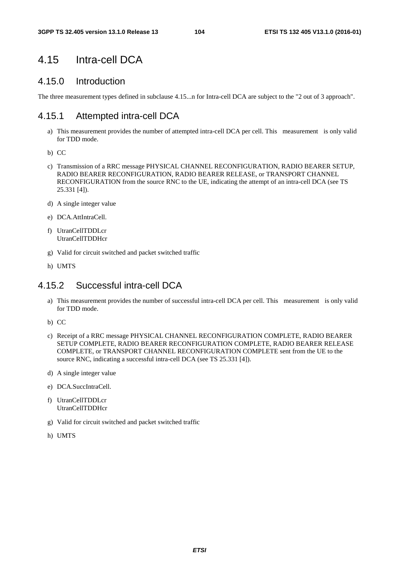# 4.15 Intra-cell DCA

## 4.15.0 Introduction

The three measurement types defined in subclause 4.15...n for Intra-cell DCA are subject to the "2 out of 3 approach".

## 4.15.1 Attempted intra-cell DCA

- a) This measurement provides the number of attempted intra-cell DCA per cell. This measurement is only valid for TDD mode.
- b) CC
- c) Transmission of a RRC message PHYSICAL CHANNEL RECONFIGURATION, RADIO BEARER SETUP, RADIO BEARER RECONFIGURATION, RADIO BEARER RELEASE, or TRANSPORT CHANNEL RECONFIGURATION from the source RNC to the UE, indicating the attempt of an intra-cell DCA (see TS 25.331 [4]).
- d) A single integer value
- e) DCA.AttIntraCell.
- f) UtranCellTDDLcr UtranCellTDDHcr
- g) Valid for circuit switched and packet switched traffic
- h) UMTS

# 4.15.2 Successful intra-cell DCA

- a) This measurement provides the number of successful intra-cell DCA per cell. This measurement is only valid for TDD mode.
- b) CC
- c) Receipt of a RRC message PHYSICAL CHANNEL RECONFIGURATION COMPLETE, RADIO BEARER SETUP COMPLETE, RADIO BEARER RECONFIGURATION COMPLETE, RADIO BEARER RELEASE COMPLETE, or TRANSPORT CHANNEL RECONFIGURATION COMPLETE sent from the UE to the source RNC, indicating a successful intra-cell DCA (see TS 25.331 [4]).
- d) A single integer value
- e) DCA.SuccIntraCell.
- f) UtranCellTDDLcr UtranCellTDDHcr
- g) Valid for circuit switched and packet switched traffic
- h) UMTS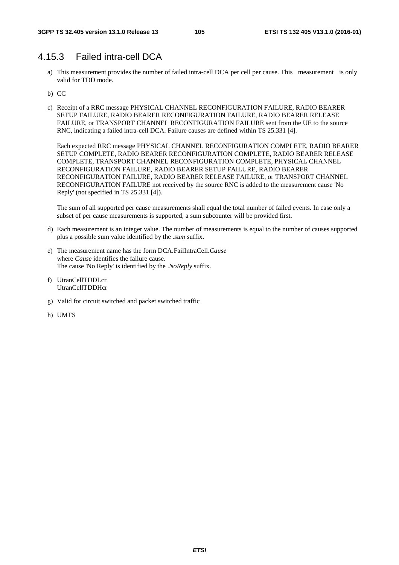# 4.15.3 Failed intra-cell DCA

- a) This measurement provides the number of failed intra-cell DCA per cell per cause. This measurement is only valid for TDD mode.
- b) CC
- c) Receipt of a RRC message PHYSICAL CHANNEL RECONFIGURATION FAILURE, RADIO BEARER SETUP FAILURE, RADIO BEARER RECONFIGURATION FAILURE, RADIO BEARER RELEASE FAILURE, or TRANSPORT CHANNEL RECONFIGURATION FAILURE sent from the UE to the source RNC, indicating a failed intra-cell DCA. Failure causes are defined within TS 25.331 [4].

Each expected RRC message PHYSICAL CHANNEL RECONFIGURATION COMPLETE, RADIO BEARER SETUP COMPLETE, RADIO BEARER RECONFIGURATION COMPLETE, RADIO BEARER RELEASE COMPLETE, TRANSPORT CHANNEL RECONFIGURATION COMPLETE, PHYSICAL CHANNEL RECONFIGURATION FAILURE, RADIO BEARER SETUP FAILURE, RADIO BEARER RECONFIGURATION FAILURE, RADIO BEARER RELEASE FAILURE, or TRANSPORT CHANNEL RECONFIGURATION FAILURE not received by the source RNC is added to the measurement cause 'No Reply' (not specified in TS 25.331 [4]).

- d) Each measurement is an integer value. The number of measurements is equal to the number of causes supported plus a possible sum value identified by the *.sum* suffix.
- e) The measurement name has the form DCA.FailIntraCell.*Cause* where *Cause* identifies the failure cause. The cause 'No Reply' is identified by the .*NoReply* suffix.
- f) UtranCellTDDLcr UtranCellTDDHcr
- g) Valid for circuit switched and packet switched traffic
- h) UMTS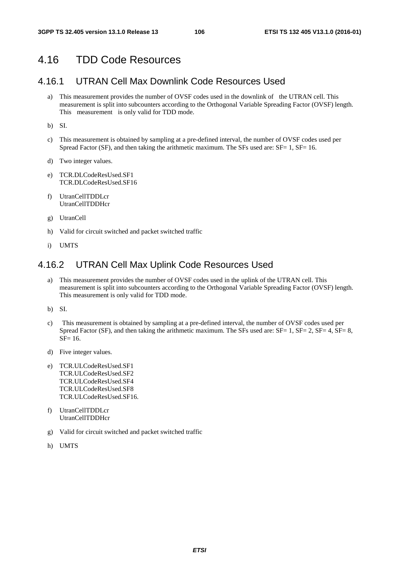# 4.16 TDD Code Resources

## 4.16.1 UTRAN Cell Max Downlink Code Resources Used

a) This measurement provides the number of OVSF codes used in the downlink of the UTRAN cell. This measurement is split into subcounters according to the Orthogonal Variable Spreading Factor (OVSF) length. This measurement is only valid for TDD mode.

b) SI.

- c) This measurement is obtained by sampling at a pre-defined interval, the number of OVSF codes used per Spread Factor (SF), and then taking the arithmetic maximum. The SFs used are:  $SF = 1$ ,  $SF = 16$ .
- d) Two integer values.
- e) TCR.DLCodeResUsed.SF1 TCR.DLCodeResUsed.SF16
- f) UtranCellTDDLcr UtranCellTDDHcr
- g) UtranCell
- h) Valid for circuit switched and packet switched traffic
- i) UMTS

## 4.16.2 UTRAN Cell Max Uplink Code Resources Used

- a) This measurement provides the number of OVSF codes used in the uplink of the UTRAN cell. This measurement is split into subcounters according to the Orthogonal Variable Spreading Factor (OVSF) length. This measurement is only valid for TDD mode.
- b) SI.
- c) This measurement is obtained by sampling at a pre-defined interval, the number of OVSF codes used per Spread Factor (SF), and then taking the arithmetic maximum. The SFs used are:  $SF = 1$ ,  $SF = 2$ ,  $SF = 4$ ,  $SF = 8$ ,  $SF = 16$ .
- d) Five integer values.
- e) TCR.ULCodeResUsed.SF1 TCR.ULCodeResUsed.SF2 TCR.ULCodeResUsed.SF4 TCR.ULCodeResUsed.SF8 TCR.ULCodeResUsed.SF16.
- f) UtranCellTDDLcr UtranCellTDDHcr
- g) Valid for circuit switched and packet switched traffic
- h) UMTS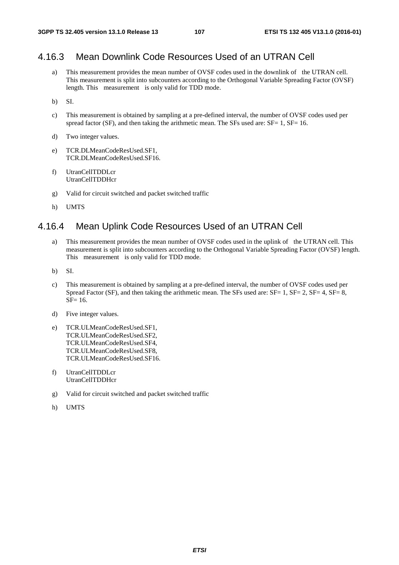# 4.16.3 Mean Downlink Code Resources Used of an UTRAN Cell

- a) This measurement provides the mean number of OVSF codes used in the downlink of the UTRAN cell. This measurement is split into subcounters according to the Orthogonal Variable Spreading Factor (OVSF) length. This measurement is only valid for TDD mode.
- b) SI.
- c) This measurement is obtained by sampling at a pre-defined interval, the number of OVSF codes used per spread factor (SF), and then taking the arithmetic mean. The SFs used are:  $SF = 1$ ,  $SF = 16$ .
- d) Two integer values.
- e) TCR.DLMeanCodeResUsed.SF1, TCR.DLMeanCodeResUsed.SF16.
- f) UtranCellTDDLcr UtranCellTDDHcr
- g) Valid for circuit switched and packet switched traffic
- h) UMTS

# 4.16.4 Mean Uplink Code Resources Used of an UTRAN Cell

- a) This measurement provides the mean number of OVSF codes used in the uplink of the UTRAN cell. This measurement is split into subcounters according to the Orthogonal Variable Spreading Factor (OVSF) length. This measurement is only valid for TDD mode.
- b) SI.
- c) This measurement is obtained by sampling at a pre-defined interval, the number of OVSF codes used per Spread Factor (SF), and then taking the arithmetic mean. The SFs used are: SF= 1, SF= 2, SF= 4, SF= 8, SF= 16.
- d) Five integer values.
- e) TCR.ULMeanCodeResUsed.SF1, TCR.ULMeanCodeResUsed.SF2, TCR.ULMeanCodeResUsed.SF4, TCR.ULMeanCodeResUsed.SF8, TCR.ULMeanCodeResUsed.SF16.
- f) UtranCellTDDLcr UtranCellTDDHcr
- g) Valid for circuit switched and packet switched traffic
- h) UMTS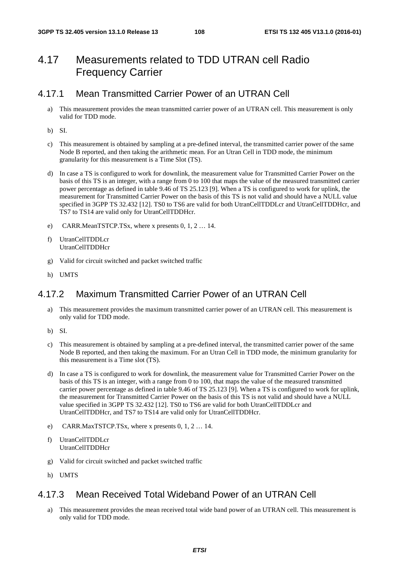# 4.17 Measurements related to TDD UTRAN cell Radio Frequency Carrier

## 4.17.1 Mean Transmitted Carrier Power of an UTRAN Cell

- a) This measurement provides the mean transmitted carrier power of an UTRAN cell. This measurement is only valid for TDD mode.
- b) SI.
- c) This measurement is obtained by sampling at a pre-defined interval, the transmitted carrier power of the same Node B reported, and then taking the arithmetic mean. For an Utran Cell in TDD mode, the minimum granularity for this measurement is a Time Slot (TS).
- d) In case a TS is configured to work for downlink, the measurement value for Transmitted Carrier Power on the basis of this TS is an integer, with a range from 0 to 100 that maps the value of the measured transmitted carrier power percentage as defined in table 9.46 of TS 25.123 [9]. When a TS is configured to work for uplink, the measurement for Transmitted Carrier Power on the basis of this TS is not valid and should have a NULL value specified in 3GPP TS 32.432 [12]. TS0 to TS6 are valid for both UtranCellTDDLcr and UtranCellTDDHcr, and TS7 to TS14 are valid only for UtranCellTDDHcr.
- e) CARR.MeanTSTCP.TSx, where x presents 0, 1, 2 … 14.
- f) UtranCellTDDLcr UtranCellTDDHcr
- Valid for circuit switched and packet switched traffic
- h) UMTS

## 4.17.2 Maximum Transmitted Carrier Power of an UTRAN Cell

- a) This measurement provides the maximum transmitted carrier power of an UTRAN cell. This measurement is only valid for TDD mode.
- b) SI.
- c) This measurement is obtained by sampling at a pre-defined interval, the transmitted carrier power of the same Node B reported, and then taking the maximum. For an Utran Cell in TDD mode, the minimum granularity for this measurement is a Time slot (TS).
- d) In case a TS is configured to work for downlink, the measurement value for Transmitted Carrier Power on the basis of this TS is an integer, with a range from 0 to 100, that maps the value of the measured transmitted carrier power percentage as defined in table 9.46 of TS 25.123 [9]. When a TS is configured to work for uplink, the measurement for Transmitted Carrier Power on the basis of this TS is not valid and should have a NULL value specified in 3GPP TS 32.432 [12]. TS0 to TS6 are valid for both UtranCellTDDLcr and UtranCellTDDHcr, and TS7 to TS14 are valid only for UtranCellTDDHcr.
- e) CARR.MaxTSTCP.TSx, where x presents 0, 1, 2 … 14.
- f) UtranCellTDDLcr UtranCellTDDHcr
- g) Valid for circuit switched and packet switched traffic
- h) UMTS

## 4.17.3 Mean Received Total Wideband Power of an UTRAN Cell

a) This measurement provides the mean received total wide band power of an UTRAN cell. This measurement is only valid for TDD mode.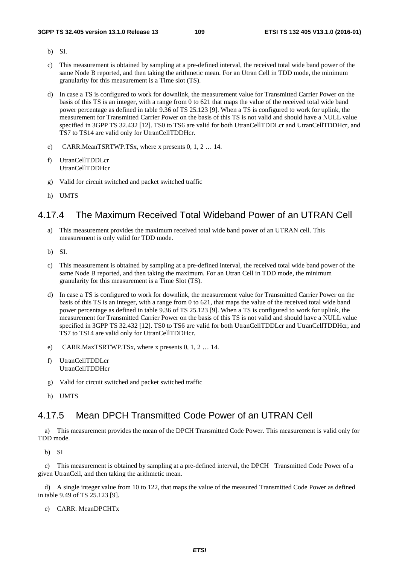- b) SI.
- c) This measurement is obtained by sampling at a pre-defined interval, the received total wide band power of the same Node B reported, and then taking the arithmetic mean. For an Utran Cell in TDD mode, the minimum granularity for this measurement is a Time slot (TS).
- d) In case a TS is configured to work for downlink, the measurement value for Transmitted Carrier Power on the basis of this TS is an integer, with a range from 0 to 621 that maps the value of the received total wide band power percentage as defined in table 9.36 of TS 25.123 [9]. When a TS is configured to work for uplink, the measurement for Transmitted Carrier Power on the basis of this TS is not valid and should have a NULL value specified in 3GPP TS 32.432 [12]. TS0 to TS6 are valid for both UtranCellTDDLcr and UtranCellTDDHcr, and TS7 to TS14 are valid only for UtranCellTDDHcr.
- e) CARR.MeanTSRTWP.TSx, where x presents 0, 1, 2 … 14.
- f) UtranCellTDDLcr UtranCellTDDHcr
- g) Valid for circuit switched and packet switched traffic
- h) UMTS

## 4.17.4 The Maximum Received Total Wideband Power of an UTRAN Cell

- a) This measurement provides the maximum received total wide band power of an UTRAN cell. This measurement is only valid for TDD mode.
- b) SI.
- c) This measurement is obtained by sampling at a pre-defined interval, the received total wide band power of the same Node B reported, and then taking the maximum. For an Utran Cell in TDD mode, the minimum granularity for this measurement is a Time Slot (TS).
- d) In case a TS is configured to work for downlink, the measurement value for Transmitted Carrier Power on the basis of this TS is an integer, with a range from 0 to 621, that maps the value of the received total wide band power percentage as defined in table 9.36 of TS 25.123 [9]. When a TS is configured to work for uplink, the measurement for Transmitted Carrier Power on the basis of this TS is not valid and should have a NULL value specified in 3GPP TS 32.432 [12]. TS0 to TS6 are valid for both UtranCellTDDLcr and UtranCellTDDHcr, and TS7 to TS14 are valid only for UtranCellTDDHcr.
- e) CARR.MaxTSRTWP.TSx, where x presents 0, 1, 2 … 14.
- f) UtranCellTDDLcr UtranCellTDDHcr
- g) Valid for circuit switched and packet switched traffic
- h) UMTS

## 4.17.5 Mean DPCH Transmitted Code Power of an UTRAN Cell

a) This measurement provides the mean of the DPCH Transmitted Code Power. This measurement is valid only for TDD mode.

b) SI

c) This measurement is obtained by sampling at a pre-defined interval, the DPCH Transmitted Code Power of a given UtranCell, and then taking the arithmetic mean.

d) A single integer value from 10 to 122, that maps the value of the measured Transmitted Code Power as defined in table 9.49 of TS 25.123 [9].

e) CARR. MeanDPCHTx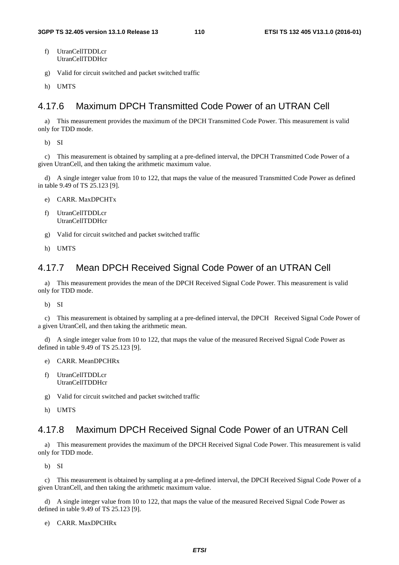- f) UtranCellTDDLcr UtranCellTDDHcr
- g) Valid for circuit switched and packet switched traffic
- h) UMTS

## 4.17.6 Maximum DPCH Transmitted Code Power of an UTRAN Cell

a) This measurement provides the maximum of the DPCH Transmitted Code Power. This measurement is valid only for TDD mode.

b) SI

c) This measurement is obtained by sampling at a pre-defined interval, the DPCH Transmitted Code Power of a given UtranCell, and then taking the arithmetic maximum value.

d) A single integer value from 10 to 122, that maps the value of the measured Transmitted Code Power as defined in table 9.49 of TS 25.123 [9].

- e) CARR. MaxDPCHTx
- f) UtranCellTDDLcr UtranCellTDDHcr
- g) Valid for circuit switched and packet switched traffic
- h) UMTS

## 4.17.7 Mean DPCH Received Signal Code Power of an UTRAN Cell

a) This measurement provides the mean of the DPCH Received Signal Code Power. This measurement is valid only for TDD mode.

b) SI

c) This measurement is obtained by sampling at a pre-defined interval, the DPCH Received Signal Code Power of a given UtranCell, and then taking the arithmetic mean.

d) A single integer value from 10 to 122, that maps the value of the measured Received Signal Code Power as defined in table 9.49 of TS 25.123 [9].

- e) CARR. MeanDPCHRx
- f) UtranCellTDDLcr UtranCellTDDHcr
- g) Valid for circuit switched and packet switched traffic
- h) UMTS

## 4.17.8 Maximum DPCH Received Signal Code Power of an UTRAN Cell

a) This measurement provides the maximum of the DPCH Received Signal Code Power. This measurement is valid only for TDD mode.

b) SI

c) This measurement is obtained by sampling at a pre-defined interval, the DPCH Received Signal Code Power of a given UtranCell, and then taking the arithmetic maximum value.

d) A single integer value from 10 to 122, that maps the value of the measured Received Signal Code Power as defined in table 9.49 of TS 25.123 [9].

e) CARR. MaxDPCHRx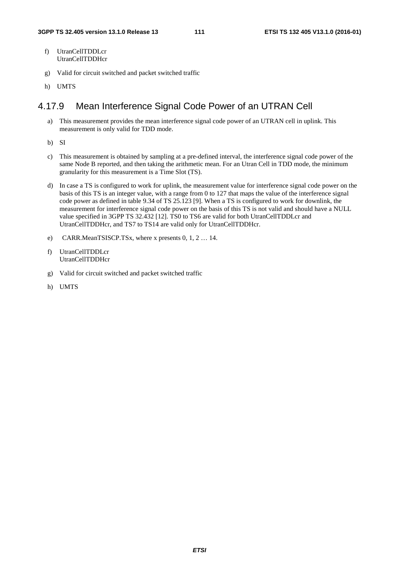- f) UtranCellTDDLcr UtranCellTDDHcr
- g) Valid for circuit switched and packet switched traffic
- h) UMTS

## 4.17.9 Mean Interference Signal Code Power of an UTRAN Cell

- a) This measurement provides the mean interference signal code power of an UTRAN cell in uplink. This measurement is only valid for TDD mode.
- b) SI
- c) This measurement is obtained by sampling at a pre-defined interval, the interference signal code power of the same Node B reported, and then taking the arithmetic mean. For an Utran Cell in TDD mode, the minimum granularity for this measurement is a Time Slot (TS).
- d) In case a TS is configured to work for uplink, the measurement value for interference signal code power on the basis of this TS is an integer value, with a range from 0 to 127 that maps the value of the interference signal code power as defined in table 9.34 of TS 25.123 [9]. When a TS is configured to work for downlink, the measurement for interference signal code power on the basis of this TS is not valid and should have a NULL value specified in 3GPP TS 32.432 [12]. TS0 to TS6 are valid for both UtranCellTDDLcr and UtranCellTDDHcr, and TS7 to TS14 are valid only for UtranCellTDDHcr.
- e) CARR.MeanTSISCP.TSx, where x presents 0, 1, 2 … 14.
- f) UtranCellTDDLcr UtranCellTDDHcr
- g) Valid for circuit switched and packet switched traffic
- h) UMTS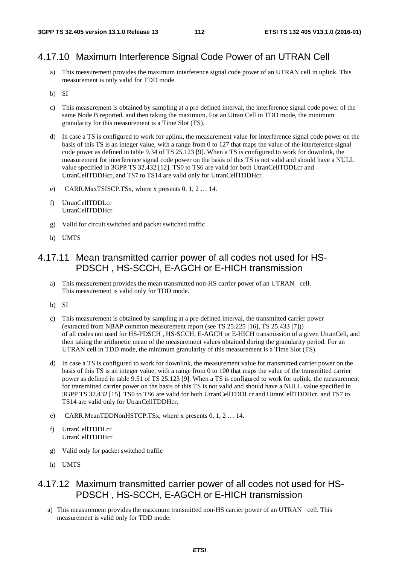## 4.17.10 Maximum Interference Signal Code Power of an UTRAN Cell

- a) This measurement provides the maximum interference signal code power of an UTRAN cell in uplink. This measurement is only valid for TDD mode.
- b) SI
- c) This measurement is obtained by sampling at a pre-defined interval, the interference signal code power of the same Node B reported, and then taking the maximum. For an Utran Cell in TDD mode, the minimum granularity for this measurement is a Time Slot (TS).
- d) In case a TS is configured to work for uplink, the measurement value for interference signal code power on the basis of this TS is an integer value, with a range from 0 to 127 that maps the value of the interference signal code power as defined in table 9.34 of TS 25.123 [9]. When a TS is configured to work for downlink, the measurement for interference signal code power on the basis of this TS is not valid and should have a NULL value specified in 3GPP TS 32.432 [12]. TS0 to TS6 are valid for both UtranCellTDDLcr and UtranCellTDDHcr, and TS7 to TS14 are valid only for UtranCellTDDHcr.
- e) CARR.MaxTSISCP.TSx, where x presents 0, 1, 2 … 14.
- f) UtranCellTDDLcr UtranCellTDDHcr
- g) Valid for circuit switched and packet switched traffic
- h) UMTS

## 4.17.11 Mean transmitted carrier power of all codes not used for HS-PDSCH , HS-SCCH, E-AGCH or E-HICH transmission

- a) This measurement provides the mean transmitted non-HS carrier power of an UTRAN cell. This measurement is valid only for TDD mode.
- b) SI
- c) This measurement is obtained by sampling at a pre-defined interval, the transmitted carrier power (extracted from NBAP common measurement report (see TS 25.225 [16], TS 25.433 [7])) of all codes not used for HS-PDSCH , HS-SCCH, E-AGCH or E-HICH transmission of a given UtranCell, and then taking the arithmetic mean of the measurement values obtained during the granularity period. For an UTRAN cell in TDD mode, the minimum granularity of this measurement is a Time Slot (TS).
- d) In case a TS is configured to work for downlink, the measurement value for transmitted carrier power on the basis of this TS is an integer value, with a range from 0 to 100 that maps the value of the transmitted carrier power as defined in table 9.51 of TS 25.123 [9]. When a TS is configured to work for uplink, the measurement for transmitted carrier power on the basis of this TS is not valid and should have a NULL value specified in 3GPP TS 32.432 [15]. TS0 to TS6 are valid for both UtranCellTDDLcr and UtranCellTDDHcr, and TS7 to TS14 are valid only for UtranCellTDDHcr.
- e) CARR.MeanTDDNonHSTCP.TSx, where x presents 0, 1, 2 … 14.
- f) UtranCellTDDLcr UtranCellTDDHcr
- g) Valid only for packet switched traffic
- h) UMTS

## 4.17.12 Maximum transmitted carrier power of all codes not used for HS-PDSCH , HS-SCCH, E-AGCH or E-HICH transmission

a) This measurement provides the maximum transmitted non-HS carrier power of an UTRAN cell. This measurement is valid only for TDD mode.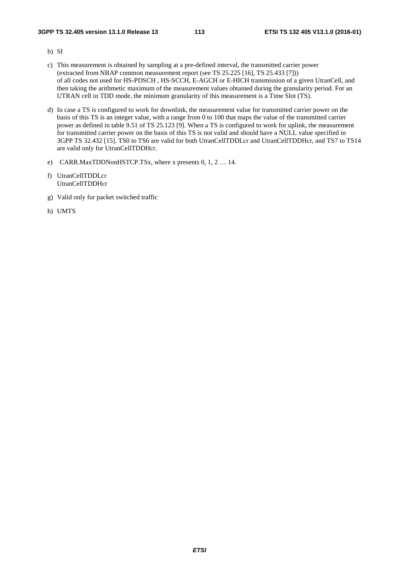- b) SI
- c) This measurement is obtained by sampling at a pre-defined interval, the transmitted carrier power (extracted from NBAP common measurement report (see TS 25.225 [16], TS 25.433 [7])) of all codes not used for HS-PDSCH , HS-SCCH, E-AGCH or E-HICH transmission of a given UtranCell, and then taking the arithmetic maximum of the measurement values obtained during the granularity period. For an UTRAN cell in TDD mode, the minimum granularity of this measurement is a Time Slot (TS).
- d) In case a TS is configured to work for downlink, the measurement value for transmitted carrier power on the basis of this TS is an integer value, with a range from 0 to 100 that maps the value of the transmitted carrier power as defined in table 9.51 of TS 25.123 [9]. When a TS is configured to work for uplink, the measurement for transmitted carrier power on the basis of this TS is not valid and should have a NULL value specified in 3GPP TS 32.432 [15]. TS0 to TS6 are valid for both UtranCellTDDLcr and UtranCellTDDHcr, and TS7 to TS14 are valid only for UtranCellTDDHcr.
- e) CARR.MaxTDDNonHSTCP.TSx, where x presents 0, 1, 2 … 14.
- f) UtranCellTDDLcr UtranCellTDDHcr
- g) Valid only for packet switched traffic
- h) UMTS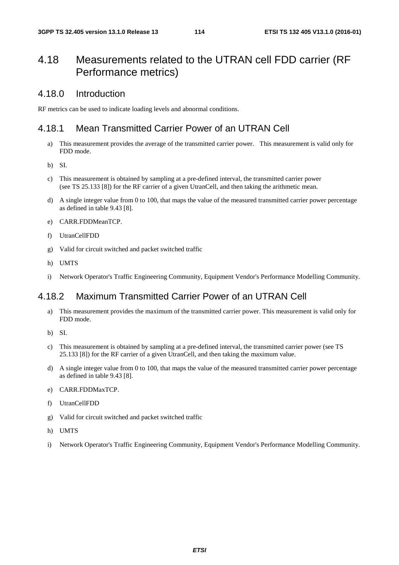# 4.18 Measurements related to the UTRAN cell FDD carrier (RF Performance metrics)

## 4.18.0 Introduction

RF metrics can be used to indicate loading levels and abnormal conditions.

## 4.18.1 Mean Transmitted Carrier Power of an UTRAN Cell

- a) This measurement provides the average of the transmitted carrier power. This measurement is valid only for FDD mode.
- b) SI.
- c) This measurement is obtained by sampling at a pre-defined interval, the transmitted carrier power (see TS 25.133 [8]) for the RF carrier of a given UtranCell, and then taking the arithmetic mean.
- d) A single integer value from 0 to 100, that maps the value of the measured transmitted carrier power percentage as defined in table 9.43 [8].
- e) CARR.FDDMeanTCP.
- f) UtranCellFDD
- g) Valid for circuit switched and packet switched traffic
- h) UMTS
- i) Network Operator's Traffic Engineering Community, Equipment Vendor's Performance Modelling Community.

## 4.18.2 Maximum Transmitted Carrier Power of an UTRAN Cell

- a) This measurement provides the maximum of the transmitted carrier power. This measurement is valid only for FDD mode.
- b) SI.
- c) This measurement is obtained by sampling at a pre-defined interval, the transmitted carrier power (see TS 25.133 [8]) for the RF carrier of a given UtranCell, and then taking the maximum value.
- d) A single integer value from 0 to 100, that maps the value of the measured transmitted carrier power percentage as defined in table 9.43 [8].
- e) CARR.FDDMaxTCP.
- f) UtranCellFDD
- g) Valid for circuit switched and packet switched traffic
- h) UMTS
- i) Network Operator's Traffic Engineering Community, Equipment Vendor's Performance Modelling Community.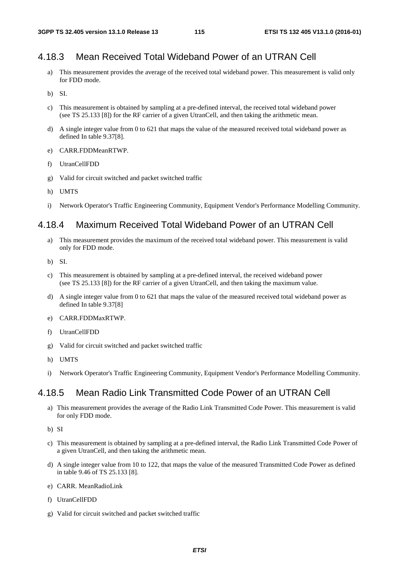## 4.18.3 Mean Received Total Wideband Power of an UTRAN Cell

- a) This measurement provides the average of the received total wideband power. This measurement is valid only for FDD mode.
- b) SI.
- c) This measurement is obtained by sampling at a pre-defined interval, the received total wideband power (see TS 25.133 [8]) for the RF carrier of a given UtranCell, and then taking the arithmetic mean.
- d) A single integer value from 0 to 621 that maps the value of the measured received total wideband power as defined In table 9.37[8].
- e) CARR.FDDMeanRTWP.
- f) UtranCellFDD
- g) Valid for circuit switched and packet switched traffic
- h) UMTS
- i) Network Operator's Traffic Engineering Community, Equipment Vendor's Performance Modelling Community.

## 4.18.4 Maximum Received Total Wideband Power of an UTRAN Cell

- a) This measurement provides the maximum of the received total wideband power. This measurement is valid only for FDD mode.
- b) SI.
- c) This measurement is obtained by sampling at a pre-defined interval, the received wideband power (see TS 25.133 [8]) for the RF carrier of a given UtranCell, and then taking the maximum value.
- d) A single integer value from 0 to 621 that maps the value of the measured received total wideband power as defined In table 9.37[8]
- e) CARR.FDDMaxRTWP.
- f) UtranCellFDD
- g) Valid for circuit switched and packet switched traffic
- h) UMTS
- i) Network Operator's Traffic Engineering Community, Equipment Vendor's Performance Modelling Community.

## 4.18.5 Mean Radio Link Transmitted Code Power of an UTRAN Cell

- a) This measurement provides the average of the Radio Link Transmitted Code Power. This measurement is valid for only FDD mode.
- b) SI
- c) This measurement is obtained by sampling at a pre-defined interval, the Radio Link Transmitted Code Power of a given UtranCell, and then taking the arithmetic mean.
- d) A single integer value from 10 to 122, that maps the value of the measured Transmitted Code Power as defined in table 9.46 of TS 25.133 [8].
- e) CARR. MeanRadioLink
- f) UtranCellFDD
- g) Valid for circuit switched and packet switched traffic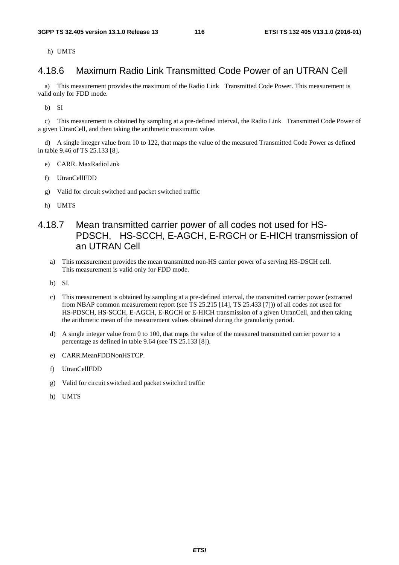h) UMTS

## 4.18.6 Maximum Radio Link Transmitted Code Power of an UTRAN Cell

a) This measurement provides the maximum of the Radio Link Transmitted Code Power. This measurement is valid only for FDD mode.

b) SI

c) This measurement is obtained by sampling at a pre-defined interval, the Radio Link Transmitted Code Power of a given UtranCell, and then taking the arithmetic maximum value.

d) A single integer value from 10 to 122, that maps the value of the measured Transmitted Code Power as defined in table 9.46 of TS 25.133 [8].

- e) CARR. MaxRadioLink
- f) UtranCellFDD
- g) Valid for circuit switched and packet switched traffic
- h) UMTS
- 4.18.7 Mean transmitted carrier power of all codes not used for HS-PDSCH, HS-SCCH, E-AGCH, E-RGCH or E-HICH transmission of an UTRAN Cell
	- a) This measurement provides the mean transmitted non-HS carrier power of a serving HS-DSCH cell. This measurement is valid only for FDD mode.
	- b) SI.
	- c) This measurement is obtained by sampling at a pre-defined interval, the transmitted carrier power (extracted from NBAP common measurement report (see TS 25.215 [14], TS 25.433 [7])) of all codes not used for HS-PDSCH, HS-SCCH, E-AGCH, E-RGCH or E-HICH transmission of a given UtranCell, and then taking the arithmetic mean of the measurement values obtained during the granularity period.
	- d) A single integer value from 0 to 100, that maps the value of the measured transmitted carrier power to a percentage as defined in table 9.64 (see TS 25.133 [8]).
	- e) CARR.MeanFDDNonHSTCP.
	- f) UtranCellFDD
	- g) Valid for circuit switched and packet switched traffic
	- h) UMTS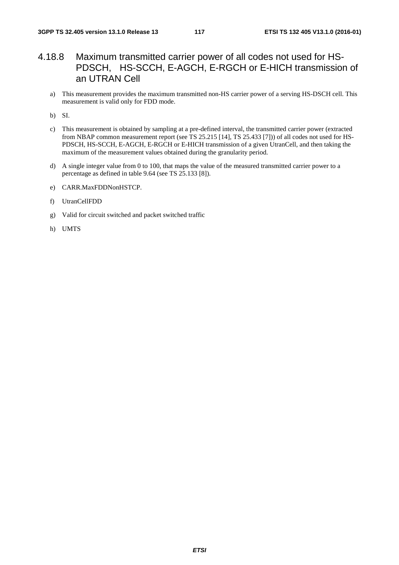## 4.18.8 Maximum transmitted carrier power of all codes not used for HS-PDSCH, HS-SCCH, E-AGCH, E-RGCH or E-HICH transmission of an UTRAN Cell

a) This measurement provides the maximum transmitted non-HS carrier power of a serving HS-DSCH cell. This measurement is valid only for FDD mode.

b) SI.

- c) This measurement is obtained by sampling at a pre-defined interval, the transmitted carrier power (extracted from NBAP common measurement report (see TS 25.215 [14], TS 25.433 [7])) of all codes not used for HS-PDSCH, HS-SCCH, E-AGCH, E-RGCH or E-HICH transmission of a given UtranCell, and then taking the maximum of the measurement values obtained during the granularity period.
- d) A single integer value from 0 to 100, that maps the value of the measured transmitted carrier power to a percentage as defined in table 9.64 (see TS 25.133 [8]).
- e) CARR.MaxFDDNonHSTCP.
- f) UtranCellFDD
- g) Valid for circuit switched and packet switched traffic
- h) UMTS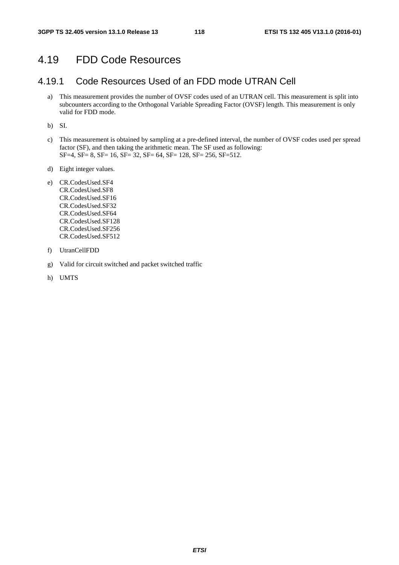## 4.19 FDD Code Resources

## 4.19.1 Code Resources Used of an FDD mode UTRAN Cell

a) This measurement provides the number of OVSF codes used of an UTRAN cell. This measurement is split into subcounters according to the Orthogonal Variable Spreading Factor (OVSF) length. This measurement is only valid for FDD mode.

b) SI.

- c) This measurement is obtained by sampling at a pre-defined interval, the number of OVSF codes used per spread factor (SF), and then taking the arithmetic mean. The SF used as following: SF=4, SF= 8, SF= 16, SF= 32, SF= 64, SF= 128, SF= 256, SF=512.
- d) Eight integer values.
- e) CR.CodesUsed.SF4 CR.CodesUsed.SF8 CR.CodesUsed.SF16 CR.CodesUsed.SF32 CR.CodesUsed.SF64 CR.CodesUsed.SF128 CR.CodesUsed.SF256 CR.CodesUsed.SF512
- f) UtranCellFDD
- g) Valid for circuit switched and packet switched traffic
- h) UMTS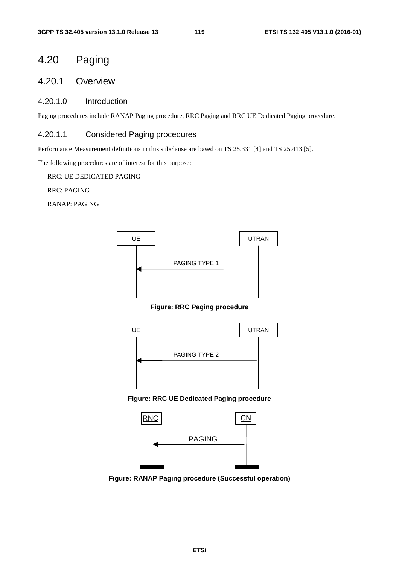# 4.20 Paging

## 4.20.1 Overview

### 4.20.1.0 Introduction

Paging procedures include RANAP Paging procedure, RRC Paging and RRC UE Dedicated Paging procedure.

#### 4.20.1.1 Considered Paging procedures

Performance Measurement definitions in this subclause are based on TS 25.331 [4] and TS 25.413 [5].

The following procedures are of interest for this purpose:

RRC: UE DEDICATED PAGING

RRC: PAGING

RANAP: PAGING



**Figure: RANAP Paging procedure (Successful operation)**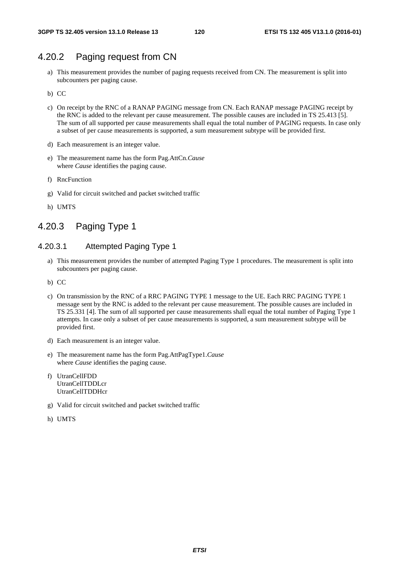## 4.20.2 Paging request from CN

- a) This measurement provides the number of paging requests received from CN. The measurement is split into subcounters per paging cause.
- b) CC
- c) On receipt by the RNC of a RANAP PAGING message from CN. Each RANAP message PAGING receipt by the RNC is added to the relevant per cause measurement. The possible causes are included in TS 25.413 [5]. The sum of all supported per cause measurements shall equal the total number of PAGING requests. In case only a subset of per cause measurements is supported, a sum measurement subtype will be provided first.
- d) Each measurement is an integer value.
- e) The measurement name has the form Pag.AttCn.*Cause* where *Cause* identifies the paging cause.
- f) RncFunction
- g) Valid for circuit switched and packet switched traffic
- h) UMTS

## 4.20.3 Paging Type 1

#### 4.20.3.1 Attempted Paging Type 1

- a) This measurement provides the number of attempted Paging Type 1 procedures. The measurement is split into subcounters per paging cause.
- b) CC
- c) On transmission by the RNC of a RRC PAGING TYPE 1 message to the UE. Each RRC PAGING TYPE 1 message sent by the RNC is added to the relevant per cause measurement. The possible causes are included in TS 25.331 [4]. The sum of all supported per cause measurements shall equal the total number of Paging Type 1 attempts. In case only a subset of per cause measurements is supported, a sum measurement subtype will be provided first.
- d) Each measurement is an integer value.
- e) The measurement name has the form Pag.AttPagType1.*Cause* where *Cause* identifies the paging cause.
- f) UtranCellFDD UtranCellTDDLcr UtranCellTDDHcr
- g) Valid for circuit switched and packet switched traffic
- h) UMTS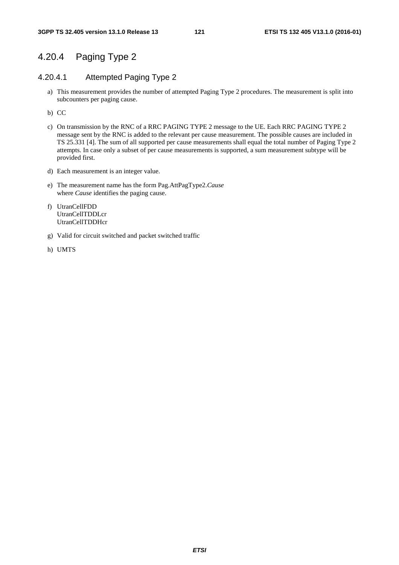## 4.20.4 Paging Type 2

#### 4.20.4.1 Attempted Paging Type 2

- a) This measurement provides the number of attempted Paging Type 2 procedures. The measurement is split into subcounters per paging cause.
- b) CC
- c) On transmission by the RNC of a RRC PAGING TYPE 2 message to the UE. Each RRC PAGING TYPE 2 message sent by the RNC is added to the relevant per cause measurement. The possible causes are included in TS 25.331 [4]. The sum of all supported per cause measurements shall equal the total number of Paging Type 2 attempts. In case only a subset of per cause measurements is supported, a sum measurement subtype will be provided first.
- d) Each measurement is an integer value.
- e) The measurement name has the form Pag.AttPagType2.*Cause* where *Cause* identifies the paging cause.
- f) UtranCellFDD UtranCellTDDLcr UtranCellTDDHcr
- g) Valid for circuit switched and packet switched traffic
- h) UMTS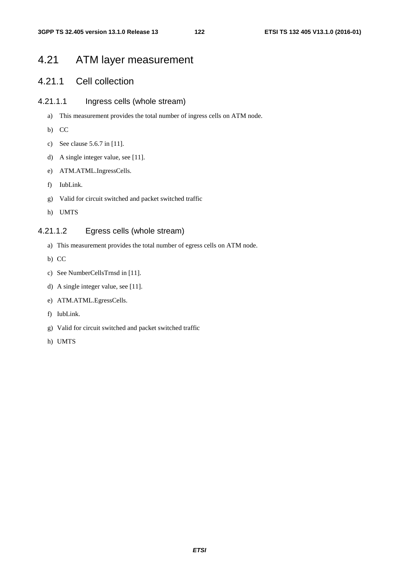# 4.21 ATM layer measurement

## 4.21.1 Cell collection

#### 4.21.1.1 Ingress cells (whole stream)

- a) This measurement provides the total number of ingress cells on ATM node.
- b) CC
- c) See clause 5.6.7 in [11].
- d) A single integer value, see [11].
- e) ATM.ATML.IngressCells.
- f) IubLink.
- g) Valid for circuit switched and packet switched traffic
- h) UMTS

#### 4.21.1.2 Egress cells (whole stream)

- a) This measurement provides the total number of egress cells on ATM node.
- b) CC
- c) See NumberCellsTrnsd in [11].
- d) A single integer value, see [11].
- e) ATM.ATML.EgressCells.
- f) IubLink.
- g) Valid for circuit switched and packet switched traffic
- h) UMTS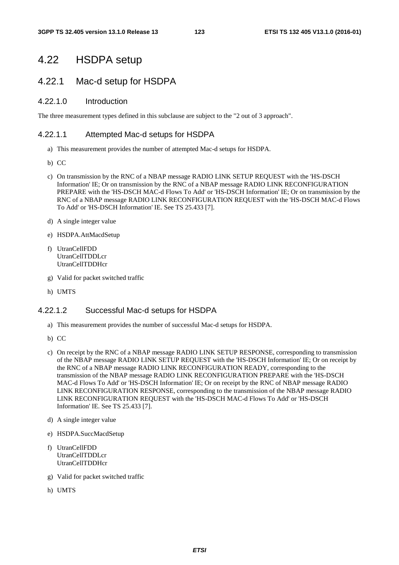## 4.22 HSDPA setup

## 4.22.1 Mac-d setup for HSDPA

#### 4.22.1.0 Introduction

The three measurement types defined in this subclause are subject to the "2 out of 3 approach".

#### 4.22.1.1 Attempted Mac-d setups for HSDPA

- a) This measurement provides the number of attempted Mac-d setups for HSDPA.
- b) CC
- c) On transmission by the RNC of a NBAP message RADIO LINK SETUP REQUEST with the 'HS-DSCH Information' IE; Or on transmission by the RNC of a NBAP message RADIO LINK RECONFIGURATION PREPARE with the 'HS-DSCH MAC-d Flows To Add' or 'HS-DSCH Information' IE; Or on transmission by the RNC of a NBAP message RADIO LINK RECONFIGURATION REQUEST with the 'HS-DSCH MAC-d Flows To Add' or 'HS-DSCH Information' IE. See TS 25.433 [7].
- d) A single integer value
- e) HSDPA.AttMacdSetup
- f) UtranCellFDD UtranCellTDDLcr UtranCellTDDHcr
- g) Valid for packet switched traffic
- h) UMTS

#### 4.22.1.2 Successful Mac-d setups for HSDPA

- a) This measurement provides the number of successful Mac-d setups for HSDPA.
- b) CC
- c) On receipt by the RNC of a NBAP message RADIO LINK SETUP RESPONSE, corresponding to transmission of the NBAP message RADIO LINK SETUP REQUEST with the 'HS-DSCH Information' IE; Or on receipt by the RNC of a NBAP message RADIO LINK RECONFIGURATION READY, corresponding to the transmission of the NBAP message RADIO LINK RECONFIGURATION PREPARE with the 'HS-DSCH MAC-d Flows To Add' or 'HS-DSCH Information' IE; Or on receipt by the RNC of NBAP message RADIO LINK RECONFIGURATION RESPONSE, corresponding to the transmission of the NBAP message RADIO LINK RECONFIGURATION REQUEST with the 'HS-DSCH MAC-d Flows To Add' or 'HS-DSCH Information' IE. See TS 25.433 [7].
- d) A single integer value
- e) HSDPA.SuccMacdSetup
- f) UtranCellFDD UtranCellTDDLcr UtranCellTDDHcr
- g) Valid for packet switched traffic
- h) UMTS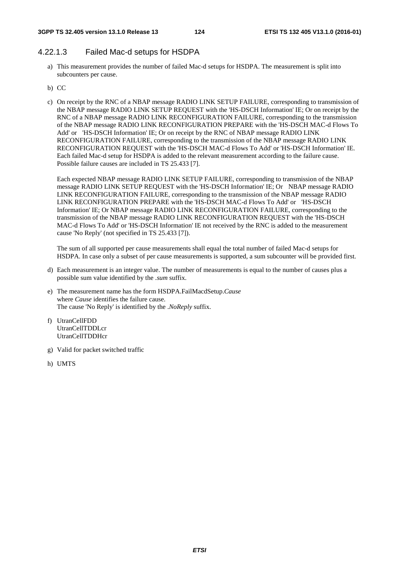#### 4.22.1.3 Failed Mac-d setups for HSDPA

- a) This measurement provides the number of failed Mac-d setups for HSDPA. The measurement is split into subcounters per cause.
- b) CC
- c) On receipt by the RNC of a NBAP message RADIO LINK SETUP FAILURE, corresponding to transmission of the NBAP message RADIO LINK SETUP REQUEST with the 'HS-DSCH Information' IE; Or on receipt by the RNC of a NBAP message RADIO LINK RECONFIGURATION FAILURE, corresponding to the transmission of the NBAP message RADIO LINK RECONFIGURATION PREPARE with the 'HS-DSCH MAC-d Flows To Add' or 'HS-DSCH Information' IE; Or on receipt by the RNC of NBAP message RADIO LINK RECONFIGURATION FAILURE, corresponding to the transmission of the NBAP message RADIO LINK RECONFIGURATION REQUEST with the 'HS-DSCH MAC-d Flows To Add' or 'HS-DSCH Information' IE. Each failed Mac-d setup for HSDPA is added to the relevant measurement according to the failure cause. Possible failure causes are included in TS 25.433 [7].

Each expected NBAP message RADIO LINK SETUP FAILURE, corresponding to transmission of the NBAP message RADIO LINK SETUP REQUEST with the 'HS-DSCH Information' IE; Or NBAP message RADIO LINK RECONFIGURATION FAILURE, corresponding to the transmission of the NBAP message RADIO LINK RECONFIGURATION PREPARE with the 'HS-DSCH MAC-d Flows To Add' or 'HS-DSCH Information' IE; Or NBAP message RADIO LINK RECONFIGURATION FAILURE, corresponding to the transmission of the NBAP message RADIO LINK RECONFIGURATION REQUEST with the 'HS-DSCH MAC-d Flows To Add' or 'HS-DSCH Information' IE not received by the RNC is added to the measurement cause 'No Reply' (not specified in TS 25.433 [7]).

The sum of all supported per cause measurements shall equal the total number of failed Mac-d setups for HSDPA. In case only a subset of per cause measurements is supported, a sum subcounter will be provided first.

- d) Each measurement is an integer value. The number of measurements is equal to the number of causes plus a possible sum value identified by the .*sum* suffix.
- e) The measurement name has the form HSDPA.FailMacdSetup.*Cause*  where *Cause* identifies the failure cause. The cause 'No Reply' is identified by the .*NoReply* suffix.
- f) UtranCellFDD UtranCellTDDLcr UtranCellTDDHcr
- g) Valid for packet switched traffic
- h) UMTS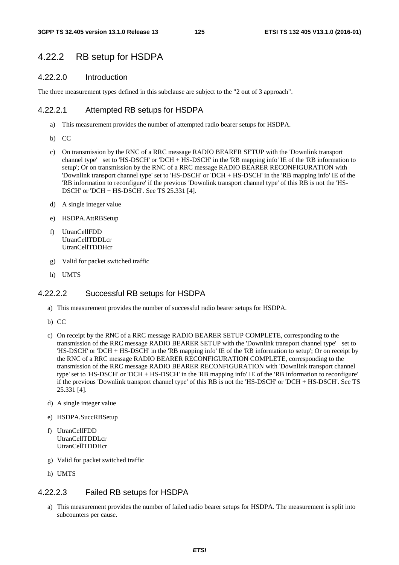## 4.22.2 RB setup for HSDPA

#### 4.22.2.0 Introduction

The three measurement types defined in this subclause are subject to the "2 out of 3 approach".

#### 4.22.2.1 Attempted RB setups for HSDPA

- a) This measurement provides the number of attempted radio bearer setups for HSDPA.
- b) CC
- c) On transmission by the RNC of a RRC message RADIO BEARER SETUP with the 'Downlink transport channel type' set to 'HS-DSCH' or 'DCH + HS-DSCH' in the 'RB mapping info' IE of the 'RB information to setup'; Or on transmission by the RNC of a RRC message RADIO BEARER RECONFIGURATION with 'Downlink transport channel type' set to 'HS-DSCH' or 'DCH + HS-DSCH' in the 'RB mapping info' IE of the 'RB information to reconfigure' if the previous 'Downlink transport channel type' of this RB is not the 'HS-DSCH' or 'DCH + HS-DSCH'. See TS 25.331 [4].
- d) A single integer value
- e) HSDPA.AttRBSetup
- f) UtranCellFDD UtranCellTDDLcr UtranCellTDDHcr
- g) Valid for packet switched traffic
- h) UMTS

#### 4.22.2.2 Successful RB setups for HSDPA

- a) This measurement provides the number of successful radio bearer setups for HSDPA.
- b) CC
- c) On receipt by the RNC of a RRC message RADIO BEARER SETUP COMPLETE, corresponding to the transmission of the RRC message RADIO BEARER SETUP with the 'Downlink transport channel type' set to 'HS-DSCH' or 'DCH + HS-DSCH' in the 'RB mapping info' IE of the 'RB information to setup'; Or on receipt by the RNC of a RRC message RADIO BEARER RECONFIGURATION COMPLETE, corresponding to the transmission of the RRC message RADIO BEARER RECONFIGURATION with 'Downlink transport channel type' set to 'HS-DSCH' or 'DCH + HS-DSCH' in the 'RB mapping info' IE of the 'RB information to reconfigure' if the previous 'Downlink transport channel type' of this RB is not the 'HS-DSCH' or 'DCH + HS-DSCH'. See TS 25.331 [4].
- d) A single integer value
- e) HSDPA.SuccRBSetup
- f) UtranCellFDD UtranCellTDDLcr UtranCellTDDHcr
- g) Valid for packet switched traffic
- h) UMTS

#### 4.22.2.3 Failed RB setups for HSDPA

a) This measurement provides the number of failed radio bearer setups for HSDPA. The measurement is split into subcounters per cause.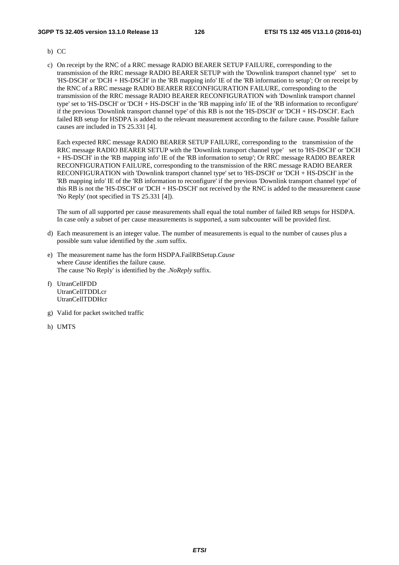#### **3GPP TS 32.405 version 13.1.0 Release 13 126 ETSI TS 132 405 V13.1.0 (2016-01)**

- b) CC
- c) On receipt by the RNC of a RRC message RADIO BEARER SETUP FAILURE, corresponding to the transmission of the RRC message RADIO BEARER SETUP with the 'Downlink transport channel type' set to 'HS-DSCH' or 'DCH + HS-DSCH' in the 'RB mapping info' IE of the 'RB information to setup'; Or on receipt by the RNC of a RRC message RADIO BEARER RECONFIGURATION FAILURE, corresponding to the transmission of the RRC message RADIO BEARER RECONFIGURATION with 'Downlink transport channel type' set to 'HS-DSCH' or 'DCH + HS-DSCH' in the 'RB mapping info' IE of the 'RB information to reconfigure' if the previous 'Downlink transport channel type' of this RB is not the 'HS-DSCH' or 'DCH + HS-DSCH'. Each failed RB setup for HSDPA is added to the relevant measurement according to the failure cause. Possible failure causes are included in TS 25.331 [4].

Each expected RRC message RADIO BEARER SETUP FAILURE, corresponding to the transmission of the RRC message RADIO BEARER SETUP with the 'Downlink transport channel type' set to 'HS-DSCH' or 'DCH + HS-DSCH' in the 'RB mapping info' IE of the 'RB information to setup'; Or RRC message RADIO BEARER RECONFIGURATION FAILURE, corresponding to the transmission of the RRC message RADIO BEARER RECONFIGURATION with 'Downlink transport channel type' set to 'HS-DSCH' or 'DCH + HS-DSCH' in the 'RB mapping info' IE of the 'RB information to reconfigure' if the previous 'Downlink transport channel type' of this RB is not the 'HS-DSCH' or 'DCH + HS-DSCH' not received by the RNC is added to the measurement cause 'No Reply' (not specified in TS 25.331 [4]).

The sum of all supported per cause measurements shall equal the total number of failed RB setups for HSDPA. In case only a subset of per cause measurements is supported, a sum subcounter will be provided first.

- d) Each measurement is an integer value. The number of measurements is equal to the number of causes plus a possible sum value identified by the .sum suffix.
- e) The measurement name has the form HSDPA.FailRBSetup.*Cause* where *Cause* identifies the failure cause. The cause 'No Reply' is identified by the .*NoReply* suffix.
- f) UtranCellFDD UtranCellTDDLcr UtranCellTDDHcr
- g) Valid for packet switched traffic
- h) UMTS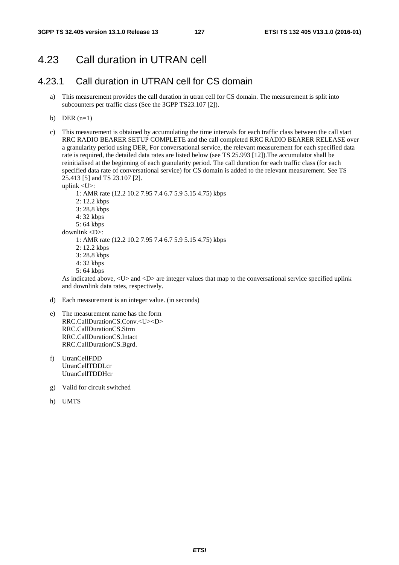# 4.23 Call duration in UTRAN cell

## 4.23.1 Call duration in UTRAN cell for CS domain

- a) This measurement provides the call duration in utran cell for CS domain. The measurement is split into subcounters per traffic class (See the 3GPP TS23.107 [2]).
- b) DER  $(n=1)$
- c) This measurement is obtained by accumulating the time intervals for each traffic class between the call start RRC RADIO BEARER SETUP COMPLETE and the call completed RRC RADIO BEARER RELEASE over a granularity period using DER, For conversational service, the relevant measurement for each specified data rate is required, the detailed data rates are listed below (see TS 25.993 [12]).The accumulator shall be reinitialised at the beginning of each granularity period. The call duration for each traffic class (for each specified data rate of conversational service) for CS domain is added to the relevant measurement. See TS 25.413 [5] and TS 23.107 [2].

uplink <U>:

- 1: AMR rate (12.2 10.2 7.95 7.4 6.7 5.9 5.15 4.75) kbps
- 2: 12.2 kbps
- 3: 28.8 kbps
- 4: 32 kbps
- 5: 64 kbps
- downlink <D>:
	- 1: AMR rate (12.2 10.2 7.95 7.4 6.7 5.9 5.15 4.75) kbps
	- 2: 12.2 kbps
	- 3: 28.8 kbps
	- 4: 32 kbps
	- 5: 64 kbps

As indicated above, <U> and <D> are integer values that map to the conversational service specified uplink and downlink data rates, respectively.

- d) Each measurement is an integer value. (in seconds)
- e) The measurement name has the form RRC.CallDurationCS.Conv.<U><D> RRC.CallDurationCS.Strm RRC.CallDurationCS.Intact RRC.CallDurationCS.Bgrd.
- f) UtranCellFDD UtranCellTDDLcr UtranCellTDDHcr
- g) Valid for circuit switched
- h) UMTS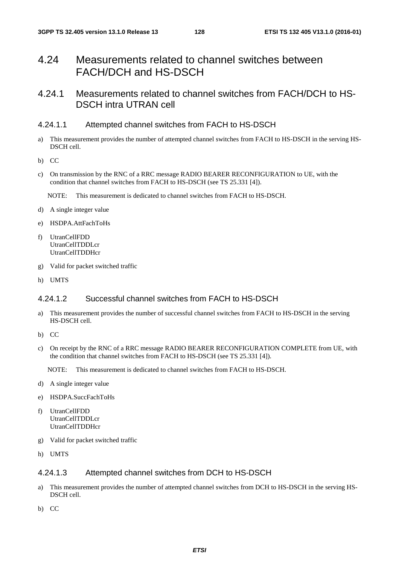# 4.24 Measurements related to channel switches between FACH/DCH and HS-DSCH

## 4.24.1 Measurements related to channel switches from FACH/DCH to HS-DSCH intra UTRAN cell

#### 4.24.1.1 Attempted channel switches from FACH to HS-DSCH

- a) This measurement provides the number of attempted channel switches from FACH to HS-DSCH in the serving HS-DSCH cell.
- b) CC
- c) On transmission by the RNC of a RRC message RADIO BEARER RECONFIGURATION to UE, with the condition that channel switches from FACH to HS-DSCH (see TS 25.331 [4]).

NOTE: This measurement is dedicated to channel switches from FACH to HS-DSCH.

- d) A single integer value
- e) HSDPA.AttFachToHs
- f) UtranCellFDD UtranCellTDDLcr UtranCellTDDHcr
- g) Valid for packet switched traffic
- h) UMTS

## 4.24.1.2 Successful channel switches from FACH to HS-DSCH

- a) This measurement provides the number of successful channel switches from FACH to HS-DSCH in the serving HS-DSCH cell.
- b) CC
- c) On receipt by the RNC of a RRC message RADIO BEARER RECONFIGURATION COMPLETE from UE, with the condition that channel switches from FACH to HS-DSCH (see TS 25.331 [4]).

NOTE: This measurement is dedicated to channel switches from FACH to HS-DSCH.

- d) A single integer value
- e) HSDPA.SuccFachToHs
- f) UtranCellFDD UtranCellTDDLcr UtranCellTDDHcr
- g) Valid for packet switched traffic
- h) UMTS

### 4.24.1.3 Attempted channel switches from DCH to HS-DSCH

- a) This measurement provides the number of attempted channel switches from DCH to HS-DSCH in the serving HS-DSCH cell.
- b) CC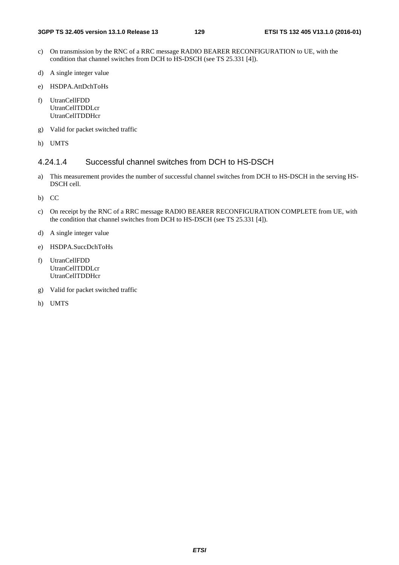- c) On transmission by the RNC of a RRC message RADIO BEARER RECONFIGURATION to UE, with the condition that channel switches from DCH to HS-DSCH (see TS 25.331 [4]).
- d) A single integer value
- e) HSDPA.AttDchToHs
- f) UtranCellFDD UtranCellTDDLcr UtranCellTDDHcr
- g) Valid for packet switched traffic
- h) UMTS

#### 4.24.1.4 Successful channel switches from DCH to HS-DSCH

- a) This measurement provides the number of successful channel switches from DCH to HS-DSCH in the serving HS-DSCH cell.
- b) CC
- c) On receipt by the RNC of a RRC message RADIO BEARER RECONFIGURATION COMPLETE from UE, with the condition that channel switches from DCH to HS-DSCH (see TS 25.331 [4]).
- d) A single integer value
- e) HSDPA.SuccDchToHs
- f) UtranCellFDD UtranCellTDDLcr UtranCellTDDHcr
- g) Valid for packet switched traffic
- h) UMTS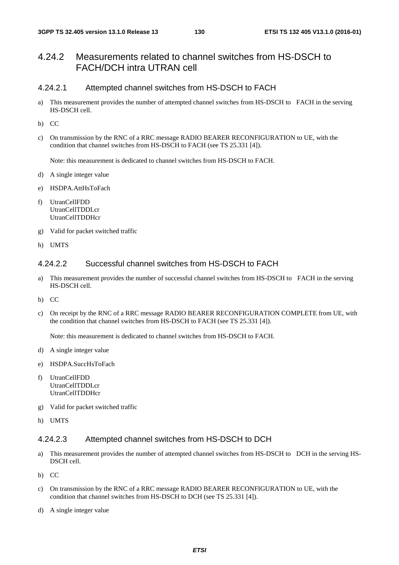## 4.24.2 Measurements related to channel switches from HS-DSCH to FACH/DCH intra UTRAN cell

#### 4.24.2.1 Attempted channel switches from HS-DSCH to FACH

- a) This measurement provides the number of attempted channel switches from HS-DSCH to FACH in the serving HS-DSCH cell.
- b) CC
- c) On transmission by the RNC of a RRC message RADIO BEARER RECONFIGURATION to UE, with the condition that channel switches from HS-DSCH to FACH (see TS 25.331 [4]).

Note: this measurement is dedicated to channel switches from HS-DSCH to FACH.

- d) A single integer value
- e) HSDPA.AttHsToFach
- f) UtranCellFDD UtranCellTDDLcr UtranCellTDDHcr
- g) Valid for packet switched traffic
- h) UMTS

### 4.24.2.2 Successful channel switches from HS-DSCH to FACH

- a) This measurement provides the number of successful channel switches from HS-DSCH to FACH in the serving HS-DSCH cell.
- b) CC
- c) On receipt by the RNC of a RRC message RADIO BEARER RECONFIGURATION COMPLETE from UE, with the condition that channel switches from HS-DSCH to FACH (see TS 25.331 [4]).

Note: this measurement is dedicated to channel switches from HS-DSCH to FACH.

- d) A single integer value
- e) HSDPA.SuccHsToFach
- f) UtranCellFDD UtranCellTDDLcr UtranCellTDDHcr
- g) Valid for packet switched traffic
- h) UMTS

#### 4.24.2.3 Attempted channel switches from HS-DSCH to DCH

- a) This measurement provides the number of attempted channel switches from HS-DSCH to DCH in the serving HS-DSCH cell.
- b) CC
- c) On transmission by the RNC of a RRC message RADIO BEARER RECONFIGURATION to UE, with the condition that channel switches from HS-DSCH to DCH (see TS 25.331 [4]).
- d) A single integer value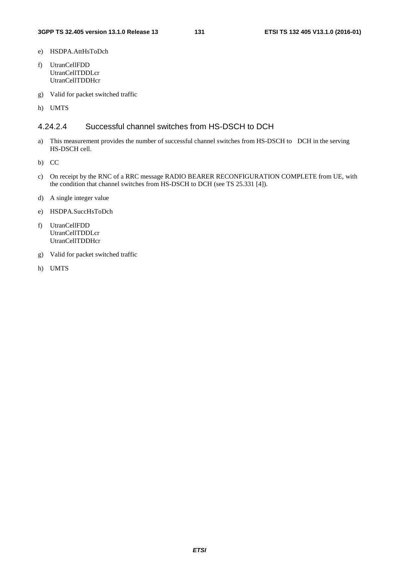- e) HSDPA.AttHsToDch
- f) UtranCellFDD UtranCellTDDLcr UtranCellTDDHcr
- g) Valid for packet switched traffic
- h) UMTS

### 4.24.2.4 Successful channel switches from HS-DSCH to DCH

- a) This measurement provides the number of successful channel switches from HS-DSCH to DCH in the serving HS-DSCH cell.
- b) CC
- c) On receipt by the RNC of a RRC message RADIO BEARER RECONFIGURATION COMPLETE from UE, with the condition that channel switches from HS-DSCH to DCH (see TS 25.331 [4]).
- d) A single integer value
- e) HSDPA.SuccHsToDch
- f) UtranCellFDD UtranCellTDDLcr UtranCellTDDHcr
- g) Valid for packet switched traffic
- h) UMTS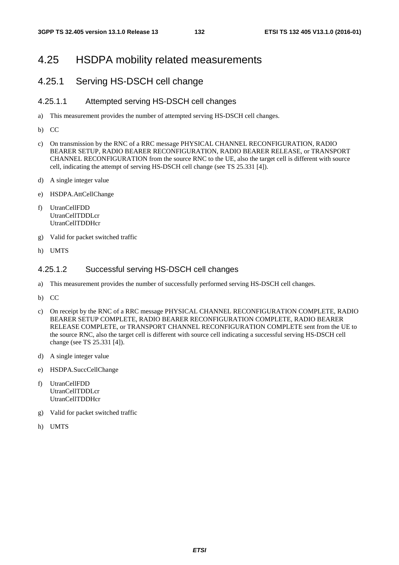## 4.25 HSDPA mobility related measurements

## 4.25.1 Serving HS-DSCH cell change

#### 4.25.1.1 Attempted serving HS-DSCH cell changes

- a) This measurement provides the number of attempted serving HS-DSCH cell changes.
- b) CC
- c) On transmission by the RNC of a RRC message PHYSICAL CHANNEL RECONFIGURATION, RADIO BEARER SETUP, RADIO BEARER RECONFIGURATION, RADIO BEARER RELEASE, or TRANSPORT CHANNEL RECONFIGURATION from the source RNC to the UE, also the target cell is different with source cell, indicating the attempt of serving HS-DSCH cell change (see TS 25.331 [4]).
- d) A single integer value
- e) HSDPA.AttCellChange
- f) UtranCellFDD UtranCellTDDLcr UtranCellTDDHcr
- g) Valid for packet switched traffic
- h) UMTS

#### 4.25.1.2 Successful serving HS-DSCH cell changes

- a) This measurement provides the number of successfully performed serving HS-DSCH cell changes.
- b) CC
- c) On receipt by the RNC of a RRC message PHYSICAL CHANNEL RECONFIGURATION COMPLETE, RADIO BEARER SETUP COMPLETE, RADIO BEARER RECONFIGURATION COMPLETE, RADIO BEARER RELEASE COMPLETE, or TRANSPORT CHANNEL RECONFIGURATION COMPLETE sent from the UE to the source RNC, also the target cell is different with source cell indicating a successful serving HS-DSCH cell change (see TS 25.331 [4]).
- d) A single integer value
- e) HSDPA.SuccCellChange
- f) UtranCellFDD UtranCellTDDLcr UtranCellTDDHcr
- g) Valid for packet switched traffic
- h) UMTS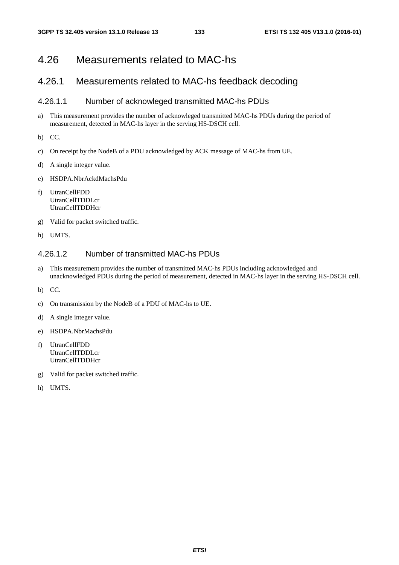# 4.26 Measurements related to MAC-hs

## 4.26.1 Measurements related to MAC-hs feedback decoding

### 4.26.1.1 Number of acknowleged transmitted MAC-hs PDUs

- a) This measurement provides the number of acknowleged transmitted MAC-hs PDUs during the period of measurement, detected in MAC-hs layer in the serving HS-DSCH cell.
- b) CC.
- c) On receipt by the NodeB of a PDU acknowledged by ACK message of MAC-hs from UE.
- d) A single integer value.
- e) HSDPA.NbrAckdMachsPdu
- f) UtranCellFDD UtranCellTDDLcr **UtranCellTDDHcr**
- g) Valid for packet switched traffic.
- h) UMTS.

## 4.26.1.2 Number of transmitted MAC-hs PDUs

- a) This measurement provides the number of transmitted MAC-hs PDUs including acknowledged and unacknowledged PDUs during the period of measurement, detected in MAC-hs layer in the serving HS-DSCH cell.
- b) CC.
- c) On transmission by the NodeB of a PDU of MAC-hs to UE.
- d) A single integer value.
- e) HSDPA.NbrMachsPdu
- f) UtranCellFDD UtranCellTDDLcr UtranCellTDDHcr
- g) Valid for packet switched traffic.
- h) UMTS.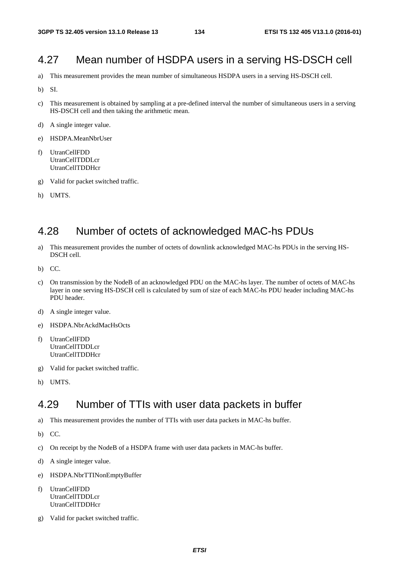# 4.27 Mean number of HSDPA users in a serving HS-DSCH cell

- a) This measurement provides the mean number of simultaneous HSDPA users in a serving HS-DSCH cell.
- b) SI.
- c) This measurement is obtained by sampling at a pre-defined interval the number of simultaneous users in a serving HS-DSCH cell and then taking the arithmetic mean.
- d) A single integer value.
- e) HSDPA.MeanNbrUser
- f) UtranCellFDD UtranCellTDDLcr UtranCellTDDHcr
- g) Valid for packet switched traffic.
- h) UMTS.

# 4.28 Number of octets of acknowledged MAC-hs PDUs

- a) This measurement provides the number of octets of downlink acknowledged MAC-hs PDUs in the serving HS-DSCH cell.
- b) CC.
- c) On transmission by the NodeB of an acknowledged PDU on the MAC-hs layer. The number of octets of MAC-hs layer in one serving HS-DSCH cell is calculated by sum of size of each MAC-hs PDU header including MAC-hs PDU header.
- d) A single integer value.
- e) HSDPA.NbrAckdMacHsOcts
- f) UtranCellFDD UtranCellTDDLcr UtranCellTDDHcr
- g) Valid for packet switched traffic.
- h) UMTS.

# 4.29 Number of TTIs with user data packets in buffer

- a) This measurement provides the number of TTIs with user data packets in MAC-hs buffer.
- b) CC.
- c) On receipt by the NodeB of a HSDPA frame with user data packets in MAC-hs buffer.
- d) A single integer value.
- e) HSDPA.NbrTTINonEmptyBuffer
- f) UtranCellFDD UtranCellTDDLcr UtranCellTDDHcr
- g) Valid for packet switched traffic.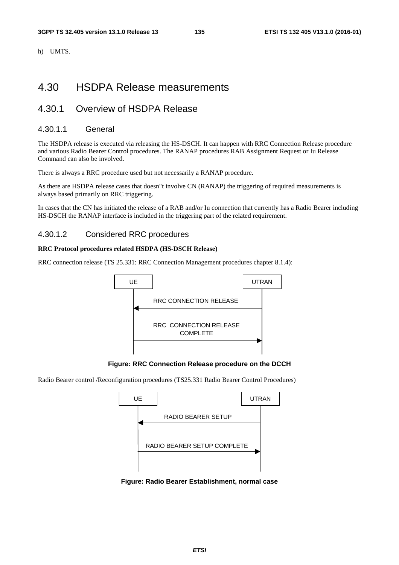h) UMTS.

# 4.30 HSDPA Release measurements

# 4.30.1 Overview of HSDPA Release

#### 4.30.1.1 General

The HSDPA release is executed via releasing the HS-DSCH. It can happen with RRC Connection Release procedure and various Radio Bearer Control procedures. The RANAP procedures RAB Assignment Request or Iu Release Command can also be involved.

There is always a RRC procedure used but not necessarily a RANAP procedure.

As there are HSDPA release cases that doesn"t involve CN (RANAP) the triggering of required measurements is always based primarily on RRC triggering.

In cases that the CN has initiated the release of a RAB and/or Iu connection that currently has a Radio Bearer including HS-DSCH the RANAP interface is included in the triggering part of the related requirement.

#### 4.30.1.2 Considered RRC procedures

#### **RRC Protocol procedures related HSDPA (HS-DSCH Release)**

RRC connection release (TS 25.331: RRC Connection Management procedures chapter 8.1.4):



**Figure: RRC Connection Release procedure on the DCCH** 

Radio Bearer control /Reconfiguration procedures (TS25.331 Radio Bearer Control Procedures)



**Figure: Radio Bearer Establishment, normal case**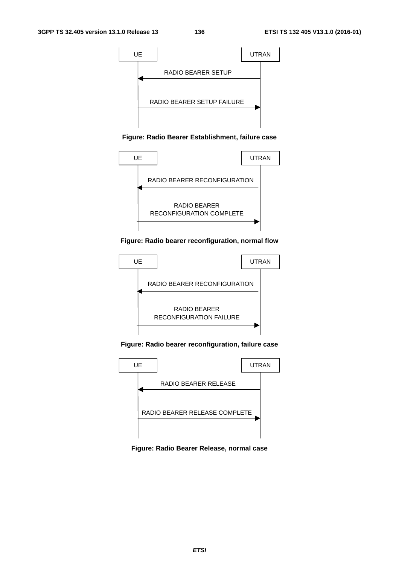

#### **Figure: Radio Bearer Establishment, failure case**



#### **Figure: Radio bearer reconfiguration, normal flow**



**Figure: Radio bearer reconfiguration, failure case** 



**Figure: Radio Bearer Release, normal case**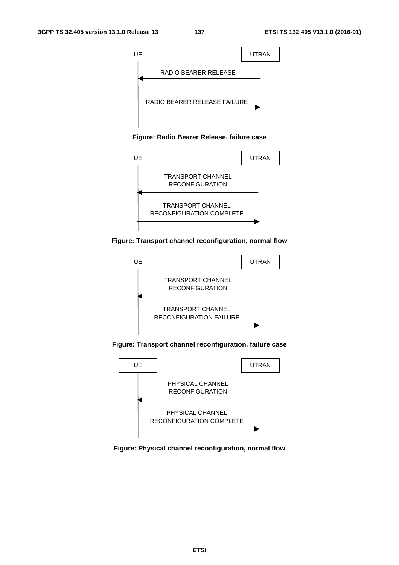

#### **Figure: Radio Bearer Release, failure case**



#### **Figure: Transport channel reconfiguration, normal flow**



**Figure: Transport channel reconfiguration, failure case** 



**Figure: Physical channel reconfiguration, normal flow**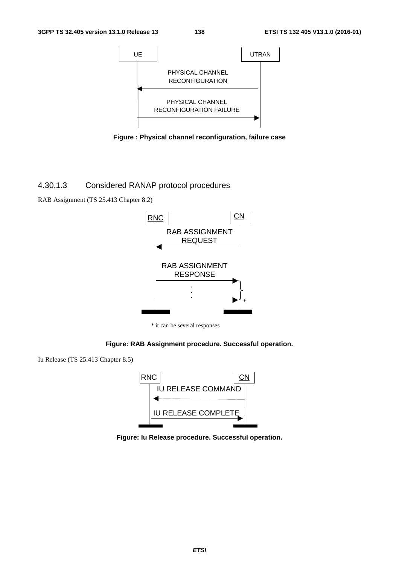

**Figure : Physical channel reconfiguration, failure case** 

#### 4.30.1.3 Considered RANAP protocol procedures

RAB Assignment (TS 25.413 Chapter 8.2)



\* it can be several responses

#### **Figure: RAB Assignment procedure. Successful operation.**

Iu Release (TS 25.413 Chapter 8.5)



**Figure: Iu Release procedure. Successful operation.**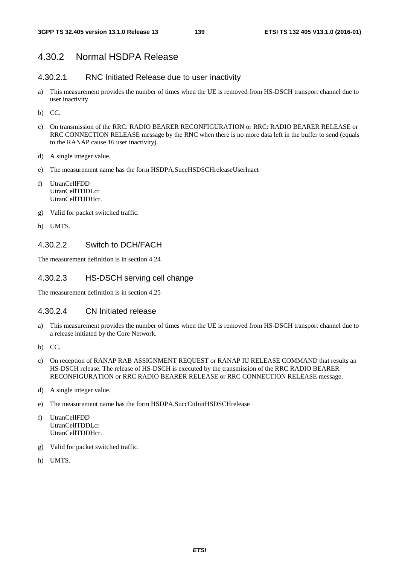## 4.30.2 Normal HSDPA Release

#### 4.30.2.1 RNC Initiated Release due to user inactivity

- a) This measurement provides the number of times when the UE is removed from HS-DSCH transport channel due to user inactivity
- b) CC.
- c) On transmission of the RRC: RADIO BEARER RECONFIGURATION or RRC: RADIO BEARER RELEASE or RRC CONNECTION RELEASE message by the RNC when there is no more data left in the buffer to send (equals to the RANAP cause 16 user inactivity).
- d) A single integer value.
- e) The measurement name has the form HSDPA.SuccHSDSCHreleaseUserInact
- f) UtranCellFDD UtranCellTDDLcr UtranCellTDDHcr.
- g) Valid for packet switched traffic.
- h) UMTS.

#### 4.30.2.2 Switch to DCH/FACH

The measurement definition is in section 4.24

#### 4.30.2.3 HS-DSCH serving cell change

The measurement definition is in section 4.25

#### 4.30.2.4 CN Initiated release

- a) This measurement provides the number of times when the UE is removed from HS-DSCH transport channel due to a release initiated by the Core Network.
- b) CC.
- c) On reception of RANAP RAB ASSIGNMENT REQUEST or RANAP IU RELEASE COMMAND that results an HS-DSCH release. The release of HS-DSCH is executed by the transmission of the RRC RADIO BEARER RECONFIGURATION or RRC RADIO BEARER RELEASE or RRC CONNECTION RELEASE message.
- d) A single integer value.
- e) The measurement name has the form HSDPA.SuccCnInitHSDSCHrelease
- f) UtranCellFDD UtranCellTDDLcr UtranCellTDDHcr.
- g) Valid for packet switched traffic.
- h) UMTS.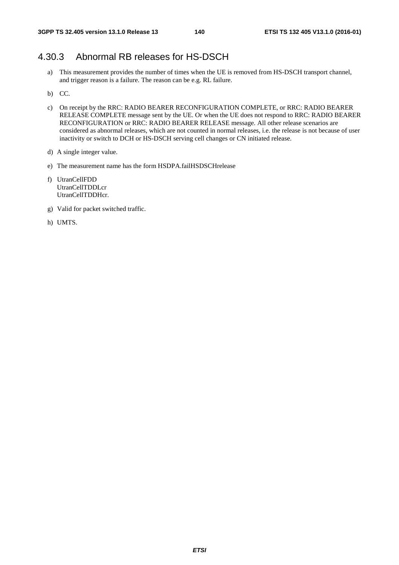## 4.30.3 Abnormal RB releases for HS-DSCH

- a) This measurement provides the number of times when the UE is removed from HS-DSCH transport channel, and trigger reason is a failure. The reason can be e.g. RL failure.
- b) CC.
- c) On receipt by the RRC: RADIO BEARER RECONFIGURATION COMPLETE, or RRC: RADIO BEARER RELEASE COMPLETE message sent by the UE. Or when the UE does not respond to RRC: RADIO BEARER RECONFIGURATION or RRC: RADIO BEARER RELEASE message. All other release scenarios are considered as abnormal releases, which are not counted in normal releases, i.e. the release is not because of user inactivity or switch to DCH or HS-DSCH serving cell changes or CN initiated release.
- d) A single integer value.
- e) The measurement name has the form HSDPA.failHSDSCHrelease
- f) UtranCellFDD UtranCellTDDLcr UtranCellTDDHcr.
- g) Valid for packet switched traffic.
- h) UMTS.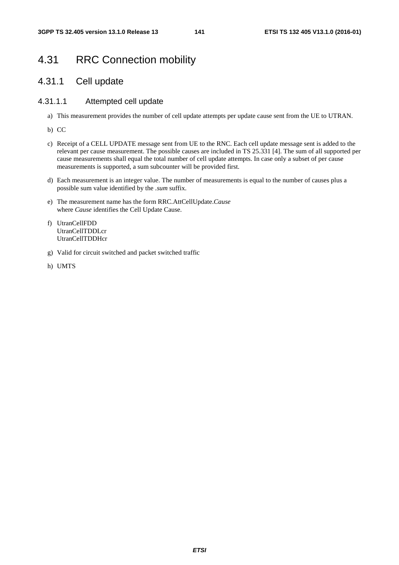# 4.31 RRC Connection mobility

## 4.31.1 Cell update

#### 4.31.1.1 Attempted cell update

- a) This measurement provides the number of cell update attempts per update cause sent from the UE to UTRAN.
- b) CC
- c) Receipt of a CELL UPDATE message sent from UE to the RNC. Each cell update message sent is added to the relevant per cause measurement. The possible causes are included in TS 25.331 [4]. The sum of all supported per cause measurements shall equal the total number of cell update attempts. In case only a subset of per cause measurements is supported, a sum subcounter will be provided first.
- d) Each measurement is an integer value. The number of measurements is equal to the number of causes plus a possible sum value identified by the *.sum* suffix.
- e) The measurement name has the form RRC.AttCellUpdate.*Cause* where *Cause* identifies the Cell Update Cause.
- f) UtranCellFDD UtranCellTDDLcr UtranCellTDDHcr
- g) Valid for circuit switched and packet switched traffic
- h) UMTS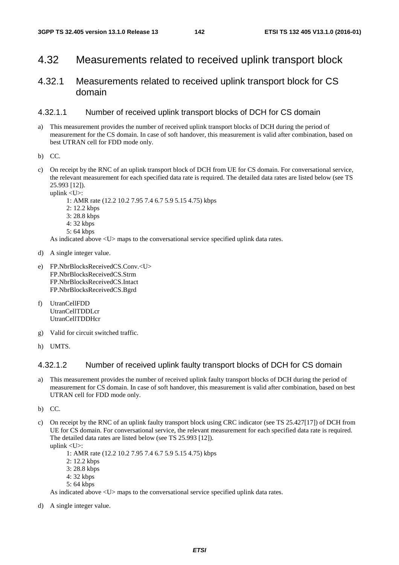## 4.32 Measurements related to received uplink transport block

## 4.32.1 Measurements related to received uplink transport block for CS domain

#### 4.32.1.1 Number of received uplink transport blocks of DCH for CS domain

- a) This measurement provides the number of received uplink transport blocks of DCH during the period of measurement for the CS domain. In case of soft handover, this measurement is valid after combination, based on best UTRAN cell for FDD mode only.
- b) CC.
- c) On receipt by the RNC of an uplink transport block of DCH from UE for CS domain. For conversational service, the relevant measurement for each specified data rate is required. The detailed data rates are listed below (see TS 25.993 [12]).

uplink <U>: 1: AMR rate (12.2 10.2 7.95 7.4 6.7 5.9 5.15 4.75) kbps 2: 12.2 kbps 3: 28.8 kbps 4: 32 kbps 5: 64 kbps

As indicated above  $\langle U \rangle$  maps to the conversational service specified uplink data rates.

- d) A single integer value.
- e) FP.NbrBlocksReceivedCS.Conv.<U> FP.NbrBlocksReceivedCS.Strm FP.NbrBlocksReceivedCS.Intact FP.NbrBlocksReceivedCS.Bgrd
- f) UtranCellFDD UtranCellTDDLcr UtranCellTDDHcr
- g) Valid for circuit switched traffic.
- h) UMTS.

#### 4.32.1.2 Number of received uplink faulty transport blocks of DCH for CS domain

- a) This measurement provides the number of received uplink faulty transport blocks of DCH during the period of measurement for CS domain. In case of soft handover, this measurement is valid after combination, based on best UTRAN cell for FDD mode only.
- b) CC.
- c) On receipt by the RNC of an uplink faulty transport block using CRC indicator (see TS 25.427[17]) of DCH from UE for CS domain. For conversational service, the relevant measurement for each specified data rate is required. The detailed data rates are listed below (see TS 25.993 [12]). uplink <U>:

 1: AMR rate (12.2 10.2 7.95 7.4 6.7 5.9 5.15 4.75) kbps 2: 12.2 kbps 3: 28.8 kbps 4: 32 kbps 5: 64 kbps As indicated above  $\langle U \rangle$  maps to the conversational service specified uplink data rates.

d) A single integer value.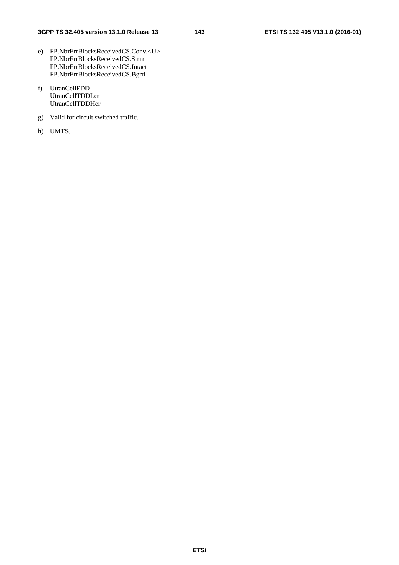- e) FP.NbrErrBlocksReceivedCS.Conv.<U> FP.NbrErrBlocksReceivedCS.Strm FP.NbrErrBlocksReceivedCS.Intact FP.NbrErrBlocksReceivedCS.Bgrd
- f) UtranCellFDD UtranCellTDDLcr UtranCellTDDHcr
- g) Valid for circuit switched traffic.
- h) UMTS.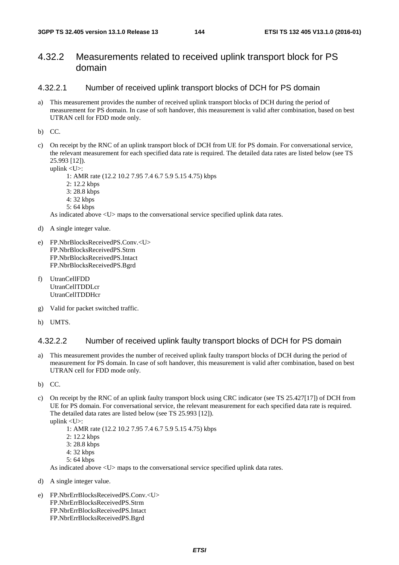## 4.32.2 Measurements related to received uplink transport block for PS domain

#### 4.32.2.1 Number of received uplink transport blocks of DCH for PS domain

a) This measurement provides the number of received uplink transport blocks of DCH during the period of measurement for PS domain. In case of soft handover, this measurement is valid after combination, based on best UTRAN cell for FDD mode only.

b) CC.

c) On receipt by the RNC of an uplink transport block of DCH from UE for PS domain. For conversational service, the relevant measurement for each specified data rate is required. The detailed data rates are listed below (see TS 25.993 [12]).

uplink <U>:

1: AMR rate (12.2 10.2 7.95 7.4 6.7 5.9 5.15 4.75) kbps

- 2: 12.2 kbps
- 3: 28.8 kbps
- 4: 32 kbps
- 5: 64 kbps

As indicated above <U> maps to the conversational service specified uplink data rates.

- d) A single integer value.
- e) FP.NbrBlocksReceivedPS.Conv.<U> FP.NbrBlocksReceivedPS.Strm FP.NbrBlocksReceivedPS.Intact FP.NbrBlocksReceivedPS.Bgrd
- f) UtranCellFDD UtranCellTDDLcr UtranCellTDDHcr
- g) Valid for packet switched traffic.
- h) UMTS.

#### 4.32.2.2 Number of received uplink faulty transport blocks of DCH for PS domain

- a) This measurement provides the number of received uplink faulty transport blocks of DCH during the period of measurement for PS domain. In case of soft handover, this measurement is valid after combination, based on best UTRAN cell for FDD mode only.
- b) CC.
- c) On receipt by the RNC of an uplink faulty transport block using CRC indicator (see TS 25.427[17]) of DCH from UE for PS domain. For conversational service, the relevant measurement for each specified data rate is required. The detailed data rates are listed below (see TS 25.993 [12]).
	- uplink <U>:

1: AMR rate (12.2 10.2 7.95 7.4 6.7 5.9 5.15 4.75) kbps

- 2: 12.2 kbps
- 3: 28.8 kbps
- 4: 32 kbps
- $5:64$  kbps

As indicated above <U> maps to the conversational service specified uplink data rates.

- d) A single integer value.
- e) FP.NbrErrBlocksReceivedPS.Conv.<U> FP.NbrErrBlocksReceivedPS.Strm FP.NbrErrBlocksReceivedPS.Intact FP.NbrErrBlocksReceivedPS.Bgrd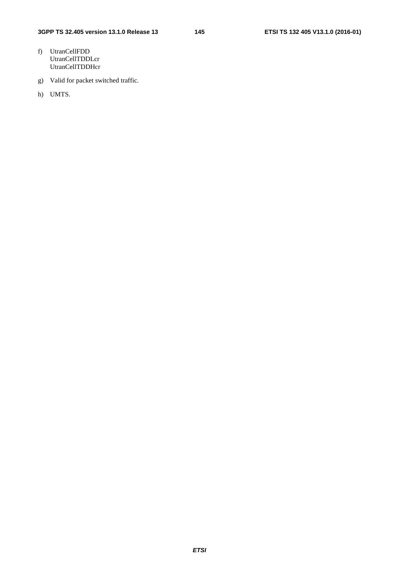- f) UtranCellFDD UtranCellTDDLcr UtranCellTDDHcr
- g) Valid for packet switched traffic.
- h) UMTS.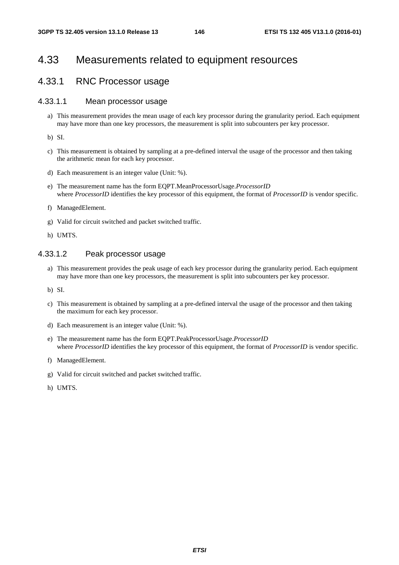# 4.33 Measurements related to equipment resources

# 4.33.1 RNC Processor usage

### 4.33.1.1 Mean processor usage

a) This measurement provides the mean usage of each key processor during the granularity period. Each equipment may have more than one key processors, the measurement is split into subcounters per key processor.

b) SI.

- c) This measurement is obtained by sampling at a pre-defined interval the usage of the processor and then taking the arithmetic mean for each key processor.
- d) Each measurement is an integer value (Unit: %).
- e) The measurement name has the form EQPT.MeanProcessorUsage.*ProcessorID*  where *ProcessorID* identifies the key processor of this equipment, the format of *ProcessorID* is vendor specific.
- f) ManagedElement.
- g) Valid for circuit switched and packet switched traffic.
- h) UMTS.

#### 4.33.1.2 Peak processor usage

- a) This measurement provides the peak usage of each key processor during the granularity period. Each equipment may have more than one key processors, the measurement is split into subcounters per key processor.
- b) SI.
- c) This measurement is obtained by sampling at a pre-defined interval the usage of the processor and then taking the maximum for each key processor.
- d) Each measurement is an integer value (Unit: %).
- e) The measurement name has the form EQPT.PeakProcessorUsage.*ProcessorID*  where *ProcessorID* identifies the key processor of this equipment, the format of *ProcessorID* is vendor specific.
- f) ManagedElement.
- g) Valid for circuit switched and packet switched traffic.
- h) UMTS.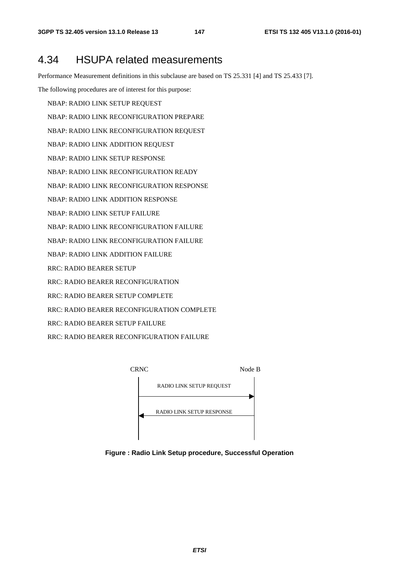# 4.34 HSUPA related measurements

Performance Measurement definitions in this subclause are based on TS 25.331 [4] and TS 25.433 [7].

The following procedures are of interest for this purpose:

- NBAP: RADIO LINK SETUP REQUEST
- NBAP: RADIO LINK RECONFIGURATION PREPARE
- NBAP: RADIO LINK RECONFIGURATION REQUEST
- NBAP: RADIO LINK ADDITION REQUEST
- NBAP: RADIO LINK SETUP RESPONSE
- NBAP: RADIO LINK RECONFIGURATION READY
- NBAP: RADIO LINK RECONFIGURATION RESPONSE
- NBAP: RADIO LINK ADDITION RESPONSE
- NBAP: RADIO LINK SETUP FAILURE
- NBAP: RADIO LINK RECONFIGURATION FAILURE
- NBAP: RADIO LINK RECONFIGURATION FAILURE
- NBAP: RADIO LINK ADDITION FAILURE
- RRC: RADIO BEARER SETUP
- RRC: RADIO BEARER RECONFIGURATION
- RRC: RADIO BEARER SETUP COMPLETE
- RRC: RADIO BEARER RECONFIGURATION COMPLETE
- RRC: RADIO BEARER SETUP FAILURE
- RRC: RADIO BEARER RECONFIGURATION FAILURE



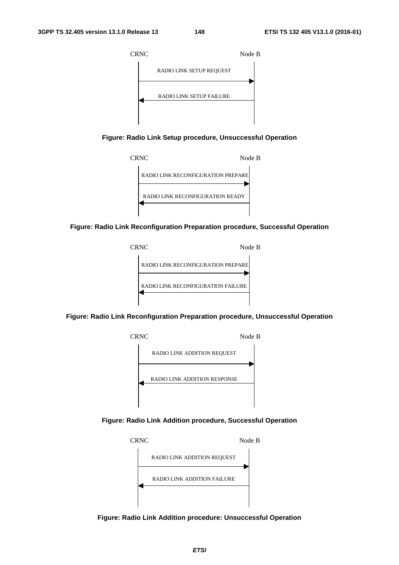

**Figure: Radio Link Setup procedure, Unsuccessful Operation** 



**Figure: Radio Link Reconfiguration Preparation procedure, Successful Operation** 



**Figure: Radio Link Reconfiguration Preparation procedure, Unsuccessful Operation** 



**Figure: Radio Link Addition procedure, Successful Operation** 



**Figure: Radio Link Addition procedure: Unsuccessful Operation**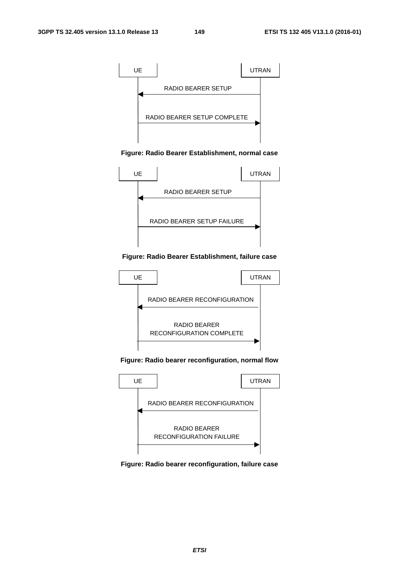

**Figure: Radio Bearer Establishment, normal case** 



#### **Figure: Radio Bearer Establishment, failure case**



**Figure: Radio bearer reconfiguration, normal flow** 



**Figure: Radio bearer reconfiguration, failure case**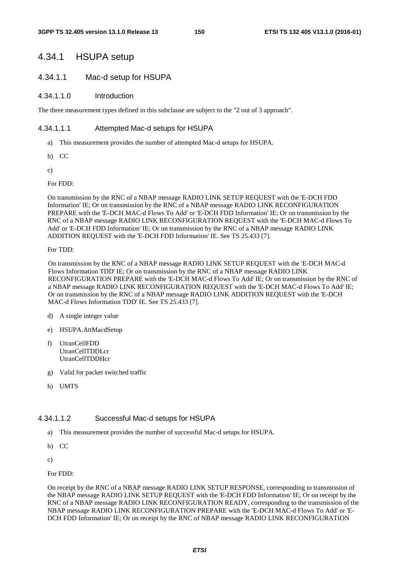## 4.34.1 HSUPA setup

### 4.34.1.1 Mac-d setup for HSUPA

#### 4.34.1.1.0 Introduction

The three measurement types defined in this subclause are subject to the "2 out of 3 approach".

### 4.34.1.1.1 Attempted Mac-d setups for HSUPA

- a) This measurement provides the number of attempted Mac-d setups for HSUPA.
- b) CC
- c)

For FDD:

On transmission by the RNC of a NBAP message RADIO LINK SETUP REQUEST with the 'E-DCH FDD Information' IE; Or on transmission by the RNC of a NBAP message RADIO LINK RECONFIGURATION PREPARE with the 'E-DCH MAC-d Flows To Add' or 'E-DCH FDD Information' IE; Or on transmission by the RNC of a NBAP message RADIO LINK RECONFIGURATION REQUEST with the 'E-DCH MAC-d Flows To Add' or 'E-DCH FDD Information' IE; Or on transmission by the RNC of a NBAP message RADIO LINK ADDITION REQUEST with the 'E-DCH FDD Information' IE. See TS 25.433 [7].

For TDD:

On transmission by the RNC of a NBAP message RADIO LINK SETUP REQUEST with the 'E-DCH MAC-d Flows Information TDD' IE; Or on transmission by the RNC of a NBAP message RADIO LINK RECONFIGURATION PREPARE with the 'E-DCH MAC-d Flows To Add' IE; Or on transmission by the RNC of a NBAP message RADIO LINK RECONFIGURATION REQUEST with the 'E-DCH MAC-d Flows To Add' IE; Or on transmission by the RNC of a NBAP message RADIO LINK ADDITION REQUEST with the 'E-DCH MAC-d Flows Information TDD' IE. See TS 25.433 [7].

- d) A single integer value
- e) HSUPA.AttMacdSetup
- f) UtranCellFDD UtranCellTDDLcr **UtranCellTDDHcr**
- g) Valid for packet switched traffic
- h) UMTS

#### 4.34.1.1.2 Successful Mac-d setups for HSUPA

- a) This measurement provides the number of successful Mac-d setups for HSUPA.
- b) CC
- c)

For FDD:

On receipt by the RNC of a NBAP message RADIO LINK SETUP RESPONSE, corresponding to transmission of the NBAP message RADIO LINK SETUP REQUEST with the 'E-DCH FDD Information' IE; Or on receipt by the RNC of a NBAP message RADIO LINK RECONFIGURATION READY, corresponding to the transmission of the NBAP message RADIO LINK RECONFIGURATION PREPARE with the 'E-DCH MAC-d Flows To Add' or 'E-DCH FDD Information' IE; Or on receipt by the RNC of NBAP message RADIO LINK RECONFIGURATION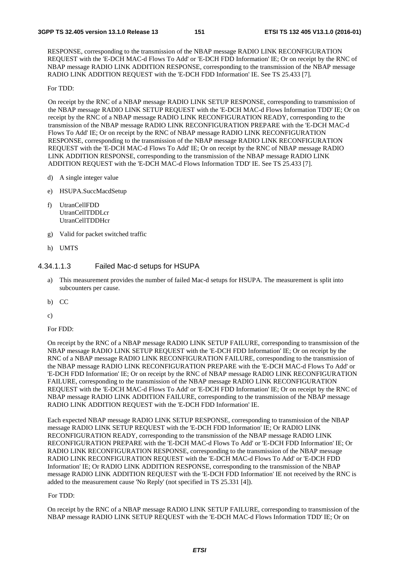RESPONSE, corresponding to the transmission of the NBAP message RADIO LINK RECONFIGURATION REQUEST with the 'E-DCH MAC-d Flows To Add' or 'E-DCH FDD Information' IE; Or on receipt by the RNC of NBAP message RADIO LINK ADDITION RESPONSE, corresponding to the transmission of the NBAP message RADIO LINK ADDITION REQUEST with the 'E-DCH FDD Information' IE. See TS 25.433 [7].

#### For TDD:

On receipt by the RNC of a NBAP message RADIO LINK SETUP RESPONSE, corresponding to transmission of the NBAP message RADIO LINK SETUP REQUEST with the 'E-DCH MAC-d Flows Information TDD' IE; Or on receipt by the RNC of a NBAP message RADIO LINK RECONFIGURATION READY, corresponding to the transmission of the NBAP message RADIO LINK RECONFIGURATION PREPARE with the 'E-DCH MAC-d Flows To Add' IE; Or on receipt by the RNC of NBAP message RADIO LINK RECONFIGURATION RESPONSE, corresponding to the transmission of the NBAP message RADIO LINK RECONFIGURATION REQUEST with the 'E-DCH MAC-d Flows To Add' IE; Or on receipt by the RNC of NBAP message RADIO LINK ADDITION RESPONSE, corresponding to the transmission of the NBAP message RADIO LINK ADDITION REQUEST with the 'E-DCH MAC-d Flows Information TDD' IE. See TS 25.433 [7].

- d) A single integer value
- e) HSUPA.SuccMacdSetup
- f) UtranCellFDD UtranCellTDDLcr UtranCellTDDHcr
- g) Valid for packet switched traffic
- h) UMTS

#### 4.34.1.1.3 Failed Mac-d setups for HSUPA

- a) This measurement provides the number of failed Mac-d setups for HSUPA. The measurement is split into subcounters per cause.
- b) CC
- c)

For FDD:

On receipt by the RNC of a NBAP message RADIO LINK SETUP FAILURE, corresponding to transmission of the NBAP message RADIO LINK SETUP REQUEST with the 'E-DCH FDD Information' IE; Or on receipt by the RNC of a NBAP message RADIO LINK RECONFIGURATION FAILURE, corresponding to the transmission of the NBAP message RADIO LINK RECONFIGURATION PREPARE with the 'E-DCH MAC-d Flows To Add' or 'E-DCH FDD Information' IE; Or on receipt by the RNC of NBAP message RADIO LINK RECONFIGURATION FAILURE, corresponding to the transmission of the NBAP message RADIO LINK RECONFIGURATION REQUEST with the 'E-DCH MAC-d Flows To Add' or 'E-DCH FDD Information' IE; Or on receipt by the RNC of NBAP message RADIO LINK ADDITION FAILURE, corresponding to the transmission of the NBAP message RADIO LINK ADDITION REQUEST with the 'E-DCH FDD Information' IE.

Each expected NBAP message RADIO LINK SETUP RESPONSE, corresponding to transmission of the NBAP message RADIO LINK SETUP REQUEST with the 'E-DCH FDD Information' IE; Or RADIO LINK RECONFIGURATION READY, corresponding to the transmission of the NBAP message RADIO LINK RECONFIGURATION PREPARE with the 'E-DCH MAC-d Flows To Add' or 'E-DCH FDD Information' IE; Or RADIO LINK RECONFIGURATION RESPONSE, corresponding to the transmission of the NBAP message RADIO LINK RECONFIGURATION REQUEST with the 'E-DCH MAC-d Flows To Add' or 'E-DCH FDD Information' IE; Or RADIO LINK ADDITION RESPONSE, corresponding to the transmission of the NBAP message RADIO LINK ADDITION REQUEST with the 'E-DCH FDD Information' IE not received by the RNC is added to the measurement cause 'No Reply' (not specified in TS 25.331 [4]).

#### For TDD:

On receipt by the RNC of a NBAP message RADIO LINK SETUP FAILURE, corresponding to transmission of the NBAP message RADIO LINK SETUP REQUEST with the 'E-DCH MAC-d Flows Information TDD' IE; Or on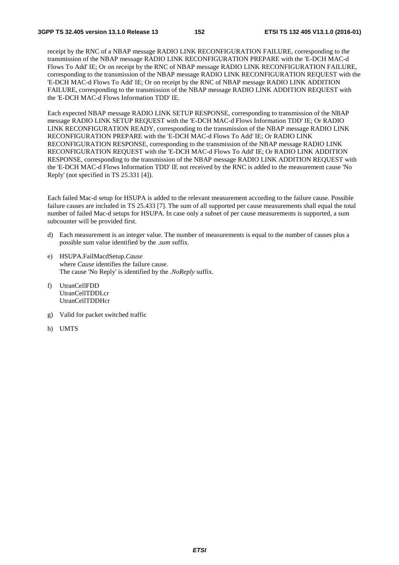receipt by the RNC of a NBAP message RADIO LINK RECONFIGURATION FAILURE, corresponding to the transmission of the NBAP message RADIO LINK RECONFIGURATION PREPARE with the 'E-DCH MAC-d Flows To Add' IE; Or on receipt by the RNC of NBAP message RADIO LINK RECONFIGURATION FAILURE, corresponding to the transmission of the NBAP message RADIO LINK RECONFIGURATION REQUEST with the 'E-DCH MAC-d Flows To Add' IE; Or on receipt by the RNC of NBAP message RADIO LINK ADDITION FAILURE, corresponding to the transmission of the NBAP message RADIO LINK ADDITION REQUEST with the 'E-DCH MAC-d Flows Information TDD' IE.

Each expected NBAP message RADIO LINK SETUP RESPONSE, corresponding to transmission of the NBAP message RADIO LINK SETUP REQUEST with the 'E-DCH MAC-d Flows Information TDD' IE; Or RADIO LINK RECONFIGURATION READY, corresponding to the transmission of the NBAP message RADIO LINK RECONFIGURATION PREPARE with the 'E-DCH MAC-d Flows To Add' IE; Or RADIO LINK RECONFIGURATION RESPONSE, corresponding to the transmission of the NBAP message RADIO LINK RECONFIGURATION REQUEST with the 'E-DCH MAC-d Flows To Add' IE; Or RADIO LINK ADDITION RESPONSE, corresponding to the transmission of the NBAP message RADIO LINK ADDITION REQUEST with the 'E-DCH MAC-d Flows Information TDD' IE not received by the RNC is added to the measurement cause 'No Reply' (not specified in TS 25.331 [4]).

Each failed Mac-d setup for HSUPA is added to the relevant measurement according to the failure cause. Possible failure causes are included in TS 25.433 [7]. The sum of all supported per cause measurements shall equal the total number of failed Mac-d setups for HSUPA. In case only a subset of per cause measurements is supported, a sum subcounter will be provided first.

- d) Each measurement is an integer value. The number of measurements is equal to the number of causes plus a possible sum value identified by the .*sum* suffix.
- e) HSUPA.FailMacdSetup.*Cause*  where *Cause* identifies the failure cause. The cause 'No Reply' is identified by the *.NoReply* suffix.
- f) UtranCellFDD UtranCellTDDLcr UtranCellTDDHcr
- g) Valid for packet switched traffic
- h) UMTS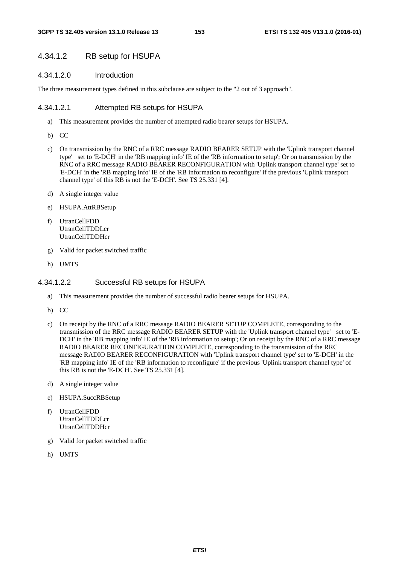#### 4.34.1.2 RB setup for HSUPA

#### 4.34.1.2.0 Introduction

The three measurement types defined in this subclause are subject to the "2 out of 3 approach".

#### 4.34.1.2.1 Attempted RB setups for HSUPA

- a) This measurement provides the number of attempted radio bearer setups for HSUPA.
- b) CC
- c) On transmission by the RNC of a RRC message RADIO BEARER SETUP with the 'Uplink transport channel type' set to 'E-DCH' in the 'RB mapping info' IE of the 'RB information to setup'; Or on transmission by the RNC of a RRC message RADIO BEARER RECONFIGURATION with 'Uplink transport channel type' set to 'E-DCH' in the 'RB mapping info' IE of the 'RB information to reconfigure' if the previous 'Uplink transport channel type' of this RB is not the 'E-DCH'. See TS 25.331 [4].
- d) A single integer value
- e) HSUPA.AttRBSetup
- f) UtranCellFDD UtranCellTDDLcr UtranCellTDDHcr
- g) Valid for packet switched traffic
- h) UMTS

#### 4.34.1.2.2 Successful RB setups for HSUPA

- a) This measurement provides the number of successful radio bearer setups for HSUPA.
- b) CC
- c) On receipt by the RNC of a RRC message RADIO BEARER SETUP COMPLETE, corresponding to the transmission of the RRC message RADIO BEARER SETUP with the 'Uplink transport channel type' set to 'E-DCH' in the 'RB mapping info' IE of the 'RB information to setup'; Or on receipt by the RNC of a RRC message RADIO BEARER RECONFIGURATION COMPLETE, corresponding to the transmission of the RRC message RADIO BEARER RECONFIGURATION with 'Uplink transport channel type' set to 'E-DCH' in the 'RB mapping info' IE of the 'RB information to reconfigure' if the previous 'Uplink transport channel type' of this RB is not the 'E-DCH'. See TS 25.331 [4].
- d) A single integer value
- e) HSUPA.SuccRBSetup
- f) UtranCellFDD UtranCellTDDLcr UtranCellTDDHcr
- g) Valid for packet switched traffic
- h) UMTS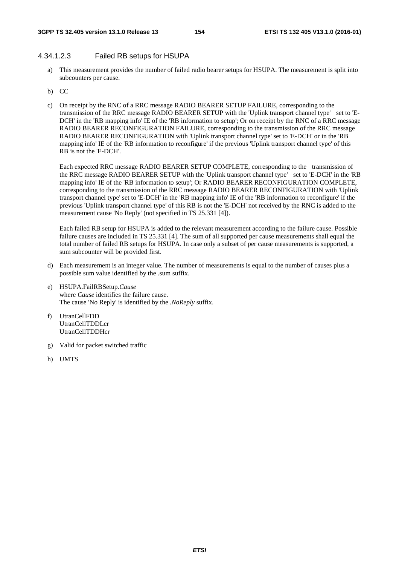#### 4.34.1.2.3 Failed RB setups for HSUPA

- a) This measurement provides the number of failed radio bearer setups for HSUPA. The measurement is split into subcounters per cause.
- b) CC
- c) On receipt by the RNC of a RRC message RADIO BEARER SETUP FAILURE, corresponding to the transmission of the RRC message RADIO BEARER SETUP with the 'Uplink transport channel type' set to 'E-DCH' in the 'RB mapping info' IE of the 'RB information to setup'; Or on receipt by the RNC of a RRC message RADIO BEARER RECONFIGURATION FAILURE, corresponding to the transmission of the RRC message RADIO BEARER RECONFIGURATION with 'Uplink transport channel type' set to 'E-DCH' or in the 'RB mapping info' IE of the 'RB information to reconfigure' if the previous 'Uplink transport channel type' of this RB is not the 'E-DCH'.

Each expected RRC message RADIO BEARER SETUP COMPLETE, corresponding to the transmission of the RRC message RADIO BEARER SETUP with the 'Uplink transport channel type' set to 'E-DCH' in the 'RB mapping info' IE of the 'RB information to setup'; Or RADIO BEARER RECONFIGURATION COMPLETE, corresponding to the transmission of the RRC message RADIO BEARER RECONFIGURATION with 'Uplink transport channel type' set to 'E-DCH' in the 'RB mapping info' IE of the 'RB information to reconfigure' if the previous 'Uplink transport channel type' of this RB is not the 'E-DCH' not received by the RNC is added to the measurement cause 'No Reply' (not specified in TS 25.331 [4]).

Each failed RB setup for HSUPA is added to the relevant measurement according to the failure cause. Possible failure causes are included in TS 25.331 [4]. The sum of all supported per cause measurements shall equal the total number of failed RB setups for HSUPA. In case only a subset of per cause measurements is supported, a sum subcounter will be provided first.

- d) Each measurement is an integer value. The number of measurements is equal to the number of causes plus a possible sum value identified by the .sum suffix.
- e) HSUPA.FailRBSetup.*Cause* where *Cause* identifies the failure cause. The cause 'No Reply' is identified by the *.NoReply* suffix.
- f) UtranCellFDD UtranCellTDDLcr UtranCellTDDHcr
- g) Valid for packet switched traffic
- h) UMTS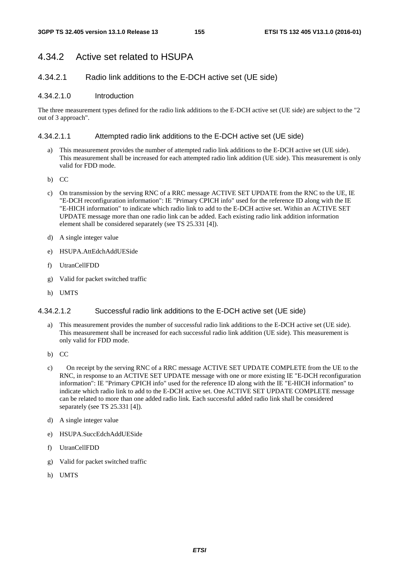# 4.34.2 Active set related to HSUPA

### 4.34.2.1 Radio link additions to the E-DCH active set (UE side)

#### 4.34.2.1.0 Introduction

The three measurement types defined for the radio link additions to the E-DCH active set (UE side) are subject to the "2 out of 3 approach".

#### 4.34.2.1.1 Attempted radio link additions to the E-DCH active set (UE side)

- a) This measurement provides the number of attempted radio link additions to the E-DCH active set (UE side). This measurement shall be increased for each attempted radio link addition (UE side). This measurement is only valid for FDD mode.
- b) CC
- c) On transmission by the serving RNC of a RRC message ACTIVE SET UPDATE from the RNC to the UE, IE "E-DCH reconfiguration information": IE "Primary CPICH info" used for the reference ID along with the IE "E-HICH information" to indicate which radio link to add to the E-DCH active set. Within an ACTIVE SET UPDATE message more than one radio link can be added. Each existing radio link addition information element shall be considered separately (see TS 25.331 [4]).
- d) A single integer value
- e) HSUPA.AttEdchAddUESide
- f) UtranCellFDD
- g) Valid for packet switched traffic
- h) UMTS

#### 4.34.2.1.2 Successful radio link additions to the E-DCH active set (UE side)

- a) This measurement provides the number of successful radio link additions to the E-DCH active set (UE side). This measurement shall be increased for each successful radio link addition (UE side). This measurement is only valid for FDD mode.
- b) CC
- c) On receipt by the serving RNC of a RRC message ACTIVE SET UPDATE COMPLETE from the UE to the RNC, in response to an ACTIVE SET UPDATE message with one or more existing IE "E-DCH reconfiguration information": IE "Primary CPICH info" used for the reference ID along with the IE "E-HICH information" to indicate which radio link to add to the E-DCH active set. One ACTIVE SET UPDATE COMPLETE message can be related to more than one added radio link. Each successful added radio link shall be considered separately (see TS 25.331 [4]).
- d) A single integer value
- e) HSUPA.SuccEdchAddUESide
- f) UtranCellFDD
- g) Valid for packet switched traffic
- h) UMTS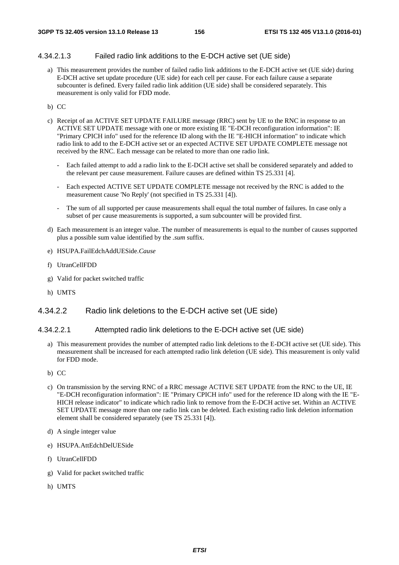#### 4.34.2.1.3 Failed radio link additions to the E-DCH active set (UE side)

a) This measurement provides the number of failed radio link additions to the E-DCH active set (UE side) during E-DCH active set update procedure (UE side) for each cell per cause. For each failure cause a separate subcounter is defined. Every failed radio link addition (UE side) shall be considered separately. This measurement is only valid for FDD mode.

#### b) CC

- c) Receipt of an ACTIVE SET UPDATE FAILURE message (RRC) sent by UE to the RNC in response to an ACTIVE SET UPDATE message with one or more existing IE "E-DCH reconfiguration information": IE "Primary CPICH info" used for the reference ID along with the IE "E-HICH information" to indicate which radio link to add to the E-DCH active set or an expected ACTIVE SET UPDATE COMPLETE message not received by the RNC. Each message can be related to more than one radio link.
	- Each failed attempt to add a radio link to the E-DCH active set shall be considered separately and added to the relevant per cause measurement. Failure causes are defined within TS 25.331 [4].
	- Each expected ACTIVE SET UPDATE COMPLETE message not received by the RNC is added to the measurement cause 'No Reply' (not specified in TS 25.331 [4]).
	- The sum of all supported per cause measurements shall equal the total number of failures. In case only a subset of per cause measurements is supported, a sum subcounter will be provided first.
- d) Each measurement is an integer value. The number of measurements is equal to the number of causes supported plus a possible sum value identified by the *.sum* suffix.
- e) HSUPA.FailEdchAddUESide.*Cause*
- f) UtranCellFDD
- g) Valid for packet switched traffic
- h) UMTS

#### 4.34.2.2 Radio link deletions to the E-DCH active set (UE side)

#### 4.34.2.2.1 Attempted radio link deletions to the E-DCH active set (UE side)

- a) This measurement provides the number of attempted radio link deletions to the E-DCH active set (UE side). This measurement shall be increased for each attempted radio link deletion (UE side). This measurement is only valid for FDD mode.
- b) CC
- c) On transmission by the serving RNC of a RRC message ACTIVE SET UPDATE from the RNC to the UE, IE "E-DCH reconfiguration information": IE "Primary CPICH info" used for the reference ID along with the IE "E-HICH release indicator" to indicate which radio link to remove from the E-DCH active set. Within an ACTIVE SET UPDATE message more than one radio link can be deleted. Each existing radio link deletion information element shall be considered separately (see TS 25.331 [4]).
- d) A single integer value
- e) HSUPA.AttEdchDelUESide
- f) UtranCellFDD
- g) Valid for packet switched traffic
- h) UMTS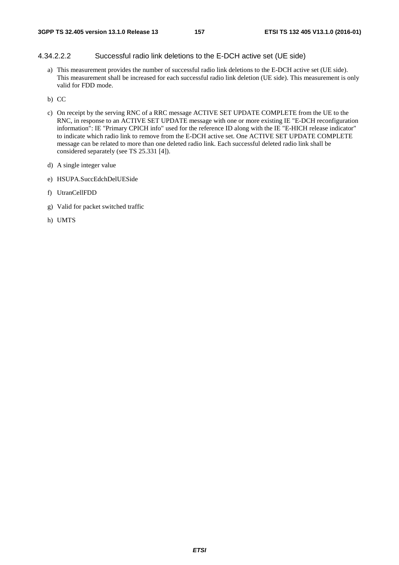#### 4.34.2.2.2 Successful radio link deletions to the E-DCH active set (UE side)

a) This measurement provides the number of successful radio link deletions to the E-DCH active set (UE side). This measurement shall be increased for each successful radio link deletion (UE side). This measurement is only valid for FDD mode.

b) CC

- c) On receipt by the serving RNC of a RRC message ACTIVE SET UPDATE COMPLETE from the UE to the RNC, in response to an ACTIVE SET UPDATE message with one or more existing IE "E-DCH reconfiguration information": IE "Primary CPICH info" used for the reference ID along with the IE "E-HICH release indicator" to indicate which radio link to remove from the E-DCH active set. One ACTIVE SET UPDATE COMPLETE message can be related to more than one deleted radio link. Each successful deleted radio link shall be considered separately (see TS 25.331 [4]).
- d) A single integer value
- e) HSUPA.SuccEdchDelUESide
- f) UtranCellFDD
- g) Valid for packet switched traffic
- h) UMTS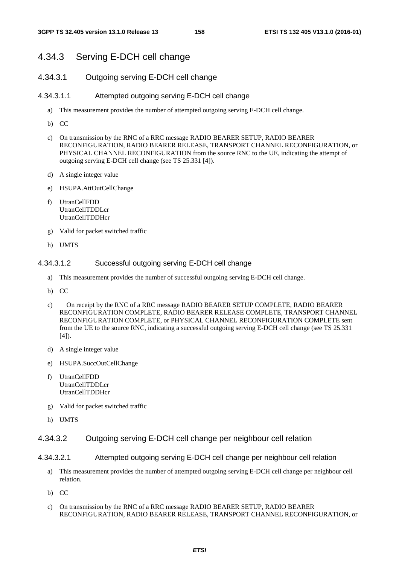# 4.34.3 Serving E-DCH cell change

### 4.34.3.1 Outgoing serving E-DCH cell change

#### 4.34.3.1.1 Attempted outgoing serving E-DCH cell change

- a) This measurement provides the number of attempted outgoing serving E-DCH cell change.
- b) CC
- c) On transmission by the RNC of a RRC message RADIO BEARER SETUP, RADIO BEARER RECONFIGURATION, RADIO BEARER RELEASE, TRANSPORT CHANNEL RECONFIGURATION, or PHYSICAL CHANNEL RECONFIGURATION from the source RNC to the UE, indicating the attempt of outgoing serving E-DCH cell change (see TS 25.331 [4]).
- d) A single integer value
- e) HSUPA.AttOutCellChange
- f) UtranCellFDD UtranCellTDDLcr UtranCellTDDHcr
- g) Valid for packet switched traffic
- h) UMTS

#### 4.34.3.1.2 Successful outgoing serving E-DCH cell change

- a) This measurement provides the number of successful outgoing serving E-DCH cell change.
- b) CC
- c) On receipt by the RNC of a RRC message RADIO BEARER SETUP COMPLETE, RADIO BEARER RECONFIGURATION COMPLETE, RADIO BEARER RELEASE COMPLETE, TRANSPORT CHANNEL RECONFIGURATION COMPLETE, or PHYSICAL CHANNEL RECONFIGURATION COMPLETE sent from the UE to the source RNC, indicating a successful outgoing serving E-DCH cell change (see TS 25.331  $[4]$ ).
- d) A single integer value
- e) HSUPA.SuccOutCellChange
- f) UtranCellFDD UtranCellTDDLcr UtranCellTDDHcr
- g) Valid for packet switched traffic
- h) UMTS

#### 4.34.3.2 Outgoing serving E-DCH cell change per neighbour cell relation

- 4.34.3.2.1 Attempted outgoing serving E-DCH cell change per neighbour cell relation
	- a) This measurement provides the number of attempted outgoing serving E-DCH cell change per neighbour cell relation.
	- b) CC
	- c) On transmission by the RNC of a RRC message RADIO BEARER SETUP, RADIO BEARER RECONFIGURATION, RADIO BEARER RELEASE, TRANSPORT CHANNEL RECONFIGURATION, or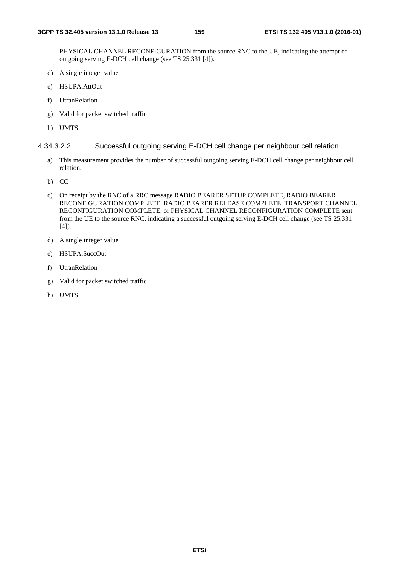PHYSICAL CHANNEL RECONFIGURATION from the source RNC to the UE, indicating the attempt of outgoing serving E-DCH cell change (see TS 25.331 [4]).

- d) A single integer value
- e) HSUPA.AttOut
- f) UtranRelation
- g) Valid for packet switched traffic
- h) UMTS

#### 4.34.3.2.2 Successful outgoing serving E-DCH cell change per neighbour cell relation

- a) This measurement provides the number of successful outgoing serving E-DCH cell change per neighbour cell relation.
- b) CC
- c) On receipt by the RNC of a RRC message RADIO BEARER SETUP COMPLETE, RADIO BEARER RECONFIGURATION COMPLETE, RADIO BEARER RELEASE COMPLETE, TRANSPORT CHANNEL RECONFIGURATION COMPLETE, or PHYSICAL CHANNEL RECONFIGURATION COMPLETE sent from the UE to the source RNC, indicating a successful outgoing serving E-DCH cell change (see TS 25.331 [4]).
- d) A single integer value
- e) HSUPA.SuccOut
- f) UtranRelation
- g) Valid for packet switched traffic
- h) UMTS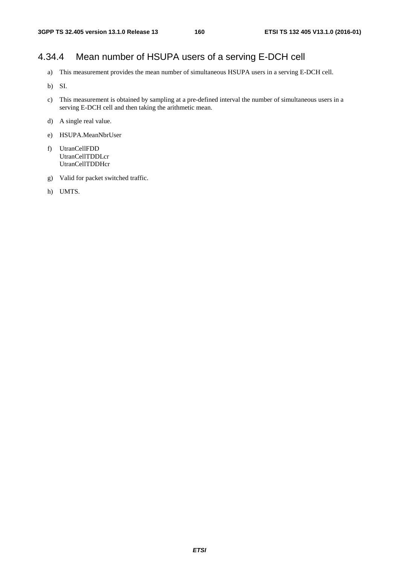# 4.34.4 Mean number of HSUPA users of a serving E-DCH cell

- a) This measurement provides the mean number of simultaneous HSUPA users in a serving E-DCH cell.
- b) SI.
- c) This measurement is obtained by sampling at a pre-defined interval the number of simultaneous users in a serving E-DCH cell and then taking the arithmetic mean.
- d) A single real value.
- e) HSUPA.MeanNbrUser
- f) UtranCellFDD UtranCellTDDLcr **UtranCellTDDHcr**
- g) Valid for packet switched traffic.
- h) UMTS.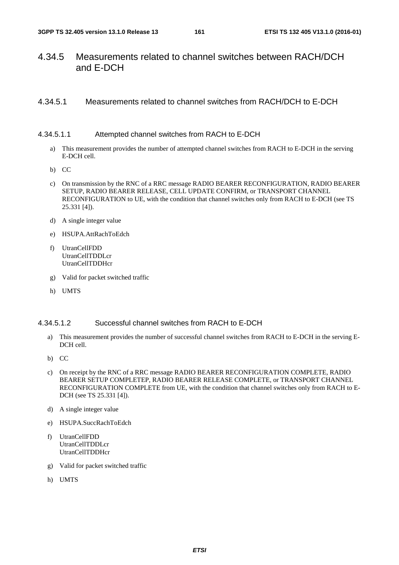## 4.34.5 Measurements related to channel switches between RACH/DCH and E-DCH

### 4.34.5.1 Measurements related to channel switches from RACH/DCH to E-DCH

#### 4.34.5.1.1 Attempted channel switches from RACH to E-DCH

- a) This measurement provides the number of attempted channel switches from RACH to E-DCH in the serving E-DCH cell.
- b) CC
- c) On transmission by the RNC of a RRC message RADIO BEARER RECONFIGURATION, RADIO BEARER SETUP, RADIO BEARER RELEASE, CELL UPDATE CONFIRM, or TRANSPORT CHANNEL RECONFIGURATION to UE, with the condition that channel switches only from RACH to E-DCH (see TS 25.331 [4]).
- d) A single integer value
- e) HSUPA.AttRachToEdch
- f) UtranCellFDD UtranCellTDDLcr UtranCellTDDHcr
- g) Valid for packet switched traffic
- h) UMTS

#### 4.34.5.1.2 Successful channel switches from RACH to E-DCH

- a) This measurement provides the number of successful channel switches from RACH to E-DCH in the serving E-DCH cell.
- b) CC
- c) On receipt by the RNC of a RRC message RADIO BEARER RECONFIGURATION COMPLETE, RADIO BEARER SETUP COMPLETEP, RADIO BEARER RELEASE COMPLETE, or TRANSPORT CHANNEL RECONFIGURATION COMPLETE from UE, with the condition that channel switches only from RACH to E-DCH (see TS 25.331 [4]).
- d) A single integer value
- e) HSUPA.SuccRachToEdch
- f) UtranCellFDD UtranCellTDDLcr UtranCellTDDHcr
- g) Valid for packet switched traffic
- h) UMTS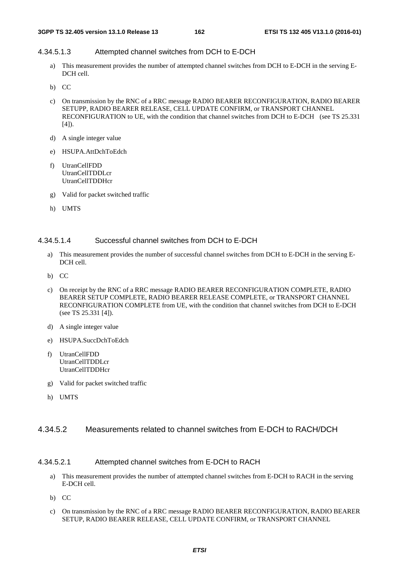#### 4.34.5.1.3 Attempted channel switches from DCH to E-DCH

- a) This measurement provides the number of attempted channel switches from DCH to E-DCH in the serving E-DCH cell.
- b) CC
- c) On transmission by the RNC of a RRC message RADIO BEARER RECONFIGURATION, RADIO BEARER SETUPP, RADIO BEARER RELEASE, CELL UPDATE CONFIRM, or TRANSPORT CHANNEL RECONFIGURATION to UE, with the condition that channel switches from DCH to E-DCH (see TS 25.331  $[4]$ ).
- d) A single integer value
- e) HSUPA.AttDchToEdch
- f) UtranCellFDD UtranCellTDDLcr UtranCellTDDHcr
- g) Valid for packet switched traffic
- h) UMTS

#### 4.34.5.1.4 Successful channel switches from DCH to E-DCH

- a) This measurement provides the number of successful channel switches from DCH to E-DCH in the serving E-DCH cell.
- b) CC
- c) On receipt by the RNC of a RRC message RADIO BEARER RECONFIGURATION COMPLETE, RADIO BEARER SETUP COMPLETE, RADIO BEARER RELEASE COMPLETE, or TRANSPORT CHANNEL RECONFIGURATION COMPLETE from UE, with the condition that channel switches from DCH to E-DCH (see TS 25.331 [4]).
- d) A single integer value
- e) HSUPA.SuccDchToEdch
- f) UtranCellFDD UtranCellTDDLcr UtranCellTDDHcr
- g) Valid for packet switched traffic
- h) UMTS

#### 4.34.5.2 Measurements related to channel switches from E-DCH to RACH/DCH

#### 4.34.5.2.1 Attempted channel switches from E-DCH to RACH

- a) This measurement provides the number of attempted channel switches from E-DCH to RACH in the serving E-DCH cell.
- b) CC
- c) On transmission by the RNC of a RRC message RADIO BEARER RECONFIGURATION, RADIO BEARER SETUP, RADIO BEARER RELEASE, CELL UPDATE CONFIRM, or TRANSPORT CHANNEL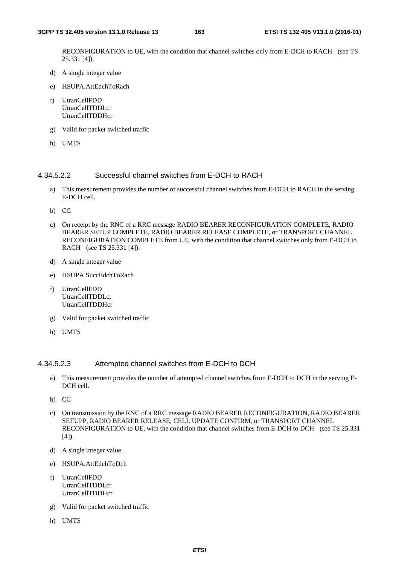RECONFIGURATION to UE, with the condition that channel switches only from E-DCH to RACH (see TS 25.331 [4]).

- d) A single integer value
- e) HSUPA.AttEdchToRach
- f) UtranCellFDD UtranCellTDDLcr UtranCellTDDHcr
- g) Valid for packet switched traffic
- h) UMTS

#### 4.34.5.2.2 Successful channel switches from E-DCH to RACH

- a) This measurement provides the number of successful channel switches from E-DCH to RACH in the serving E-DCH cell.
- b) CC
- c) On receipt by the RNC of a RRC message RADIO BEARER RECONFIGURATION COMPLETE, RADIO BEARER SETUP COMPLETE, RADIO BEARER RELEASE COMPLETE, or TRANSPORT CHANNEL RECONFIGURATION COMPLETE from UE, with the condition that channel switches only from E-DCH to RACH (see TS 25.331 [4]).
- d) A single integer value
- e) HSUPA.SuccEdchToRach
- f) UtranCellFDD UtranCellTDDLcr UtranCellTDDHcr
- g) Valid for packet switched traffic
- h) UMTS

#### 4.34.5.2.3 Attempted channel switches from E-DCH to DCH

- a) This measurement provides the number of attempted channel switches from E-DCH to DCH in the serving E-DCH cell.
- b) CC
- c) On transmission by the RNC of a RRC message RADIO BEARER RECONFIGURATION, RADIO BEARER SETUPP, RADIO BEARER RELEASE, CELL UPDATE CONFIRM, or TRANSPORT CHANNEL RECONFIGURATION to UE, with the condition that channel switches from E-DCH to DCH (see TS 25.331 [4]).
- d) A single integer value
- e) HSUPA.AttEdchToDch
- f) UtranCellFDD UtranCellTDDLcr **UtranCellTDDHcr**
- g) Valid for packet switched traffic
- h) UMTS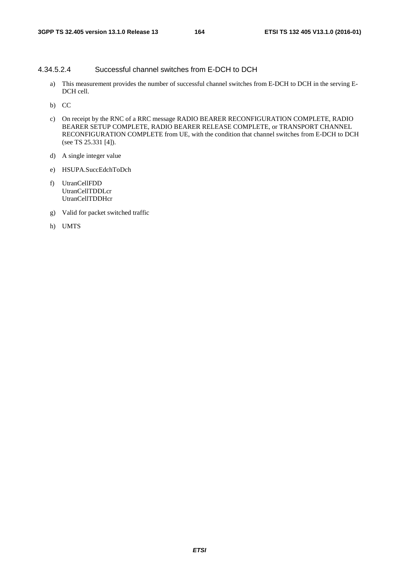#### 4.34.5.2.4 Successful channel switches from E-DCH to DCH

- a) This measurement provides the number of successful channel switches from E-DCH to DCH in the serving E-DCH cell.
- b) CC
- c) On receipt by the RNC of a RRC message RADIO BEARER RECONFIGURATION COMPLETE, RADIO BEARER SETUP COMPLETE, RADIO BEARER RELEASE COMPLETE, or TRANSPORT CHANNEL RECONFIGURATION COMPLETE from UE, with the condition that channel switches from E-DCH to DCH (see TS 25.331 [4]).
- d) A single integer value
- e) HSUPA.SuccEdchToDch
- f) UtranCellFDD UtranCellTDDLcr UtranCellTDDHcr
- g) Valid for packet switched traffic
- h) UMTS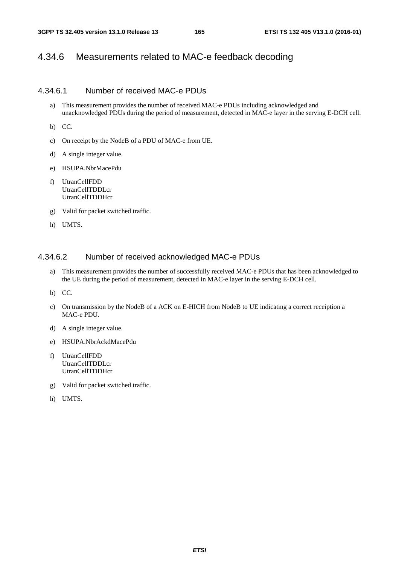# 4.34.6 Measurements related to MAC-e feedback decoding

#### 4.34.6.1 Number of received MAC-e PDUs

a) This measurement provides the number of received MAC-e PDUs including acknowledged and unacknowledged PDUs during the period of measurement, detected in MAC-e layer in the serving E-DCH cell.

b) CC.

- c) On receipt by the NodeB of a PDU of MAC-e from UE.
- d) A single integer value.
- e) HSUPA.NbrMacePdu
- f) UtranCellFDD UtranCellTDDLcr UtranCellTDDHcr
- g) Valid for packet switched traffic.
- h) UMTS.

#### 4.34.6.2 Number of received acknowledged MAC-e PDUs

a) This measurement provides the number of successfully received MAC-e PDUs that has been acknowledged to the UE during the period of measurement, detected in MAC-e layer in the serving E-DCH cell.

b) CC.

- c) On transmission by the NodeB of a ACK on E-HICH from NodeB to UE indicating a correct receiption a MAC-e PDU.
- d) A single integer value.
- e) HSUPA.NbrAckdMacePdu
- f) UtranCellFDD UtranCellTDDLcr UtranCellTDDHcr
- g) Valid for packet switched traffic.
- h) UMTS.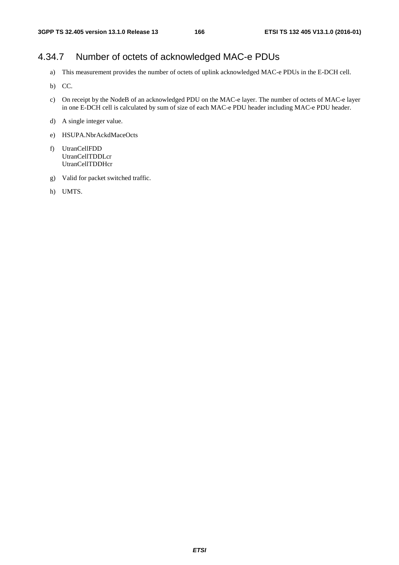# 4.34.7 Number of octets of acknowledged MAC-e PDUs

- a) This measurement provides the number of octets of uplink acknowledged MAC-e PDUs in the E-DCH cell.
- b) CC.
- c) On receipt by the NodeB of an acknowledged PDU on the MAC-e layer. The number of octets of MAC-e layer in one E-DCH cell is calculated by sum of size of each MAC-e PDU header including MAC-e PDU header.
- d) A single integer value.
- e) HSUPA.NbrAckdMaceOcts
- f) UtranCellFDD UtranCellTDDLcr UtranCellTDDHcr
- g) Valid for packet switched traffic.
- h) UMTS.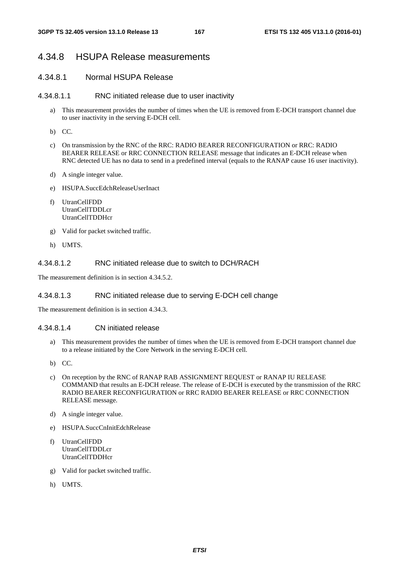### 4.34.8 HSUPA Release measurements

#### 4.34.8.1 Normal HSUPA Release

#### 4.34.8.1.1 RNC initiated release due to user inactivity

- a) This measurement provides the number of times when the UE is removed from E-DCH transport channel due to user inactivity in the serving E-DCH cell.
- b) CC.
- c) On transmission by the RNC of the RRC: RADIO BEARER RECONFIGURATION or RRC: RADIO BEARER RELEASE or RRC CONNECTION RELEASE message that indicates an E-DCH release when RNC detected UE has no data to send in a predefined interval (equals to the RANAP cause 16 user inactivity).
- d) A single integer value.
- e) HSUPA.SuccEdchReleaseUserInact
- f) UtranCellFDD UtranCellTDDLcr UtranCellTDDHcr
- g) Valid for packet switched traffic.
- h) UMTS.

### 4.34.8.1.2 RNC initiated release due to switch to DCH/RACH

The measurement definition is in section 4.34.5.2.

#### 4.34.8.1.3 RNC initiated release due to serving E-DCH cell change

The measurement definition is in section 4.34.3.

#### 4.34.8.1.4 CN initiated release

- a) This measurement provides the number of times when the UE is removed from E-DCH transport channel due to a release initiated by the Core Network in the serving E-DCH cell.
- b) CC.
- c) On reception by the RNC of RANAP RAB ASSIGNMENT REQUEST or RANAP IU RELEASE COMMAND that results an E-DCH release. The release of E-DCH is executed by the transmission of the RRC RADIO BEARER RECONFIGURATION or RRC RADIO BEARER RELEASE or RRC CONNECTION RELEASE message.
- d) A single integer value.
- e) HSUPA.SuccCnInitEdchRelease
- f) UtranCellFDD UtranCellTDDLcr UtranCellTDDHcr
- g) Valid for packet switched traffic.
- h) UMTS.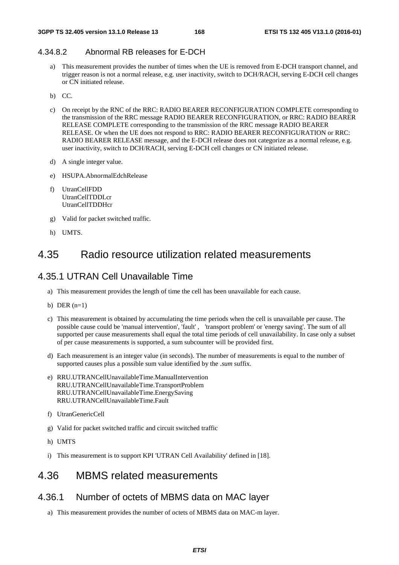## 4.34.8.2 Abnormal RB releases for E-DCH

- a) This measurement provides the number of times when the UE is removed from E-DCH transport channel, and trigger reason is not a normal release, e.g. user inactivity, switch to DCH/RACH, serving E-DCH cell changes or CN initiated release.
- b) CC.
- c) On receipt by the RNC of the RRC: RADIO BEARER RECONFIGURATION COMPLETE corresponding to the transmission of the RRC message RADIO BEARER RECONFIGURATION, or RRC: RADIO BEARER RELEASE COMPLETE corresponding to the transmission of the RRC message RADIO BEARER RELEASE. Or when the UE does not respond to RRC: RADIO BEARER RECONFIGURATION or RRC: RADIO BEARER RELEASE message, and the E-DCH release does not categorize as a normal release, e.g. user inactivity, switch to DCH/RACH, serving E-DCH cell changes or CN initiated release.
- d) A single integer value.
- e) HSUPA.AbnormalEdchRelease
- f) UtranCellFDD UtranCellTDDLcr UtranCellTDDHcr
- g) Valid for packet switched traffic.
- h) UMTS.

# 4.35 Radio resource utilization related measurements

# 4.35.1 UTRAN Cell Unavailable Time

- a) This measurement provides the length of time the cell has been unavailable for each cause.
- b) DER  $(n=1)$
- c) This measurement is obtained by accumulating the time periods when the cell is unavailable per cause. The possible cause could be 'manual intervention', 'fault' , 'transport problem' or 'energy saving'. The sum of all supported per cause measurements shall equal the total time periods of cell unavailability. In case only a subset of per cause measurements is supported, a sum subcounter will be provided first.
- d) Each measurement is an integer value (in seconds). The number of measurements is equal to the number of supported causes plus a possible sum value identified by the *.sum* suffix.
- e) RRU.UTRANCellUnavailableTime.ManualIntervention RRU.UTRANCellUnavailableTime.TransportProblem RRU.UTRANCellUnavailableTime.EnergySaving RRU.UTRANCellUnavailableTime.Fault
- f) UtranGenericCell
- g) Valid for packet switched traffic and circuit switched traffic
- h) UMTS
- i) This measurement is to support KPI 'UTRAN Cell Availability' defined in [18].

# 4.36 MBMS related measurements

# 4.36.1 Number of octets of MBMS data on MAC layer

a) This measurement provides the number of octets of MBMS data on MAC-m layer.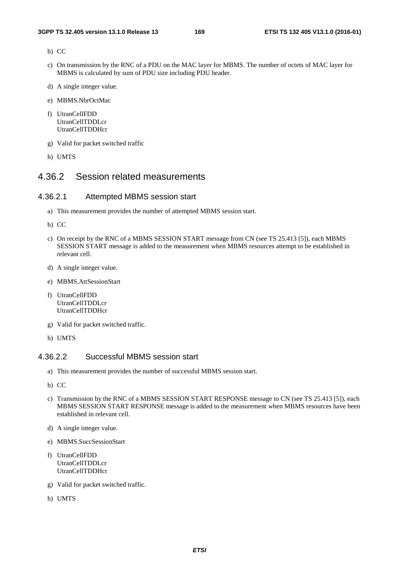- b) CC
- c) On transmission by the RNC of a PDU on the MAC layer for MBMS. The number of octets of MAC layer for MBMS is calculated by sum of PDU size including PDU header.
- d) A single integer value.
- e) MBMS.NbrOctMac
- f) UtranCellFDD UtranCellTDDLcr UtranCellTDDHcr
- g) Valid for packet switched traffic
- h) UMTS

### 4.36.2 Session related measurements

#### 4.36.2.1 Attempted MBMS session start

- a) This measurement provides the number of attempted MBMS session start.
- b) CC
- c) On receipt by the RNC of a MBMS SESSION START message from CN (see TS 25.413 [5]), each MBMS SESSION START message is added to the measurement when MBMS resources attempt to be established in relevant cell.
- d) A single integer value.
- e) MBMS.AttSessionStart
- f) UtranCellFDD UtranCellTDDLcr UtranCellTDDHcr
- g) Valid for packet switched traffic.
- h) UMTS

### 4.36.2.2 Successful MBMS session start

- a) This measurement provides the number of successful MBMS session start.
- b) CC
- c) Transmission by the RNC of a MBMS SESSION START RESPONSE message to CN (see TS 25.413 [5]), each MBMS SESSION START RESPONSE message is added to the measurement when MBMS resources have been established in relevant cell.
- d) A single integer value.
- e) MBMS.SuccSessionStart
- f) UtranCellFDD UtranCellTDDLcr UtranCellTDDHcr
- g) Valid for packet switched traffic.
- h) UMTS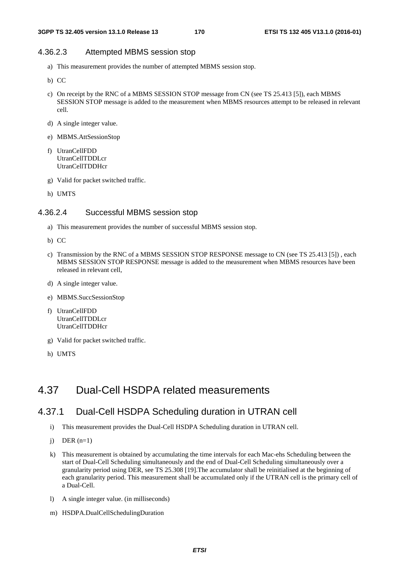#### 4.36.2.3 Attempted MBMS session stop

- a) This measurement provides the number of attempted MBMS session stop.
- b) CC
- c) On receipt by the RNC of a MBMS SESSION STOP message from CN (see TS 25.413 [5]), each MBMS SESSION STOP message is added to the measurement when MBMS resources attempt to be released in relevant cell.
- d) A single integer value.
- e) MBMS.AttSessionStop
- f) UtranCellFDD UtranCellTDDLcr UtranCellTDDHcr
- g) Valid for packet switched traffic.
- h) UMTS

#### 4.36.2.4 Successful MBMS session stop

- a) This measurement provides the number of successful MBMS session stop.
- b) CC
- c) Transmission by the RNC of a MBMS SESSION STOP RESPONSE message to CN (see TS 25.413 [5]) , each MBMS SESSION STOP RESPONSE message is added to the measurement when MBMS resources have been released in relevant cell,
- d) A single integer value.
- e) MBMS.SuccSessionStop
- f) UtranCellFDD UtranCellTDDLcr UtranCellTDDHcr
- g) Valid for packet switched traffic.
- h) UMTS

# 4.37 Dual-Cell HSDPA related measurements

### 4.37.1 Dual-Cell HSDPA Scheduling duration in UTRAN cell

- i) This measurement provides the Dual-Cell HSDPA Scheduling duration in UTRAN cell.
- $i)$  DER  $(n=1)$
- k) This measurement is obtained by accumulating the time intervals for each Mac-ehs Scheduling between the start of Dual-Cell Scheduling simultaneously and the end of Dual-Cell Scheduling simultaneously over a granularity period using DER, see TS 25.308 [19].The accumulator shall be reinitialised at the beginning of each granularity period. This measurement shall be accumulated only if the UTRAN cell is the primary cell of a Dual-Cell.
- l) A single integer value. (in milliseconds)
- m) HSDPA.DualCellSchedulingDuration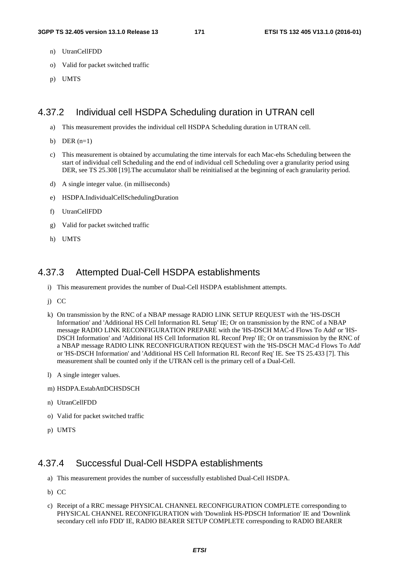- n) UtranCellFDD
- o) Valid for packet switched traffic
- p) UMTS

### 4.37.2 Individual cell HSDPA Scheduling duration in UTRAN cell

- a) This measurement provides the individual cell HSDPA Scheduling duration in UTRAN cell.
- b) DER  $(n=1)$
- c) This measurement is obtained by accumulating the time intervals for each Mac-ehs Scheduling between the start of individual cell Scheduling and the end of individual cell Scheduling over a granularity period using DER, see TS 25.308 [19].The accumulator shall be reinitialised at the beginning of each granularity period.
- d) A single integer value. (in milliseconds)
- e) HSDPA.IndividualCellSchedulingDuration
- f) UtranCellFDD
- g) Valid for packet switched traffic
- h) UMTS

# 4.37.3 Attempted Dual-Cell HSDPA establishments

- i) This measurement provides the number of Dual-Cell HSDPA establishment attempts.
- j) CC
- k) On transmission by the RNC of a NBAP message RADIO LINK SETUP REQUEST with the 'HS-DSCH Information' and 'Additional HS Cell Information RL Setup' IE; Or on transmission by the RNC of a NBAP message RADIO LINK RECONFIGURATION PREPARE with the 'HS-DSCH MAC-d Flows To Add' or 'HS-DSCH Information' and 'Additional HS Cell Information RL Reconf Prep' IE; Or on transmission by the RNC of a NBAP message RADIO LINK RECONFIGURATION REQUEST with the 'HS-DSCH MAC-d Flows To Add' or 'HS-DSCH Information' and 'Additional HS Cell Information RL Reconf Req' IE. See TS 25.433 [7]. This measurement shall be counted only if the UTRAN cell is the primary cell of a Dual-Cell.
- l) A single integer values.
- m) HSDPA.EstabAttDCHSDSCH
- n) UtranCellFDD
- o) Valid for packet switched traffic
- p) UMTS

# 4.37.4 Successful Dual-Cell HSDPA establishments

- a) This measurement provides the number of successfully established Dual-Cell HSDPA.
- b) CC
- c) Receipt of a RRC message PHYSICAL CHANNEL RECONFIGURATION COMPLETE corresponding to PHYSICAL CHANNEL RECONFIGURATION with 'Downlink HS-PDSCH Information' IE and 'Downlink secondary cell info FDD' IE, RADIO BEARER SETUP COMPLETE corresponding to RADIO BEARER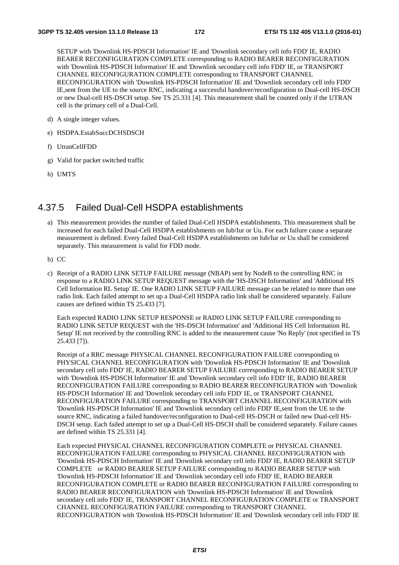SETUP with 'Downlink HS-PDSCH Information' IE and 'Downlink secondary cell info FDD' IE, RADIO BEARER RECONFIGURATION COMPLETE corresponding to RADIO BEARER RECONFIGURATION with 'Downlink HS-PDSCH Information' IE and 'Downlink secondary cell info FDD' IE, or TRANSPORT CHANNEL RECONFIGURATION COMPLETE corresponding to TRANSPORT CHANNEL RECONFIGURATION with 'Downlink HS-PDSCH Information' IE and 'Downlink secondary cell info FDD' IE,sent from the UE to the source RNC, indicating a successful handover/reconfiguration to Dual-cell HS-DSCH or new Dual-cell HS-DSCH setup. See TS 25.331 [4]. This measurement shall be counted only if the UTRAN cell is the primary cell of a Dual-Cell.

- d) A single integer values.
- e) HSDPA.EstabSuccDCHSDSCH
- f) UtranCellFDD
- g) Valid for packet switched traffic
- h) UMTS

# 4.37.5 Failed Dual-Cell HSDPA establishments

- a) This measurement provides the number of failed Dual-Cell HSDPA establishments. This measurement shall be increased for each failed Dual-Cell HSDPA establishments on Iub/Iur or Uu. For each failure cause a separate measurement is defined. Every failed Dual-Cell HSDPA establishments on Iub/Iur or Uu shall be considered separately. This measurement is valid for FDD mode.
- b) CC
- c) Receipt of a RADIO LINK SETUP FAILURE message (NBAP) sent by NodeB to the controlling RNC in response to a RADIO LINK SETUP REQUEST message with the 'HS-DSCH Information' and 'Additional HS Cell Information RL Setup' IE. One RADIO LINK SETUP FAILURE message can be related to more than one radio link. Each failed attempt to set up a Dual-Cell HSDPA radio link shall be considered separately. Failure causes are defined within TS 25.433 [7].

Each expected RADIO LINK SETUP RESPONSE or RADIO LINK SETUP FAILURE corresponding to RADIO LINK SETUP REQUEST with the 'HS-DSCH Information' and 'Additional HS Cell Information RL Setup' IE not received by the controlling RNC is added to the measurement cause 'No Reply' (not specified in TS 25.433 [7]).

Receipt of a RRC message PHYSICAL CHANNEL RECONFIGURATION FAILURE corresponding to PHYSICAL CHANNEL RECONFIGURATION with 'Downlink HS-PDSCH Information' IE and 'Downlink secondary cell info FDD' IE, RADIO BEARER SETUP FAILURE corresponding to RADIO BEARER SETUP with 'Downlink HS-PDSCH Information' IE and 'Downlink secondary cell info FDD' IE, RADIO BEARER RECONFIGURATION FAILURE corresponding to RADIO BEARER RECONFIGURATION with 'Downlink HS-PDSCH Information' IE and 'Downlink secondary cell info FDD' IE, or TRANSPORT CHANNEL RECONFIGURATION FAILURE corresponding to TRANSPORT CHANNEL RECONFIGURATION with 'Downlink HS-PDSCH Information' IE and 'Downlink secondary cell info FDD' IE,sent from the UE to the source RNC, indicating a failed handover/reconfiguration to Dual-cell HS-DSCH or failed new Dual-cell HS-DSCH setup. Each failed attempt to set up a Dual-Cell HS-DSCH shall be considered separately. Failure causes are defined within TS 25.331 [4].

Each expected PHYSICAL CHANNEL RECONFIGURATION COMPLETE or PHYSICAL CHANNEL RECONFIGURATION FAILURE corresponding to PHYSICAL CHANNEL RECONFIGURATION with 'Downlink HS-PDSCH Information' IE and 'Downlink secondary cell info FDD' IE, RADIO BEARER SETUP COMPLETE or RADIO BEARER SETUP FAILURE corresponding to RADIO BEARER SETUP with 'Downlink HS-PDSCH Information' IE and 'Downlink secondary cell info FDD' IE, RADIO BEARER RECONFIGURATION COMPLETE or RADIO BEARER RECONFIGURATION FAILURE corresponding to RADIO BEARER RECONFIGURATION with 'Downlink HS-PDSCH Information' IE and 'Downlink secondary cell info FDD' IE, TRANSPORT CHANNEL RECONFIGURATION COMPLETE or TRANSPORT CHANNEL RECONFIGURATION FAILURE corresponding to TRANSPORT CHANNEL RECONFIGURATION with 'Downlink HS-PDSCH Information' IE and 'Downlink secondary cell info FDD' IE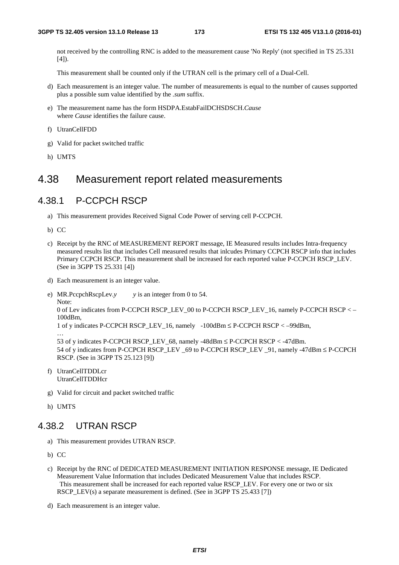not received by the controlling RNC is added to the measurement cause 'No Reply' (not specified in TS 25.331  $[4]$ ).

This measurement shall be counted only if the UTRAN cell is the primary cell of a Dual-Cell.

- d) Each measurement is an integer value. The number of measurements is equal to the number of causes supported plus a possible sum value identified by the *.sum* suffix.
- e) The measurement name has the form HSDPA.EstabFailDCHSDSCH.*Cause* where *Cause* identifies the failure cause.
- f) UtranCellFDD
- g) Valid for packet switched traffic
- h) UMTS

# 4.38 Measurement report related measurements

## 4.38.1 P-CCPCH RSCP

- a) This measurement provides Received Signal Code Power of serving cell P-CCPCH.
- b) CC
- c) Receipt by the RNC of MEASUREMENT REPORT message, IE Measured results includes Intra-frequency measured results list that includes Cell measured results that inlcudes Primary CCPCH RSCP info that includes Primary CCPCH RSCP. This measurement shall be increased for each reported value P-CCPCH RSCP\_LEV. (See in 3GPP TS 25.331 [4])
- d) Each measurement is an integer value.

e) MR.PccpchRscpLev.*y y* is an integer from 0 to 54.

Note: 0 of Lev indicates from P-CCPCH RSCP\_LEV\_00 to P-CCPCH RSCP\_LEV\_16, namely P-CCPCH RSCP < – 100dBm,

```
1 of y indicates P-CCPCH RSCP_LEV_16, namely -100dBm ≤ P-CCPCH RSCP < –99dBm,
```
… 53 of y indicates P-CCPCH RSCP\_LEV\_68, namely -48dBm ≤ P-CCPCH RSCP < -47dBm. 54 of y indicates from P-CCPCH RSCP\_LEV \_69 to P-CCPCH RSCP\_LEV \_91, namely -47dBm ≤ P-CCPCH RSCP. (See in 3GPP TS 25.123 [9])

- f) UtranCellTDDLcr UtranCellTDDHcr
- g) Valid for circuit and packet switched traffic
- h) UMTS

# 4.38.2 UTRAN RSCP

- a) This measurement provides UTRAN RSCP.
- b) CC
- c) Receipt by the RNC of DEDICATED MEASUREMENT INITIATION RESPONSE message, IE Dedicated Measurement Value Information that includes Dedicated Measurement Value that includes RSCP. This measurement shall be increased for each reported value RSCP\_LEV. For every one or two or six RSCP\_LEV(s) a separate measurement is defined. (See in 3GPP TS 25.433 [7])
- d) Each measurement is an integer value.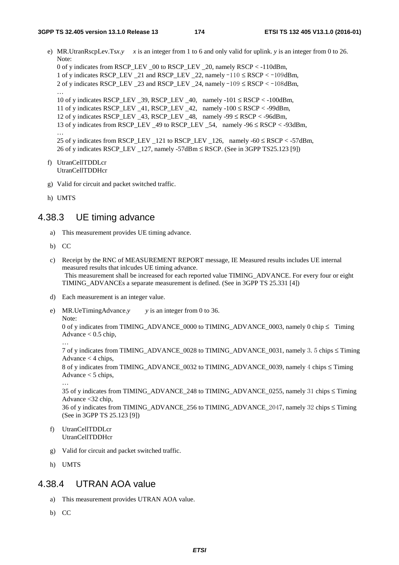e) MR.UtranRscpLev.Ts*x*.*y x* is an integer from 1 to 6 and only valid for uplink, *y* is an integer from 0 to 26. Note: 0 of y indicates from RSCP\_LEV \_00 to RSCP\_LEV \_20, namely RSCP < -110dBm,

1 of y indicates RSCP\_LEV \_21 and RSCP\_LEV \_22, namely -110 <sup>≤</sup> RSCP < -109dBm, 2 of y indicates RSCP\_LEV \_23 and RSCP\_LEV \_24, namely -109 <sup>≤</sup> RSCP < -108dBm,

10 of y indicates RSCP\_LEV  $39$ , RSCP\_LEV  $40$ , namely  $-101 \leq RSCP < -100dBm$ , 11 of y indicates RSCP\_LEV \_41, RSCP\_LEV \_42, namely  $-100 \leq RSCP < -99dBm$ , 12 of y indicates RSCP\_LEV  $43$ , RSCP\_LEV  $48$ , namely -99  $\leq$  RSCP  $<$  -96dBm, 13 of y indicates from RSCP\_LEV \_49 to RSCP\_LEV \_54, namely -96 ≤ RSCP < -93dBm, … 25 of y indicates from RSCP\_LEV \_121 to RSCP\_LEV \_126, namely -60  $\leq$  RSCP  $<$  -57dBm, 26 of y indicates RSCP\_LEV \_127, namely -57dBm ≤ RSCP. (See in 3GPP TS25.123 [9])

```
f) UtranCellTDDLcr
```
UtranCellTDDHcr

- g) Valid for circuit and packet switched traffic.
- h) UMTS

…

### 4.38.3 UE timing advance

- a) This measurement provides UE timing advance.
- b) CC
- c) Receipt by the RNC of MEASUREMENT REPORT message, IE Measured results includes UE internal measured results that inlcudes UE timing advance. This measurement shall be increased for each reported value TIMING\_ADVANCE. For every four or eight TIMING\_ADVANCEs a separate measurement is defined. (See in 3GPP TS 25.331 [4])
- d) Each measurement is an integer value.
- e) MR.UeTimingAdvance.*y y* is an integer from 0 to 36. Note:

0 of y indicates from TIMING\_ADVANCE\_0000 to TIMING\_ADVANCE\_0003, namely 0 chip ≤ Timing Advance  $< 0.5$  chip, …

7 of y indicates from TIMING\_ADVANCE\_0028 to TIMING\_ADVANCE\_0031, namely 3.5 chips ≤ Timing Advance  $<$  4 chips,

8 of y indicates from TIMING\_ADVANCE\_0032 to TIMING\_ADVANCE\_0039, namely 4 chips ≤ Timing Advance < 5 chips,

35 of y indicates from TIMING\_ADVANCE\_248 to TIMING\_ADVANCE\_0255, namely 31 chips ≤ Timing Advance <32 chip,

36 of y indicates from TIMING ADVANCE 256 to TIMING ADVANCE 2047, namely 32 chips  $\le$  Timing (See in 3GPP TS 25.123 [9])

- f) UtranCellTDDLcr UtranCellTDDHcr
- g) Valid for circuit and packet switched traffic.
- h) UMTS

…

# 4.38.4 UTRAN AOA value

- a) This measurement provides UTRAN AOA value.
- b) CC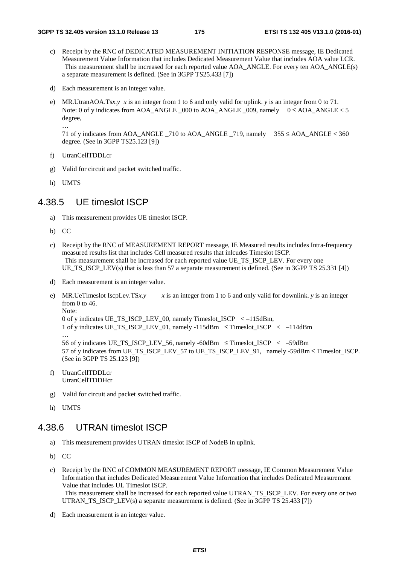- c) Receipt by the RNC of DEDICATED MEASUREMENT INITIATION RESPONSE message, IE Dedicated Measurement Value Information that includes Dedicated Measurement Value that includes AOA value LCR. This measurement shall be increased for each reported value AOA\_ANGLE. For every ten AOA\_ANGLE(s) a separate measurement is defined. (See in 3GPP TS25.433 [7])
- d) Each measurement is an integer value.
- e) MR.UtranAOA.Ts*x*.*y x* is an integer from 1 to 6 and only valid for uplink. *y* is an integer from 0 to 71. Note: 0 of y indicates from AOA\_ANGLE  $\overline{000}$  to AOA\_ANGLE  $\overline{009}$ , namely  $0 \leq$  AOA\_ANGLE < 5 degree,

71 of y indicates from AOA\_ANGLE \_710 to AOA\_ANGLE \_719, namely 355 ≤ AOA\_ANGLE < 360 degree. (See in 3GPP TS25.123 [9])

- f) UtranCellTDDLcr
- g) Valid for circuit and packet switched traffic.
- h) UMTS

…

## 4.38.5 UE timeslot ISCP

- a) This measurement provides UE timeslot ISCP.
- b) CC
- c) Receipt by the RNC of MEASUREMENT REPORT message, IE Measured results includes Intra-frequency measured results list that includes Cell measured results that inlcudes Timeslot ISCP. This measurement shall be increased for each reported value UE\_TS\_ISCP\_LEV. For every one UE TS ISCP LEV(s) that is less than 57 a separate measurement is defined. (See in 3GPP TS 25.331 [4])
- d) Each measurement is an integer value.
- e) MR.UeTimeslot IscpLev.TS*x*.*y*  $x$  is an integer from 1 to 6 and only valid for downlink. *y* is an integer from 0 to 46. Note: 0 of y indicates UE\_TS\_ISCP\_LEV\_00, namely Timeslot\_ISCP < –115dBm, 1 of y indicates UE\_TS\_ISCP\_LEV\_01, namely -115dBm  $\leq$  Timeslot\_ISCP  $\leq$  -114dBm … 56 of y indicates UE\_TS\_ISCP\_LEV\_56, namely -60dBm  $\leq$  Timeslot ISCP  $\leq$  –59dBm

57 of y indicates from UE\_TS\_ISCP\_LEV\_57 to UE\_TS\_ISCP\_LEV\_91, namely -59dBm ≤ Timeslot\_ISCP. (See in 3GPP TS 25.123 [9])

- f) UtranCellTDDLcr UtranCellTDDHcr
- g) Valid for circuit and packet switched traffic.
- h) UMTS

## 4.38.6 UTRAN timeslot ISCP

- a) This measurement provides UTRAN timeslot ISCP of NodeB in uplink.
- b) CC
- c) Receipt by the RNC of COMMON MEASUREMENT REPORT message, IE Common Measurement Value Information that includes Dedicated Measurement Value Information that includes Dedicated Measurement Value that includes UL Timeslot ISCP. This measurement shall be increased for each reported value UTRAN\_TS\_ISCP\_LEV. For every one or two UTRAN\_TS\_ISCP\_LEV(s) a separate measurement is defined. (See in 3GPP TS 25.433 [7])
- d) Each measurement is an integer value.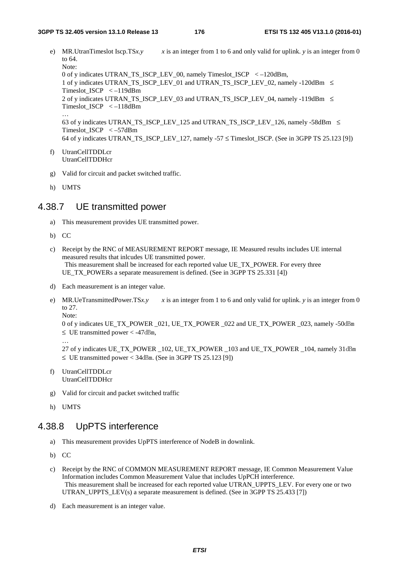- e) MR.UtranTimeslot Iscp.TS $x, y$  x is an integer from 1 to 6 and only valid for uplink. *y* is an integer from 0 to 64. Note: 0 of y indicates UTRAN\_TS\_ISCP\_LEV\_00, namely Timeslot\_ISCP < –120dBm, 1 of y indicates UTRAN\_TS\_ISCP\_LEV\_01 and UTRAN\_TS\_ISCP\_LEV\_02, namely -120dBm  $\leq$ Timeslot\_ISCP < –119dBm 2 of y indicates UTRAN\_TS\_ISCP\_LEV\_03 and UTRAN\_TS\_ISCP\_LEV\_04, namely -119dBm ≤ Timeslot\_ISCP < –118dBm … 63 of y indicates UTRAN\_TS\_ISCP\_LEV\_125 and UTRAN\_TS\_ISCP\_LEV\_126, namely -58dBm  $\leq$ Timeslot\_ISCP < –57dBm 64 of y indicates UTRAN\_TS\_ISCP\_LEV\_127, namely -57  $\leq$  Timeslot\_ISCP. (See in 3GPP TS 25.123 [9])
- f) UtranCellTDDLcr UtranCellTDDHcr
- g) Valid for circuit and packet switched traffic.
- h) UMTS

### 4.38.7 UE transmitted power

- a) This measurement provides UE transmitted power.
- b) CC
- c) Receipt by the RNC of MEASUREMENT REPORT message, IE Measured results includes UE internal measured results that inlcudes UE transmitted power. This measurement shall be increased for each reported value UE\_TX\_POWER. For every three UE\_TX\_POWERs a separate measurement is defined. (See in 3GPP TS 25.331 [4])
- d) Each measurement is an integer value.
- e) MR.UeTransmittedPower.TS*x*.*y*  $x$  is an integer from 1 to 6 and only valid for uplink. *y* is an integer from 0 to 27. Note:

0 of y indicates UE\_TX\_POWER \_021, UE\_TX\_POWER \_022 and UE\_TX\_POWER \_023, namely -50dBm  $\leq$  UE transmitted power  $<$  -47dBm,

27 of y indicates UE\_TX\_POWER \_102, UE\_TX\_POWER \_103 and UE\_TX\_POWER \_104, namely 31dBm <sup>≤</sup> UE transmitted power < 34dBm. (See in 3GPP TS 25.123 [9])

- f) UtranCellTDDLcr UtranCellTDDHcr
- g) Valid for circuit and packet switched traffic
- h) UMTS

…

# 4.38.8 UpPTS interference

- a) This measurement provides UpPTS interference of NodeB in downlink.
- b) CC
- c) Receipt by the RNC of COMMON MEASUREMENT REPORT message, IE Common Measurement Value Information includes Common Measurement Value that includes UpPCH interference. This measurement shall be increased for each reported value UTRAN\_UPPTS\_LEV. For every one or two UTRAN\_UPPTS\_LEV(s) a separate measurement is defined. (See in 3GPP TS 25.433 [7])
- d) Each measurement is an integer value.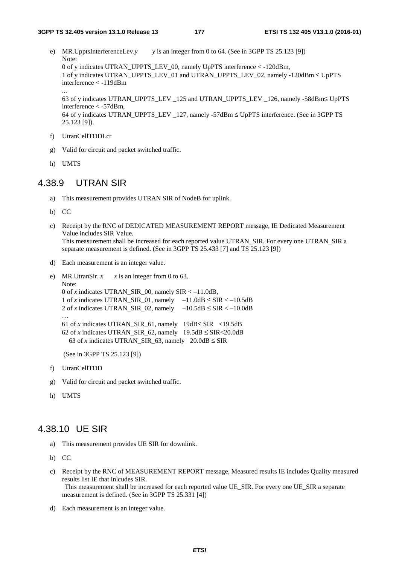e) MR.UpptsInterferenceLev.*y y* is an integer from 0 to 64. (See in 3GPP TS 25.123 [9]) Note: 0 of y indicates UTRAN\_UPPTS\_LEV\_00, namely UpPTS interference < -120dBm, 1 of y indicates UTRAN\_UPPTS\_LEV\_01 and UTRAN\_UPPTS\_LEV\_02, namely -120dBm ≤ UpPTS interference < -119dBm

63 of y indicates UTRAN\_UPPTS\_LEV \_125 and UTRAN\_UPPTS\_LEV \_126, namely -58dBm≤ UpPTS interference < -57dBm,

64 of y indicates UTRAN\_UPPTS\_LEV  $127$ , namely -57dBm  $\leq$  UpPTS interference. (See in 3GPP TS 25.123 [9]).

- f) UtranCellTDDLcr
- g) Valid for circuit and packet switched traffic.
- h) UMTS

...

# 4.38.9 UTRAN SIR

- a) This measurement provides UTRAN SIR of NodeB for uplink.
- b) CC
- c) Receipt by the RNC of DEDICATED MEASUREMENT REPORT message, IE Dedicated Measurement Value includes SIR Value. This measurement shall be increased for each reported value UTRAN\_SIR. For every one UTRAN\_SIR a separate measurement is defined. (See in 3GPP TS 25.433 [7] and TS 25.123 [9])
- d) Each measurement is an integer value.

```
e) MR.UtranSir. x \times x is an integer from 0 to 63.
    Note: 
    0 of x indicates UTRAN_SIR_00, namely SIR < -11.0dB,
    1 of x indicates UTRAN_SIR_01, namely -11.0dB \leq SIR < -10.5dB2 of x indicates UTRAN_SIR_02, namely -10.5dB \leq SIR < -10.0dB… 
    61 of x indicates UTRAN_SIR_61, namely 19dB≤ SIR <19.5dB 
    62 of x indicates UTRAN_SIR_62, namely 19.5dB \leq SIR < 20.0dB63 of x indicates UTRAN_SIR_63, namely 20.0dB \leq SIR
```
(See in 3GPP TS 25.123 [9])

- f) UtranCellTDD
- g) Valid for circuit and packet switched traffic.
- h) UMTS

### 4.38.10 UE SIR

- a) This measurement provides UE SIR for downlink.
- b) CC
- c) Receipt by the RNC of MEASUREMENT REPORT message, Measured results IE includes Quality measured results list IE that inlcudes SIR. This measurement shall be increased for each reported value UE\_SIR. For every one UE\_SIR a separate measurement is defined. (See in 3GPP TS 25.331 [4])
- d) Each measurement is an integer value.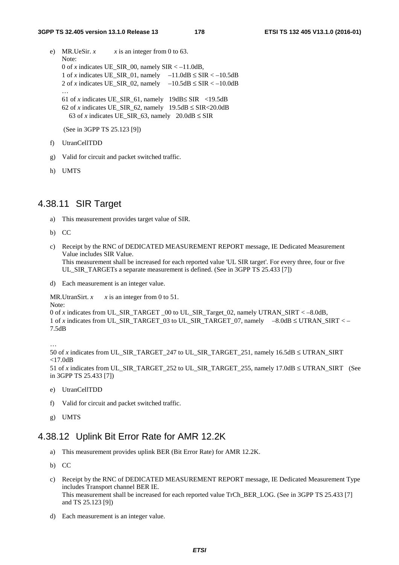- e) MR.UeSir.  $x \times x$  is an integer from 0 to 63. Note: 0 of *x* indicates UE\_SIR\_00, namely  $SIR < -11.0dB$ , 1 of *x* indicates UE\_SIR\_01, namely  $-11.0dB \leq SIR < -10.5dB$ 2 of *x* indicates UE\_SIR\_02, namely  $-10.5dB \leq SIR < -10.0dB$ … 61 of *x* indicates UE\_SIR\_61, namely  $19dB \leq SIR$  <19.5dB 62 of *x* indicates UE\_SIR\_62, namely  $19.5dB \leq SIR < 20.0dB$ 63 of *x* indicates UE\_SIR\_63, namely  $20.0dB \leq SIR$ (See in 3GPP TS 25.123 [9])
- f) UtranCellTDD
- g) Valid for circuit and packet switched traffic.
- h) UMTS

### 4.38.11 SIR Target

- a) This measurement provides target value of SIR.
- b) CC
- c) Receipt by the RNC of DEDICATED MEASUREMENT REPORT message, IE Dedicated Measurement Value includes SIR Value. This measurement shall be increased for each reported value 'UL SIR target'. For every three, four or five UL\_SIR\_TARGETs a separate measurement is defined. (See in 3GPP TS 25.433 [7])
- d) Each measurement is an integer value.

MR.UtranSirt.  $x \times x$  is an integer from 0 to 51.

```
Note:
```

```
0 of x indicates from UL_SIR_TARGET _00 to UL_SIR_Target_02, namely UTRAN_SIRT < –8.0dB, 
1 of x indicates from UL_SIR_TARGET_03 to UL_SIR_TARGET_07, namely -8.0dB \leq UTRAN SIRT < –
7.5dB
```
…

```
50 of x indicates from UL_SIR_TARGET_247 to UL_SIR_TARGET_251, namely 16.5dB ≤ UTRAN_SIRT 
<17.0dB
```
51 of *x* indicates from UL\_SIR\_TARGET\_252 to UL\_SIR\_TARGET\_255, namely 17.0dB ≤ UTRAN\_SIRT (See in 3GPP TS 25.433 [7])

- e) UtranCellTDD
- f) Valid for circuit and packet switched traffic.
- g) UMTS

### 4.38.12 Uplink Bit Error Rate for AMR 12.2K

- a) This measurement provides uplink BER (Bit Error Rate) for AMR 12.2K.
- b) CC
- c) Receipt by the RNC of DEDICATED MEASUREMENT REPORT message, IE Dedicated Measurement Type includes Transport channel BER IE. This measurement shall be increased for each reported value TrCh\_BER\_LOG. (See in 3GPP TS 25.433 [7] and TS 25.123 [9])
- d) Each measurement is an integer value.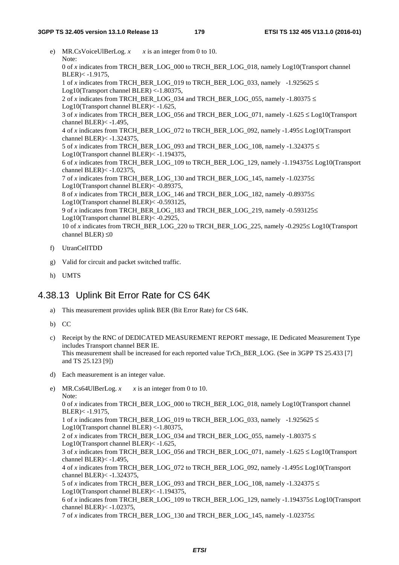- e) MR.CsVoiceUlBerLog.  $x = x$  is an integer from 0 to 10. Note: 0 of *x* indicates from TRCH\_BER\_LOG\_000 to TRCH\_BER\_LOG\_018, namely Log10(Transport channel  $BLER) < -1.9175$ , 1 of *x* indicates from TRCH\_BER\_LOG\_019 to TRCH\_BER\_LOG\_033, namely -1.925625  $\leq$ Log10(Transport channel BLER) <-1.80375, 2 of *x* indicates from TRCH\_BER\_LOG\_034 and TRCH\_BER\_LOG\_055, namely -1.80375  $\le$ Log10(Transport channel BLER)< -1.625, 3 of *x* indicates from TRCH\_BER\_LOG\_056 and TRCH\_BER\_LOG\_071, namely -1.625  $\leq$  Log10(Transport channel BLER)< -1.495, 4 of *x* indicates from TRCH\_BER\_LOG\_072 to TRCH\_BER\_LOG\_092, namely -1.495≤ Log10(Transport channel BLER)< -1.324375, 5 of *x* indicates from TRCH\_BER\_LOG\_093 and TRCH\_BER\_LOG\_108, namely -1.324375  $\leq$ Log10(Transport channel BLER)< -1.194375, 6 of *x* indicates from TRCH\_BER\_LOG\_109 to TRCH\_BER\_LOG\_129, namely -1.194375≤ Log10(Transport channel BLER)< -1.02375, 7 of *x* indicates from TRCH\_BER\_LOG\_130 and TRCH\_BER\_LOG\_145, namely -1.02375≤ Log10(Transport channel BLER)< -0.89375, 8 of *x* indicates from TRCH\_BER\_LOG\_146 and TRCH\_BER\_LOG\_182, namely -0.89375≤ Log10(Transport channel BLER)< -0.593125, 9 of *x* indicates from TRCH\_BER\_LOG\_183 and TRCH\_BER\_LOG\_219, namely -0.593125 $\leq$ Log10(Transport channel BLER)< -0.2925, 10 of *x* indicates from TRCH\_BER\_LOG\_220 to TRCH\_BER\_LOG\_225, namely -0.2925≤ Log10(Transport channel BLER) ≤0
- f) UtranCellTDD
- g) Valid for circuit and packet switched traffic.
- h) UMTS

# 4.38.13 Uplink Bit Error Rate for CS 64K

a) This measurement provides uplink BER (Bit Error Rate) for CS 64K.

b) CC

- c) Receipt by the RNC of DEDICATED MEASUREMENT REPORT message, IE Dedicated Measurement Type includes Transport channel BER IE. This measurement shall be increased for each reported value TrCh\_BER\_LOG. (See in 3GPP TS 25.433 [7] and TS 25.123 [9])
- d) Each measurement is an integer value.
- e) MR.Cs64UlBerLog.  $x \times x$  is an integer from 0 to 10. Note: 0 of *x* indicates from TRCH\_BER\_LOG\_000 to TRCH\_BER\_LOG\_018, namely Log10(Transport channel BLER)< -1.9175, 1 of *x* indicates from TRCH\_BER\_LOG\_019 to TRCH\_BER\_LOG\_033, namely  $-1.925625 \le$ Log10(Transport channel BLER) <-1.80375, 2 of *x* indicates from TRCH\_BER\_LOG\_034 and TRCH\_BER\_LOG\_055, namely -1.80375  $\le$ Log10(Transport channel BLER)< -1.625, 3 of *x* indicates from TRCH\_BER\_LOG\_056 and TRCH\_BER\_LOG\_071, namely -1.625  $\leq$  Log10(Transport channel BLER $\ge$  -1.495. 4 of *x* indicates from TRCH\_BER\_LOG\_072 to TRCH\_BER\_LOG\_092, namely -1.495≤ Log10(Transport channel BLER)< -1.324375, 5 of *x* indicates from TRCH\_BER\_LOG\_093 and TRCH\_BER\_LOG\_108, namely -1.324375  $\leq$ Log10(Transport channel BLER)< -1.194375, 6 of *x* indicates from TRCH\_BER\_LOG\_109 to TRCH\_BER\_LOG\_129, namely -1.194375≤ Log10(Transport channel BLER)< -1.02375, 7 of *x* indicates from TRCH\_BER\_LOG\_130 and TRCH\_BER\_LOG\_145, namely -1.02375≤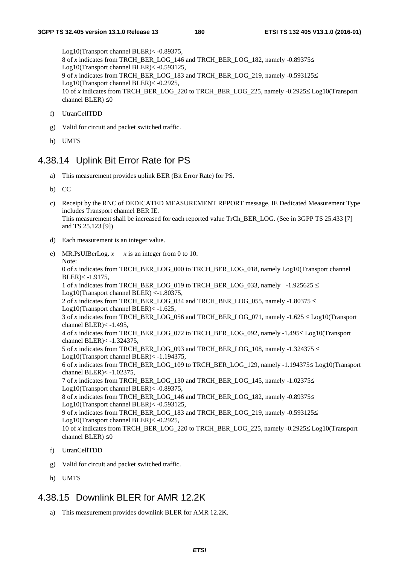Log10(Transport channel BLER)< -0.89375, 8 of *x* indicates from TRCH\_BER\_LOG\_146 and TRCH\_BER\_LOG\_182, namely -0.89375≤ Log10(Transport channel BLER)< -0.593125, 9 of *x* indicates from TRCH\_BER\_LOG\_183 and TRCH\_BER\_LOG\_219, namely -0.593125≤ Log10(Transport channel BLER)< -0.2925, 10 of *x* indicates from TRCH\_BER\_LOG\_220 to TRCH\_BER\_LOG\_225, namely -0.2925≤ Log10(Transport channel BLER)  $\leq 0$ 

- f) UtranCellTDD
- g) Valid for circuit and packet switched traffic.
- h) UMTS

#### 4.38.14 Uplink Bit Error Rate for PS

- a) This measurement provides uplink BER (Bit Error Rate) for PS.
- b) CC
- c) Receipt by the RNC of DEDICATED MEASUREMENT REPORT message, IE Dedicated Measurement Type includes Transport channel BER IE. This measurement shall be increased for each reported value TrCh\_BER\_LOG. (See in 3GPP TS 25.433 [7] and TS 25.123 [9])
- d) Each measurement is an integer value.
- e) MR.PsUlBerLog.  $x \times x$  is an integer from 0 to 10. Note: 0 of *x* indicates from TRCH\_BER\_LOG\_000 to TRCH\_BER\_LOG\_018, namely Log10(Transport channel BLER)< -1.9175, 1 of *x* indicates from TRCH\_BER\_LOG\_019 to TRCH\_BER\_LOG\_033, namely -1.925625  $\leq$ Log10(Transport channel BLER) <-1.80375, 2 of *x* indicates from TRCH\_BER\_LOG\_034 and TRCH\_BER\_LOG\_055, namely -1.80375  $\leq$ Log10(Transport channel BLER)< -1.625, 3 of *x* indicates from TRCH\_BER\_LOG\_056 and TRCH\_BER\_LOG\_071, namely -1.625 ≤ Log10(Transport channel BLER)< -1.495, 4 of *x* indicates from TRCH\_BER\_LOG\_072 to TRCH\_BER\_LOG\_092, namely -1.495≤ Log10(Transport channel BLER)< -1.324375, 5 of *x* indicates from TRCH\_BER\_LOG\_093 and TRCH\_BER\_LOG\_108, namely -1.324375  $\le$ Log10(Transport channel BLER)< -1.194375, 6 of *x* indicates from TRCH\_BER\_LOG\_109 to TRCH\_BER\_LOG\_129, namely -1.194375≤ Log10(Transport channel BLER)< -1.02375, 7 of *x* indicates from TRCH\_BER\_LOG\_130 and TRCH\_BER\_LOG\_145, namely -1.02375≤ Log10(Transport channel BLER)< -0.89375, 8 of *x* indicates from TRCH\_BER\_LOG\_146 and TRCH\_BER\_LOG\_182, namely -0.89375≤ Log10(Transport channel BLER)< -0.593125, 9 of *x* indicates from TRCH\_BER\_LOG\_183 and TRCH\_BER\_LOG\_219, namely -0.593125≤ Log10(Transport channel BLER)< -0.2925, 10 of *x* indicates from TRCH\_BER\_LOG\_220 to TRCH\_BER\_LOG\_225, namely -0.2925≤ Log10(Transport channel BLER)  $\leq 0$
- f) UtranCellTDD
- g) Valid for circuit and packet switched traffic.
- h) UMTS

### 4.38.15 Downlink BLER for AMR 12.2K

a) This measurement provides downlink BLER for AMR 12.2K.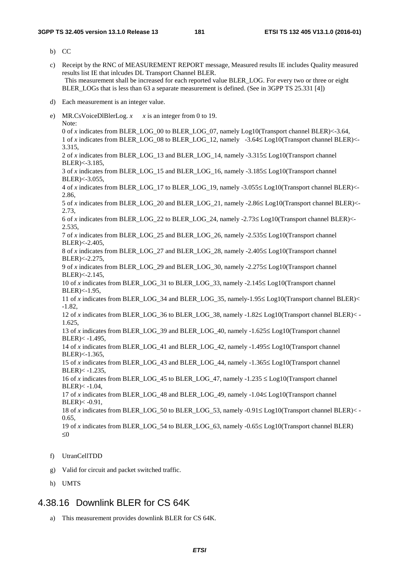b) CC

- c) Receipt by the RNC of MEASUREMENT REPORT message, Measured results IE includes Quality measured results list IE that inlcudes DL Transport Channel BLER. This measurement shall be increased for each reported value BLER\_LOG. For every two or three or eight BLER\_LOGs that is less than 63 a separate measurement is defined. (See in 3GPP TS 25.331 [4])
- d) Each measurement is an integer value.
- e) MR.CsVoiceDlBlerLog.  $x \times x$  is an integer from 0 to 19. Note: 0 of *x* indicates from BLER\_LOG\_00 to BLER\_LOG\_07, namely Log10(Transport channel BLER)<-3.64, 1 of *x* indicates from BLER\_LOG\_08 to BLER\_LOG\_12, namely -3.64≤ Log10(Transport channel BLER)<- 3.315, 2 of *x* indicates from BLER\_LOG\_13 and BLER\_LOG\_14, namely -3.315≤ Log10(Transport channel BLER)<-3.185, 3 of *x* indicates from BLER\_LOG\_15 and BLER\_LOG\_16, namely -3.185≤ Log10(Transport channel BLER)<-3.055, 4 of *x* indicates from BLER\_LOG\_17 to BLER\_LOG\_19, namely -3.055≤ Log10(Transport channel BLER)<- 2.86, 5 of *x* indicates from BLER\_LOG\_20 and BLER\_LOG\_21, namely -2.86≤ Log10(Transport channel BLER)<- 2.73, 6 of *x* indicates from BLER\_LOG\_22 to BLER\_LOG\_24, namely -2.73≤ Log10(Transport channel BLER)<- 2.535, 7 of *x* indicates from BLER\_LOG\_25 and BLER\_LOG\_26, namely -2.535≤ Log10(Transport channel BLER)<-2.405, 8 of *x* indicates from BLER\_LOG\_27 and BLER\_LOG\_28, namely -2.405≤ Log10(Transport channel BLER)<-2.275, 9 of *x* indicates from BLER\_LOG\_29 and BLER\_LOG\_30, namely -2.275≤ Log10(Transport channel BLER)<-2.145, 10 of *x* indicates from BLER\_LOG\_31 to BLER\_LOG\_33, namely -2.145≤ Log10(Transport channel BLER)<-1.95, 11 of *x* indicates from BLER\_LOG\_34 and BLER\_LOG\_35, namely-1.95≤ Log10(Transport channel BLER)< -1.82, 12 of *x* indicates from BLER\_LOG\_36 to BLER\_LOG\_38, namely -1.82≤ Log10(Transport channel BLER)< - 1.625, 13 of *x* indicates from BLER\_LOG\_39 and BLER\_LOG\_40, namely -1.625≤ Log10(Transport channel BLER)< -1.495, 14 of *x* indicates from BLER\_LOG\_41 and BLER\_LOG\_42, namely -1.495≤ Log10(Transport channel BLER)<-1.365, 15 of *x* indicates from BLER\_LOG\_43 and BLER\_LOG\_44, namely -1.365≤ Log10(Transport channel BLER)< -1.235, 16 of *x* indicates from BLER\_LOG\_45 to BLER\_LOG\_47, namely  $-1.235 \leq$  Log10(Transport channel  $BLER) < -1.04$ . 17 of *x* indicates from BLER\_LOG\_48 and BLER\_LOG\_49, namely -1.04≤ Log10(Transport channel  $BLER) < -0.91$ , 18 of *x* indicates from BLER\_LOG\_50 to BLER\_LOG\_53, namely -0.91≤ Log10(Transport channel BLER)< - 0.65, 19 of *x* indicates from BLER\_LOG\_54 to BLER\_LOG\_63, namely -0.65≤ Log10(Transport channel BLER) ≤0
- f) UtranCellTDD
- g) Valid for circuit and packet switched traffic.
- h) UMTS

## 4.38.16 Downlink BLER for CS 64K

a) This measurement provides downlink BLER for CS 64K.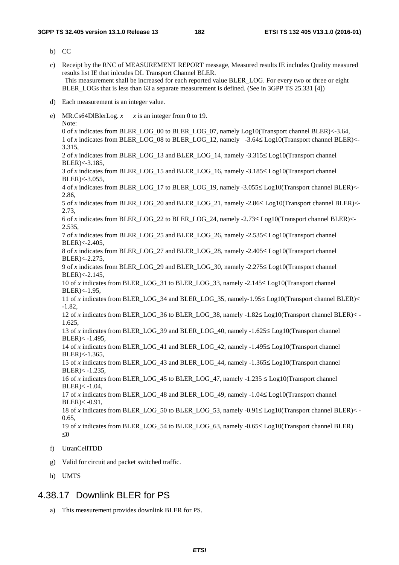- b) CC
- c) Receipt by the RNC of MEASUREMENT REPORT message, Measured results IE includes Quality measured results list IE that inlcudes DL Transport Channel BLER. This measurement shall be increased for each reported value BLER\_LOG. For every two or three or eight BLER\_LOGs that is less than 63 a separate measurement is defined. (See in 3GPP TS 25.331 [4])
- d) Each measurement is an integer value.
- e) MR.Cs64DlBlerLog.  $x \times x$  is an integer from 0 to 19. Note: 0 of *x* indicates from BLER\_LOG\_00 to BLER\_LOG\_07, namely Log10(Transport channel BLER)<-3.64, 1 of *x* indicates from BLER\_LOG\_08 to BLER\_LOG\_12, namely -3.64≤ Log10(Transport channel BLER)<- 3.315, 2 of *x* indicates from BLER\_LOG\_13 and BLER\_LOG\_14, namely -3.315≤ Log10(Transport channel BLER)<-3.185, 3 of *x* indicates from BLER\_LOG\_15 and BLER\_LOG\_16, namely -3.185≤ Log10(Transport channel BLER)<-3.055, 4 of *x* indicates from BLER\_LOG\_17 to BLER\_LOG\_19, namely -3.055≤ Log10(Transport channel BLER)<- 2.86, 5 of *x* indicates from BLER\_LOG\_20 and BLER\_LOG\_21, namely -2.86≤ Log10(Transport channel BLER)<- 2.73, 6 of *x* indicates from BLER\_LOG\_22 to BLER\_LOG\_24, namely -2.73≤ Log10(Transport channel BLER)<- 2.535, 7 of *x* indicates from BLER\_LOG\_25 and BLER\_LOG\_26, namely -2.535≤ Log10(Transport channel BLER)<-2.405, 8 of *x* indicates from BLER\_LOG\_27 and BLER\_LOG\_28, namely -2.405≤ Log10(Transport channel BLER)<-2.275, 9 of *x* indicates from BLER\_LOG\_29 and BLER\_LOG\_30, namely -2.275≤ Log10(Transport channel BLER)<-2.145, 10 of *x* indicates from BLER\_LOG\_31 to BLER\_LOG\_33, namely -2.145≤ Log10(Transport channel BLER)<-1.95, 11 of *x* indicates from BLER\_LOG\_34 and BLER\_LOG\_35, namely-1.95≤ Log10(Transport channel BLER)< -1.82, 12 of *x* indicates from BLER\_LOG\_36 to BLER\_LOG\_38, namely -1.82≤ Log10(Transport channel BLER)< - 1.625, 13 of *x* indicates from BLER\_LOG\_39 and BLER\_LOG\_40, namely -1.625≤ Log10(Transport channel BLER)< -1.495, 14 of *x* indicates from BLER\_LOG\_41 and BLER\_LOG\_42, namely -1.495≤ Log10(Transport channel BLER)<-1.365, 15 of *x* indicates from BLER\_LOG\_43 and BLER\_LOG\_44, namely -1.365≤ Log10(Transport channel BLER)< -1.235, 16 of *x* indicates from BLER\_LOG\_45 to BLER\_LOG\_47, namely  $-1.235 \leq$  Log10(Transport channel  $BLER) < -1.04$ . 17 of *x* indicates from BLER\_LOG\_48 and BLER\_LOG\_49, namely -1.04≤ Log10(Transport channel  $BLER) < -0.91$ , 18 of *x* indicates from BLER\_LOG\_50 to BLER\_LOG\_53, namely -0.91≤ Log10(Transport channel BLER)< - 0.65, 19 of *x* indicates from BLER\_LOG\_54 to BLER\_LOG\_63, namely -0.65≤ Log10(Transport channel BLER) ≤0 f) UtranCellTDD
- g) Valid for circuit and packet switched traffic.
- h) UMTS

#### 4.38.17 Downlink BLER for PS

a) This measurement provides downlink BLER for PS.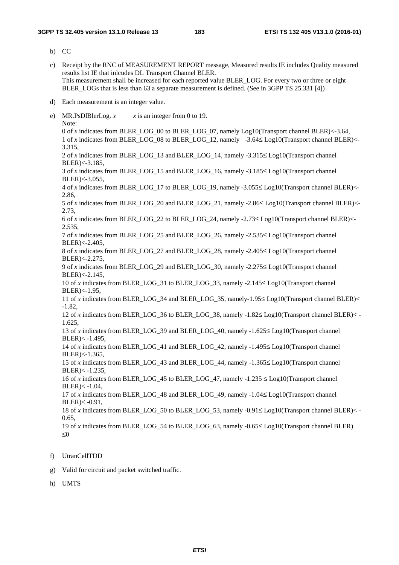b) CC

- c) Receipt by the RNC of MEASUREMENT REPORT message, Measured results IE includes Quality measured results list IE that inlcudes DL Transport Channel BLER. This measurement shall be increased for each reported value BLER\_LOG. For every two or three or eight BLER\_LOGs that is less than 63 a separate measurement is defined. (See in 3GPP TS 25.331 [4])
- d) Each measurement is an integer value.
- e) MR.PsDlBlerLog.  $x$   $x$  is an integer from 0 to 19. Note: 0 of *x* indicates from BLER\_LOG\_00 to BLER\_LOG\_07, namely Log10(Transport channel BLER)<-3.64, 1 of *x* indicates from BLER\_LOG\_08 to BLER\_LOG\_12, namely -3.64≤ Log10(Transport channel BLER)<- 3.315, 2 of *x* indicates from BLER\_LOG\_13 and BLER\_LOG\_14, namely -3.315≤ Log10(Transport channel BLER)<-3.185, 3 of *x* indicates from BLER\_LOG\_15 and BLER\_LOG\_16, namely -3.185≤ Log10(Transport channel BLER)<-3.055, 4 of *x* indicates from BLER\_LOG\_17 to BLER\_LOG\_19, namely -3.055≤ Log10(Transport channel BLER)<- 2.86, 5 of *x* indicates from BLER\_LOG\_20 and BLER\_LOG\_21, namely -2.86≤ Log10(Transport channel BLER)<- 2.73, 6 of *x* indicates from BLER\_LOG\_22 to BLER\_LOG\_24, namely -2.73≤ Log10(Transport channel BLER)<- 2.535, 7 of *x* indicates from BLER\_LOG\_25 and BLER\_LOG\_26, namely -2.535≤ Log10(Transport channel BLER)<-2.405, 8 of *x* indicates from BLER\_LOG\_27 and BLER\_LOG\_28, namely -2.405≤ Log10(Transport channel BLER)<-2.275, 9 of *x* indicates from BLER\_LOG\_29 and BLER\_LOG\_30, namely -2.275≤ Log10(Transport channel BLER)<-2.145, 10 of *x* indicates from BLER\_LOG\_31 to BLER\_LOG\_33, namely -2.145≤ Log10(Transport channel BLER)<-1.95, 11 of *x* indicates from BLER\_LOG\_34 and BLER\_LOG\_35, namely-1.95≤ Log10(Transport channel BLER)< -1.82, 12 of *x* indicates from BLER\_LOG\_36 to BLER\_LOG\_38, namely -1.82≤ Log10(Transport channel BLER)< - 1.625, 13 of *x* indicates from BLER\_LOG\_39 and BLER\_LOG\_40, namely -1.625≤ Log10(Transport channel BLER)< -1.495, 14 of *x* indicates from BLER\_LOG\_41 and BLER\_LOG\_42, namely -1.495≤ Log10(Transport channel BLER)<-1.365, 15 of *x* indicates from BLER\_LOG\_43 and BLER\_LOG\_44, namely -1.365≤ Log10(Transport channel BLER)< -1.235, 16 of *x* indicates from BLER\_LOG\_45 to BLER\_LOG\_47, namely  $-1.235 \leq$  Log10(Transport channel  $BLER) < -1.04$ . 17 of *x* indicates from BLER\_LOG\_48 and BLER\_LOG\_49, namely -1.04≤ Log10(Transport channel BLER)< -0.91, 18 of *x* indicates from BLER\_LOG\_50 to BLER\_LOG\_53, namely -0.91≤ Log10(Transport channel BLER)< - 0.65, 19 of *x* indicates from BLER\_LOG\_54 to BLER\_LOG\_63, namely -0.65≤ Log10(Transport channel BLER) ≤0
- f) UtranCellTDD
- g) Valid for circuit and packet switched traffic.
- h) UMTS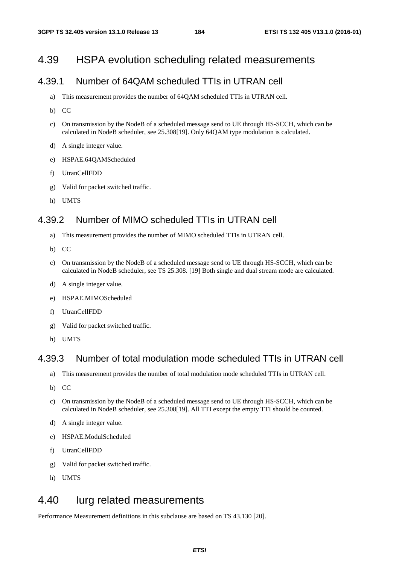## 4.39 HSPA evolution scheduling related measurements

## 4.39.1 Number of 64QAM scheduled TTIs in UTRAN cell

- a) This measurement provides the number of 64QAM scheduled TTIs in UTRAN cell.
- b) CC
- c) On transmission by the NodeB of a scheduled message send to UE through HS-SCCH, which can be calculated in NodeB scheduler, see 25.308[19]. Only 64QAM type modulation is calculated.
- d) A single integer value.
- e) HSPAE.64QAMScheduled
- f) UtranCellFDD
- g) Valid for packet switched traffic.
- h) UMTS

#### 4.39.2 Number of MIMO scheduled TTIs in UTRAN cell

- a) This measurement provides the number of MIMO scheduled TTIs in UTRAN cell.
- b) CC
- c) On transmission by the NodeB of a scheduled message send to UE through HS-SCCH, which can be calculated in NodeB scheduler, see TS 25.308. [19] Both single and dual stream mode are calculated.
- d) A single integer value.
- e) HSPAE.MIMOScheduled
- f) UtranCellFDD
- g) Valid for packet switched traffic.
- h) UMTS

#### 4.39.3 Number of total modulation mode scheduled TTIs in UTRAN cell

- a) This measurement provides the number of total modulation mode scheduled TTIs in UTRAN cell.
- b) CC
- c) On transmission by the NodeB of a scheduled message send to UE through HS-SCCH, which can be calculated in NodeB scheduler, see 25.308[19]. All TTI except the empty TTI should be counted.
- d) A single integer value.
- e) HSPAE.ModulScheduled
- f) UtranCellFDD
- g) Valid for packet switched traffic.
- h) UMTS

## 4.40 Iurg related measurements

Performance Measurement definitions in this subclause are based on TS 43.130 [20].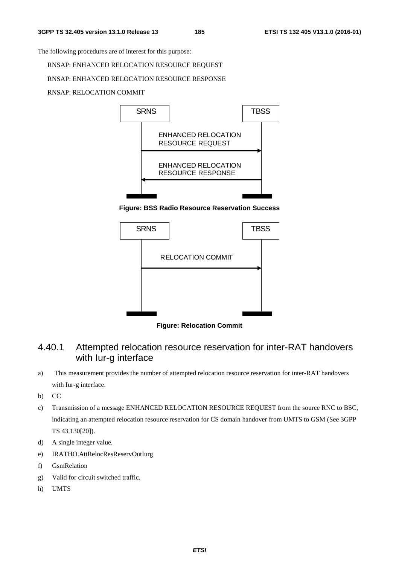The following procedures are of interest for this purpose:

RNSAP: ENHANCED RELOCATION RESOURCE REQUEST

#### RNSAP: ENHANCED RELOCATION RESOURCE RESPONSE

RNSAP: RELOCATION COMMIT



**Figure: BSS Radio Resource Reservation Success** 



**Figure: Relocation Commit** 

## 4.40.1 Attempted relocation resource reservation for inter-RAT handovers with Iur-g interface

- a) This measurement provides the number of attempted relocation resource reservation for inter-RAT handovers with Iur-g interface.
- b) CC
- c) Transmission of a message ENHANCED RELOCATION RESOURCE REQUEST from the source RNC to BSC, indicating an attempted relocation resource reservation for CS domain handover from UMTS to GSM (See 3GPP TS 43.130[20]).
- d) A single integer value.
- e) IRATHO.AttRelocResReservOutIurg
- f) GsmRelation
- g) Valid for circuit switched traffic.
- h) UMTS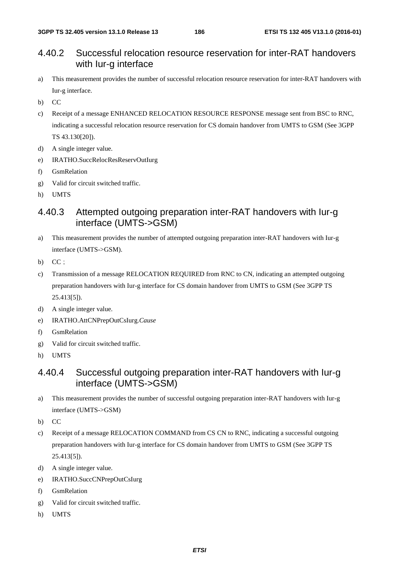#### 4.40.2 Successful relocation resource reservation for inter-RAT handovers with Iur-g interface

- a) This measurement provides the number of successful relocation resource reservation for inter-RAT handovers with Iur-g interface.
- b) CC
- c) Receipt of a message ENHANCED RELOCATION RESOURCE RESPONSE message sent from BSC to RNC, indicating a successful relocation resource reservation for CS domain handover from UMTS to GSM (See 3GPP TS 43.130[20]).
- d) A single integer value.
- e) IRATHO.SuccRelocResReservOutIurg
- f) GsmRelation
- g) Valid for circuit switched traffic.
- h) UMTS

#### 4.40.3 Attempted outgoing preparation inter-RAT handovers with Iur-g interface (UMTS->GSM)

- a) This measurement provides the number of attempted outgoing preparation inter-RAT handovers with Iur-g interface (UMTS->GSM).
- b) CC;
- c) Transmission of a message RELOCATION REQUIRED from RNC to CN, indicating an attempted outgoing preparation handovers with Iur-g interface for CS domain handover from UMTS to GSM (See 3GPP TS 25.413[5]).
- d) A single integer value.
- e) IRATHO.AttCNPrepOutCsIurg.*Cause*
- f) GsmRelation
- g) Valid for circuit switched traffic.
- h) UMTS

### 4.40.4 Successful outgoing preparation inter-RAT handovers with Iur-g interface (UMTS->GSM)

- a) This measurement provides the number of successful outgoing preparation inter-RAT handovers with Iur-g interface (UMTS->GSM)
- b) CC
- c) Receipt of a message RELOCATION COMMAND from CS CN to RNC, indicating a successful outgoing preparation handovers with Iur-g interface for CS domain handover from UMTS to GSM (See 3GPP TS 25.413[5]).
- d) A single integer value.
- e) IRATHO.SuccCNPrepOutCsIurg
- f) GsmRelation
- g) Valid for circuit switched traffic.
- h) UMTS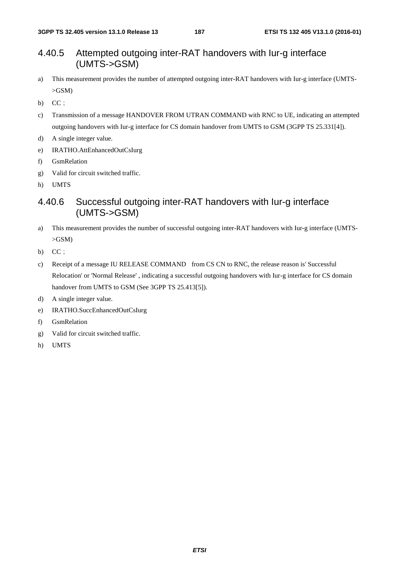### 4.40.5 Attempted outgoing inter-RAT handovers with Iur-g interface (UMTS->GSM)

- a) This measurement provides the number of attempted outgoing inter-RAT handovers with Iur-g interface (UMTS-  $>$ GSM $)$
- b)  $CC$ ;
- c) Transmission of a message HANDOVER FROM UTRAN COMMAND with RNC to UE, indicating an attempted outgoing handovers with Iur-g interface for CS domain handover from UMTS to GSM (3GPP TS 25.331[4]).
- d) A single integer value.
- e) IRATHO.AttEnhancedOutCsIurg
- f) GsmRelation
- g) Valid for circuit switched traffic.
- h) UMTS

## 4.40.6 Successful outgoing inter-RAT handovers with Iur-g interface (UMTS->GSM)

- a) This measurement provides the number of successful outgoing inter-RAT handovers with Iur-g interface (UMTS- >GSM)
- b)  $CC$ ;
- c) Receipt of a message IU RELEASE COMMAND from CS CN to RNC, the release reason is' Successful Relocation' or 'Normal Release' , indicating a successful outgoing handovers with Iur-g interface for CS domain handover from UMTS to GSM (See 3GPP TS 25.413[5]).
- d) A single integer value.
- e) IRATHO.SuccEnhancedOutCsIurg
- f) GsmRelation
- g) Valid for circuit switched traffic.
- h) UMTS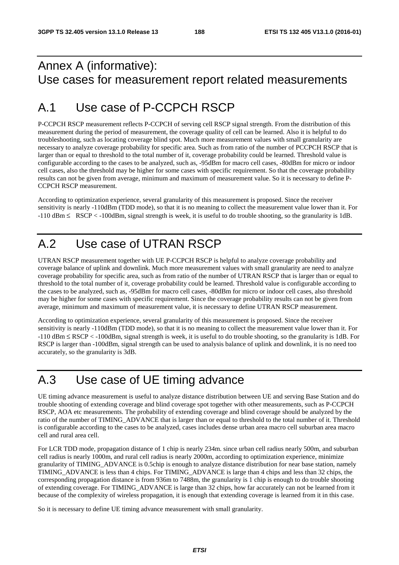## Annex A (informative): Use cases for measurement report related measurements

# A.1 Use case of P-CCPCH RSCP

P-CCPCH RSCP measurement reflects P-CCPCH of serving cell RSCP signal strength. From the distribution of this measurement during the period of measurement, the coverage quality of cell can be learned. Also it is helpful to do troubleshooting, such as locating coverage blind spot. Much more measurement values with small granularity are necessary to analyze coverage probability for specific area. Such as from ratio of the number of PCCPCH RSCP that is larger than or equal to threshold to the total number of it, coverage probability could be learned. Threshold value is configurable according to the cases to be analyzed, such as, -95dBm for macro cell cases, -80dBm for micro or indoor cell cases, also the threshold may be higher for some cases with specific requirement. So that the coverage probability results can not be given from average, minimum and maximum of measurement value. So it is necessary to define P-CCPCH RSCP measurement.

According to optimization experience, several granularity of this measurement is proposed. Since the receiver sensitivity is nearly -110dBm (TDD mode), so that it is no meaning to collect the measurement value lower than it. For -110 dBm ≤ RSCP < -100dBm, signal strength is week, it is useful to do trouble shooting, so the granularity is 1dB.

# A.2 Use case of UTRAN RSCP

UTRAN RSCP measurement together with UE P-CCPCH RSCP is helpful to analyze coverage probability and coverage balance of uplink and downlink. Much more measurement values with small granularity are need to analyze coverage probability for specific area, such as from ratio of the number of UTRAN RSCP that is larger than or equal to threshold to the total number of it, coverage probability could be learned. Threshold value is configurable according to the cases to be analyzed, such as, -95dBm for macro cell cases, -80dBm for micro or indoor cell cases, also threshold may be higher for some cases with specific requirement. Since the coverage probability results can not be given from average, minimum and maximum of measurement value, it is necessary to define UTRAN RSCP measurement.

According to optimization experience, several granularity of this measurement is proposed. Since the receiver sensitivity is nearly -110dBm (TDD mode), so that it is no meaning to collect the measurement value lower than it. For -110 dBm ≤ RSCP < -100dBm, signal strength is week, it is useful to do trouble shooting, so the granularity is 1dB. For RSCP is larger than -100dBm, signal strength can be used to analysis balance of uplink and downlink, it is no need too accurately, so the granularity is 3dB.

## A.3 Use case of UE timing advance

UE timing advance measurement is useful to analyze distance distribution between UE and serving Base Station and do trouble shooting of extending coverage and blind coverage spot together with other measurements, such as P-CCPCH RSCP, AOA etc measurements. The probability of extending coverage and blind coverage should be analyzed by the ratio of the number of TIMING\_ADVANCE that is larger than or equal to threshold to the total number of it. Threshold is configurable according to the cases to be analyzed, cases includes dense urban area macro cell suburban area macro cell and rural area cell.

For LCR TDD mode, propagation distance of 1 chip is nearly 234m. since urban cell radius nearly 500m, and suburban cell radius is nearly 1000m, and rural cell radius is nearly 2000m, according to optimization experience, minimize granularity of TIMING\_ADVANCE is 0.5chip is enough to analyze distance distribution for near base station, namely TIMING\_ADVANCE is less than 4 chips. For TIMING\_ADVANCE is large than 4 chips and less than 32 chips, the corresponding propagation distance is from 936m to 7488m, the granularity is 1 chip is enough to do trouble shooting of extending coverage. For TIMING\_ADVANCE is large than 32 chips, how far accurately can not be learned from it because of the complexity of wireless propagation, it is enough that extending coverage is learned from it in this case.

So it is necessary to define UE timing advance measurement with small granularity.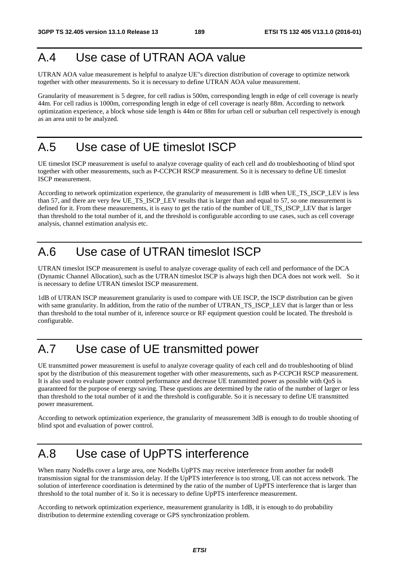# A.4 Use case of UTRAN AOA value

UTRAN AOA value measurement is helpful to analyze UE"s direction distribution of coverage to optimize network together with other measurements. So it is necessary to define UTRAN AOA value measurement.

Granularity of measurement is 5 degree, for cell radius is 500m, corresponding length in edge of cell coverage is nearly 44m. For cell radius is 1000m, corresponding length in edge of cell coverage is nearly 88m. According to network optimization experience, a block whose side length is 44m or 88m for urban cell or suburban cell respectively is enough as an area unit to be analyzed.

# A.5 Use case of UE timeslot ISCP

UE timeslot ISCP measurement is useful to analyze coverage quality of each cell and do troubleshooting of blind spot together with other measurements, such as P-CCPCH RSCP measurement. So it is necessary to define UE timeslot ISCP measurement.

According to network optimization experience, the granularity of measurement is 1dB when UE\_TS\_ISCP\_LEV is less than 57, and there are very few UE\_TS\_ISCP\_LEV results that is larger than and equal to 57, so one measurement is defined for it. From these measurements, it is easy to get the ratio of the number of UE\_TS\_ISCP\_LEV that is larger than threshold to the total number of it, and the threshold is configurable according to use cases, such as cell coverage analysis, channel estimation analysis etc.

# A.6 Use case of UTRAN timeslot ISCP

UTRAN timeslot ISCP measurement is useful to analyze coverage quality of each cell and performance of the DCA (Dynamic Channel Allocation), such as the UTRAN timeslot ISCP is always high then DCA does not work well. So it is necessary to define UTRAN timeslot ISCP measurement.

1dB of UTRAN ISCP measurement granularity is used to compare with UE ISCP, the ISCP distribution can be given with same granularity. In addition, from the ratio of the number of UTRAN\_TS\_ISCP\_LEV that is larger than or less than threshold to the total number of it, inference source or RF equipment question could be located. The threshold is configurable.

# A.7 Use case of UE transmitted power

UE transmitted power measurement is useful to analyze coverage quality of each cell and do troubleshooting of blind spot by the distribution of this measurement together with other measurements, such as P-CCPCH RSCP measurement. It is also used to evaluate power control performance and decrease UE transmitted power as possible with QoS is guaranteed for the purpose of energy saving. These questions are determined by the ratio of the number of larger or less than threshold to the total number of it and the threshold is configurable. So it is necessary to define UE transmitted power measurement.

According to network optimization experience, the granularity of measurement 3dB is enough to do trouble shooting of blind spot and evaluation of power control.

# A.8 Use case of UpPTS interference

When many NodeBs cover a large area, one NodeBs UpPTS may receive interference from another far nodeB transmission signal for the transmission delay. If the UpPTS interference is too strong, UE can not access network. The solution of interference coordination is determined by the ratio of the number of UpPTS interference that is larger than threshold to the total number of it. So it is necessary to define UpPTS interference measurement.

According to network optimization experience, measurement granularity is 1dB, it is enough to do probability distribution to determine extending coverage or GPS synchronization problem.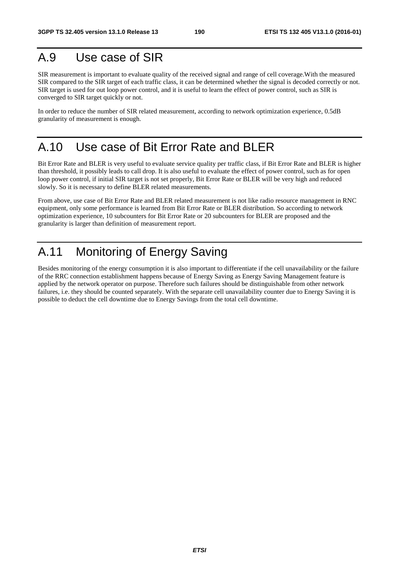## A.9 Use case of SIR

SIR measurement is important to evaluate quality of the received signal and range of cell coverage.With the measured SIR compared to the SIR target of each traffic class, it can be determined whether the signal is decoded correctly or not. SIR target is used for out loop power control, and it is useful to learn the effect of power control, such as SIR is converged to SIR target quickly or not.

In order to reduce the number of SIR related measurement, according to network optimization experience, 0.5dB granularity of measurement is enough.

## A.10 Use case of Bit Error Rate and BLER

Bit Error Rate and BLER is very useful to evaluate service quality per traffic class, if Bit Error Rate and BLER is higher than threshold, it possibly leads to call drop. It is also useful to evaluate the effect of power control, such as for open loop power control, if initial SIR target is not set properly, Bit Error Rate or BLER will be very high and reduced slowly. So it is necessary to define BLER related measurements.

From above, use case of Bit Error Rate and BLER related measurement is not like radio resource management in RNC equipment, only some performance is learned from Bit Error Rate or BLER distribution. So according to network optimization experience, 10 subcounters for Bit Error Rate or 20 subcounters for BLER are proposed and the granularity is larger than definition of measurement report.

# A.11 Monitoring of Energy Saving

Besides monitoring of the energy consumption it is also important to differentiate if the cell unavailability or the failure of the RRC connection establishment happens because of Energy Saving as Energy Saving Management feature is applied by the network operator on purpose. Therefore such failures should be distinguishable from other network failures, i.e. they should be counted separately. With the separate cell unavailability counter due to Energy Saving it is possible to deduct the cell downtime due to Energy Savings from the total cell downtime.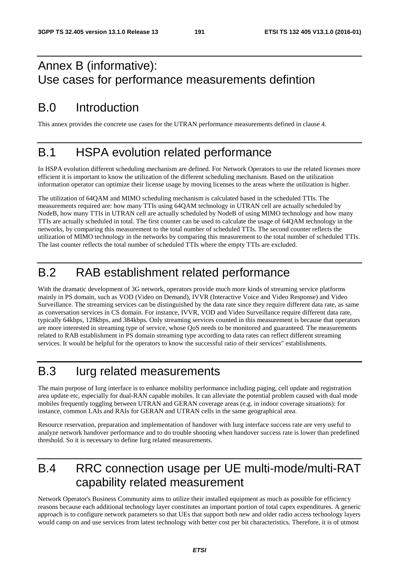## Annex B (informative): Use cases for performance measurements defintion

## B.0 Introduction

This annex provides the concrete use cases for the UTRAN performance measurements defined in clause 4.

## B.1 HSPA evolution related performance

In HSPA evolution different scheduling mechanism are defined. For Network Operators to use the related licenses more efficient it is important to know the utilization of the different scheduling mechanism. Based on the utilization information operator can optimize their license usage by moving licenses to the areas where the utilization is higher.

The utilization of 64QAM and MIMO scheduling mechanism is calculated based in the scheduled TTIs. The measurements required are: how many TTIs using 64QAM technology in UTRAN cell are actually scheduled by NodeB, how many TTIs in UTRAN cell are actually scheduled by NodeB of using MIMO technology and how many TTIs are actually scheduled in total. The first counter can be used to calculate the usage of 64QAM technology in the networks, by comparing this measurement to the total number of scheduled TTIs. The second counter reflects the utilization of MIMO technology in the networks by comparing this measurement to the total number of scheduled TTIs. The last counter reflects the total number of scheduled TTIs where the empty TTIs are excluded.

## B.2 RAB establishment related performance

With the dramatic development of 3G network, operators provide much more kinds of streaming service platforms mainly in PS domain, such as VOD (Video on Demand), IVVR (Interactive Voice and Video Response) and Video Surveillance. The streaming services can be distinguished by the data rate since they require different data rate, as same as conversation services in CS domain. For instance, IVVR, VOD and Video Surveillance require different data rate, typically 64kbps, 128kbps, and 384kbps. Only streaming services counted in this measurement is because that operators are more interested in streaming type of service, whose QoS needs to be monitored and guaranteed. The measurements related to RAB establishment in PS domain streaming type according to data rates can reflect different streaming services. It would be helpful for the operators to know the successful ratio of their services" establishments.

## B.3 Iurg related measurements

The main purpose of Iurg interface is to enhance mobility performance including paging, cell update and registration area update etc, especially for dual-RAN capable mobiles. It can alleviate the potential problem caused with dual mode mobiles frequently toggling between UTRAN and GERAN coverage areas (e.g. in indoor coverage situations): for instance, common LAIs and RAIs for GERAN and UTRAN cells in the same geographical area.

Resource reservation, preparation and implementation of handover with Iurg interface success rate are very useful to analyze network handover performance and to do trouble shooting when handover success rate is lower than predefined threshold. So it is necessary to define Iurg related measurements.

## B.4 RRC connection usage per UE multi-mode/multi-RAT capability related measurement

Network Operator's Business Community aims to utilize their installed equipment as much as possible for efficiency reasons because each additional technology layer constitutes an important portion of total capex expenditures. A generic approach is to configure network parameters so that UEs that support both new and older radio access technology layers would camp on and use services from latest technology with better cost per bit characteristics. Therefore, it is of utmost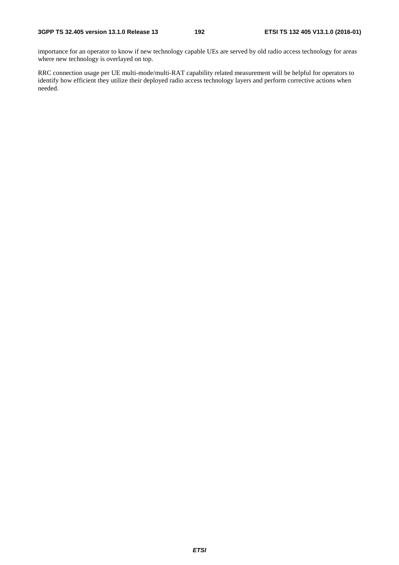importance for an operator to know if new technology capable UEs are served by old radio access technology for areas where new technology is overlayed on top.

RRC connection usage per UE multi-mode/multi-RAT capability related measurement will be helpful for operators to identify how efficient they utilize their deployed radio access technology layers and perform corrective actions when needed.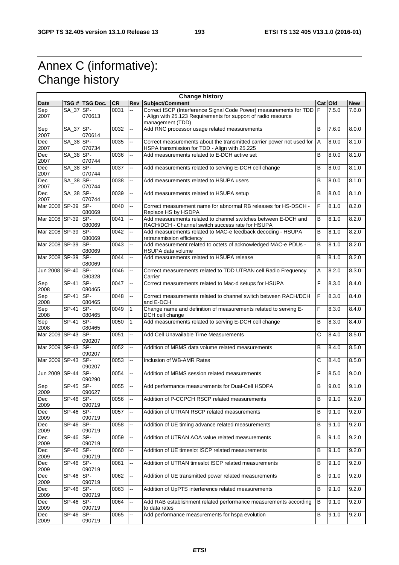# Annex C (informative): Change history

| <b>Change history</b> |              |                 |           |              |                                                                                                                                        |                |         |            |
|-----------------------|--------------|-----------------|-----------|--------------|----------------------------------------------------------------------------------------------------------------------------------------|----------------|---------|------------|
| Date                  |              | TSG # TSG Doc.  | <b>CR</b> | Rev          | Subject/Comment                                                                                                                        |                | Cat Old | <b>New</b> |
| Sep<br>2007           | SA_37 SP-    | 070613          | 0031      |              | Correct ISCP (Interference Signal Code Power) measurements for TDD F<br>- Align with 25.123 Requirements for support of radio resource |                | 7.5.0   | 7.6.0      |
| Sep                   | SA_37 SP-    |                 | 0032      | Щ.           | management (TDD)<br>Add RNC processor usage related measurements                                                                       | B              | 7.6.0   | 8.0.0      |
| 2007                  |              | 070614          |           |              |                                                                                                                                        |                |         |            |
| Dec<br>2007           | SA_38 SP-    | 070734          | 0035      | ш,           | Correct measurements about the transmitted carrier power not used for<br>HSPA transmission for TDD - Align with 25.225                 | A              | 8.0.0   | 8.1.0      |
| Dec<br>2007           | SA_38 SP-    | 070744          | 0036      | --           | Add measurements related to E-DCH active set                                                                                           | B              | 8.0.0   | 8.1.0      |
| Dec<br>2007           | SA_38 SP-    | 070744          | 0037      | --           | Add measurements related to serving E-DCH cell change                                                                                  | B              | 8.0.0   | 8.1.0      |
| Dec<br>2007           | SA_38 SP-    | 070744          | 0038      |              | Add measurements related to HSUPA users                                                                                                | $\overline{B}$ | 8.0.0   | 8.1.0      |
| Dec<br>2007           | SA_38 SP-    | 070744          | 0039      | Щ.           | Add measurements related to HSUPA setup                                                                                                | $\overline{B}$ | 8.0.0   | 8.1.0      |
| Mar 2008 SP-39        |              | SP-<br>080069   | 0040      | ц,           | Correct measurement name for abnormal RB releases for HS-DSCH -<br>Replace HS by HSDPA                                                 | F              | 8.1.0   | 8.2.0      |
| Mar 2008 SP-39        |              | SP-<br>080069   | 0041      | ш.           | Add measurements related to channel switches between E-DCH and<br>RACH/DCH - Channel switch success rate for HSUPA                     | B              | 8.1.0   | 8.2.0      |
| Mar 2008 SP-39        |              | SP-             | 0042      | ш,           | Add measurements related to MAC-e feedback decoding - HSUPA                                                                            | B              | 8.1.0   | 8.2.0      |
| Mar 2008 SP-39        |              | 080069<br>SP-   | 0043      | ÷.           | retransmission efficiency<br>Add measurement related to octets of acknowledged MAC-e PDUs -                                            | $\sf B$        | 8.1.0   | 8.2.0      |
| Mar 2008 SP-39        |              | 080069<br>SP-   | 0044      | Щ.           | HSUPA data volume<br>Add measurements related to HSUPA release                                                                         | B              | 8.1.0   | 8.2.0      |
| Jun 2008 SP-40        |              | 080069<br>SP-   | 0046      | --           | Correct measurements related to TDD UTRAN cell Radio Frequency                                                                         | A              | 8.2.0   | 8.3.0      |
| Sep                   | SP-41        | 080328<br>SP-   | 0047      | --           | Carrier<br>Correct measurements related to Mac-d setups for HSUPA                                                                      | F              | 8.3.0   | 8.4.0      |
| 2008<br>Sep           | SP-41        | 080465<br>SP-   | 0048      | --           | Correct measurements related to channel switch between RACH/DCH                                                                        | F              | 8.3.0   | 8.4.0      |
| 2008<br>Sep           | $SP-41$      | 080465<br>SP-   | 0049      | $\mathbf{1}$ | and E-DCH<br>Change name and definition of measurements related to serving E-                                                          | F              | 8.3.0   | 8.4.0      |
| 2008                  |              | 080465          |           |              | DCH cell change                                                                                                                        |                |         |            |
| Sep<br>2008           | $SP-41$      | SP-<br>080465   | 0050      | $\mathbf{1}$ | Add measurements related to serving E-DCH cell change                                                                                  | B              | 8.3.0   | 8.4.0      |
| Mar 2009 SP-43        |              | $SP-$<br>090207 | 0051      | Щ.           | Add Cell Unavailable Time Measurements                                                                                                 | C              | 8.4.0   | 8.5.0      |
| Mar 2009 SP-43        |              | SP-<br>090207   | 0052      | ш,           | Addition of MBMS data volume related measurements                                                                                      | B              | 8.4.0   | 8.5.0      |
| Mar 2009 SP-43        |              | SP-<br>090207   | 0053      | --           | Inclusion of WB-AMR Rates                                                                                                              | Ċ              | 8.4.0   | 8.5.0      |
| <b>Jun 2009</b>       | <b>SP-44</b> | $SP-$<br>090290 | 0054      | ш.           | Addition of MBMS session related measurements                                                                                          | F              | 8.5.0   | 9.0.0      |
| Sep<br>2009           | $SP-45$      | SP-<br>090627   | 0055      | --           | Add performance measurements for Dual-Cell HSDPA                                                                                       | $\overline{B}$ | 9.0.0   | 9.1.0      |
| Dec<br>2009           | $SP-46$ SP-  | 090719          | 0056      |              | Addition of P-CCPCH RSCP related measurements                                                                                          | В              | 9.1.0   | 9.2.0      |
| Dec<br>2009           | $SP-46$      | SP-<br>090719   | 0057      |              | Addition of UTRAN RSCP related measurements                                                                                            | B              | 9.1.0   | 9.2.0      |
| Dec<br>2009           | SP-46        | SP-<br>090719   | 0058      | -−           | Addition of UE timing advance related measurements                                                                                     | B              | 9.1.0   | 9.2.0      |
| Dec<br>2009           | SP-46        | SP-<br>090719   | 0059      | --           | Addition of UTRAN AOA value related measurements                                                                                       | B              | 9.1.0   | 9.2.0      |
| Dec<br>2009           | <b>SP-46</b> | SP-<br>090719   | 0060      | ш,           | Addition of UE timeslot ISCP related measurements                                                                                      | B              | 9.1.0   | 9.2.0      |
| Dec                   | SP-46        | SP-             | 0061      | ш,           | Addition of UTRAN timeslot ISCP related measurements                                                                                   | B              | 9.1.0   | 9.2.0      |
| 2009<br>Dec           | SP-46        | 090719<br>SP-   | 0062      |              | Addition of UE transmitted power related measurements                                                                                  | B              | 9.1.0   | 9.2.0      |
| 2009<br>Dec           | <b>SP-46</b> | 090719<br>SP-   | 0063      | щ.           | Addition of UpPTS interference related measurements                                                                                    | B              | 9.1.0   | 9.2.0      |
| 2009<br>Dec           | SP-46        | 090719<br>ISP-  | 0064      |              | Add RAB establishment related performance measurements according                                                                       | В              | 9.1.0   | 9.2.0      |
| 2009<br>Dec           | <b>SP-46</b> | 090719<br>SP-   | 0065      |              | to data rates<br>Add performance measurements for hspa evolution                                                                       | B              | 9.1.0   | 9.2.0      |
| 2009                  |              | 090719          |           |              |                                                                                                                                        |                |         |            |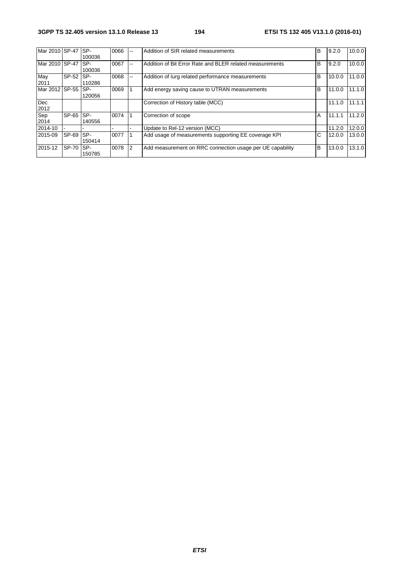| Mar 2010 SP-47   |         | SP-<br>100036 | 0066 | $- -$                    | Addition of SIR related measurements                      | B | 9.2.0  | 10.0.0 |
|------------------|---------|---------------|------|--------------------------|-----------------------------------------------------------|---|--------|--------|
| Mar 2010 SP-47 I |         | SP-<br>100036 | 0067 | $\overline{\phantom{a}}$ | Addition of Bit Error Rate and BLER related measurements  | B | 9.2.0  | 10.0.0 |
| May<br>2011      | SP-52   | SP-<br>110286 | 0068 | $\sim$                   | Addition of lurg related performance measurements         | B | 10.0.0 | 11.0.0 |
| Mar 2012 SP-55   |         | SP-<br>120056 | 0069 |                          | Add energy saving cause to UTRAN measurements             | B | 11.0.0 | 11.1.0 |
| Dec<br>2012      |         |               |      |                          | Correction of History table (MCC)                         |   | 11.1.0 | 11.1.1 |
| Sep<br>2014      | $SP-65$ | SP-<br>140556 | 0074 |                          | Correction of scope                                       | A | 11.1.1 | 11.2.0 |
| 2014-10          |         |               |      |                          | Update to Rel-12 version (MCC)                            |   | 11.2.0 | 12.0.0 |
| 2015-09          | SP-69   | SP-<br>150414 | 0077 |                          | Add usage of measurements supporting EE coverage KPI      | C | 12.0.0 | 13.0.0 |
| 2015-12          | SP-70   | SP-<br>150785 | 0078 | 2                        | Add measurement on RRC connection usage per UE capability | B | 13.0.0 | 13.1.0 |